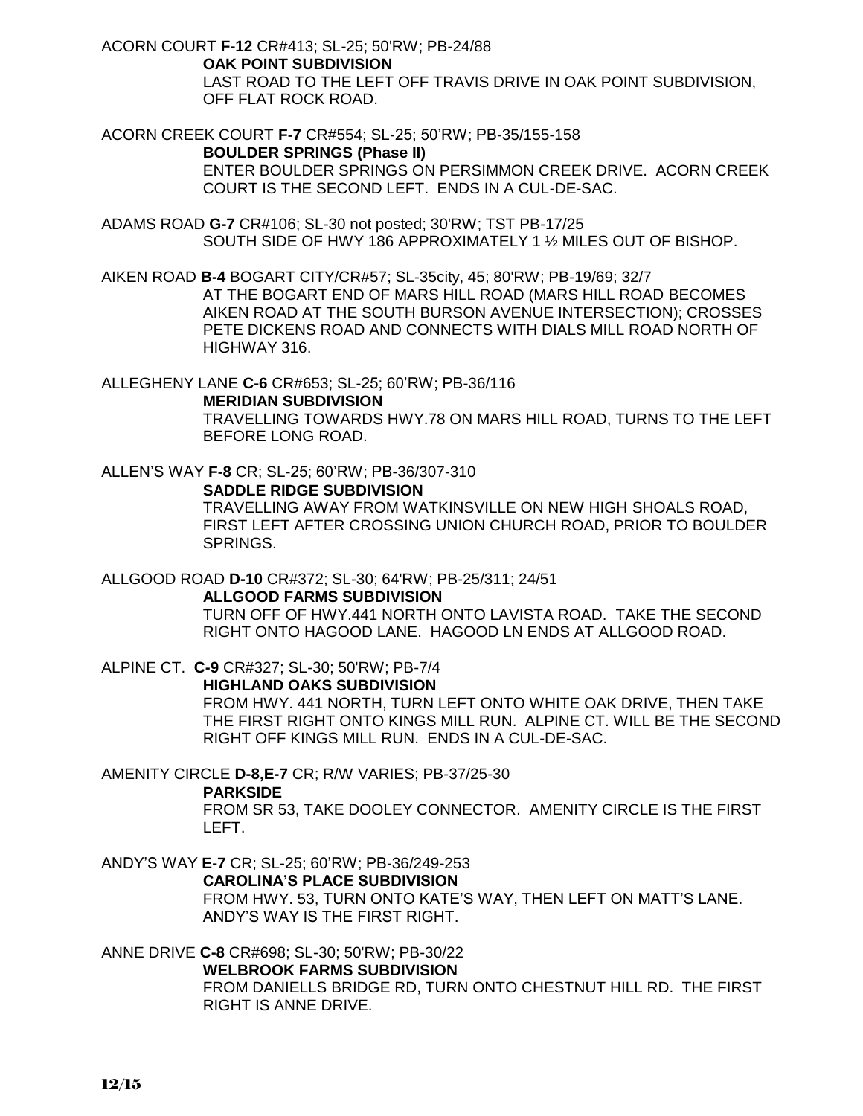ACORN COURT **F-12** CR#413; SL-25; 50'RW; PB-24/88

 **OAK POINT SUBDIVISION** LAST ROAD TO THE LEFT OFF TRAVIS DRIVE IN OAK POINT SUBDIVISION, OFF FLAT ROCK ROAD.

ACORN CREEK COURT **F-7** CR#554; SL-25; 50'RW; PB-35/155-158

### **BOULDER SPRINGS (Phase II)**

ENTER BOULDER SPRINGS ON PERSIMMON CREEK DRIVE. ACORN CREEK COURT IS THE SECOND LEFT. ENDS IN A CUL-DE-SAC.

ADAMS ROAD **G-7** CR#106; SL-30 not posted; 30'RW; TST PB-17/25 SOUTH SIDE OF HWY 186 APPROXIMATELY 1 ½ MILES OUT OF BISHOP.

AIKEN ROAD **B-4** BOGART CITY/CR#57; SL-35city, 45; 80'RW; PB-19/69; 32/7

AT THE BOGART END OF MARS HILL ROAD (MARS HILL ROAD BECOMES AIKEN ROAD AT THE SOUTH BURSON AVENUE INTERSECTION); CROSSES PETE DICKENS ROAD AND CONNECTS WITH DIALS MILL ROAD NORTH OF HIGHWAY 316.

ALLEGHENY LANE **C-6** CR#653; SL-25; 60'RW; PB-36/116

**MERIDIAN SUBDIVISION** TRAVELLING TOWARDS HWY.78 ON MARS HILL ROAD, TURNS TO THE LEFT BEFORE LONG ROAD.

ALLEN'S WAY **F-8** CR; SL-25; 60'RW; PB-36/307-310

### **SADDLE RIDGE SUBDIVISION**

TRAVELLING AWAY FROM WATKINSVILLE ON NEW HIGH SHOALS ROAD, FIRST LEFT AFTER CROSSING UNION CHURCH ROAD, PRIOR TO BOULDER SPRINGS.

ALLGOOD ROAD **D-10** CR#372; SL-30; 64'RW; PB-25/311; 24/51

#### **ALLGOOD FARMS SUBDIVISION**

TURN OFF OF HWY.441 NORTH ONTO LAVISTA ROAD. TAKE THE SECOND RIGHT ONTO HAGOOD LANE. HAGOOD LN ENDS AT ALLGOOD ROAD.

ALPINE CT. **C-9** CR#327; SL-30; 50'RW; PB-7/4 **HIGHLAND OAKS SUBDIVISION** FROM HWY. 441 NORTH, TURN LEFT ONTO WHITE OAK DRIVE, THEN TAKE THE FIRST RIGHT ONTO KINGS MILL RUN. ALPINE CT. WILL BE THE SECOND RIGHT OFF KINGS MILL RUN. ENDS IN A CUL-DE-SAC.

AMENITY CIRCLE **D-8,E-7** CR; R/W VARIES; PB-37/25-30

#### **PARKSIDE**

FROM SR 53, TAKE DOOLEY CONNECTOR. AMENITY CIRCLE IS THE FIRST LEFT.

ANDY'S WAY **E-7** CR; SL-25; 60'RW; PB-36/249-253 **CAROLINA'S PLACE SUBDIVISION** FROM HWY. 53, TURN ONTO KATE'S WAY, THEN LEFT ON MATT'S LANE. ANDY'S WAY IS THE FIRST RIGHT.

ANNE DRIVE **C-8** CR#698; SL-30; 50'RW; PB-30/22

### **WELBROOK FARMS SUBDIVISION**

FROM DANIELLS BRIDGE RD, TURN ONTO CHESTNUT HILL RD. THE FIRST RIGHT IS ANNE DRIVE.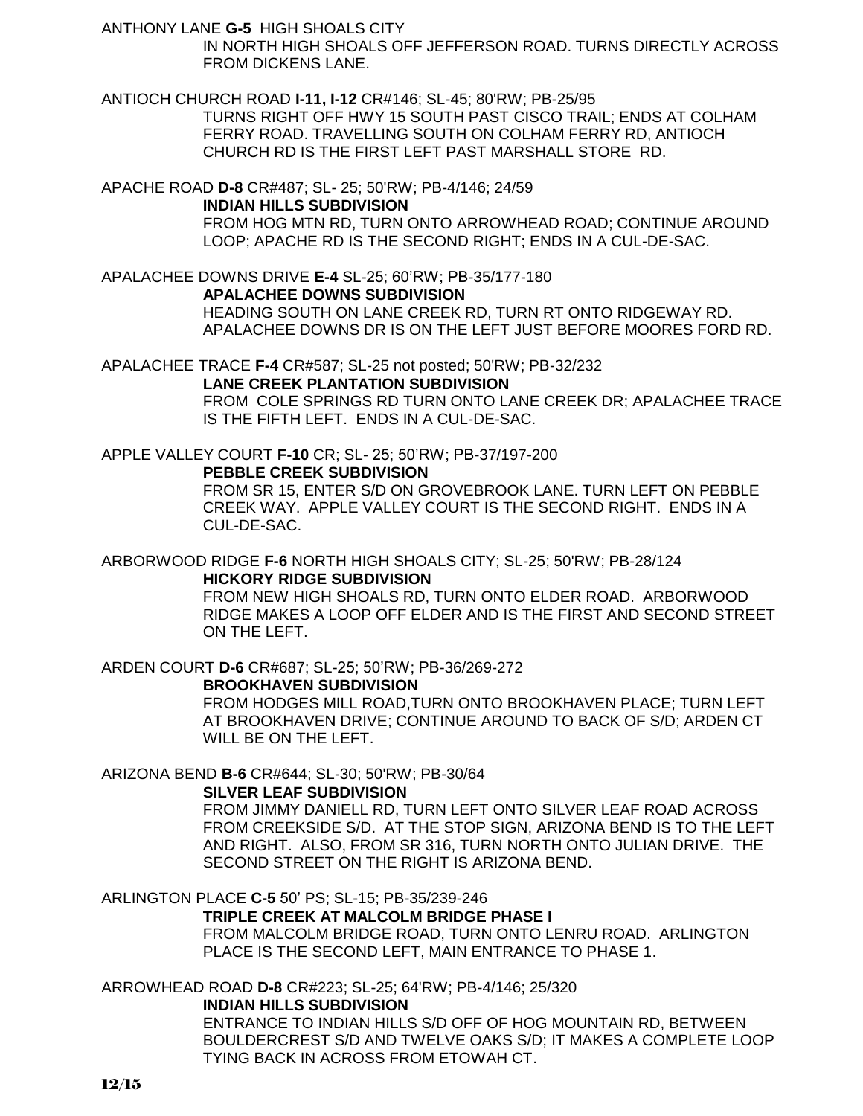ANTHONY LANE **G-5** HIGH SHOALS CITY

 IN NORTH HIGH SHOALS OFF JEFFERSON ROAD. TURNS DIRECTLY ACROSS FROM DICKENS LANE.

ANTIOCH CHURCH ROAD **I-11, I-12** CR#146; SL-45; 80'RW; PB-25/95

TURNS RIGHT OFF HWY 15 SOUTH PAST CISCO TRAIL; ENDS AT COLHAM FERRY ROAD. TRAVELLING SOUTH ON COLHAM FERRY RD, ANTIOCH CHURCH RD IS THE FIRST LEFT PAST MARSHALL STORE RD.

APACHE ROAD **D-8** CR#487; SL- 25; 50'RW; PB-4/146; 24/59

### **INDIAN HILLS SUBDIVISION**

FROM HOG MTN RD, TURN ONTO ARROWHEAD ROAD; CONTINUE AROUND LOOP; APACHE RD IS THE SECOND RIGHT; ENDS IN A CUL-DE-SAC.

APALACHEE DOWNS DRIVE **E-4** SL-25; 60'RW; PB-35/177-180

### **APALACHEE DOWNS SUBDIVISION**

HEADING SOUTH ON LANE CREEK RD, TURN RT ONTO RIDGEWAY RD. APALACHEE DOWNS DR IS ON THE LEFT JUST BEFORE MOORES FORD RD.

APALACHEE TRACE **F-4** CR#587; SL-25 not posted; 50'RW; PB-32/232

### **LANE CREEK PLANTATION SUBDIVISION**

FROM COLE SPRINGS RD TURN ONTO LANE CREEK DR; APALACHEE TRACE IS THE FIFTH LEFT. ENDS IN A CUL-DE-SAC.

APPLE VALLEY COURT **F-10** CR; SL- 25; 50'RW; PB-37/197-200 **PEBBLE CREEK SUBDIVISION**

FROM SR 15, ENTER S/D ON GROVEBROOK LANE. TURN LEFT ON PEBBLE CREEK WAY. APPLE VALLEY COURT IS THE SECOND RIGHT. ENDS IN A CUL-DE-SAC.

ARBORWOOD RIDGE **F-6** NORTH HIGH SHOALS CITY; SL-25; 50'RW; PB-28/124 **HICKORY RIDGE SUBDIVISION**

FROM NEW HIGH SHOALS RD, TURN ONTO ELDER ROAD. ARBORWOOD RIDGE MAKES A LOOP OFF ELDER AND IS THE FIRST AND SECOND STREET ON THE LEFT.

ARDEN COURT **D-6** CR#687; SL-25; 50'RW; PB-36/269-272

### **BROOKHAVEN SUBDIVISION**

FROM HODGES MILL ROAD,TURN ONTO BROOKHAVEN PLACE; TURN LEFT AT BROOKHAVEN DRIVE; CONTINUE AROUND TO BACK OF S/D; ARDEN CT WILL BE ON THE LEFT.

# ARIZONA BEND **B-6** CR#644; SL-30; 50'RW; PB-30/64

### **SILVER LEAF SUBDIVISION**

FROM JIMMY DANIELL RD, TURN LEFT ONTO SILVER LEAF ROAD ACROSS FROM CREEKSIDE S/D. AT THE STOP SIGN, ARIZONA BEND IS TO THE LEFT AND RIGHT. ALSO, FROM SR 316, TURN NORTH ONTO JULIAN DRIVE. THE SECOND STREET ON THE RIGHT IS ARIZONA BEND.

ARLINGTON PLACE **C-5** 50' PS; SL-15; PB-35/239-246

### **TRIPLE CREEK AT MALCOLM BRIDGE PHASE I**

FROM MALCOLM BRIDGE ROAD, TURN ONTO LENRU ROAD. ARLINGTON PLACE IS THE SECOND LEFT, MAIN ENTRANCE TO PHASE 1.

# ARROWHEAD ROAD **D-8** CR#223; SL-25; 64'RW; PB-4/146; 25/320 **INDIAN HILLS SUBDIVISION**

ENTRANCE TO INDIAN HILLS S/D OFF OF HOG MOUNTAIN RD, BETWEEN BOULDERCREST S/D AND TWELVE OAKS S/D; IT MAKES A COMPLETE LOOP TYING BACK IN ACROSS FROM ETOWAH CT.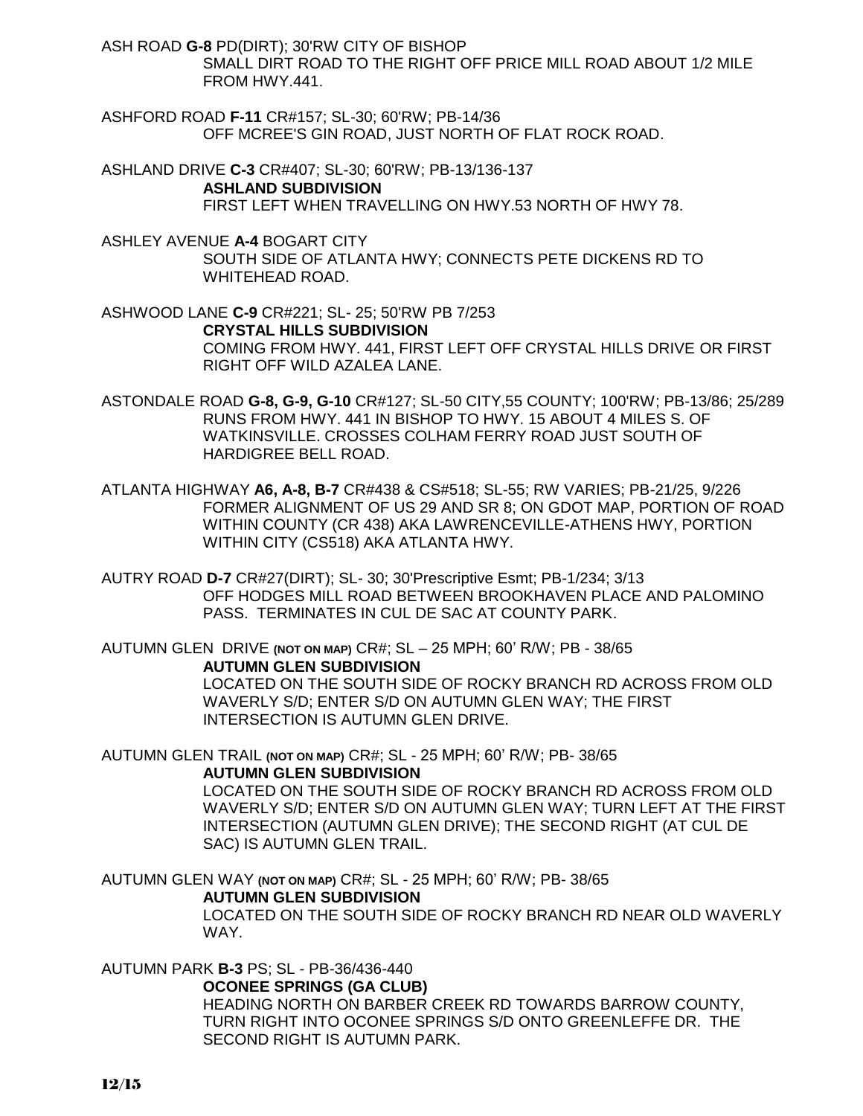ASH ROAD **G-8** PD(DIRT); 30'RW CITY OF BISHOP SMALL DIRT ROAD TO THE RIGHT OFF PRICE MILL ROAD ABOUT 1/2 MILE FROM HWY.441.

ASHFORD ROAD **F-11** CR#157; SL-30; 60'RW; PB-14/36 OFF MCREE'S GIN ROAD, JUST NORTH OF FLAT ROCK ROAD.

ASHLAND DRIVE **C-3** CR#407; SL-30; 60'RW; PB-13/136-137 **ASHLAND SUBDIVISION** FIRST LEFT WHEN TRAVELLING ON HWY.53 NORTH OF HWY 78.

ASHLEY AVENUE **A-4** BOGART CITY SOUTH SIDE OF ATLANTA HWY; CONNECTS PETE DICKENS RD TO WHITEHEAD ROAD.

ASHWOOD LANE **C-9** CR#221; SL- 25; 50'RW PB 7/253 **CRYSTAL HILLS SUBDIVISION** COMING FROM HWY. 441, FIRST LEFT OFF CRYSTAL HILLS DRIVE OR FIRST RIGHT OFF WILD AZALEA LANE.

ASTONDALE ROAD **G-8, G-9, G-10** CR#127; SL-50 CITY,55 COUNTY; 100'RW; PB-13/86; 25/289 RUNS FROM HWY. 441 IN BISHOP TO HWY. 15 ABOUT 4 MILES S. OF WATKINSVILLE. CROSSES COLHAM FERRY ROAD JUST SOUTH OF HARDIGREE BELL ROAD.

ATLANTA HIGHWAY **A6, A-8, B-7** CR#438 & CS#518; SL-55; RW VARIES; PB-21/25, 9/226 FORMER ALIGNMENT OF US 29 AND SR 8; ON GDOT MAP, PORTION OF ROAD WITHIN COUNTY (CR 438) AKA LAWRENCEVILLE-ATHENS HWY, PORTION WITHIN CITY (CS518) AKA ATLANTA HWY.

AUTRY ROAD **D-7** CR#27(DIRT); SL- 30; 30'Prescriptive Esmt; PB-1/234; 3/13 OFF HODGES MILL ROAD BETWEEN BROOKHAVEN PLACE AND PALOMINO PASS. TERMINATES IN CUL DE SAC AT COUNTY PARK.

AUTUMN GLEN DRIVE **(NOT ON MAP)** CR#; SL – 25 MPH; 60' R/W; PB - 38/65 **AUTUMN GLEN SUBDIVISION**

> LOCATED ON THE SOUTH SIDE OF ROCKY BRANCH RD ACROSS FROM OLD WAVERLY S/D; ENTER S/D ON AUTUMN GLEN WAY; THE FIRST INTERSECTION IS AUTUMN GLEN DRIVE.

AUTUMN GLEN TRAIL **(NOT ON MAP)** CR#; SL - 25 MPH; 60' R/W; PB- 38/65 **AUTUMN GLEN SUBDIVISION**

LOCATED ON THE SOUTH SIDE OF ROCKY BRANCH RD ACROSS FROM OLD WAVERLY S/D; ENTER S/D ON AUTUMN GLEN WAY; TURN LEFT AT THE FIRST INTERSECTION (AUTUMN GLEN DRIVE); THE SECOND RIGHT (AT CUL DE SAC) IS AUTUMN GLEN TRAIL.

AUTUMN GLEN WAY **(NOT ON MAP)** CR#; SL - 25 MPH; 60' R/W; PB- 38/65

#### **AUTUMN GLEN SUBDIVISION**

LOCATED ON THE SOUTH SIDE OF ROCKY BRANCH RD NEAR OLD WAVERLY WAY.

### AUTUMN PARK **B-3** PS; SL - PB-36/436-440

#### **OCONEE SPRINGS (GA CLUB)**

HEADING NORTH ON BARBER CREEK RD TOWARDS BARROW COUNTY, TURN RIGHT INTO OCONEE SPRINGS S/D ONTO GREENLEFFE DR. THE SECOND RIGHT IS AUTUMN PARK.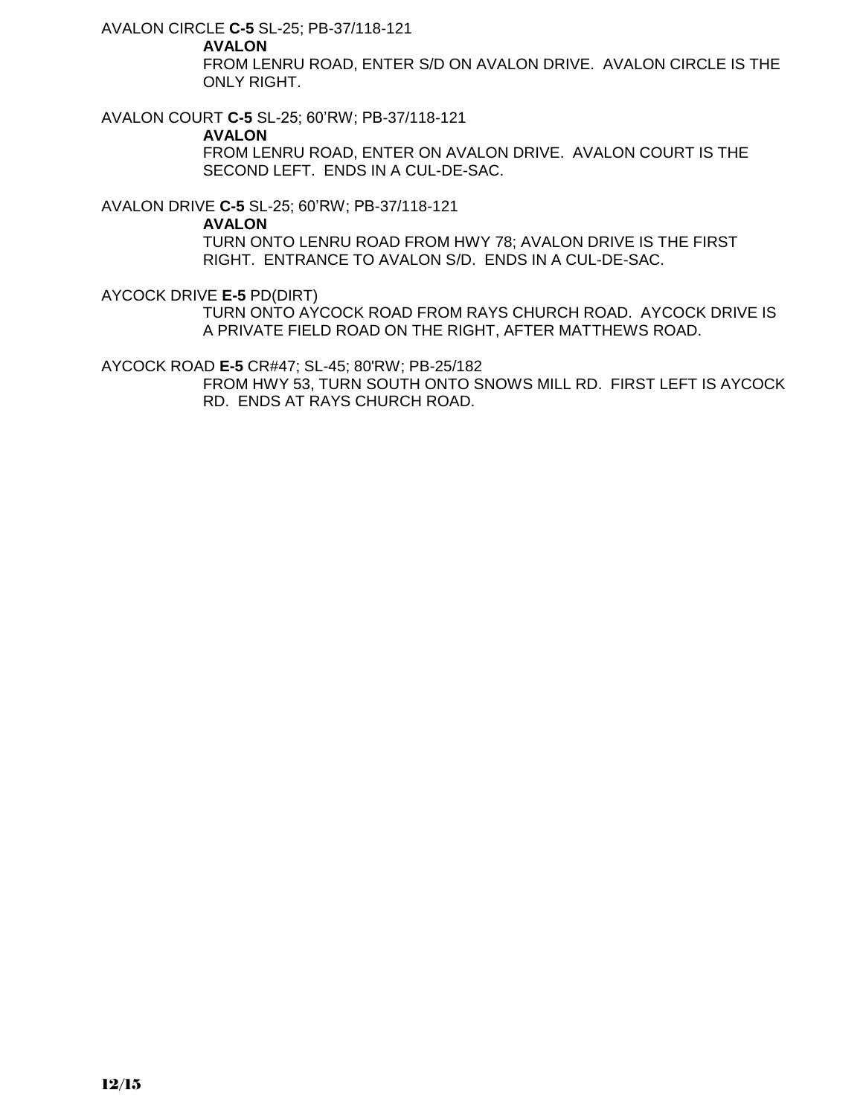AVALON CIRCLE **C-5** SL-25; PB-37/118-121

### **AVALON**

FROM LENRU ROAD, ENTER S/D ON AVALON DRIVE. AVALON CIRCLE IS THE ONLY RIGHT.

AVALON COURT **C-5** SL-25; 60'RW; PB-37/118-121

### **AVALON**

FROM LENRU ROAD, ENTER ON AVALON DRIVE. AVALON COURT IS THE SECOND LEFT. ENDS IN A CUL-DE-SAC.

AVALON DRIVE **C-5** SL-25; 60'RW; PB-37/118-121

**AVALON**

TURN ONTO LENRU ROAD FROM HWY 78; AVALON DRIVE IS THE FIRST RIGHT. ENTRANCE TO AVALON S/D. ENDS IN A CUL-DE-SAC.

AYCOCK DRIVE **E-5** PD(DIRT)

TURN ONTO AYCOCK ROAD FROM RAYS CHURCH ROAD. AYCOCK DRIVE IS A PRIVATE FIELD ROAD ON THE RIGHT, AFTER MATTHEWS ROAD.

AYCOCK ROAD **E-5** CR#47; SL-45; 80'RW; PB-25/182

FROM HWY 53, TURN SOUTH ONTO SNOWS MILL RD. FIRST LEFT IS AYCOCK RD. ENDS AT RAYS CHURCH ROAD.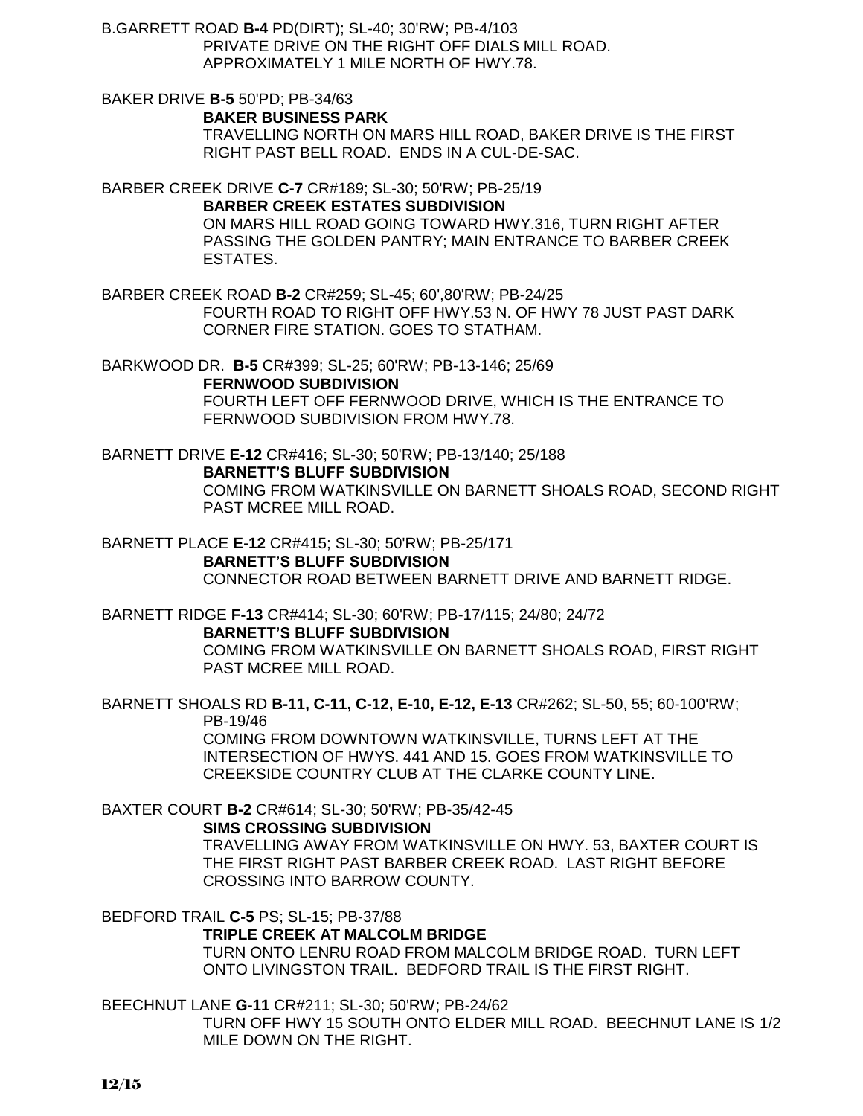B.GARRETT ROAD **B-4** PD(DIRT); SL-40; 30'RW; PB-4/103 PRIVATE DRIVE ON THE RIGHT OFF DIALS MILL ROAD. APPROXIMATELY 1 MILE NORTH OF HWY.78.

BAKER DRIVE **B-5** 50'PD; PB-34/63 **BAKER BUSINESS PARK**

> TRAVELLING NORTH ON MARS HILL ROAD, BAKER DRIVE IS THE FIRST RIGHT PAST BELL ROAD. ENDS IN A CUL-DE-SAC.

BARBER CREEK DRIVE **C-7** CR#189; SL-30; 50'RW; PB-25/19

**BARBER CREEK ESTATES SUBDIVISION**

ON MARS HILL ROAD GOING TOWARD HWY.316, TURN RIGHT AFTER PASSING THE GOLDEN PANTRY; MAIN ENTRANCE TO BARBER CREEK ESTATES.

BARBER CREEK ROAD **B-2** CR#259; SL-45; 60',80'RW; PB-24/25 FOURTH ROAD TO RIGHT OFF HWY.53 N. OF HWY 78 JUST PAST DARK CORNER FIRE STATION. GOES TO STATHAM.

BARKWOOD DR. **B-5** CR#399; SL-25; 60'RW; PB-13-146; 25/69 **FERNWOOD SUBDIVISION** FOURTH LEFT OFF FERNWOOD DRIVE, WHICH IS THE ENTRANCE TO FERNWOOD SUBDIVISION FROM HWY.78.

BARNETT DRIVE **E-12** CR#416; SL-30; 50'RW; PB-13/140; 25/188 **BARNETT'S BLUFF SUBDIVISION** COMING FROM WATKINSVILLE ON BARNETT SHOALS ROAD, SECOND RIGHT PAST MCREE MILL ROAD.

BARNETT PLACE **E-12** CR#415; SL-30; 50'RW; PB-25/171 **BARNETT'S BLUFF SUBDIVISION** CONNECTOR ROAD BETWEEN BARNETT DRIVE AND BARNETT RIDGE.

BARNETT RIDGE **F-13** CR#414; SL-30; 60'RW; PB-17/115; 24/80; 24/72 **BARNETT'S BLUFF SUBDIVISION** COMING FROM WATKINSVILLE ON BARNETT SHOALS ROAD, FIRST RIGHT PAST MCREE MILL ROAD.

BARNETT SHOALS RD **B-11, C-11, C-12, E-10, E-12, E-13** CR#262; SL-50, 55; 60-100'RW; PB-19/46 COMING FROM DOWNTOWN WATKINSVILLE, TURNS LEFT AT THE INTERSECTION OF HWYS. 441 AND 15. GOES FROM WATKINSVILLE TO CREEKSIDE COUNTRY CLUB AT THE CLARKE COUNTY LINE.

BAXTER COURT **B-2** CR#614; SL-30; 50'RW; PB-35/42-45

**SIMS CROSSING SUBDIVISION**

TRAVELLING AWAY FROM WATKINSVILLE ON HWY. 53, BAXTER COURT IS THE FIRST RIGHT PAST BARBER CREEK ROAD. LAST RIGHT BEFORE CROSSING INTO BARROW COUNTY.

BEDFORD TRAIL **C-5** PS; SL-15; PB-37/88

**TRIPLE CREEK AT MALCOLM BRIDGE**

TURN ONTO LENRU ROAD FROM MALCOLM BRIDGE ROAD. TURN LEFT ONTO LIVINGSTON TRAIL. BEDFORD TRAIL IS THE FIRST RIGHT.

BEECHNUT LANE **G-11** CR#211; SL-30; 50'RW; PB-24/62

TURN OFF HWY 15 SOUTH ONTO ELDER MILL ROAD. BEECHNUT LANE IS 1/2 MILE DOWN ON THE RIGHT.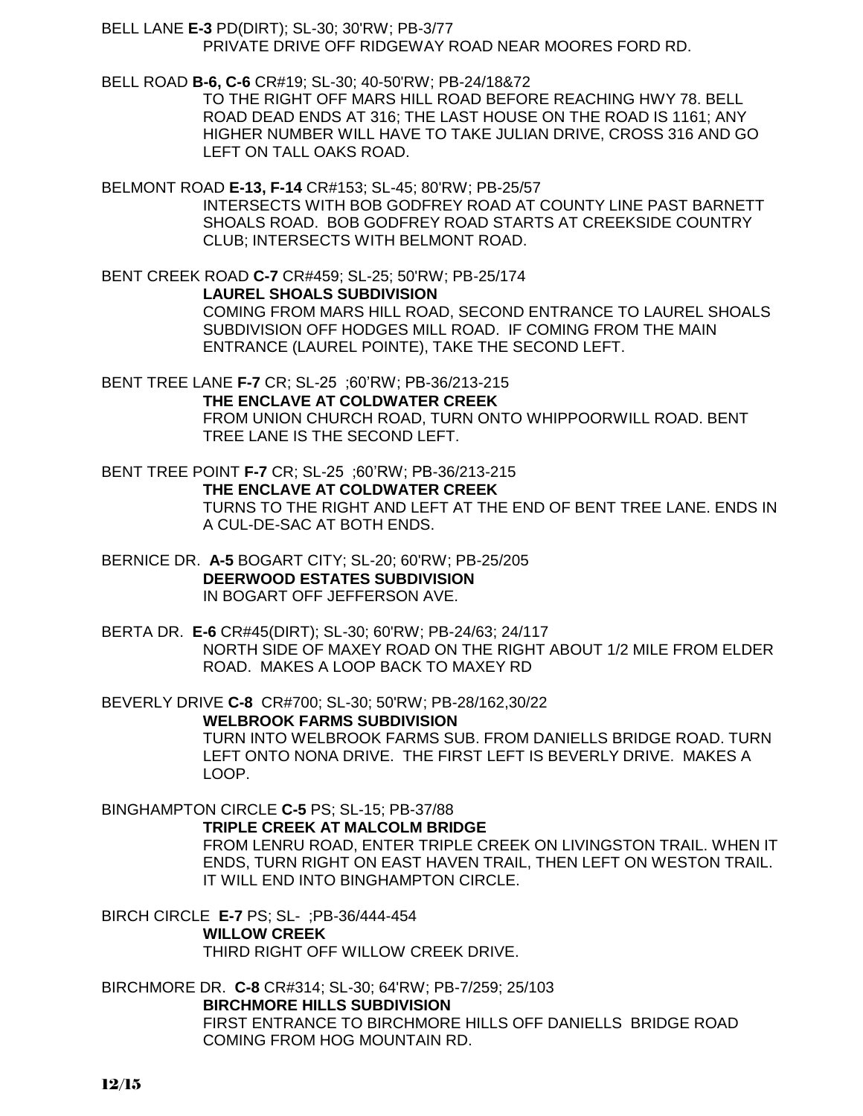BELL LANE **E-3** PD(DIRT); SL-30; 30'RW; PB-3/77 PRIVATE DRIVE OFF RIDGEWAY ROAD NEAR MOORES FORD RD.

BELL ROAD **B-6, C-6** CR#19; SL-30; 40-50'RW; PB-24/18&72 TO THE RIGHT OFF MARS HILL ROAD BEFORE REACHING HWY 78. BELL ROAD DEAD ENDS AT 316; THE LAST HOUSE ON THE ROAD IS 1161; ANY HIGHER NUMBER WILL HAVE TO TAKE JULIAN DRIVE, CROSS 316 AND GO LEFT ON TALL OAKS ROAD.

BELMONT ROAD **E-13, F-14** CR#153; SL-45; 80'RW; PB-25/57 INTERSECTS WITH BOB GODFREY ROAD AT COUNTY LINE PAST BARNETT SHOALS ROAD. BOB GODFREY ROAD STARTS AT CREEKSIDE COUNTRY CLUB; INTERSECTS WITH BELMONT ROAD.

BENT CREEK ROAD **C-7** CR#459; SL-25; 50'RW; PB-25/174 **LAUREL SHOALS SUBDIVISION** COMING FROM MARS HILL ROAD, SECOND ENTRANCE TO LAUREL SHOALS SUBDIVISION OFF HODGES MILL ROAD. IF COMING FROM THE MAIN ENTRANCE (LAUREL POINTE), TAKE THE SECOND LEFT.

BENT TREE LANE **F-7** CR; SL-25 ;60'RW; PB-36/213-215 **THE ENCLAVE AT COLDWATER CREEK** FROM UNION CHURCH ROAD, TURN ONTO WHIPPOORWILL ROAD. BENT TREE LANE IS THE SECOND LEFT.

BENT TREE POINT **F-7** CR; SL-25 ;60'RW; PB-36/213-215 **THE ENCLAVE AT COLDWATER CREEK** TURNS TO THE RIGHT AND LEFT AT THE END OF BENT TREE LANE. ENDS IN A CUL-DE-SAC AT BOTH ENDS.

BERNICE DR. **A-5** BOGART CITY; SL-20; 60'RW; PB-25/205 **DEERWOOD ESTATES SUBDIVISION** IN BOGART OFF JEFFERSON AVE.

BERTA DR. **E-6** CR#45(DIRT); SL-30; 60'RW; PB-24/63; 24/117 NORTH SIDE OF MAXEY ROAD ON THE RIGHT ABOUT 1/2 MILE FROM ELDER ROAD. MAKES A LOOP BACK TO MAXEY RD

BEVERLY DRIVE **C-8** CR#700; SL-30; 50'RW; PB-28/162,30/22

**WELBROOK FARMS SUBDIVISION**

TURN INTO WELBROOK FARMS SUB. FROM DANIELLS BRIDGE ROAD. TURN LEFT ONTO NONA DRIVE. THE FIRST LEFT IS BEVERLY DRIVE. MAKES A LOOP.

BINGHAMPTON CIRCLE **C-5** PS; SL-15; PB-37/88

**TRIPLE CREEK AT MALCOLM BRIDGE**

FROM LENRU ROAD, ENTER TRIPLE CREEK ON LIVINGSTON TRAIL. WHEN IT ENDS, TURN RIGHT ON EAST HAVEN TRAIL, THEN LEFT ON WESTON TRAIL. IT WILL END INTO BINGHAMPTON CIRCLE.

BIRCH CIRCLE **E-7** PS; SL- ;PB-36/444-454 **WILLOW CREEK** THIRD RIGHT OFF WILLOW CREEK DRIVE.

BIRCHMORE DR. **C-8** CR#314; SL-30; 64'RW; PB-7/259; 25/103 **BIRCHMORE HILLS SUBDIVISION** FIRST ENTRANCE TO BIRCHMORE HILLS OFF DANIELLS BRIDGE ROAD COMING FROM HOG MOUNTAIN RD.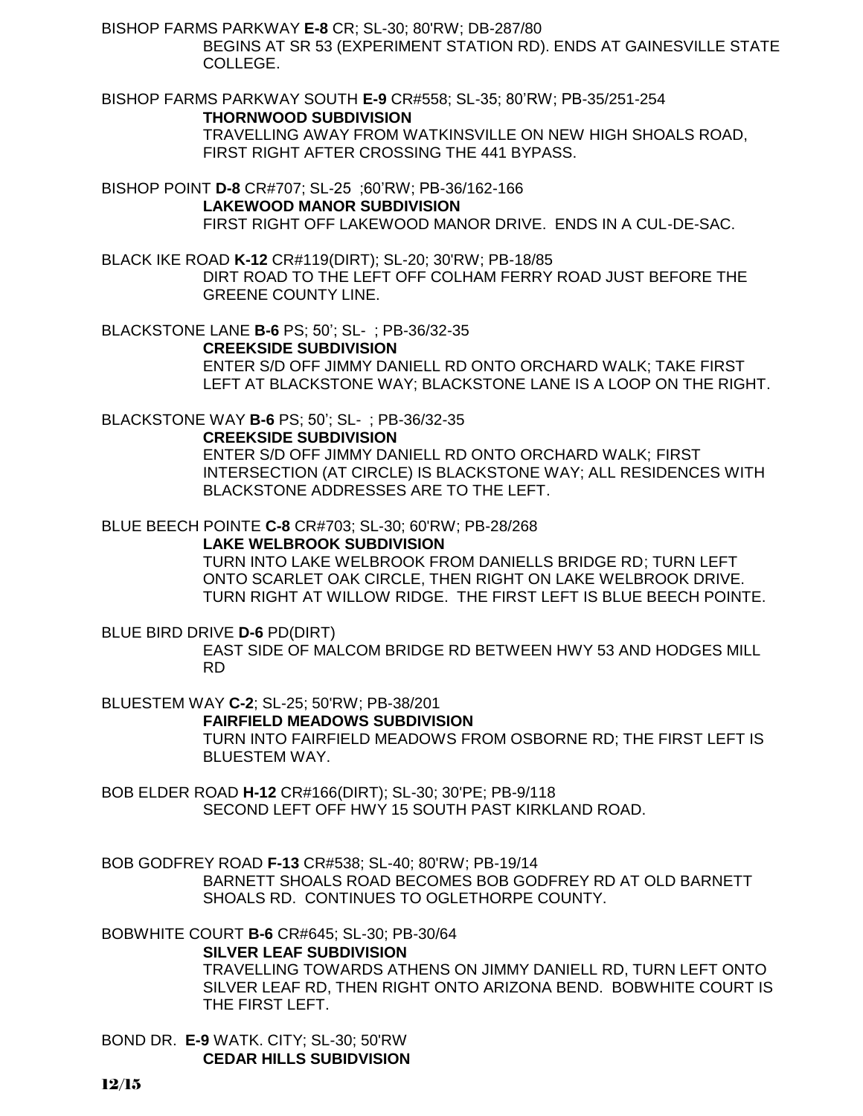BISHOP FARMS PARKWAY **E-8** CR; SL-30; 80'RW; DB-287/80

 BEGINS AT SR 53 (EXPERIMENT STATION RD). ENDS AT GAINESVILLE STATE COLLEGE.

BISHOP FARMS PARKWAY SOUTH **E-9** CR#558; SL-35; 80'RW; PB-35/251-254 **THORNWOOD SUBDIVISION** TRAVELLING AWAY FROM WATKINSVILLE ON NEW HIGH SHOALS ROAD,

FIRST RIGHT AFTER CROSSING THE 441 BYPASS.

BISHOP POINT **D-8** CR#707; SL-25 ;60'RW; PB-36/162-166 **LAKEWOOD MANOR SUBDIVISION** FIRST RIGHT OFF LAKEWOOD MANOR DRIVE. ENDS IN A CUL-DE-SAC.

BLACK IKE ROAD **K-12** CR#119(DIRT); SL-20; 30'RW; PB-18/85 DIRT ROAD TO THE LEFT OFF COLHAM FERRY ROAD JUST BEFORE THE GREENE COUNTY LINE.

BLACKSTONE LANE **B-6** PS; 50'; SL- ; PB-36/32-35 **CREEKSIDE SUBDIVISION**

ENTER S/D OFF JIMMY DANIELL RD ONTO ORCHARD WALK; TAKE FIRST LEFT AT BLACKSTONE WAY; BLACKSTONE LANE IS A LOOP ON THE RIGHT.

BLACKSTONE WAY **B-6** PS; 50'; SL- ; PB-36/32-35

#### **CREEKSIDE SUBDIVISION**

ENTER S/D OFF JIMMY DANIELL RD ONTO ORCHARD WALK; FIRST INTERSECTION (AT CIRCLE) IS BLACKSTONE WAY; ALL RESIDENCES WITH BLACKSTONE ADDRESSES ARE TO THE LEFT.

BLUE BEECH POINTE **C-8** CR#703; SL-30; 60'RW; PB-28/268

#### **LAKE WELBROOK SUBDIVISION**

TURN INTO LAKE WELBROOK FROM DANIELLS BRIDGE RD; TURN LEFT ONTO SCARLET OAK CIRCLE, THEN RIGHT ON LAKE WELBROOK DRIVE. TURN RIGHT AT WILLOW RIDGE. THE FIRST LEFT IS BLUE BEECH POINTE.

BLUE BIRD DRIVE **D-6** PD(DIRT)

EAST SIDE OF MALCOM BRIDGE RD BETWEEN HWY 53 AND HODGES MILL RD

BLUESTEM WAY **C-2**; SL-25; 50'RW; PB-38/201

**FAIRFIELD MEADOWS SUBDIVISION**

TURN INTO FAIRFIELD MEADOWS FROM OSBORNE RD; THE FIRST LEFT IS BLUESTEM WAY.

BOB ELDER ROAD **H-12** CR#166(DIRT); SL-30; 30'PE; PB-9/118 SECOND LEFT OFF HWY 15 SOUTH PAST KIRKLAND ROAD.

BOB GODFREY ROAD **F-13** CR#538; SL-40; 80'RW; PB-19/14

BARNETT SHOALS ROAD BECOMES BOB GODFREY RD AT OLD BARNETT SHOALS RD. CONTINUES TO OGLETHORPE COUNTY.

BOBWHITE COURT **B-6** CR#645; SL-30; PB-30/64

#### **SILVER LEAF SUBDIVISION**

TRAVELLING TOWARDS ATHENS ON JIMMY DANIELL RD, TURN LEFT ONTO SILVER LEAF RD, THEN RIGHT ONTO ARIZONA BEND. BOBWHITE COURT IS THE FIRST LEFT.

BOND DR. **E-9** WATK. CITY; SL-30; 50'RW **CEDAR HILLS SUBIDVISION**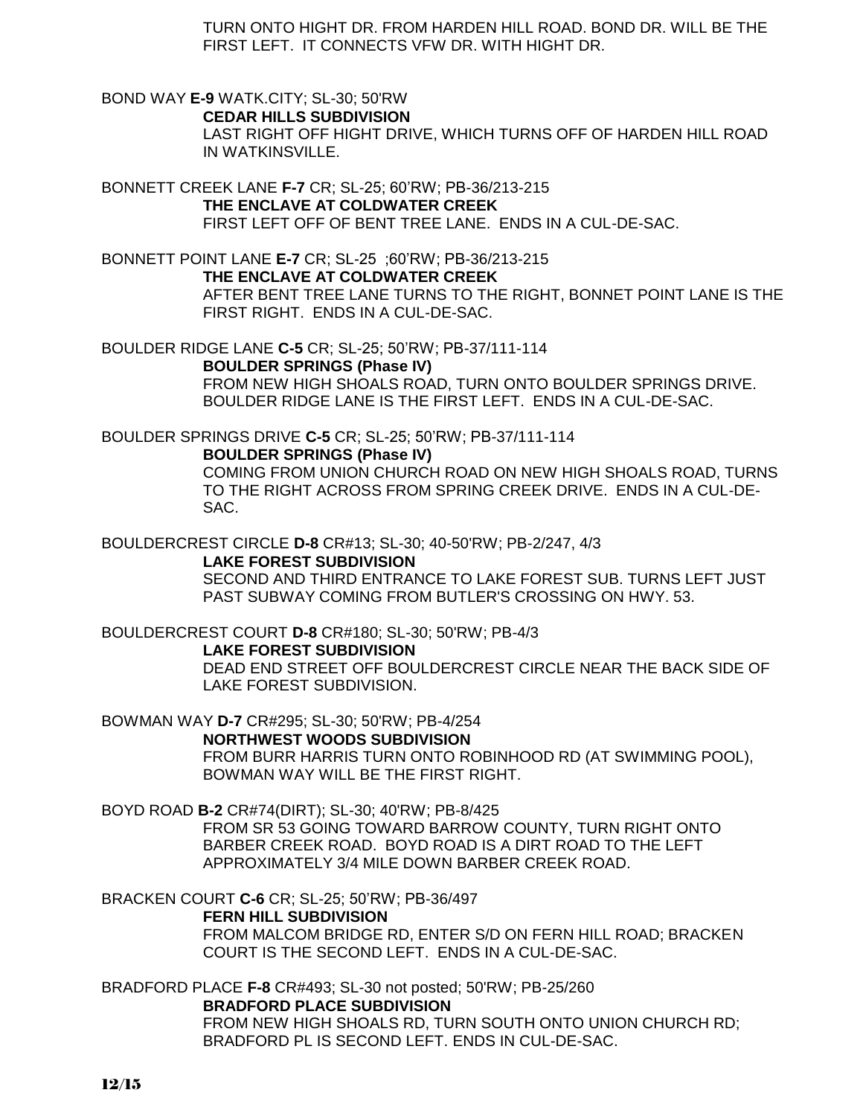TURN ONTO HIGHT DR. FROM HARDEN HILL ROAD. BOND DR. WILL BE THE FIRST LEFT. IT CONNECTS VFW DR. WITH HIGHT DR.

BOND WAY **E-9** WATK.CITY; SL-30; 50'RW **CEDAR HILLS SUBDIVISION** LAST RIGHT OFF HIGHT DRIVE, WHICH TURNS OFF OF HARDEN HILL ROAD IN WATKINSVILLE.

BONNETT CREEK LANE **F-7** CR; SL-25; 60'RW; PB-36/213-215 **THE ENCLAVE AT COLDWATER CREEK** FIRST LEFT OFF OF BENT TREE LANE. ENDS IN A CUL-DE-SAC.

BONNETT POINT LANE **E-7** CR; SL-25 ;60'RW; PB-36/213-215

**THE ENCLAVE AT COLDWATER CREEK**

AFTER BENT TREE LANE TURNS TO THE RIGHT, BONNET POINT LANE IS THE FIRST RIGHT. ENDS IN A CUL-DE-SAC.

BOULDER RIDGE LANE **C-5** CR; SL-25; 50'RW; PB-37/111-114

**BOULDER SPRINGS (Phase IV)** FROM NEW HIGH SHOALS ROAD, TURN ONTO BOULDER SPRINGS DRIVE. BOULDER RIDGE LANE IS THE FIRST LEFT. ENDS IN A CUL-DE-SAC.

BOULDER SPRINGS DRIVE **C-5** CR; SL-25; 50'RW; PB-37/111-114

#### **BOULDER SPRINGS (Phase IV)**

COMING FROM UNION CHURCH ROAD ON NEW HIGH SHOALS ROAD, TURNS TO THE RIGHT ACROSS FROM SPRING CREEK DRIVE. ENDS IN A CUL-DE-SAC.

### BOULDERCREST CIRCLE **D-8** CR#13; SL-30; 40-50'RW; PB-2/247, 4/3

**LAKE FOREST SUBDIVISION**

SECOND AND THIRD ENTRANCE TO LAKE FOREST SUB. TURNS LEFT JUST PAST SUBWAY COMING FROM BUTLER'S CROSSING ON HWY. 53.

BOULDERCREST COURT **D-8** CR#180; SL-30; 50'RW; PB-4/3

### **LAKE FOREST SUBDIVISION**

DEAD END STREET OFF BOULDERCREST CIRCLE NEAR THE BACK SIDE OF LAKE FOREST SUBDIVISION.

BOWMAN WAY **D-7** CR#295; SL-30; 50'RW; PB-4/254

**NORTHWEST WOODS SUBDIVISION**

FROM BURR HARRIS TURN ONTO ROBINHOOD RD (AT SWIMMING POOL), BOWMAN WAY WILL BE THE FIRST RIGHT.

BOYD ROAD **B-2** CR#74(DIRT); SL-30; 40'RW; PB-8/425

FROM SR 53 GOING TOWARD BARROW COUNTY, TURN RIGHT ONTO BARBER CREEK ROAD. BOYD ROAD IS A DIRT ROAD TO THE LEFT APPROXIMATELY 3/4 MILE DOWN BARBER CREEK ROAD.

BRACKEN COURT **C-6** CR; SL-25; 50'RW; PB-36/497

#### **FERN HILL SUBDIVISION**

FROM MALCOM BRIDGE RD, ENTER S/D ON FERN HILL ROAD; BRACKEN COURT IS THE SECOND LEFT. ENDS IN A CUL-DE-SAC.

BRADFORD PLACE **F-8** CR#493; SL-30 not posted; 50'RW; PB-25/260 **BRADFORD PLACE SUBDIVISION**

FROM NEW HIGH SHOALS RD, TURN SOUTH ONTO UNION CHURCH RD; BRADFORD PL IS SECOND LEFT. ENDS IN CUL-DE-SAC.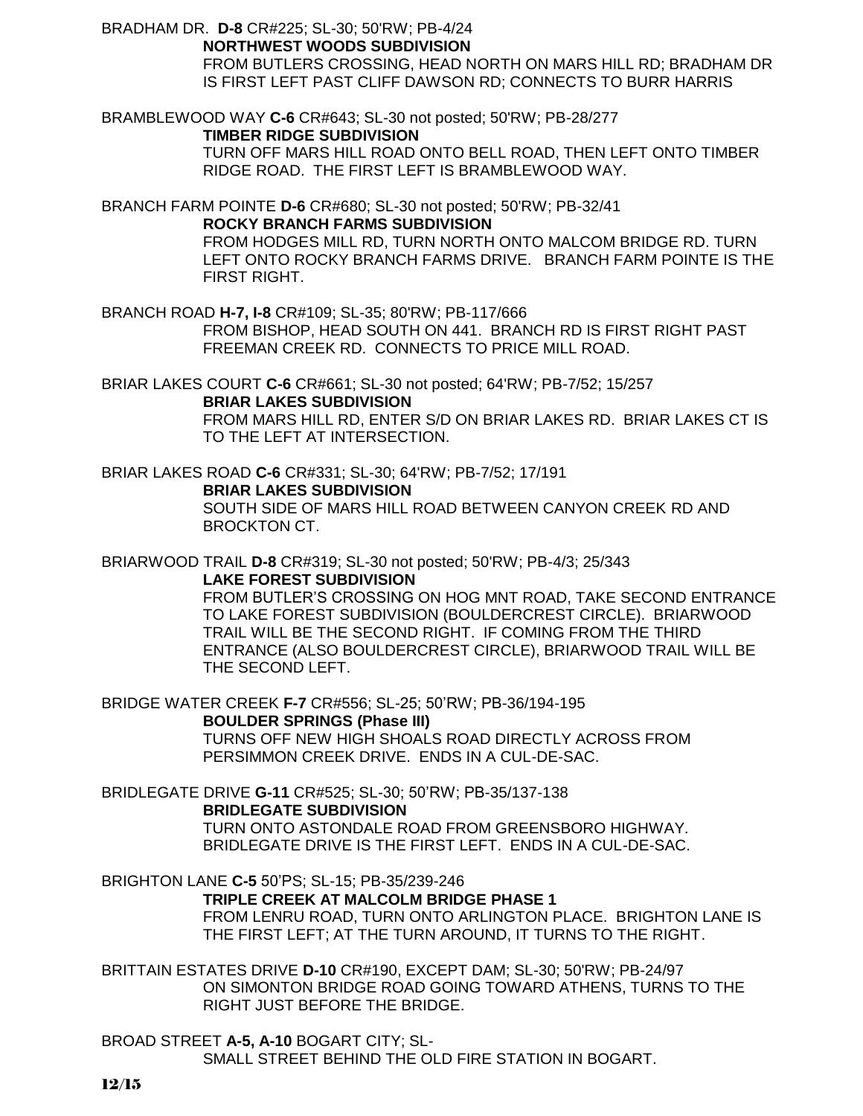BRADHAM DR. **D-8** CR#225; SL-30; 50'RW; PB-4/24

**NORTHWEST WOODS SUBDIVISION**

FROM BUTLERS CROSSING, HEAD NORTH ON MARS HILL RD; BRADHAM DR IS FIRST LEFT PAST CLIFF DAWSON RD; CONNECTS TO BURR HARRIS

BRAMBLEWOOD WAY **C-6** CR#643; SL-30 not posted; 50'RW; PB-28/277

**TIMBER RIDGE SUBDIVISION**

TURN OFF MARS HILL ROAD ONTO BELL ROAD, THEN LEFT ONTO TIMBER RIDGE ROAD. THE FIRST LEFT IS BRAMBLEWOOD WAY.

BRANCH FARM POINTE **D-6** CR#680; SL-30 not posted; 50'RW; PB-32/41

**ROCKY BRANCH FARMS SUBDIVISION**

FROM HODGES MILL RD, TURN NORTH ONTO MALCOM BRIDGE RD. TURN LEFT ONTO ROCKY BRANCH FARMS DRIVE. BRANCH FARM POINTE IS THE FIRST RIGHT.

BRANCH ROAD **H-7, I-8** CR#109; SL-35; 80'RW; PB-117/666 FROM BISHOP, HEAD SOUTH ON 441. BRANCH RD IS FIRST RIGHT PAST FREEMAN CREEK RD. CONNECTS TO PRICE MILL ROAD.

BRIAR LAKES COURT **C-6** CR#661; SL-30 not posted; 64'RW; PB-7/52; 15/257 **BRIAR LAKES SUBDIVISION**

FROM MARS HILL RD, ENTER S/D ON BRIAR LAKES RD. BRIAR LAKES CT IS TO THE LEFT AT INTERSECTION.

BRIAR LAKES ROAD **C-6** CR#331; SL-30; 64'RW; PB-7/52; 17/191

**BRIAR LAKES SUBDIVISION**

SOUTH SIDE OF MARS HILL ROAD BETWEEN CANYON CREEK RD AND BROCKTON CT.

BRIARWOOD TRAIL **D-8** CR#319; SL-30 not posted; 50'RW; PB-4/3; 25/343 **LAKE FOREST SUBDIVISION**

> FROM BUTLER'S CROSSING ON HOG MNT ROAD, TAKE SECOND ENTRANCE TO LAKE FOREST SUBDIVISION (BOULDERCREST CIRCLE). BRIARWOOD TRAIL WILL BE THE SECOND RIGHT. IF COMING FROM THE THIRD ENTRANCE (ALSO BOULDERCREST CIRCLE), BRIARWOOD TRAIL WILL BE THE SECOND LEFT.

BRIDGE WATER CREEK **F-7** CR#556; SL-25; 50'RW; PB-36/194-195 **BOULDER SPRINGS (Phase III)** TURNS OFF NEW HIGH SHOALS ROAD DIRECTLY ACROSS FROM

PERSIMMON CREEK DRIVE. ENDS IN A CUL-DE-SAC.

BRIDLEGATE DRIVE **G-11** CR#525; SL-30; 50'RW; PB-35/137-138

**BRIDLEGATE SUBDIVISION**

TURN ONTO ASTONDALE ROAD FROM GREENSBORO HIGHWAY. BRIDLEGATE DRIVE IS THE FIRST LEFT. ENDS IN A CUL-DE-SAC.

BRIGHTON LANE **C-5** 50'PS; SL-15; PB-35/239-246

**TRIPLE CREEK AT MALCOLM BRIDGE PHASE 1**

FROM LENRU ROAD, TURN ONTO ARLINGTON PLACE. BRIGHTON LANE IS THE FIRST LEFT; AT THE TURN AROUND, IT TURNS TO THE RIGHT.

BRITTAIN ESTATES DRIVE **D-10** CR#190, EXCEPT DAM; SL-30; 50'RW; PB-24/97 ON SIMONTON BRIDGE ROAD GOING TOWARD ATHENS, TURNS TO THE RIGHT JUST BEFORE THE BRIDGE.

BROAD STREET **A-5, A-10** BOGART CITY; SL-SMALL STREET BEHIND THE OLD FIRE STATION IN BOGART.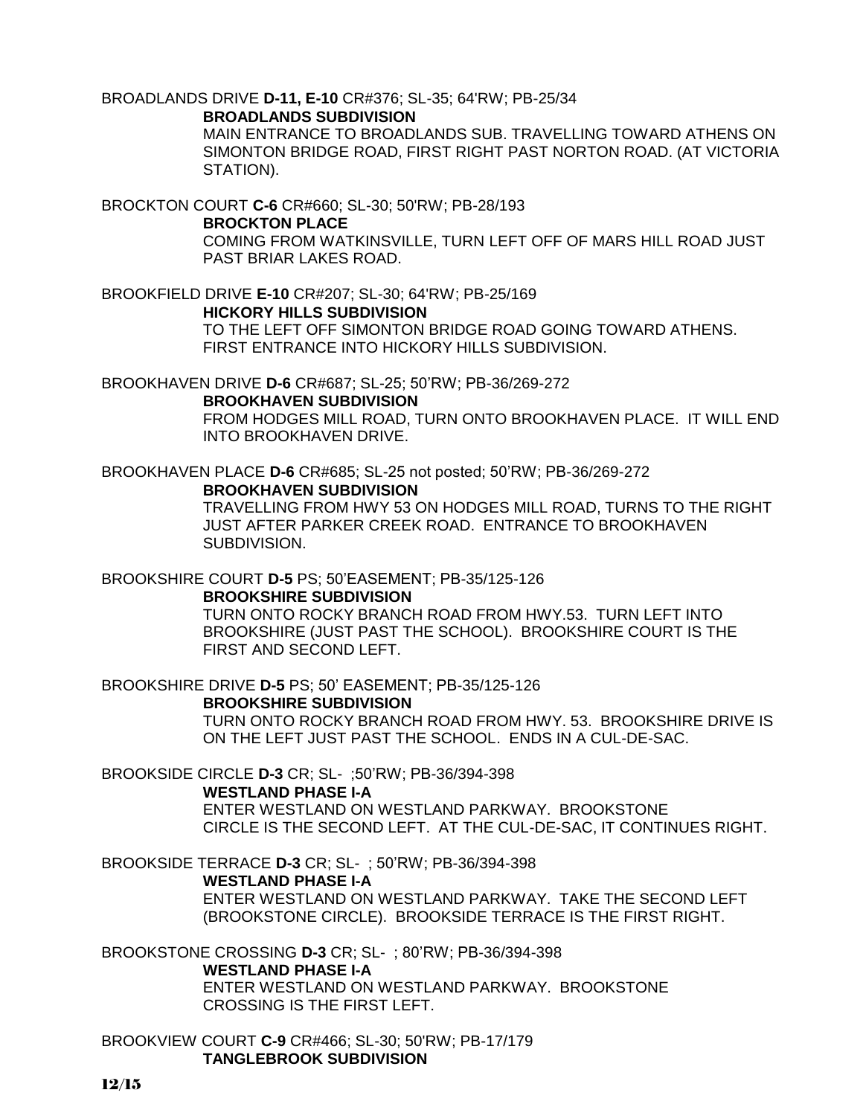# BROADLANDS DRIVE **D-11, E-10** CR#376; SL-35; 64'RW; PB-25/34

**BROADLANDS SUBDIVISION**

MAIN ENTRANCE TO BROADLANDS SUB. TRAVELLING TOWARD ATHENS ON SIMONTON BRIDGE ROAD, FIRST RIGHT PAST NORTON ROAD. (AT VICTORIA STATION).

BROCKTON COURT **C-6** CR#660; SL-30; 50'RW; PB-28/193

#### **BROCKTON PLACE**

COMING FROM WATKINSVILLE, TURN LEFT OFF OF MARS HILL ROAD JUST PAST BRIAR LAKES ROAD.

BROOKFIELD DRIVE **E-10** CR#207; SL-30; 64'RW; PB-25/169 **HICKORY HILLS SUBDIVISION**

> TO THE LEFT OFF SIMONTON BRIDGE ROAD GOING TOWARD ATHENS. FIRST ENTRANCE INTO HICKORY HILLS SUBDIVISION.

BROOKHAVEN DRIVE **D-6** CR#687; SL-25; 50'RW; PB-36/269-272

#### **BROOKHAVEN SUBDIVISION**

FROM HODGES MILL ROAD, TURN ONTO BROOKHAVEN PLACE. IT WILL END INTO BROOKHAVEN DRIVE.

BROOKHAVEN PLACE **D-6** CR#685; SL-25 not posted; 50'RW; PB-36/269-272 **BROOKHAVEN SUBDIVISION**

TRAVELLING FROM HWY 53 ON HODGES MILL ROAD, TURNS TO THE RIGHT JUST AFTER PARKER CREEK ROAD. ENTRANCE TO BROOKHAVEN SUBDIVISION.

BROOKSHIRE COURT **D-5** PS; 50'EASEMENT; PB-35/125-126

#### **BROOKSHIRE SUBDIVISION**

TURN ONTO ROCKY BRANCH ROAD FROM HWY.53. TURN LEFT INTO BROOKSHIRE (JUST PAST THE SCHOOL). BROOKSHIRE COURT IS THE FIRST AND SECOND LEFT.

BROOKSHIRE DRIVE **D-5** PS; 50' EASEMENT; PB-35/125-126

### **BROOKSHIRE SUBDIVISION**

TURN ONTO ROCKY BRANCH ROAD FROM HWY. 53. BROOKSHIRE DRIVE IS ON THE LEFT JUST PAST THE SCHOOL. ENDS IN A CUL-DE-SAC.

BROOKSIDE CIRCLE **D-3** CR; SL- ;50'RW; PB-36/394-398

### **WESTLAND PHASE I-A**

ENTER WESTLAND ON WESTLAND PARKWAY. BROOKSTONE CIRCLE IS THE SECOND LEFT. AT THE CUL-DE-SAC, IT CONTINUES RIGHT.

BROOKSIDE TERRACE **D-3** CR; SL- ; 50'RW; PB-36/394-398

### **WESTLAND PHASE I-A**

ENTER WESTLAND ON WESTLAND PARKWAY. TAKE THE SECOND LEFT (BROOKSTONE CIRCLE). BROOKSIDE TERRACE IS THE FIRST RIGHT.

BROOKSTONE CROSSING **D-3** CR; SL- ; 80'RW; PB-36/394-398

### **WESTLAND PHASE I-A**

ENTER WESTLAND ON WESTLAND PARKWAY. BROOKSTONE CROSSING IS THE FIRST LEFT.

BROOKVIEW COURT **C-9** CR#466; SL-30; 50'RW; PB-17/179 **TANGLEBROOK SUBDIVISION**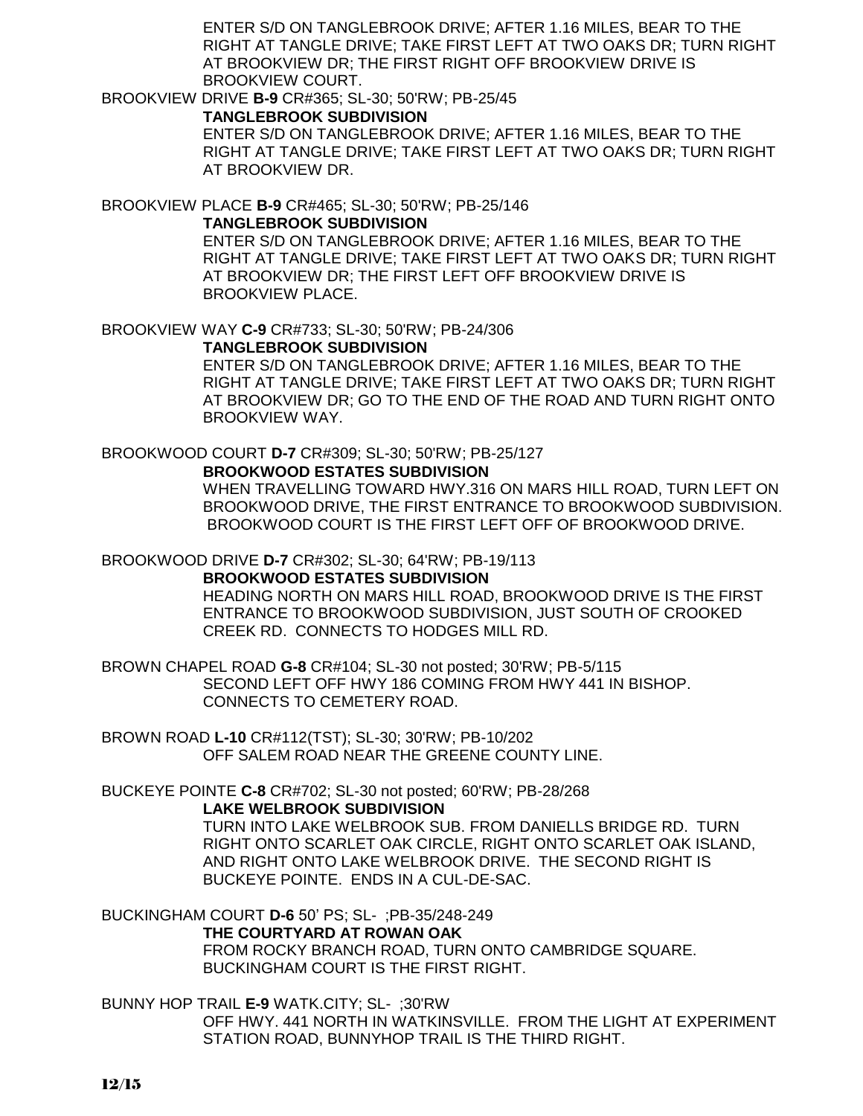ENTER S/D ON TANGLEBROOK DRIVE; AFTER 1.16 MILES, BEAR TO THE RIGHT AT TANGLE DRIVE; TAKE FIRST LEFT AT TWO OAKS DR; TURN RIGHT AT BROOKVIEW DR; THE FIRST RIGHT OFF BROOKVIEW DRIVE IS BROOKVIEW COURT.

#### BROOKVIEW DRIVE **B-9** CR#365; SL-30; 50'RW; PB-25/45

**TANGLEBROOK SUBDIVISION**

ENTER S/D ON TANGLEBROOK DRIVE; AFTER 1.16 MILES, BEAR TO THE RIGHT AT TANGLE DRIVE; TAKE FIRST LEFT AT TWO OAKS DR; TURN RIGHT AT BROOKVIEW DR.

BROOKVIEW PLACE **B-9** CR#465; SL-30; 50'RW; PB-25/146

#### **TANGLEBROOK SUBDIVISION**

ENTER S/D ON TANGLEBROOK DRIVE; AFTER 1.16 MILES, BEAR TO THE RIGHT AT TANGLE DRIVE; TAKE FIRST LEFT AT TWO OAKS DR; TURN RIGHT AT BROOKVIEW DR; THE FIRST LEFT OFF BROOKVIEW DRIVE IS BROOKVIEW PLACE.

BROOKVIEW WAY **C-9** CR#733; SL-30; 50'RW; PB-24/306

#### **TANGLEBROOK SUBDIVISION**

ENTER S/D ON TANGLEBROOK DRIVE; AFTER 1.16 MILES, BEAR TO THE RIGHT AT TANGLE DRIVE; TAKE FIRST LEFT AT TWO OAKS DR; TURN RIGHT AT BROOKVIEW DR; GO TO THE END OF THE ROAD AND TURN RIGHT ONTO BROOKVIEW WAY.

# BROOKWOOD COURT **D-7** CR#309; SL-30; 50'RW; PB-25/127

### **BROOKWOOD ESTATES SUBDIVISION**

WHEN TRAVELLING TOWARD HWY.316 ON MARS HILL ROAD, TURN LEFT ON BROOKWOOD DRIVE, THE FIRST ENTRANCE TO BROOKWOOD SUBDIVISION. BROOKWOOD COURT IS THE FIRST LEFT OFF OF BROOKWOOD DRIVE.

#### BROOKWOOD DRIVE **D-7** CR#302; SL-30; 64'RW; PB-19/113

### **BROOKWOOD ESTATES SUBDIVISION**

HEADING NORTH ON MARS HILL ROAD, BROOKWOOD DRIVE IS THE FIRST ENTRANCE TO BROOKWOOD SUBDIVISION, JUST SOUTH OF CROOKED CREEK RD. CONNECTS TO HODGES MILL RD.

BROWN CHAPEL ROAD **G-8** CR#104; SL-30 not posted; 30'RW; PB-5/115 SECOND LEFT OFF HWY 186 COMING FROM HWY 441 IN BISHOP. CONNECTS TO CEMETERY ROAD.

BROWN ROAD **L-10** CR#112(TST); SL-30; 30'RW; PB-10/202 OFF SALEM ROAD NEAR THE GREENE COUNTY LINE.

# BUCKEYE POINTE **C-8** CR#702; SL-30 not posted; 60'RW; PB-28/268

#### **LAKE WELBROOK SUBDIVISION**

TURN INTO LAKE WELBROOK SUB. FROM DANIELLS BRIDGE RD. TURN RIGHT ONTO SCARLET OAK CIRCLE, RIGHT ONTO SCARLET OAK ISLAND, AND RIGHT ONTO LAKE WELBROOK DRIVE. THE SECOND RIGHT IS BUCKEYE POINTE. ENDS IN A CUL-DE-SAC.

# BUCKINGHAM COURT **D-6** 50' PS; SL- ;PB-35/248-249 **THE COURTYARD AT ROWAN OAK**

FROM ROCKY BRANCH ROAD, TURN ONTO CAMBRIDGE SQUARE. BUCKINGHAM COURT IS THE FIRST RIGHT.

# BUNNY HOP TRAIL **E-9** WATK.CITY; SL- ;30'RW

OFF HWY. 441 NORTH IN WATKINSVILLE. FROM THE LIGHT AT EXPERIMENT STATION ROAD, BUNNYHOP TRAIL IS THE THIRD RIGHT.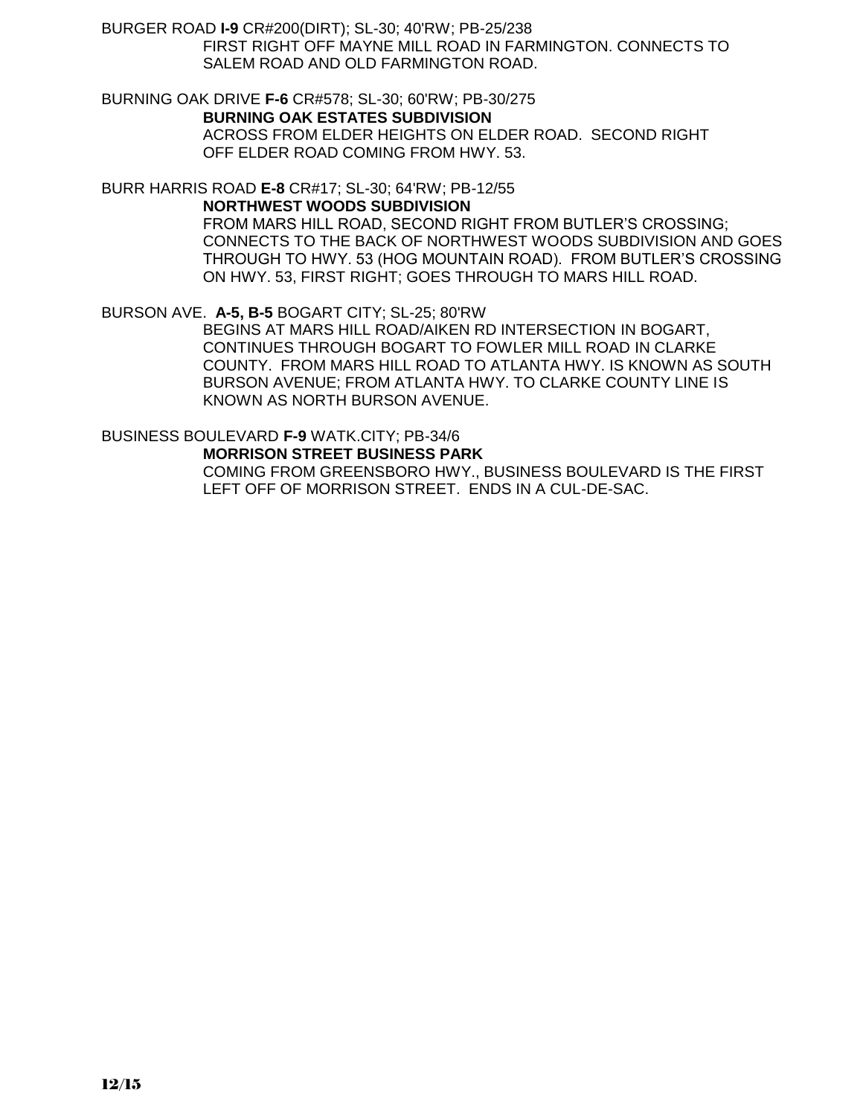BURGER ROAD **I-9** CR#200(DIRT); SL-30; 40'RW; PB-25/238 FIRST RIGHT OFF MAYNE MILL ROAD IN FARMINGTON. CONNECTS TO SALEM ROAD AND OLD FARMINGTON ROAD.

BURNING OAK DRIVE **F-6** CR#578; SL-30; 60'RW; PB-30/275 **BURNING OAK ESTATES SUBDIVISION** ACROSS FROM ELDER HEIGHTS ON ELDER ROAD. SECOND RIGHT OFF ELDER ROAD COMING FROM HWY. 53.

BURR HARRIS ROAD **E-8** CR#17; SL-30; 64'RW; PB-12/55

**NORTHWEST WOODS SUBDIVISION**

FROM MARS HILL ROAD, SECOND RIGHT FROM BUTLER'S CROSSING; CONNECTS TO THE BACK OF NORTHWEST WOODS SUBDIVISION AND GOES THROUGH TO HWY. 53 (HOG MOUNTAIN ROAD). FROM BUTLER'S CROSSING ON HWY. 53, FIRST RIGHT; GOES THROUGH TO MARS HILL ROAD.

#### BURSON AVE. **A-5, B-5** BOGART CITY; SL-25; 80'RW

BEGINS AT MARS HILL ROAD/AIKEN RD INTERSECTION IN BOGART, CONTINUES THROUGH BOGART TO FOWLER MILL ROAD IN CLARKE COUNTY. FROM MARS HILL ROAD TO ATLANTA HWY. IS KNOWN AS SOUTH BURSON AVENUE; FROM ATLANTA HWY. TO CLARKE COUNTY LINE IS KNOWN AS NORTH BURSON AVENUE.

### BUSINESS BOULEVARD **F-9** WATK.CITY; PB-34/6

**MORRISON STREET BUSINESS PARK**

COMING FROM GREENSBORO HWY., BUSINESS BOULEVARD IS THE FIRST LEFT OFF OF MORRISON STREET. ENDS IN A CUL-DE-SAC.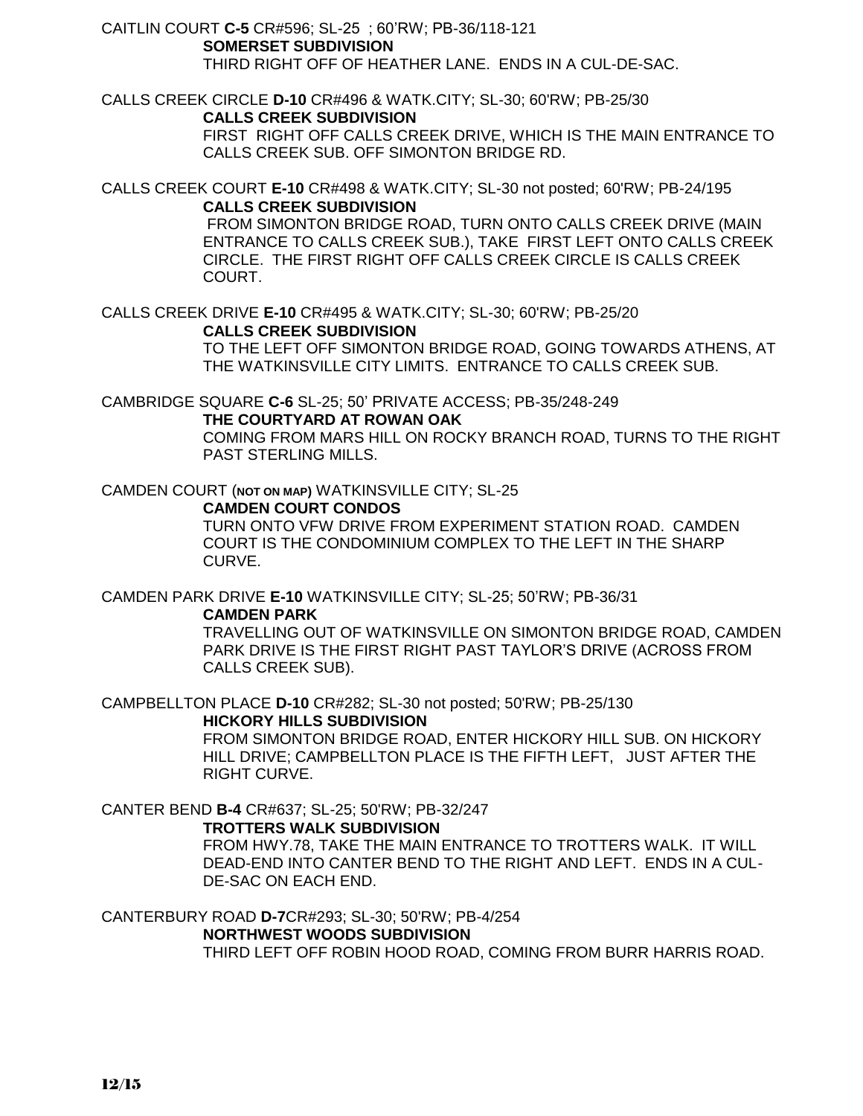CAITLIN COURT **C-5** CR#596; SL-25 ; 60'RW; PB-36/118-121 **SOMERSET SUBDIVISION** THIRD RIGHT OFF OF HEATHER LANE. ENDS IN A CUL-DE-SAC.

CALLS CREEK CIRCLE **D-10** CR#496 & WATK.CITY; SL-30; 60'RW; PB-25/30 **CALLS CREEK SUBDIVISION**

FIRST RIGHT OFF CALLS CREEK DRIVE, WHICH IS THE MAIN ENTRANCE TO CALLS CREEK SUB. OFF SIMONTON BRIDGE RD.

CALLS CREEK COURT **E-10** CR#498 & WATK.CITY; SL-30 not posted; 60'RW; PB-24/195 **CALLS CREEK SUBDIVISION**

FROM SIMONTON BRIDGE ROAD, TURN ONTO CALLS CREEK DRIVE (MAIN ENTRANCE TO CALLS CREEK SUB.), TAKE FIRST LEFT ONTO CALLS CREEK CIRCLE. THE FIRST RIGHT OFF CALLS CREEK CIRCLE IS CALLS CREEK COURT.

CALLS CREEK DRIVE **E-10** CR#495 & WATK.CITY; SL-30; 60'RW; PB-25/20 **CALLS CREEK SUBDIVISION**

TO THE LEFT OFF SIMONTON BRIDGE ROAD, GOING TOWARDS ATHENS, AT THE WATKINSVILLE CITY LIMITS. ENTRANCE TO CALLS CREEK SUB.

CAMBRIDGE SQUARE **C-6** SL-25; 50' PRIVATE ACCESS; PB-35/248-249

**THE COURTYARD AT ROWAN OAK**

COMING FROM MARS HILL ON ROCKY BRANCH ROAD, TURNS TO THE RIGHT PAST STERLING MILLS.

CAMDEN COURT (**NOT ON MAP)** WATKINSVILLE CITY; SL-25

#### **CAMDEN COURT CONDOS**

TURN ONTO VFW DRIVE FROM EXPERIMENT STATION ROAD. CAMDEN COURT IS THE CONDOMINIUM COMPLEX TO THE LEFT IN THE SHARP CURVE.

CAMDEN PARK DRIVE **E-10** WATKINSVILLE CITY; SL-25; 50'RW; PB-36/31

#### **CAMDEN PARK**

TRAVELLING OUT OF WATKINSVILLE ON SIMONTON BRIDGE ROAD, CAMDEN PARK DRIVE IS THE FIRST RIGHT PAST TAYLOR'S DRIVE (ACROSS FROM CALLS CREEK SUB).

CAMPBELLTON PLACE **D-10** CR#282; SL-30 not posted; 50'RW; PB-25/130 **HICKORY HILLS SUBDIVISION**

> FROM SIMONTON BRIDGE ROAD, ENTER HICKORY HILL SUB. ON HICKORY HILL DRIVE; CAMPBELLTON PLACE IS THE FIFTH LEFT, JUST AFTER THE RIGHT CURVE.

CANTER BEND **B-4** CR#637; SL-25; 50'RW; PB-32/247

#### **TROTTERS WALK SUBDIVISION**

FROM HWY.78, TAKE THE MAIN ENTRANCE TO TROTTERS WALK. IT WILL DEAD-END INTO CANTER BEND TO THE RIGHT AND LEFT. ENDS IN A CUL-DE-SAC ON EACH END.

CANTERBURY ROAD **D-7**CR#293; SL-30; 50'RW; PB-4/254 **NORTHWEST WOODS SUBDIVISION**

THIRD LEFT OFF ROBIN HOOD ROAD, COMING FROM BURR HARRIS ROAD.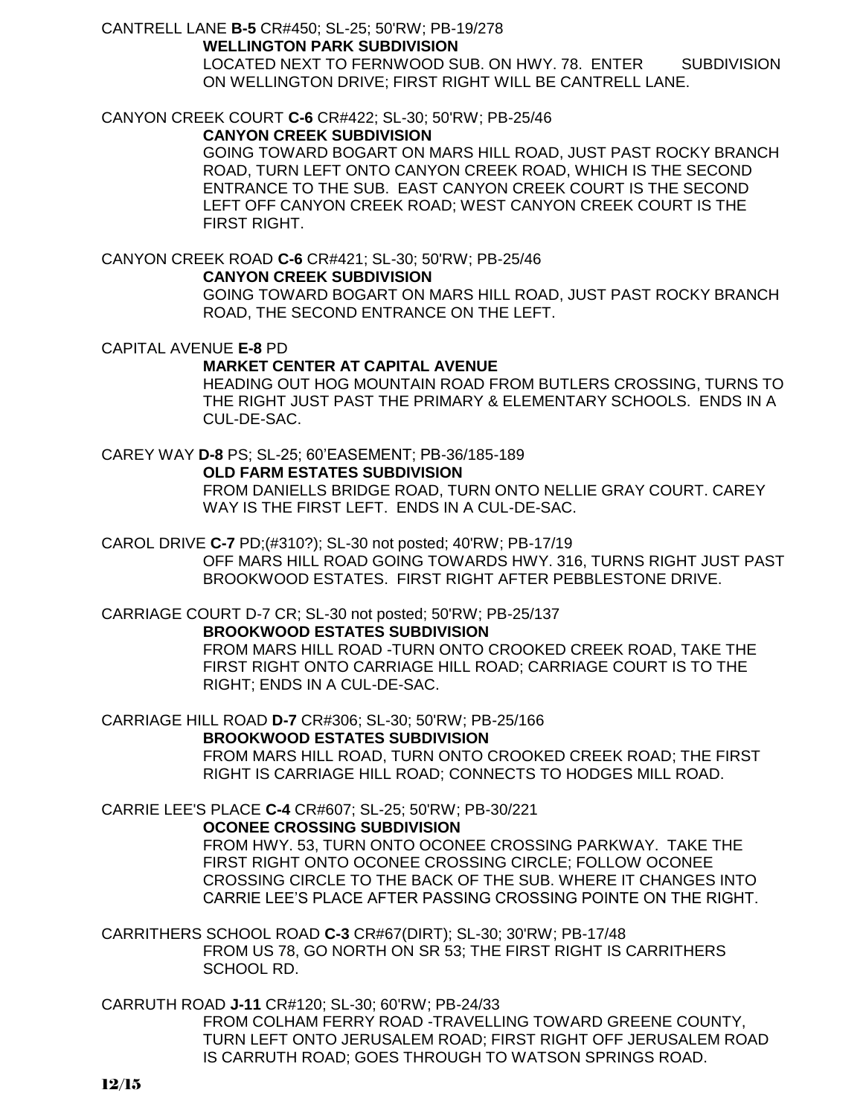### CANTRELL LANE **B-5** CR#450; SL-25; 50'RW; PB-19/278

#### **WELLINGTON PARK SUBDIVISION**

LOCATED NEXT TO FERNWOOD SUB. ON HWY. 78. ENTER SUBDIVISION ON WELLINGTON DRIVE; FIRST RIGHT WILL BE CANTRELL LANE.

### CANYON CREEK COURT **C-6** CR#422; SL-30; 50'RW; PB-25/46

#### **CANYON CREEK SUBDIVISION**

GOING TOWARD BOGART ON MARS HILL ROAD, JUST PAST ROCKY BRANCH ROAD, TURN LEFT ONTO CANYON CREEK ROAD, WHICH IS THE SECOND ENTRANCE TO THE SUB. EAST CANYON CREEK COURT IS THE SECOND LEFT OFF CANYON CREEK ROAD; WEST CANYON CREEK COURT IS THE FIRST RIGHT.

### CANYON CREEK ROAD **C-6** CR#421; SL-30; 50'RW; PB-25/46

#### **CANYON CREEK SUBDIVISION**

GOING TOWARD BOGART ON MARS HILL ROAD, JUST PAST ROCKY BRANCH ROAD, THE SECOND ENTRANCE ON THE LEFT.

CAPITAL AVENUE **E-8** PD

### **MARKET CENTER AT CAPITAL AVENUE**

HEADING OUT HOG MOUNTAIN ROAD FROM BUTLERS CROSSING, TURNS TO THE RIGHT JUST PAST THE PRIMARY & ELEMENTARY SCHOOLS. ENDS IN A CUL-DE-SAC.

# CAREY WAY **D-8** PS; SL-25; 60'EASEMENT; PB-36/185-189

### **OLD FARM ESTATES SUBDIVISION**

FROM DANIELLS BRIDGE ROAD, TURN ONTO NELLIE GRAY COURT. CAREY WAY IS THE FIRST LEFT. ENDS IN A CUL-DE-SAC.

### CAROL DRIVE **C-7** PD;(#310?); SL-30 not posted; 40'RW; PB-17/19

OFF MARS HILL ROAD GOING TOWARDS HWY. 316, TURNS RIGHT JUST PAST BROOKWOOD ESTATES. FIRST RIGHT AFTER PEBBLESTONE DRIVE.

## CARRIAGE COURT D-7 CR; SL-30 not posted; 50'RW; PB-25/137

#### **BROOKWOOD ESTATES SUBDIVISION**

FROM MARS HILL ROAD -TURN ONTO CROOKED CREEK ROAD, TAKE THE FIRST RIGHT ONTO CARRIAGE HILL ROAD; CARRIAGE COURT IS TO THE RIGHT; ENDS IN A CUL-DE-SAC.

### CARRIAGE HILL ROAD **D-7** CR#306; SL-30; 50'RW; PB-25/166

#### **BROOKWOOD ESTATES SUBDIVISION**

FROM MARS HILL ROAD, TURN ONTO CROOKED CREEK ROAD; THE FIRST RIGHT IS CARRIAGE HILL ROAD; CONNECTS TO HODGES MILL ROAD.

#### CARRIE LEE'S PLACE **C-4** CR#607; SL-25; 50'RW; PB-30/221

#### **OCONEE CROSSING SUBDIVISION**

FROM HWY. 53, TURN ONTO OCONEE CROSSING PARKWAY. TAKE THE FIRST RIGHT ONTO OCONEE CROSSING CIRCLE; FOLLOW OCONEE CROSSING CIRCLE TO THE BACK OF THE SUB. WHERE IT CHANGES INTO CARRIE LEE'S PLACE AFTER PASSING CROSSING POINTE ON THE RIGHT.

CARRITHERS SCHOOL ROAD **C-3** CR#67(DIRT); SL-30; 30'RW; PB-17/48 FROM US 78, GO NORTH ON SR 53; THE FIRST RIGHT IS CARRITHERS SCHOOL RD.

### CARRUTH ROAD **J-11** CR#120; SL-30; 60'RW; PB-24/33

FROM COLHAM FERRY ROAD -TRAVELLING TOWARD GREENE COUNTY, TURN LEFT ONTO JERUSALEM ROAD; FIRST RIGHT OFF JERUSALEM ROAD IS CARRUTH ROAD; GOES THROUGH TO WATSON SPRINGS ROAD.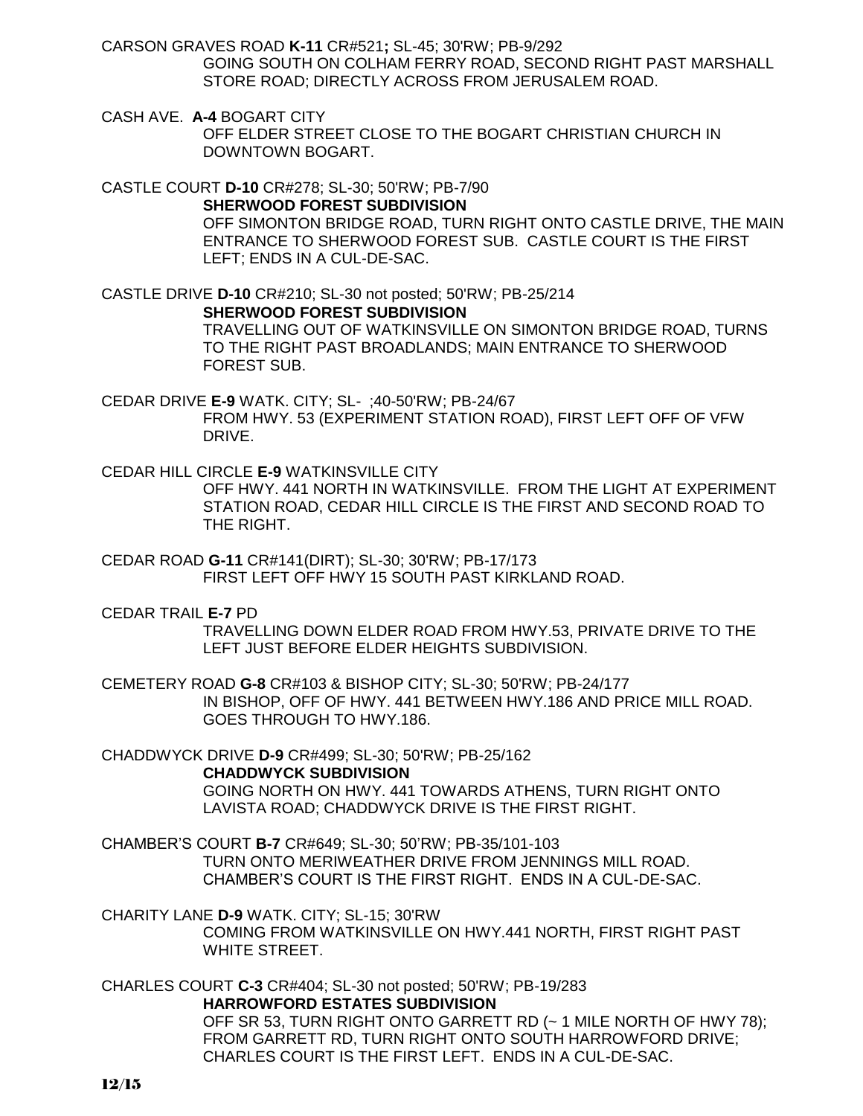CARSON GRAVES ROAD **K-11** CR#521**;** SL-45; 30'RW; PB-9/292 GOING SOUTH ON COLHAM FERRY ROAD, SECOND RIGHT PAST MARSHALL STORE ROAD; DIRECTLY ACROSS FROM JERUSALEM ROAD.

CASH AVE. **A-4** BOGART CITY OFF ELDER STREET CLOSE TO THE BOGART CHRISTIAN CHURCH IN DOWNTOWN BOGART.

CASTLE COURT **D-10** CR#278; SL-30; 50'RW; PB-7/90 **SHERWOOD FOREST SUBDIVISION** OFF SIMONTON BRIDGE ROAD, TURN RIGHT ONTO CASTLE DRIVE, THE MAIN ENTRANCE TO SHERWOOD FOREST SUB. CASTLE COURT IS THE FIRST LEFT; ENDS IN A CUL-DE-SAC.

CASTLE DRIVE **D-10** CR#210; SL-30 not posted; 50'RW; PB-25/214 **SHERWOOD FOREST SUBDIVISION** TRAVELLING OUT OF WATKINSVILLE ON SIMONTON BRIDGE ROAD, TURNS TO THE RIGHT PAST BROADLANDS; MAIN ENTRANCE TO SHERWOOD FOREST SUB.

CEDAR DRIVE **E-9** WATK. CITY; SL- ;40-50'RW; PB-24/67 FROM HWY. 53 (EXPERIMENT STATION ROAD), FIRST LEFT OFF OF VFW DRIVE.

CEDAR HILL CIRCLE **E-9** WATKINSVILLE CITY

OFF HWY. 441 NORTH IN WATKINSVILLE. FROM THE LIGHT AT EXPERIMENT STATION ROAD, CEDAR HILL CIRCLE IS THE FIRST AND SECOND ROAD TO THE RIGHT.

CEDAR ROAD **G-11** CR#141(DIRT); SL-30; 30'RW; PB-17/173 FIRST LEFT OFF HWY 15 SOUTH PAST KIRKLAND ROAD.

CEDAR TRAIL **E-7** PD

TRAVELLING DOWN ELDER ROAD FROM HWY.53, PRIVATE DRIVE TO THE LEFT JUST BEFORE ELDER HEIGHTS SUBDIVISION.

CEMETERY ROAD **G-8** CR#103 & BISHOP CITY; SL-30; 50'RW; PB-24/177 IN BISHOP, OFF OF HWY. 441 BETWEEN HWY.186 AND PRICE MILL ROAD. GOES THROUGH TO HWY.186.

CHADDWYCK DRIVE **D-9** CR#499; SL-30; 50'RW; PB-25/162 **CHADDWYCK SUBDIVISION** GOING NORTH ON HWY. 441 TOWARDS ATHENS, TURN RIGHT ONTO LAVISTA ROAD; CHADDWYCK DRIVE IS THE FIRST RIGHT.

CHAMBER'S COURT **B-7** CR#649; SL-30; 50'RW; PB-35/101-103 TURN ONTO MERIWEATHER DRIVE FROM JENNINGS MILL ROAD. CHAMBER'S COURT IS THE FIRST RIGHT. ENDS IN A CUL-DE-SAC.

CHARITY LANE **D-9** WATK. CITY; SL-15; 30'RW COMING FROM WATKINSVILLE ON HWY.441 NORTH, FIRST RIGHT PAST WHITE STREET.

CHARLES COURT **C-3** CR#404; SL-30 not posted; 50'RW; PB-19/283 **HARROWFORD ESTATES SUBDIVISION** OFF SR 53, TURN RIGHT ONTO GARRETT RD (~ 1 MILE NORTH OF HWY 78); FROM GARRETT RD, TURN RIGHT ONTO SOUTH HARROWFORD DRIVE; CHARLES COURT IS THE FIRST LEFT. ENDS IN A CUL-DE-SAC.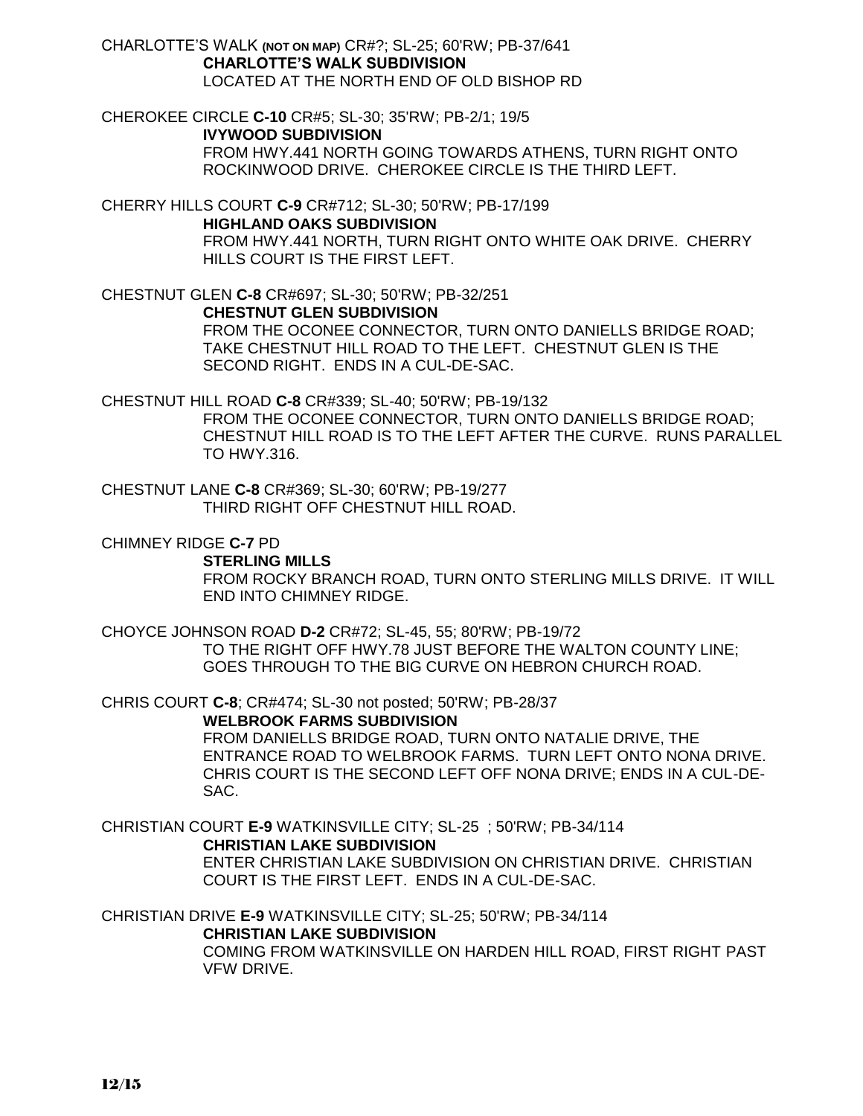CHARLOTTE'S WALK **(NOT ON MAP)** CR#?; SL-25; 60'RW; PB-37/641 **CHARLOTTE'S WALK SUBDIVISION** LOCATED AT THE NORTH END OF OLD BISHOP RD

CHEROKEE CIRCLE **C-10** CR#5; SL-30; 35'RW; PB-2/1; 19/5 **IVYWOOD SUBDIVISION** FROM HWY.441 NORTH GOING TOWARDS ATHENS, TURN RIGHT ONTO ROCKINWOOD DRIVE. CHEROKEE CIRCLE IS THE THIRD LEFT.

CHERRY HILLS COURT **C-9** CR#712; SL-30; 50'RW; PB-17/199 **HIGHLAND OAKS SUBDIVISION** FROM HWY.441 NORTH, TURN RIGHT ONTO WHITE OAK DRIVE. CHERRY HILLS COURT IS THE FIRST LEFT.

CHESTNUT GLEN **C-8** CR#697; SL-30; 50'RW; PB-32/251 **CHESTNUT GLEN SUBDIVISION** FROM THE OCONEE CONNECTOR, TURN ONTO DANIELLS BRIDGE ROAD; TAKE CHESTNUT HILL ROAD TO THE LEFT. CHESTNUT GLEN IS THE SECOND RIGHT. ENDS IN A CUL-DE-SAC.

CHESTNUT HILL ROAD **C-8** CR#339; SL-40; 50'RW; PB-19/132 FROM THE OCONEE CONNECTOR, TURN ONTO DANIELLS BRIDGE ROAD; CHESTNUT HILL ROAD IS TO THE LEFT AFTER THE CURVE. RUNS PARALLEL TO HWY.316.

CHESTNUT LANE **C-8** CR#369; SL-30; 60'RW; PB-19/277 THIRD RIGHT OFF CHESTNUT HILL ROAD.

CHIMNEY RIDGE **C-7** PD

**STERLING MILLS**

FROM ROCKY BRANCH ROAD, TURN ONTO STERLING MILLS DRIVE. IT WILL END INTO CHIMNEY RIDGE.

CHOYCE JOHNSON ROAD **D-2** CR#72; SL-45, 55; 80'RW; PB-19/72 TO THE RIGHT OFF HWY.78 JUST BEFORE THE WALTON COUNTY LINE; GOES THROUGH TO THE BIG CURVE ON HEBRON CHURCH ROAD.

CHRIS COURT **C-8**; CR#474; SL-30 not posted; 50'RW; PB-28/37

**WELBROOK FARMS SUBDIVISION**

FROM DANIELLS BRIDGE ROAD, TURN ONTO NATALIE DRIVE, THE ENTRANCE ROAD TO WELBROOK FARMS. TURN LEFT ONTO NONA DRIVE. CHRIS COURT IS THE SECOND LEFT OFF NONA DRIVE; ENDS IN A CUL-DE-SAC.

CHRISTIAN COURT **E-9** WATKINSVILLE CITY; SL-25 ; 50'RW; PB-34/114 **CHRISTIAN LAKE SUBDIVISION**

ENTER CHRISTIAN LAKE SUBDIVISION ON CHRISTIAN DRIVE. CHRISTIAN COURT IS THE FIRST LEFT. ENDS IN A CUL-DE-SAC.

CHRISTIAN DRIVE **E-9** WATKINSVILLE CITY; SL-25; 50'RW; PB-34/114 **CHRISTIAN LAKE SUBDIVISION**

COMING FROM WATKINSVILLE ON HARDEN HILL ROAD, FIRST RIGHT PAST VFW DRIVE.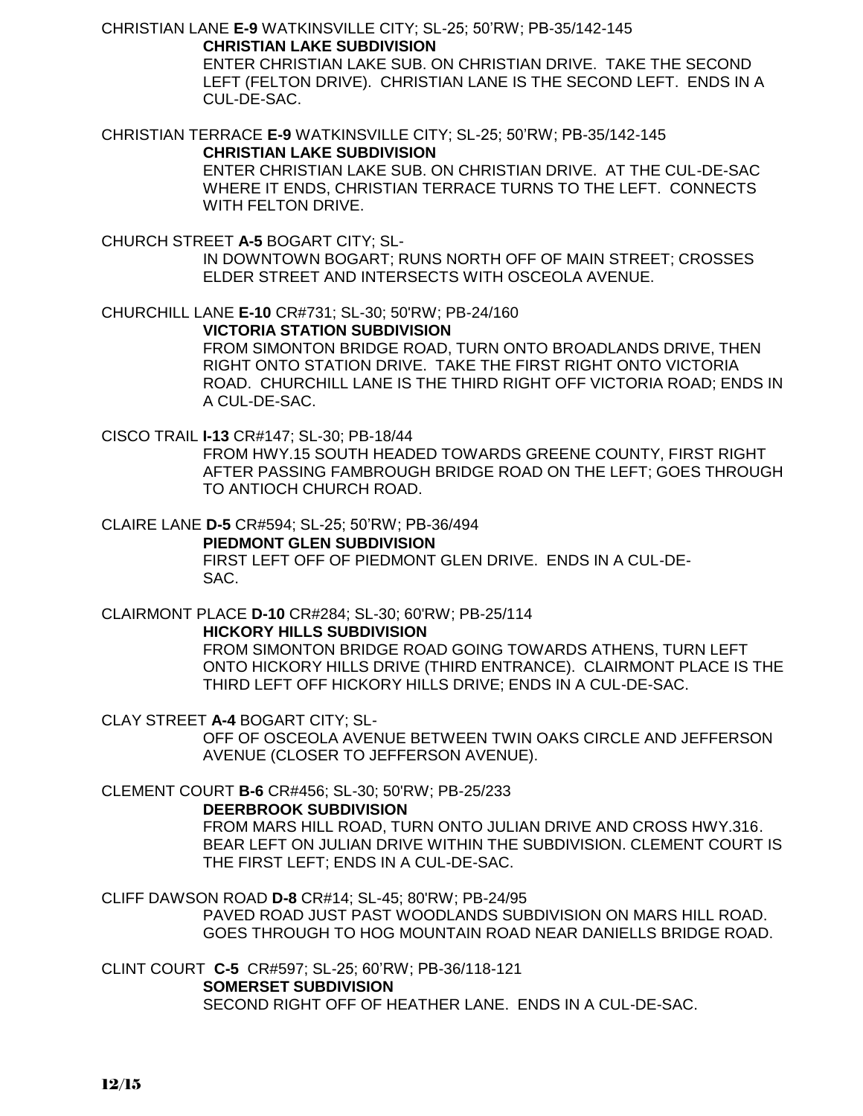CHRISTIAN LANE **E-9** WATKINSVILLE CITY; SL-25; 50'RW; PB-35/142-145 **CHRISTIAN LAKE SUBDIVISION**

> ENTER CHRISTIAN LAKE SUB. ON CHRISTIAN DRIVE. TAKE THE SECOND LEFT (FELTON DRIVE). CHRISTIAN LANE IS THE SECOND LEFT. ENDS IN A CUL-DE-SAC.

CHRISTIAN TERRACE **E-9** WATKINSVILLE CITY; SL-25; 50'RW; PB-35/142-145

#### **CHRISTIAN LAKE SUBDIVISION**

ENTER CHRISTIAN LAKE SUB. ON CHRISTIAN DRIVE. AT THE CUL-DE-SAC WHERE IT ENDS, CHRISTIAN TERRACE TURNS TO THE LEFT. CONNECTS WITH FELTON DRIVE.

CHURCH STREET **A-5** BOGART CITY; SL-

IN DOWNTOWN BOGART; RUNS NORTH OFF OF MAIN STREET; CROSSES ELDER STREET AND INTERSECTS WITH OSCEOLA AVENUE.

CHURCHILL LANE **E-10** CR#731; SL-30; 50'RW; PB-24/160 **VICTORIA STATION SUBDIVISION**

FROM SIMONTON BRIDGE ROAD, TURN ONTO BROADLANDS DRIVE, THEN RIGHT ONTO STATION DRIVE. TAKE THE FIRST RIGHT ONTO VICTORIA ROAD. CHURCHILL LANE IS THE THIRD RIGHT OFF VICTORIA ROAD; ENDS IN A CUL-DE-SAC.

CISCO TRAIL **I-13** CR#147; SL-30; PB-18/44

FROM HWY.15 SOUTH HEADED TOWARDS GREENE COUNTY, FIRST RIGHT AFTER PASSING FAMBROUGH BRIDGE ROAD ON THE LEFT; GOES THROUGH TO ANTIOCH CHURCH ROAD.

CLAIRE LANE **D-5** CR#594; SL-25; 50'RW; PB-36/494

#### **PIEDMONT GLEN SUBDIVISION**

FIRST LEFT OFF OF PIEDMONT GLEN DRIVE. ENDS IN A CUL-DE-SAC.

CLAIRMONT PLACE **D-10** CR#284; SL-30; 60'RW; PB-25/114 **HICKORY HILLS SUBDIVISION**

> FROM SIMONTON BRIDGE ROAD GOING TOWARDS ATHENS, TURN LEFT ONTO HICKORY HILLS DRIVE (THIRD ENTRANCE). CLAIRMONT PLACE IS THE THIRD LEFT OFF HICKORY HILLS DRIVE; ENDS IN A CUL-DE-SAC.

CLAY STREET **A-4** BOGART CITY; SL-

OFF OF OSCEOLA AVENUE BETWEEN TWIN OAKS CIRCLE AND JEFFERSON AVENUE (CLOSER TO JEFFERSON AVENUE).

CLEMENT COURT **B-6** CR#456; SL-30; 50'RW; PB-25/233

**DEERBROOK SUBDIVISION**

FROM MARS HILL ROAD, TURN ONTO JULIAN DRIVE AND CROSS HWY.316. BEAR LEFT ON JULIAN DRIVE WITHIN THE SUBDIVISION. CLEMENT COURT IS THE FIRST LEFT; ENDS IN A CUL-DE-SAC.

CLIFF DAWSON ROAD **D-8** CR#14; SL-45; 80'RW; PB-24/95

PAVED ROAD JUST PAST WOODLANDS SUBDIVISION ON MARS HILL ROAD. GOES THROUGH TO HOG MOUNTAIN ROAD NEAR DANIELLS BRIDGE ROAD.

CLINT COURT **C-5** CR#597; SL-25; 60'RW; PB-36/118-121 **SOMERSET SUBDIVISION** SECOND RIGHT OFF OF HEATHER LANE. ENDS IN A CUL-DE-SAC.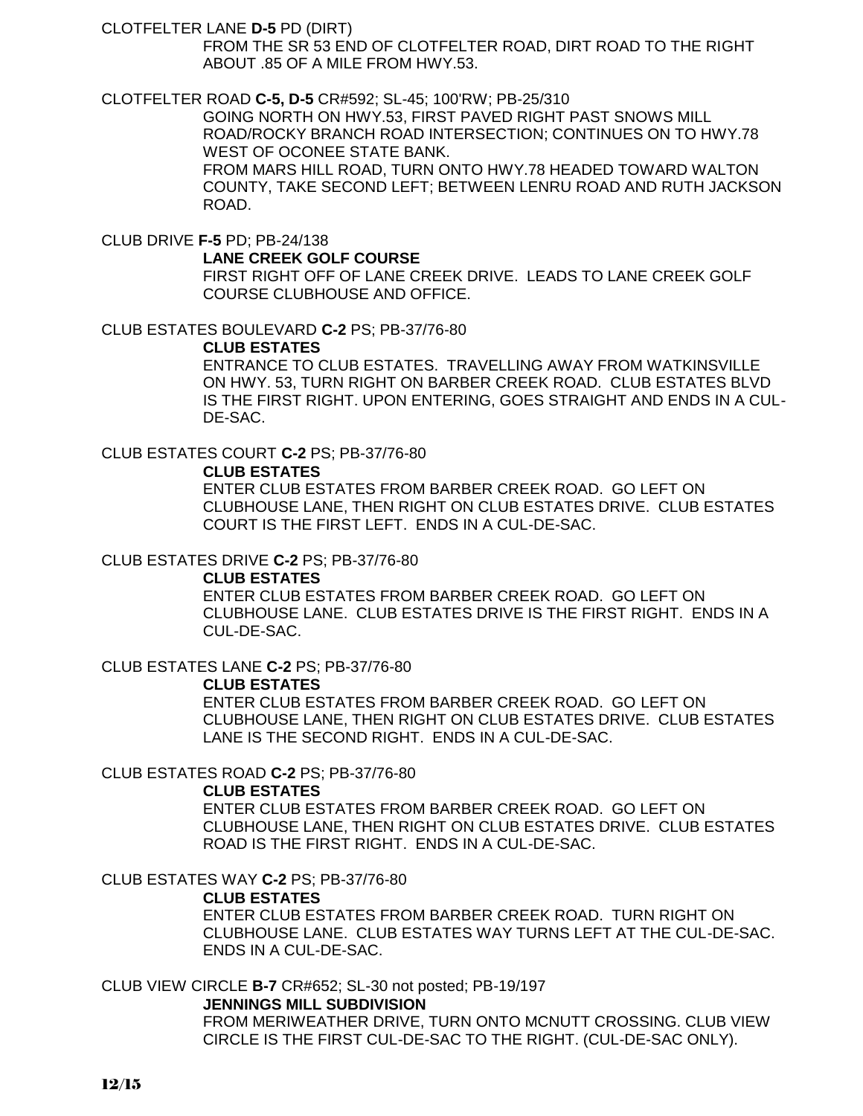CLOTFELTER LANE **D-5** PD (DIRT)

FROM THE SR 53 END OF CLOTFELTER ROAD, DIRT ROAD TO THE RIGHT ABOUT .85 OF A MILE FROM HWY.53.

CLOTFELTER ROAD **C-5, D-5** CR#592; SL-45; 100'RW; PB-25/310

GOING NORTH ON HWY.53, FIRST PAVED RIGHT PAST SNOWS MILL ROAD/ROCKY BRANCH ROAD INTERSECTION; CONTINUES ON TO HWY.78 WEST OF OCONEE STATE BANK.

FROM MARS HILL ROAD, TURN ONTO HWY.78 HEADED TOWARD WALTON COUNTY, TAKE SECOND LEFT; BETWEEN LENRU ROAD AND RUTH JACKSON ROAD.

CLUB DRIVE **F-5** PD; PB-24/138

#### **LANE CREEK GOLF COURSE**

FIRST RIGHT OFF OF LANE CREEK DRIVE. LEADS TO LANE CREEK GOLF COURSE CLUBHOUSE AND OFFICE.

CLUB ESTATES BOULEVARD **C-2** PS; PB-37/76-80

#### **CLUB ESTATES**

ENTRANCE TO CLUB ESTATES. TRAVELLING AWAY FROM WATKINSVILLE ON HWY. 53, TURN RIGHT ON BARBER CREEK ROAD. CLUB ESTATES BLVD IS THE FIRST RIGHT. UPON ENTERING, GOES STRAIGHT AND ENDS IN A CUL-DE-SAC.

CLUB ESTATES COURT **C-2** PS; PB-37/76-80

#### **CLUB ESTATES**

ENTER CLUB ESTATES FROM BARBER CREEK ROAD. GO LEFT ON CLUBHOUSE LANE, THEN RIGHT ON CLUB ESTATES DRIVE. CLUB ESTATES COURT IS THE FIRST LEFT. ENDS IN A CUL-DE-SAC.

#### CLUB ESTATES DRIVE **C-2** PS; PB-37/76-80

#### **CLUB ESTATES**

ENTER CLUB ESTATES FROM BARBER CREEK ROAD. GO LEFT ON CLUBHOUSE LANE. CLUB ESTATES DRIVE IS THE FIRST RIGHT. ENDS IN A CUL-DE-SAC.

CLUB ESTATES LANE **C-2** PS; PB-37/76-80

#### **CLUB ESTATES**

ENTER CLUB ESTATES FROM BARBER CREEK ROAD. GO LEFT ON CLUBHOUSE LANE, THEN RIGHT ON CLUB ESTATES DRIVE. CLUB ESTATES LANE IS THE SECOND RIGHT. ENDS IN A CUL-DE-SAC.

#### CLUB ESTATES ROAD **C-2** PS; PB-37/76-80

#### **CLUB ESTATES**

ENTER CLUB ESTATES FROM BARBER CREEK ROAD. GO LEFT ON CLUBHOUSE LANE, THEN RIGHT ON CLUB ESTATES DRIVE. CLUB ESTATES ROAD IS THE FIRST RIGHT. ENDS IN A CUL-DE-SAC.

CLUB ESTATES WAY **C-2** PS; PB-37/76-80

#### **CLUB ESTATES**

ENTER CLUB ESTATES FROM BARBER CREEK ROAD. TURN RIGHT ON CLUBHOUSE LANE. CLUB ESTATES WAY TURNS LEFT AT THE CUL-DE-SAC. ENDS IN A CUL-DE-SAC.

CLUB VIEW CIRCLE **B-7** CR#652; SL-30 not posted; PB-19/197 **JENNINGS MILL SUBDIVISION**

> FROM MERIWEATHER DRIVE, TURN ONTO MCNUTT CROSSING. CLUB VIEW CIRCLE IS THE FIRST CUL-DE-SAC TO THE RIGHT. (CUL-DE-SAC ONLY).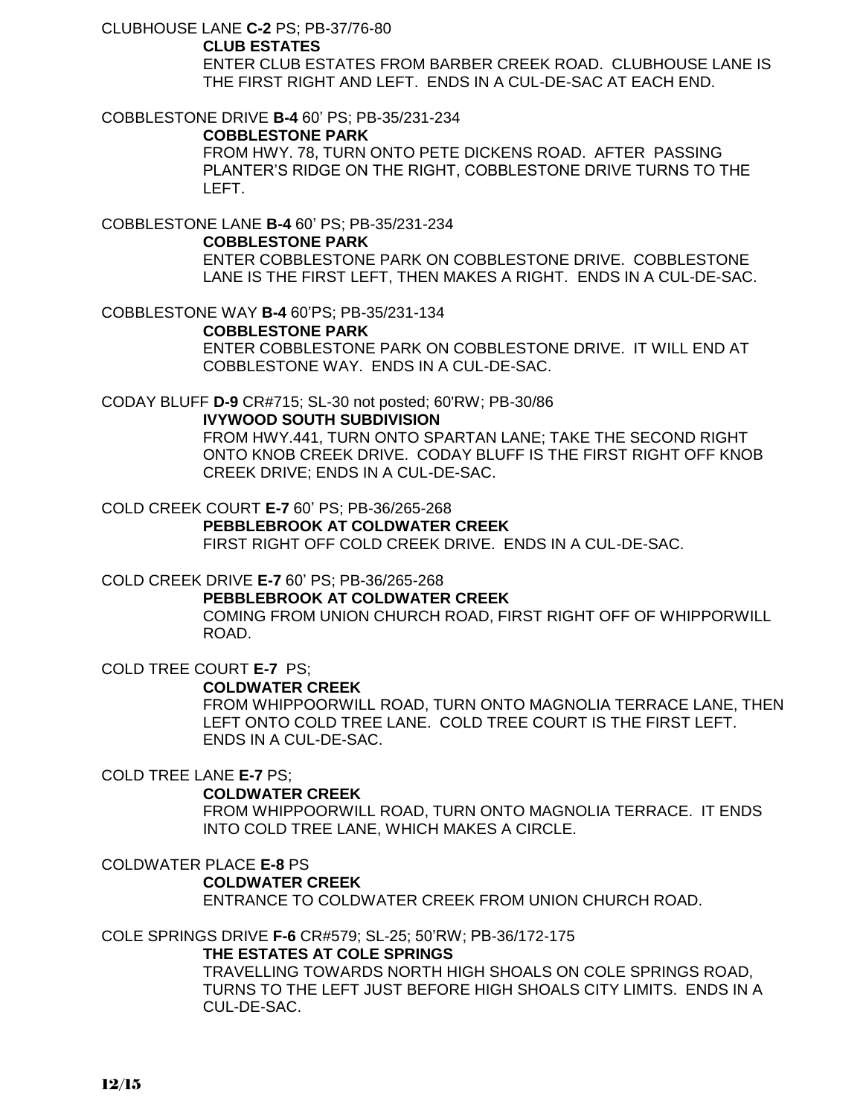CLUBHOUSE LANE **C-2** PS; PB-37/76-80

### **CLUB ESTATES**

ENTER CLUB ESTATES FROM BARBER CREEK ROAD. CLUBHOUSE LANE IS THE FIRST RIGHT AND LEFT. ENDS IN A CUL-DE-SAC AT EACH END.

COBBLESTONE DRIVE **B-4** 60' PS; PB-35/231-234

### **COBBLESTONE PARK**

FROM HWY. 78, TURN ONTO PETE DICKENS ROAD. AFTER PASSING PLANTER'S RIDGE ON THE RIGHT, COBBLESTONE DRIVE TURNS TO THE LEFT.

COBBLESTONE LANE **B-4** 60' PS; PB-35/231-234

### **COBBLESTONE PARK**

ENTER COBBLESTONE PARK ON COBBLESTONE DRIVE. COBBLESTONE LANE IS THE FIRST LEFT, THEN MAKES A RIGHT. ENDS IN A CUL-DE-SAC.

COBBLESTONE WAY **B-4** 60'PS; PB-35/231-134

### **COBBLESTONE PARK**

ENTER COBBLESTONE PARK ON COBBLESTONE DRIVE. IT WILL END AT COBBLESTONE WAY. ENDS IN A CUL-DE-SAC.

CODAY BLUFF **D-9** CR#715; SL-30 not posted; 60'RW; PB-30/86

### **IVYWOOD SOUTH SUBDIVISION**

FROM HWY.441, TURN ONTO SPARTAN LANE; TAKE THE SECOND RIGHT ONTO KNOB CREEK DRIVE. CODAY BLUFF IS THE FIRST RIGHT OFF KNOB CREEK DRIVE; ENDS IN A CUL-DE-SAC.

COLD CREEK COURT **E-7** 60' PS; PB-36/265-268

### **PEBBLEBROOK AT COLDWATER CREEK**

FIRST RIGHT OFF COLD CREEK DRIVE. ENDS IN A CUL-DE-SAC.

### COLD CREEK DRIVE **E-7** 60' PS; PB-36/265-268

**PEBBLEBROOK AT COLDWATER CREEK**

COMING FROM UNION CHURCH ROAD, FIRST RIGHT OFF OF WHIPPORWILL ROAD.

COLD TREE COURT **E-7** PS;

### **COLDWATER CREEK**

FROM WHIPPOORWILL ROAD, TURN ONTO MAGNOLIA TERRACE LANE, THEN LEFT ONTO COLD TREE LANE. COLD TREE COURT IS THE FIRST LEFT. ENDS IN A CUL-DE-SAC.

### COLD TREE LANE **E-7** PS;

### **COLDWATER CREEK**

FROM WHIPPOORWILL ROAD, TURN ONTO MAGNOLIA TERRACE. IT ENDS INTO COLD TREE LANE, WHICH MAKES A CIRCLE.

COLDWATER PLACE **E-8** PS **COLDWATER CREEK** ENTRANCE TO COLDWATER CREEK FROM UNION CHURCH ROAD.

COLE SPRINGS DRIVE **F-6** CR#579; SL-25; 50'RW; PB-36/172-175

# **THE ESTATES AT COLE SPRINGS**

TRAVELLING TOWARDS NORTH HIGH SHOALS ON COLE SPRINGS ROAD, TURNS TO THE LEFT JUST BEFORE HIGH SHOALS CITY LIMITS. ENDS IN A CUL-DE-SAC.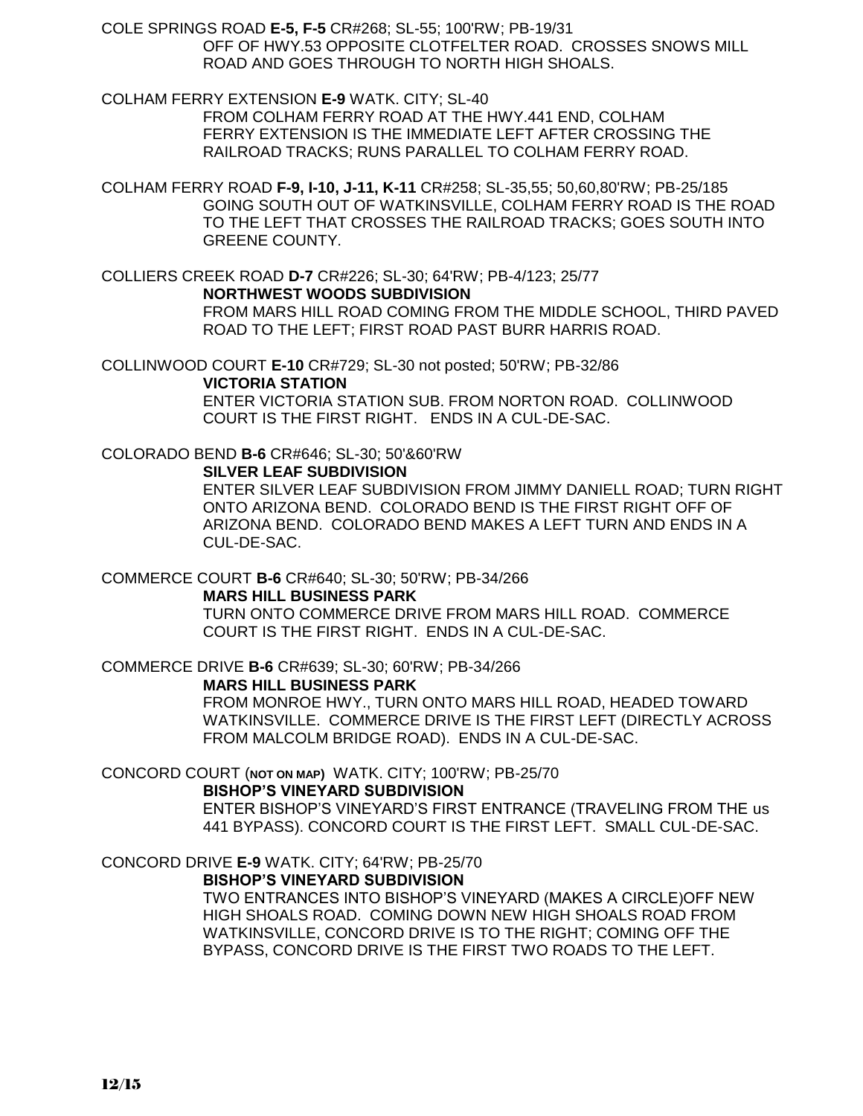COLE SPRINGS ROAD **E-5, F-5** CR#268; SL-55; 100'RW; PB-19/31 OFF OF HWY.53 OPPOSITE CLOTFELTER ROAD. CROSSES SNOWS MILL ROAD AND GOES THROUGH TO NORTH HIGH SHOALS.

COLHAM FERRY EXTENSION **E-9** WATK. CITY; SL-40

FROM COLHAM FERRY ROAD AT THE HWY.441 END, COLHAM FERRY EXTENSION IS THE IMMEDIATE LEFT AFTER CROSSING THE RAILROAD TRACKS; RUNS PARALLEL TO COLHAM FERRY ROAD.

COLHAM FERRY ROAD **F-9, I-10, J-11, K-11** CR#258; SL-35,55; 50,60,80'RW; PB-25/185 GOING SOUTH OUT OF WATKINSVILLE, COLHAM FERRY ROAD IS THE ROAD TO THE LEFT THAT CROSSES THE RAILROAD TRACKS; GOES SOUTH INTO GREENE COUNTY.

COLLIERS CREEK ROAD **D-7** CR#226; SL-30; 64'RW; PB-4/123; 25/77 **NORTHWEST WOODS SUBDIVISION**

FROM MARS HILL ROAD COMING FROM THE MIDDLE SCHOOL, THIRD PAVED ROAD TO THE LEFT; FIRST ROAD PAST BURR HARRIS ROAD.

COLLINWOOD COURT **E-10** CR#729; SL-30 not posted; 50'RW; PB-32/86

**VICTORIA STATION**

ENTER VICTORIA STATION SUB. FROM NORTON ROAD. COLLINWOOD COURT IS THE FIRST RIGHT. ENDS IN A CUL-DE-SAC.

# COLORADO BEND **B-6** CR#646; SL-30; 50'&60'RW

#### **SILVER LEAF SUBDIVISION**

ENTER SILVER LEAF SUBDIVISION FROM JIMMY DANIELL ROAD; TURN RIGHT ONTO ARIZONA BEND. COLORADO BEND IS THE FIRST RIGHT OFF OF ARIZONA BEND. COLORADO BEND MAKES A LEFT TURN AND ENDS IN A CUL-DE-SAC.

### COMMERCE COURT **B-6** CR#640; SL-30; 50'RW; PB-34/266

#### **MARS HILL BUSINESS PARK**

TURN ONTO COMMERCE DRIVE FROM MARS HILL ROAD. COMMERCE COURT IS THE FIRST RIGHT. ENDS IN A CUL-DE-SAC.

COMMERCE DRIVE **B-6** CR#639; SL-30; 60'RW; PB-34/266

#### **MARS HILL BUSINESS PARK**

FROM MONROE HWY., TURN ONTO MARS HILL ROAD, HEADED TOWARD WATKINSVILLE. COMMERCE DRIVE IS THE FIRST LEFT (DIRECTLY ACROSS FROM MALCOLM BRIDGE ROAD). ENDS IN A CUL-DE-SAC.

### CONCORD COURT (**NOT ON MAP)** WATK. CITY; 100'RW; PB-25/70

**BISHOP'S VINEYARD SUBDIVISION**

ENTER BISHOP'S VINEYARD'S FIRST ENTRANCE (TRAVELING FROM THE us 441 BYPASS). CONCORD COURT IS THE FIRST LEFT. SMALL CUL-DE-SAC.

# CONCORD DRIVE **E-9** WATK. CITY; 64'RW; PB-25/70

### **BISHOP'S VINEYARD SUBDIVISION**

TWO ENTRANCES INTO BISHOP'S VINEYARD (MAKES A CIRCLE)OFF NEW HIGH SHOALS ROAD. COMING DOWN NEW HIGH SHOALS ROAD FROM WATKINSVILLE, CONCORD DRIVE IS TO THE RIGHT; COMING OFF THE BYPASS, CONCORD DRIVE IS THE FIRST TWO ROADS TO THE LEFT.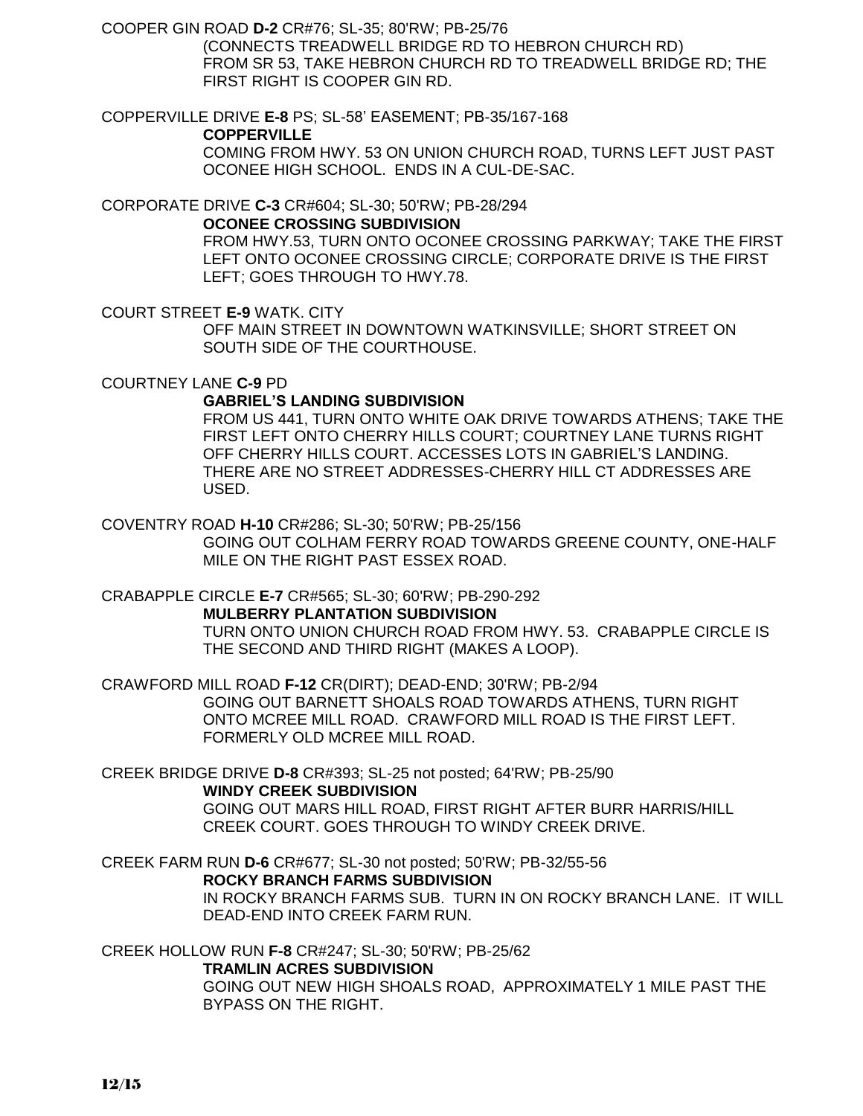COOPER GIN ROAD **D-2** CR#76; SL-35; 80'RW; PB-25/76

(CONNECTS TREADWELL BRIDGE RD TO HEBRON CHURCH RD) FROM SR 53, TAKE HEBRON CHURCH RD TO TREADWELL BRIDGE RD; THE FIRST RIGHT IS COOPER GIN RD.

COPPERVILLE DRIVE **E-8** PS; SL-58' EASEMENT; PB-35/167-168

**COPPERVILLE**

COMING FROM HWY. 53 ON UNION CHURCH ROAD, TURNS LEFT JUST PAST OCONEE HIGH SCHOOL. ENDS IN A CUL-DE-SAC.

CORPORATE DRIVE **C-3** CR#604; SL-30; 50'RW; PB-28/294

**OCONEE CROSSING SUBDIVISION**

FROM HWY.53, TURN ONTO OCONEE CROSSING PARKWAY; TAKE THE FIRST LEFT ONTO OCONEE CROSSING CIRCLE; CORPORATE DRIVE IS THE FIRST LEFT; GOES THROUGH TO HWY.78.

COURT STREET **E-9** WATK. CITY

OFF MAIN STREET IN DOWNTOWN WATKINSVILLE; SHORT STREET ON SOUTH SIDE OF THE COURTHOUSE.

COURTNEY LANE **C-9** PD

# **GABRIEL'S LANDING SUBDIVISION**

FROM US 441, TURN ONTO WHITE OAK DRIVE TOWARDS ATHENS; TAKE THE FIRST LEFT ONTO CHERRY HILLS COURT; COURTNEY LANE TURNS RIGHT OFF CHERRY HILLS COURT. ACCESSES LOTS IN GABRIEL'S LANDING. THERE ARE NO STREET ADDRESSES-CHERRY HILL CT ADDRESSES ARE USED.

COVENTRY ROAD **H-10** CR#286; SL-30; 50'RW; PB-25/156

GOING OUT COLHAM FERRY ROAD TOWARDS GREENE COUNTY, ONE-HALF MILE ON THE RIGHT PAST ESSEX ROAD.

CRABAPPLE CIRCLE **E-7** CR#565; SL-30; 60'RW; PB-290-292

**MULBERRY PLANTATION SUBDIVISION**

TURN ONTO UNION CHURCH ROAD FROM HWY. 53. CRABAPPLE CIRCLE IS THE SECOND AND THIRD RIGHT (MAKES A LOOP).

CRAWFORD MILL ROAD **F-12** CR(DIRT); DEAD-END; 30'RW; PB-2/94 GOING OUT BARNETT SHOALS ROAD TOWARDS ATHENS, TURN RIGHT ONTO MCREE MILL ROAD. CRAWFORD MILL ROAD IS THE FIRST LEFT. FORMERLY OLD MCREE MILL ROAD.

CREEK BRIDGE DRIVE **D-8** CR#393; SL-25 not posted; 64'RW; PB-25/90 **WINDY CREEK SUBDIVISION**

> GOING OUT MARS HILL ROAD, FIRST RIGHT AFTER BURR HARRIS/HILL CREEK COURT. GOES THROUGH TO WINDY CREEK DRIVE.

CREEK FARM RUN **D-6** CR#677; SL-30 not posted; 50'RW; PB-32/55-56 **ROCKY BRANCH FARMS SUBDIVISION** IN ROCKY BRANCH FARMS SUB. TURN IN ON ROCKY BRANCH LANE. IT WILL DEAD-END INTO CREEK FARM RUN.

CREEK HOLLOW RUN **F-8** CR#247; SL-30; 50'RW; PB-25/62

#### **TRAMLIN ACRES SUBDIVISION**

GOING OUT NEW HIGH SHOALS ROAD, APPROXIMATELY 1 MILE PAST THE BYPASS ON THE RIGHT.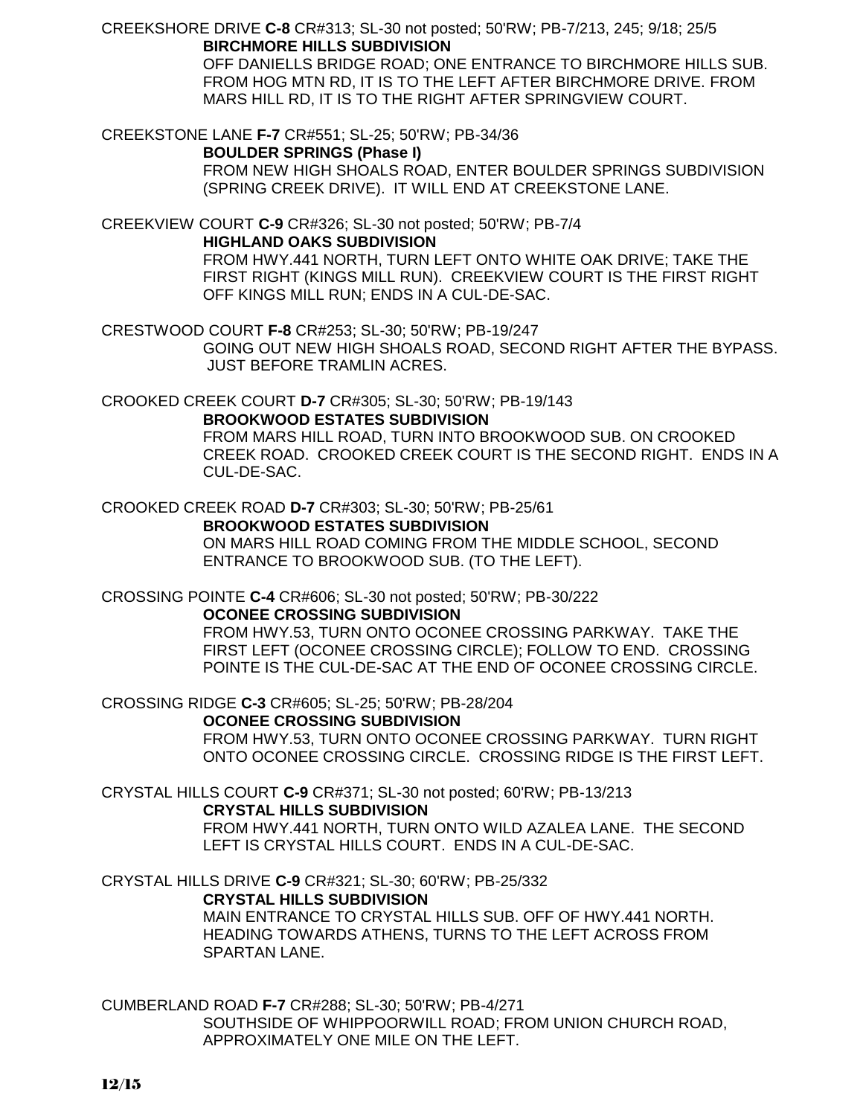CREEKSHORE DRIVE **C-8** CR#313; SL-30 not posted; 50'RW; PB-7/213, 245; 9/18; 25/5 **BIRCHMORE HILLS SUBDIVISION**

> OFF DANIELLS BRIDGE ROAD; ONE ENTRANCE TO BIRCHMORE HILLS SUB. FROM HOG MTN RD, IT IS TO THE LEFT AFTER BIRCHMORE DRIVE. FROM MARS HILL RD, IT IS TO THE RIGHT AFTER SPRINGVIEW COURT.

CREEKSTONE LANE **F-7** CR#551; SL-25; 50'RW; PB-34/36

**BOULDER SPRINGS (Phase I)**

FROM NEW HIGH SHOALS ROAD, ENTER BOULDER SPRINGS SUBDIVISION (SPRING CREEK DRIVE). IT WILL END AT CREEKSTONE LANE.

CREEKVIEW COURT **C-9** CR#326; SL-30 not posted; 50'RW; PB-7/4 **HIGHLAND OAKS SUBDIVISION**

FROM HWY.441 NORTH, TURN LEFT ONTO WHITE OAK DRIVE; TAKE THE FIRST RIGHT (KINGS MILL RUN). CREEKVIEW COURT IS THE FIRST RIGHT OFF KINGS MILL RUN; ENDS IN A CUL-DE-SAC.

CRESTWOOD COURT **F-8** CR#253; SL-30; 50'RW; PB-19/247

GOING OUT NEW HIGH SHOALS ROAD, SECOND RIGHT AFTER THE BYPASS. JUST BEFORE TRAMLIN ACRES.

CROOKED CREEK COURT **D-7** CR#305; SL-30; 50'RW; PB-19/143

**BROOKWOOD ESTATES SUBDIVISION**

FROM MARS HILL ROAD, TURN INTO BROOKWOOD SUB. ON CROOKED CREEK ROAD. CROOKED CREEK COURT IS THE SECOND RIGHT. ENDS IN A CUL-DE-SAC.

CROOKED CREEK ROAD **D-7** CR#303; SL-30; 50'RW; PB-25/61

**BROOKWOOD ESTATES SUBDIVISION**

ON MARS HILL ROAD COMING FROM THE MIDDLE SCHOOL, SECOND ENTRANCE TO BROOKWOOD SUB. (TO THE LEFT).

CROSSING POINTE **C-4** CR#606; SL-30 not posted; 50'RW; PB-30/222 **OCONEE CROSSING SUBDIVISION**

FROM HWY.53, TURN ONTO OCONEE CROSSING PARKWAY. TAKE THE FIRST LEFT (OCONEE CROSSING CIRCLE); FOLLOW TO END. CROSSING POINTE IS THE CUL-DE-SAC AT THE END OF OCONEE CROSSING CIRCLE.

CROSSING RIDGE **C-3** CR#605; SL-25; 50'RW; PB-28/204

**OCONEE CROSSING SUBDIVISION** FROM HWY.53, TURN ONTO OCONEE CROSSING PARKWAY. TURN RIGHT ONTO OCONEE CROSSING CIRCLE. CROSSING RIDGE IS THE FIRST LEFT.

CRYSTAL HILLS COURT **C-9** CR#371; SL-30 not posted; 60'RW; PB-13/213

**CRYSTAL HILLS SUBDIVISION**

FROM HWY.441 NORTH, TURN ONTO WILD AZALEA LANE. THE SECOND LEFT IS CRYSTAL HILLS COURT. ENDS IN A CUL-DE-SAC.

CRYSTAL HILLS DRIVE **C-9** CR#321; SL-30; 60'RW; PB-25/332

**CRYSTAL HILLS SUBDIVISION**

MAIN ENTRANCE TO CRYSTAL HILLS SUB. OFF OF HWY.441 NORTH. HEADING TOWARDS ATHENS, TURNS TO THE LEFT ACROSS FROM SPARTAN LANE.

CUMBERLAND ROAD **F-7** CR#288; SL-30; 50'RW; PB-4/271 SOUTHSIDE OF WHIPPOORWILL ROAD; FROM UNION CHURCH ROAD, APPROXIMATELY ONE MILE ON THE LEFT.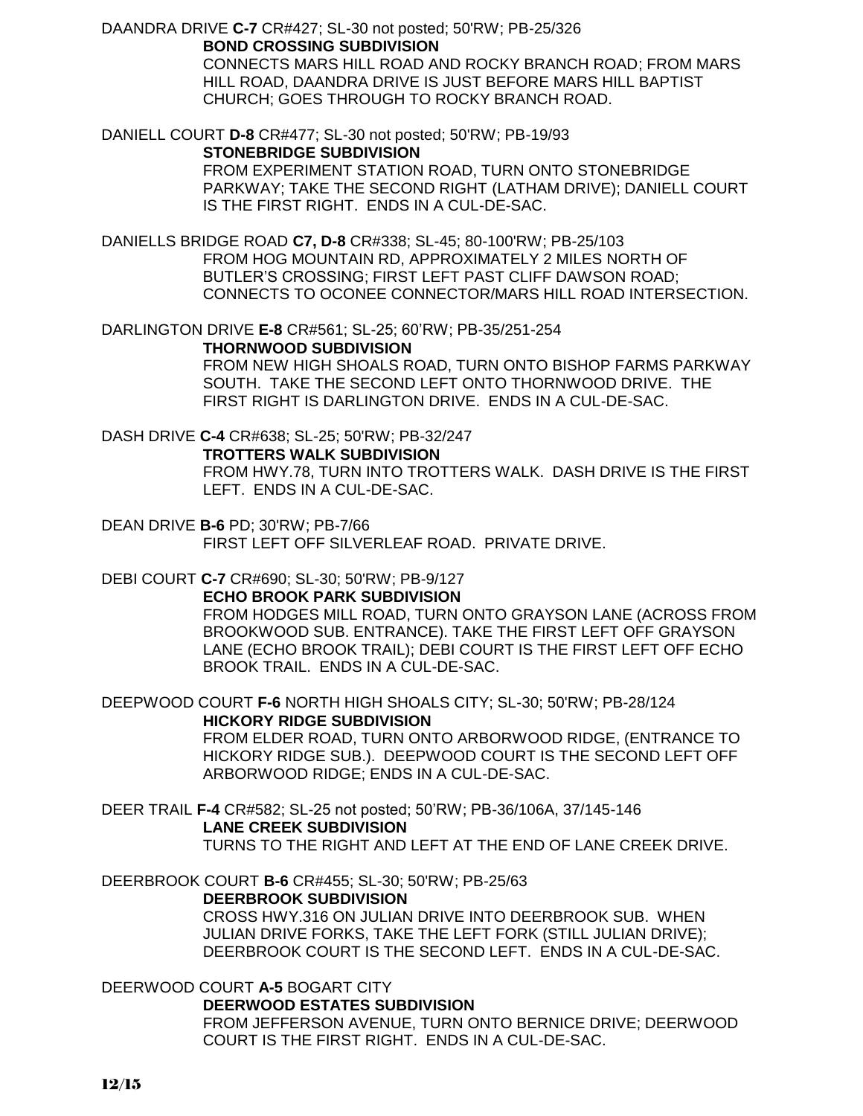DAANDRA DRIVE **C-7** CR#427; SL-30 not posted; 50'RW; PB-25/326 **BOND CROSSING SUBDIVISION**

> CONNECTS MARS HILL ROAD AND ROCKY BRANCH ROAD; FROM MARS HILL ROAD, DAANDRA DRIVE IS JUST BEFORE MARS HILL BAPTIST CHURCH; GOES THROUGH TO ROCKY BRANCH ROAD.

DANIELL COURT **D-8** CR#477; SL-30 not posted; 50'RW; PB-19/93

#### **STONEBRIDGE SUBDIVISION**

FROM EXPERIMENT STATION ROAD, TURN ONTO STONEBRIDGE PARKWAY; TAKE THE SECOND RIGHT (LATHAM DRIVE); DANIELL COURT IS THE FIRST RIGHT. ENDS IN A CUL-DE-SAC.

DANIELLS BRIDGE ROAD **C7, D-8** CR#338; SL-45; 80-100'RW; PB-25/103 FROM HOG MOUNTAIN RD, APPROXIMATELY 2 MILES NORTH OF BUTLER'S CROSSING; FIRST LEFT PAST CLIFF DAWSON ROAD; CONNECTS TO OCONEE CONNECTOR/MARS HILL ROAD INTERSECTION.

DARLINGTON DRIVE **E-8** CR#561; SL-25; 60'RW; PB-35/251-254 **THORNWOOD SUBDIVISION**

> FROM NEW HIGH SHOALS ROAD, TURN ONTO BISHOP FARMS PARKWAY SOUTH. TAKE THE SECOND LEFT ONTO THORNWOOD DRIVE. THE FIRST RIGHT IS DARLINGTON DRIVE. ENDS IN A CUL-DE-SAC.

DASH DRIVE **C-4** CR#638; SL-25; 50'RW; PB-32/247

#### **TROTTERS WALK SUBDIVISION**

FROM HWY.78, TURN INTO TROTTERS WALK. DASH DRIVE IS THE FIRST LEFT. ENDS IN A CUL-DE-SAC.

DEAN DRIVE **B-6** PD; 30'RW; PB-7/66 FIRST LEFT OFF SILVERLEAF ROAD. PRIVATE DRIVE.

#### DEBI COURT **C-7** CR#690; SL-30; 50'RW; PB-9/127

**ECHO BROOK PARK SUBDIVISION**

FROM HODGES MILL ROAD, TURN ONTO GRAYSON LANE (ACROSS FROM BROOKWOOD SUB. ENTRANCE). TAKE THE FIRST LEFT OFF GRAYSON LANE (ECHO BROOK TRAIL); DEBI COURT IS THE FIRST LEFT OFF ECHO BROOK TRAIL. ENDS IN A CUL-DE-SAC.

DEEPWOOD COURT **F-6** NORTH HIGH SHOALS CITY; SL-30; 50'RW; PB-28/124 **HICKORY RIDGE SUBDIVISION**

FROM ELDER ROAD, TURN ONTO ARBORWOOD RIDGE, (ENTRANCE TO HICKORY RIDGE SUB.). DEEPWOOD COURT IS THE SECOND LEFT OFF ARBORWOOD RIDGE; ENDS IN A CUL-DE-SAC.

DEER TRAIL **F-4** CR#582; SL-25 not posted; 50'RW; PB-36/106A, 37/145-146 **LANE CREEK SUBDIVISION** TURNS TO THE RIGHT AND LEFT AT THE END OF LANE CREEK DRIVE.

DEERBROOK COURT **B-6** CR#455; SL-30; 50'RW; PB-25/63

### **DEERBROOK SUBDIVISION**

CROSS HWY.316 ON JULIAN DRIVE INTO DEERBROOK SUB. WHEN JULIAN DRIVE FORKS, TAKE THE LEFT FORK (STILL JULIAN DRIVE); DEERBROOK COURT IS THE SECOND LEFT. ENDS IN A CUL-DE-SAC.

# DEERWOOD COURT **A-5** BOGART CITY

**DEERWOOD ESTATES SUBDIVISION**

FROM JEFFERSON AVENUE, TURN ONTO BERNICE DRIVE; DEERWOOD COURT IS THE FIRST RIGHT. ENDS IN A CUL-DE-SAC.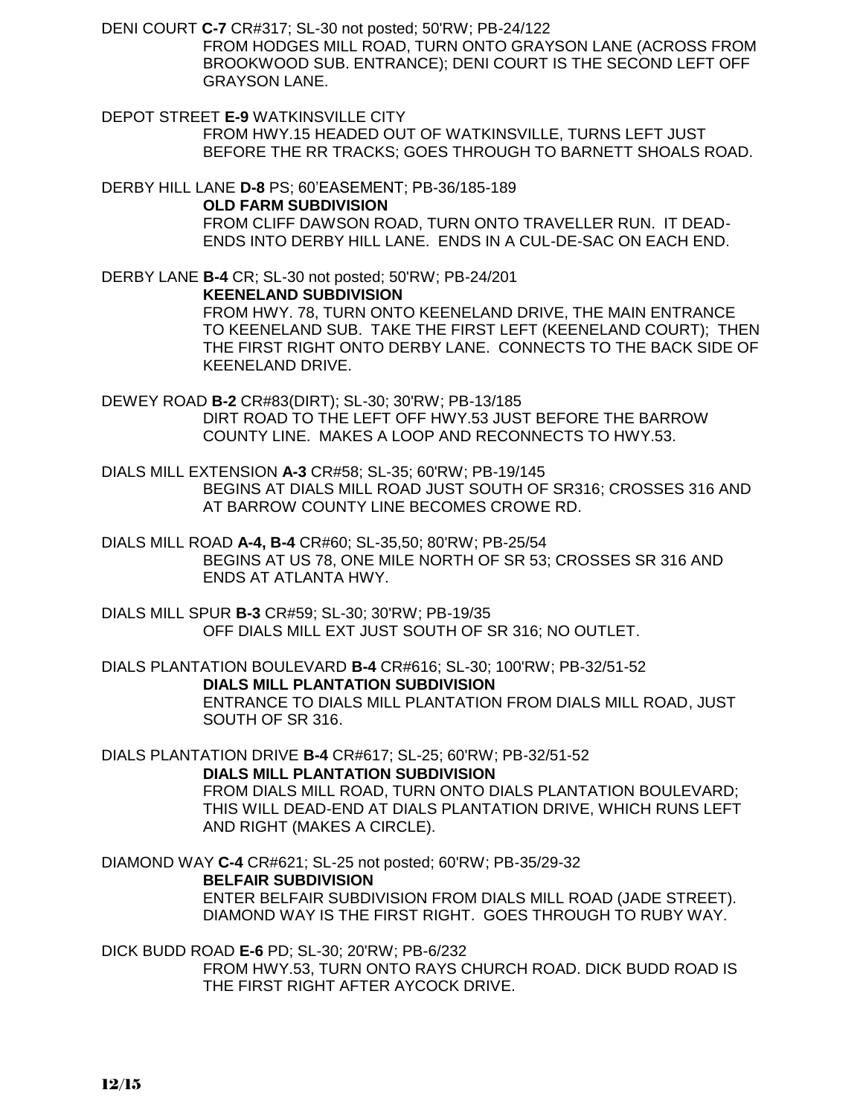DENI COURT **C-7** CR#317; SL-30 not posted; 50'RW; PB-24/122 FROM HODGES MILL ROAD, TURN ONTO GRAYSON LANE (ACROSS FROM BROOKWOOD SUB. ENTRANCE); DENI COURT IS THE SECOND LEFT OFF GRAYSON LANE.

DEPOT STREET **E-9** WATKINSVILLE CITY FROM HWY.15 HEADED OUT OF WATKINSVILLE, TURNS LEFT JUST BEFORE THE RR TRACKS; GOES THROUGH TO BARNETT SHOALS ROAD.

DERBY HILL LANE **D-8** PS; 60'EASEMENT; PB-36/185-189

### **OLD FARM SUBDIVISION**

FROM CLIFF DAWSON ROAD, TURN ONTO TRAVELLER RUN. IT DEAD-ENDS INTO DERBY HILL LANE. ENDS IN A CUL-DE-SAC ON EACH END.

DERBY LANE **B-4** CR; SL-30 not posted; 50'RW; PB-24/201 **KEENELAND SUBDIVISION** FROM HWY. 78, TURN ONTO KEENELAND DRIVE, THE MAIN ENTRANCE TO KEENELAND SUB. TAKE THE FIRST LEFT (KEENELAND COURT); THEN THE FIRST RIGHT ONTO DERBY LANE. CONNECTS TO THE BACK SIDE OF KEENELAND DRIVE.

DEWEY ROAD **B-2** CR#83(DIRT); SL-30; 30'RW; PB-13/185 DIRT ROAD TO THE LEFT OFF HWY.53 JUST BEFORE THE BARROW COUNTY LINE. MAKES A LOOP AND RECONNECTS TO HWY.53.

DIALS MILL EXTENSION **A-3** CR#58; SL-35; 60'RW; PB-19/145 BEGINS AT DIALS MILL ROAD JUST SOUTH OF SR316; CROSSES 316 AND AT BARROW COUNTY LINE BECOMES CROWE RD.

DIALS MILL ROAD **A-4, B-4** CR#60; SL-35,50; 80'RW; PB-25/54 BEGINS AT US 78, ONE MILE NORTH OF SR 53; CROSSES SR 316 AND ENDS AT ATLANTA HWY.

DIALS MILL SPUR **B-3** CR#59; SL-30; 30'RW; PB-19/35 OFF DIALS MILL EXT JUST SOUTH OF SR 316; NO OUTLET.

DIALS PLANTATION BOULEVARD **B-4** CR#616; SL-30; 100'RW; PB-32/51-52 **DIALS MILL PLANTATION SUBDIVISION** ENTRANCE TO DIALS MILL PLANTATION FROM DIALS MILL ROAD, JUST SOUTH OF SR 316.

DIALS PLANTATION DRIVE **B-4** CR#617; SL-25; 60'RW; PB-32/51-52 **DIALS MILL PLANTATION SUBDIVISION** FROM DIALS MILL ROAD, TURN ONTO DIALS PLANTATION BOULEVARD; THIS WILL DEAD-END AT DIALS PLANTATION DRIVE, WHICH RUNS LEFT AND RIGHT (MAKES A CIRCLE).

DIAMOND WAY **C-4** CR#621; SL-25 not posted; 60'RW; PB-35/29-32 **BELFAIR SUBDIVISION** ENTER BELFAIR SUBDIVISION FROM DIALS MILL ROAD (JADE STREET). DIAMOND WAY IS THE FIRST RIGHT. GOES THROUGH TO RUBY WAY.

DICK BUDD ROAD **E-6** PD; SL-30; 20'RW; PB-6/232 FROM HWY.53, TURN ONTO RAYS CHURCH ROAD. DICK BUDD ROAD IS THE FIRST RIGHT AFTER AYCOCK DRIVE.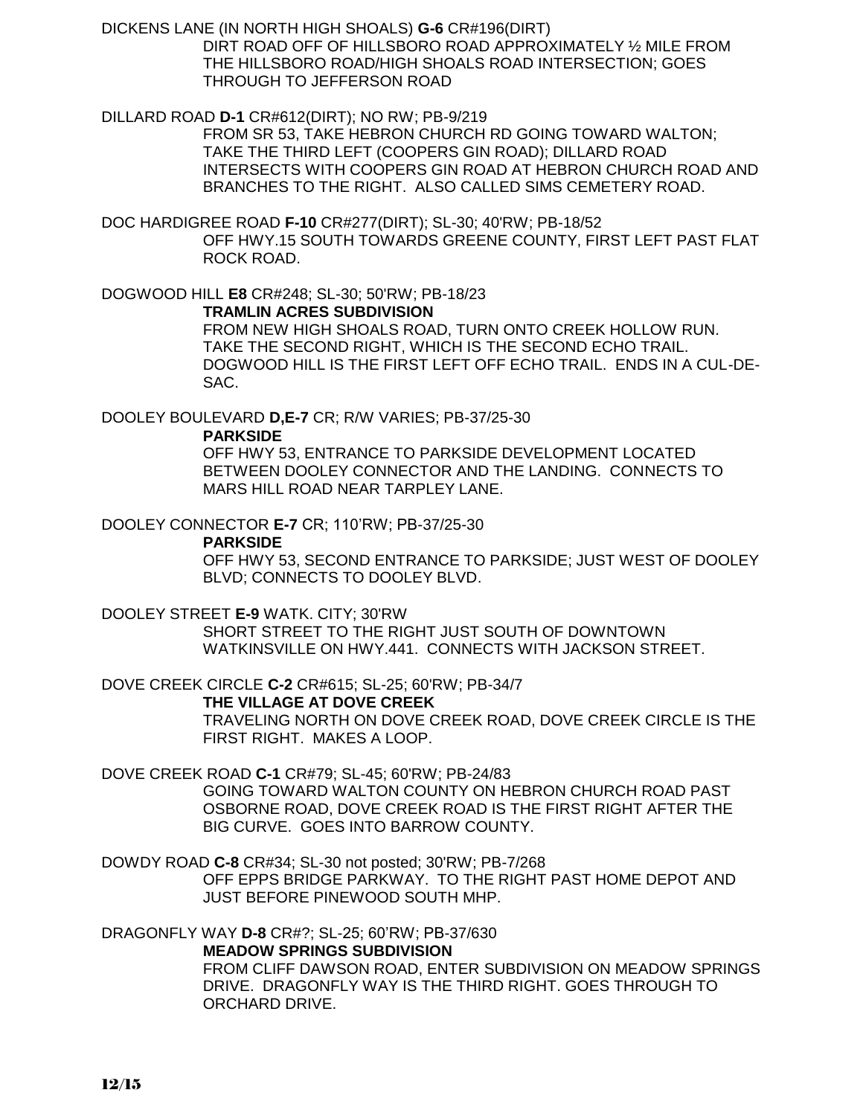DICKENS LANE (IN NORTH HIGH SHOALS) **G-6** CR#196(DIRT) DIRT ROAD OFF OF HILLSBORO ROAD APPROXIMATELY ½ MILE FROM THE HILLSBORO ROAD/HIGH SHOALS ROAD INTERSECTION; GOES THROUGH TO JEFFERSON ROAD

DILLARD ROAD **D-1** CR#612(DIRT); NO RW; PB-9/219

FROM SR 53, TAKE HEBRON CHURCH RD GOING TOWARD WALTON; TAKE THE THIRD LEFT (COOPERS GIN ROAD); DILLARD ROAD INTERSECTS WITH COOPERS GIN ROAD AT HEBRON CHURCH ROAD AND BRANCHES TO THE RIGHT. ALSO CALLED SIMS CEMETERY ROAD.

DOC HARDIGREE ROAD **F-10** CR#277(DIRT); SL-30; 40'RW; PB-18/52 OFF HWY.15 SOUTH TOWARDS GREENE COUNTY, FIRST LEFT PAST FLAT ROCK ROAD.

DOGWOOD HILL **E8** CR#248; SL-30; 50'RW; PB-18/23 **TRAMLIN ACRES SUBDIVISION**

FROM NEW HIGH SHOALS ROAD, TURN ONTO CREEK HOLLOW RUN. TAKE THE SECOND RIGHT, WHICH IS THE SECOND ECHO TRAIL. DOGWOOD HILL IS THE FIRST LEFT OFF ECHO TRAIL. ENDS IN A CUL-DE-SAC.

DOOLEY BOULEVARD **D,E-7** CR; R/W VARIES; PB-37/25-30

**PARKSIDE**

OFF HWY 53, ENTRANCE TO PARKSIDE DEVELOPMENT LOCATED BETWEEN DOOLEY CONNECTOR AND THE LANDING. CONNECTS TO MARS HILL ROAD NEAR TARPLEY LANE.

DOOLEY CONNECTOR **E-7** CR; 110'RW; PB-37/25-30

**PARKSIDE**

OFF HWY 53, SECOND ENTRANCE TO PARKSIDE; JUST WEST OF DOOLEY BLVD; CONNECTS TO DOOLEY BLVD.

DOOLEY STREET **E-9** WATK. CITY; 30'RW

SHORT STREET TO THE RIGHT JUST SOUTH OF DOWNTOWN WATKINSVILLE ON HWY.441. CONNECTS WITH JACKSON STREET.

DOVE CREEK CIRCLE **C-2** CR#615; SL-25; 60'RW; PB-34/7 **THE VILLAGE AT DOVE CREEK**

TRAVELING NORTH ON DOVE CREEK ROAD, DOVE CREEK CIRCLE IS THE FIRST RIGHT. MAKES A LOOP.

DOVE CREEK ROAD **C-1** CR#79; SL-45; 60'RW; PB-24/83

GOING TOWARD WALTON COUNTY ON HEBRON CHURCH ROAD PAST OSBORNE ROAD, DOVE CREEK ROAD IS THE FIRST RIGHT AFTER THE BIG CURVE. GOES INTO BARROW COUNTY.

DOWDY ROAD **C-8** CR#34; SL-30 not posted; 30'RW; PB-7/268

OFF EPPS BRIDGE PARKWAY. TO THE RIGHT PAST HOME DEPOT AND JUST BEFORE PINEWOOD SOUTH MHP.

DRAGONFLY WAY **D-8** CR#?; SL-25; 60'RW; PB-37/630

**MEADOW SPRINGS SUBDIVISION**

FROM CLIFF DAWSON ROAD, ENTER SUBDIVISION ON MEADOW SPRINGS DRIVE. DRAGONFLY WAY IS THE THIRD RIGHT. GOES THROUGH TO ORCHARD DRIVE.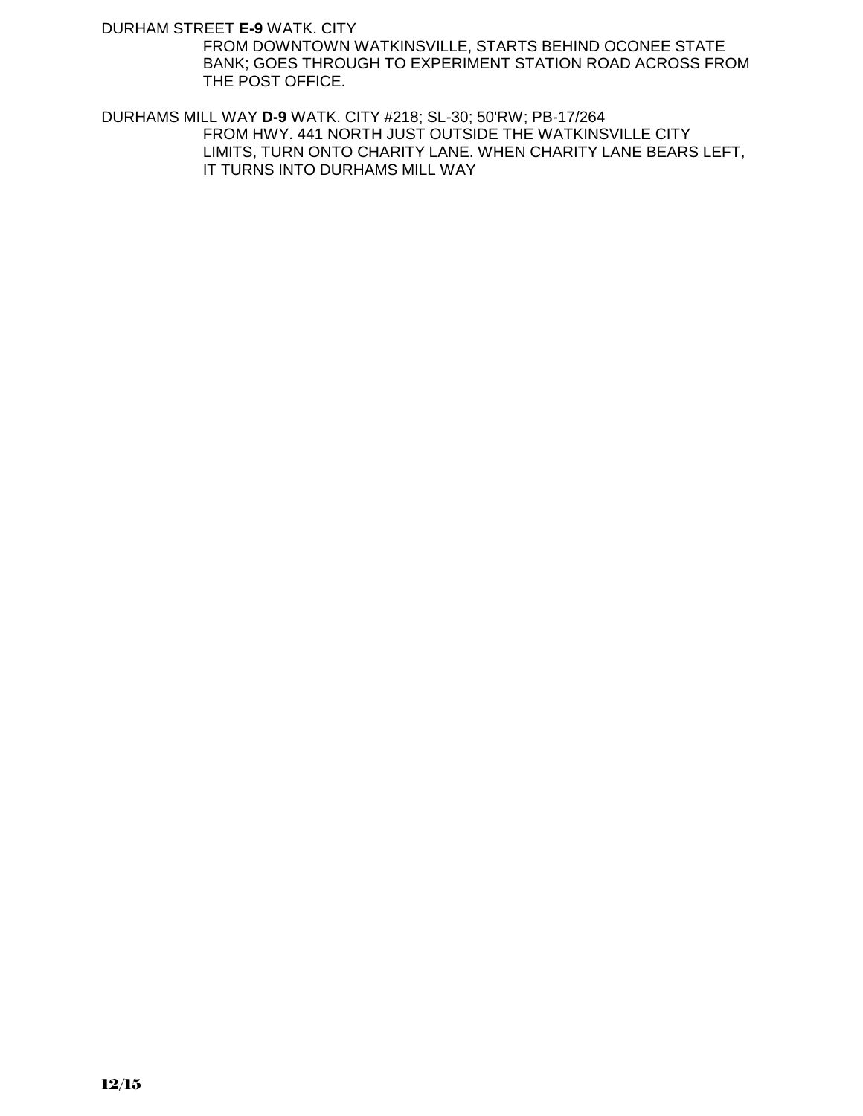DURHAM STREET **E-9** WATK. CITY

FROM DOWNTOWN WATKINSVILLE, STARTS BEHIND OCONEE STATE BANK; GOES THROUGH TO EXPERIMENT STATION ROAD ACROSS FROM THE POST OFFICE.

DURHAMS MILL WAY **D-9** WATK. CITY #218; SL-30; 50'RW; PB-17/264 FROM HWY. 441 NORTH JUST OUTSIDE THE WATKINSVILLE CITY LIMITS, TURN ONTO CHARITY LANE. WHEN CHARITY LANE BEARS LEFT, IT TURNS INTO DURHAMS MILL WAY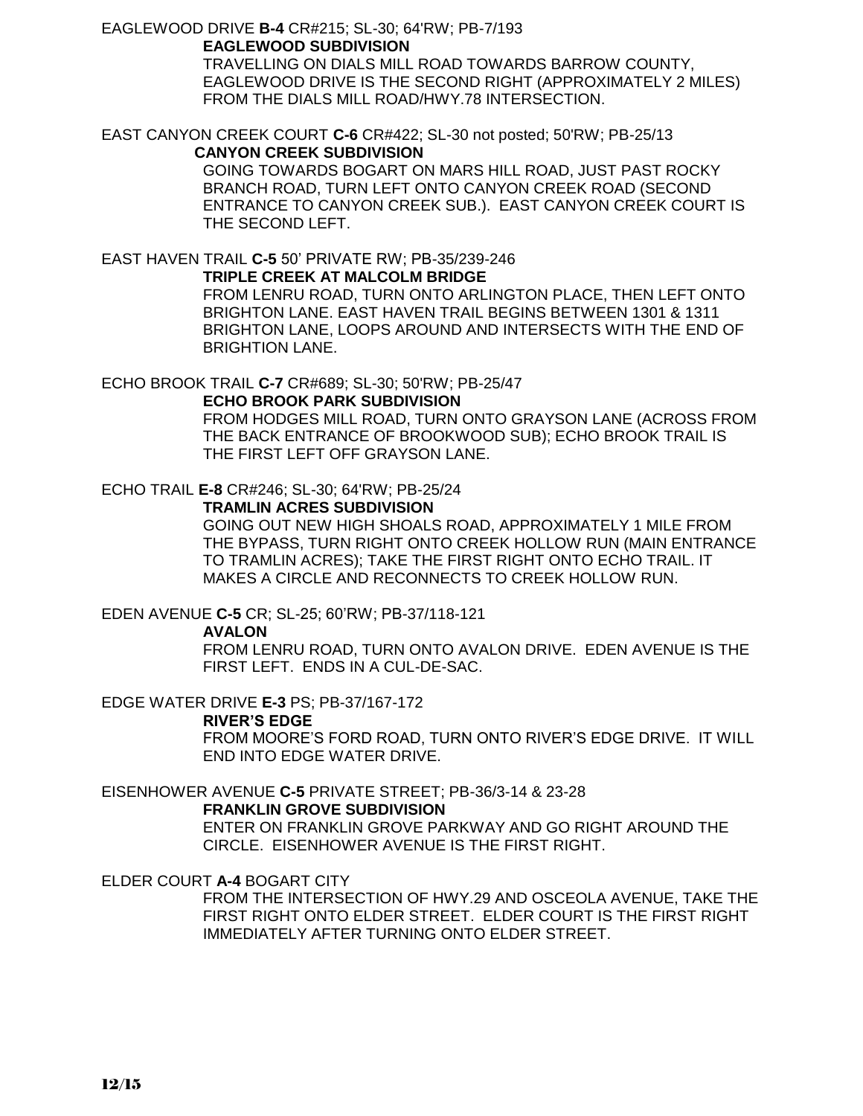#### EAGLEWOOD DRIVE **B-4** CR#215; SL-30; 64'RW; PB-7/193 **EAGLEWOOD SUBDIVISION**

TRAVELLING ON DIALS MILL ROAD TOWARDS BARROW COUNTY, EAGLEWOOD DRIVE IS THE SECOND RIGHT (APPROXIMATELY 2 MILES) FROM THE DIALS MILL ROAD/HWY.78 INTERSECTION.

# EAST CANYON CREEK COURT **C-6** CR#422; SL-30 not posted; 50'RW; PB-25/13

# **CANYON CREEK SUBDIVISION**

GOING TOWARDS BOGART ON MARS HILL ROAD, JUST PAST ROCKY BRANCH ROAD, TURN LEFT ONTO CANYON CREEK ROAD (SECOND ENTRANCE TO CANYON CREEK SUB.). EAST CANYON CREEK COURT IS THE SECOND LEFT.

# EAST HAVEN TRAIL **C-5** 50' PRIVATE RW; PB-35/239-246

### **TRIPLE CREEK AT MALCOLM BRIDGE**

FROM LENRU ROAD, TURN ONTO ARLINGTON PLACE, THEN LEFT ONTO BRIGHTON LANE. EAST HAVEN TRAIL BEGINS BETWEEN 1301 & 1311 BRIGHTON LANE, LOOPS AROUND AND INTERSECTS WITH THE END OF BRIGHTION LANE.

# ECHO BROOK TRAIL **C-7** CR#689; SL-30; 50'RW; PB-25/47

### **ECHO BROOK PARK SUBDIVISION**

FROM HODGES MILL ROAD, TURN ONTO GRAYSON LANE (ACROSS FROM THE BACK ENTRANCE OF BROOKWOOD SUB); ECHO BROOK TRAIL IS THE FIRST LEFT OFF GRAYSON LANE.

### ECHO TRAIL **E-8** CR#246; SL-30; 64'RW; PB-25/24

### **TRAMLIN ACRES SUBDIVISION**

GOING OUT NEW HIGH SHOALS ROAD, APPROXIMATELY 1 MILE FROM THE BYPASS, TURN RIGHT ONTO CREEK HOLLOW RUN (MAIN ENTRANCE TO TRAMLIN ACRES); TAKE THE FIRST RIGHT ONTO ECHO TRAIL. IT MAKES A CIRCLE AND RECONNECTS TO CREEK HOLLOW RUN.

### EDEN AVENUE **C-5** CR; SL-25; 60'RW; PB-37/118-121

#### **AVALON**

FROM LENRU ROAD, TURN ONTO AVALON DRIVE. EDEN AVENUE IS THE FIRST LEFT. ENDS IN A CUL-DE-SAC.

EDGE WATER DRIVE **E-3** PS; PB-37/167-172

#### **RIVER'S EDGE**

FROM MOORE'S FORD ROAD, TURN ONTO RIVER'S EDGE DRIVE. IT WILL END INTO EDGE WATER DRIVE.

### EISENHOWER AVENUE **C-5** PRIVATE STREET; PB-36/3-14 & 23-28

#### **FRANKLIN GROVE SUBDIVISION**

ENTER ON FRANKLIN GROVE PARKWAY AND GO RIGHT AROUND THE CIRCLE. EISENHOWER AVENUE IS THE FIRST RIGHT.

### ELDER COURT **A-4** BOGART CITY

FROM THE INTERSECTION OF HWY.29 AND OSCEOLA AVENUE, TAKE THE FIRST RIGHT ONTO ELDER STREET. ELDER COURT IS THE FIRST RIGHT IMMEDIATELY AFTER TURNING ONTO ELDER STREET.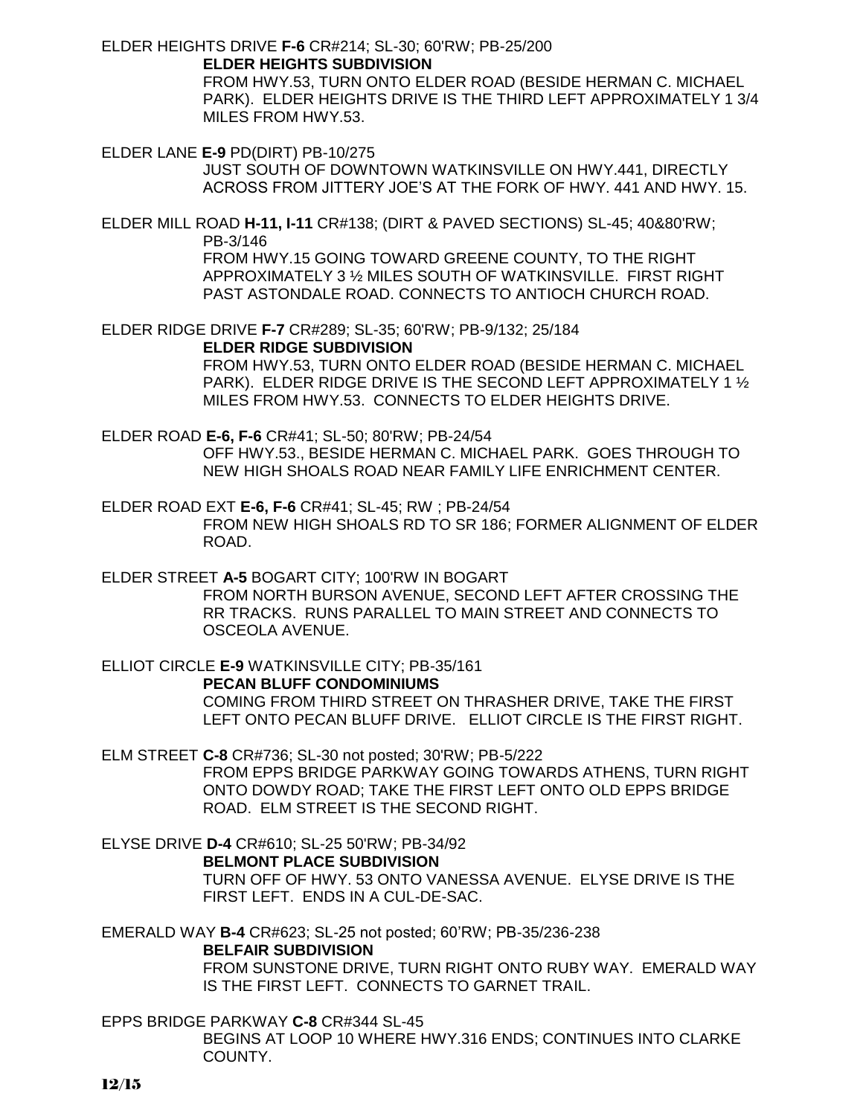ELDER HEIGHTS DRIVE **F-6** CR#214; SL-30; 60'RW; PB-25/200

**ELDER HEIGHTS SUBDIVISION**

FROM HWY.53, TURN ONTO ELDER ROAD (BESIDE HERMAN C. MICHAEL PARK). ELDER HEIGHTS DRIVE IS THE THIRD LEFT APPROXIMATELY 1 3/4 MILES FROM HWY.53.

ELDER LANE **E-9** PD(DIRT) PB-10/275 JUST SOUTH OF DOWNTOWN WATKINSVILLE ON HWY.441, DIRECTLY ACROSS FROM JITTERY JOE'S AT THE FORK OF HWY. 441 AND HWY. 15.

ELDER MILL ROAD **H-11, I-11** CR#138; (DIRT & PAVED SECTIONS) SL-45; 40&80'RW; PB-3/146 FROM HWY.15 GOING TOWARD GREENE COUNTY, TO THE RIGHT APPROXIMATELY 3 ½ MILES SOUTH OF WATKINSVILLE. FIRST RIGHT PAST ASTONDALE ROAD. CONNECTS TO ANTIOCH CHURCH ROAD.

ELDER RIDGE DRIVE **F-7** CR#289; SL-35; 60'RW; PB-9/132; 25/184

**ELDER RIDGE SUBDIVISION**

FROM HWY.53, TURN ONTO ELDER ROAD (BESIDE HERMAN C. MICHAEL PARK). ELDER RIDGE DRIVE IS THE SECOND LEFT APPROXIMATELY 1 ½ MILES FROM HWY.53. CONNECTS TO ELDER HEIGHTS DRIVE.

ELDER ROAD **E-6, F-6** CR#41; SL-50; 80'RW; PB-24/54 OFF HWY.53., BESIDE HERMAN C. MICHAEL PARK. GOES THROUGH TO NEW HIGH SHOALS ROAD NEAR FAMILY LIFE ENRICHMENT CENTER.

ELDER ROAD EXT **E-6, F-6** CR#41; SL-45; RW ; PB-24/54 FROM NEW HIGH SHOALS RD TO SR 186; FORMER ALIGNMENT OF ELDER ROAD.

ELDER STREET **A-5** BOGART CITY; 100'RW IN BOGART FROM NORTH BURSON AVENUE, SECOND LEFT AFTER CROSSING THE RR TRACKS. RUNS PARALLEL TO MAIN STREET AND CONNECTS TO OSCEOLA AVENUE.

ELLIOT CIRCLE **E-9** WATKINSVILLE CITY; PB-35/161 **PECAN BLUFF CONDOMINIUMS** COMING FROM THIRD STREET ON THRASHER DRIVE, TAKE THE FIRST LEFT ONTO PECAN BLUFF DRIVE. ELLIOT CIRCLE IS THE FIRST RIGHT.

ELM STREET **C-8** CR#736; SL-30 not posted; 30'RW; PB-5/222 FROM EPPS BRIDGE PARKWAY GOING TOWARDS ATHENS, TURN RIGHT ONTO DOWDY ROAD; TAKE THE FIRST LEFT ONTO OLD EPPS BRIDGE ROAD. ELM STREET IS THE SECOND RIGHT.

ELYSE DRIVE **D-4** CR#610; SL-25 50'RW; PB-34/92 **BELMONT PLACE SUBDIVISION**

TURN OFF OF HWY. 53 ONTO VANESSA AVENUE. ELYSE DRIVE IS THE FIRST LEFT. ENDS IN A CUL-DE-SAC.

EMERALD WAY **B-4** CR#623; SL-25 not posted; 60'RW; PB-35/236-238

**BELFAIR SUBDIVISION**

FROM SUNSTONE DRIVE, TURN RIGHT ONTO RUBY WAY. EMERALD WAY IS THE FIRST LEFT. CONNECTS TO GARNET TRAIL.

EPPS BRIDGE PARKWAY **C-8** CR#344 SL-45 BEGINS AT LOOP 10 WHERE HWY.316 ENDS; CONTINUES INTO CLARKE COUNTY.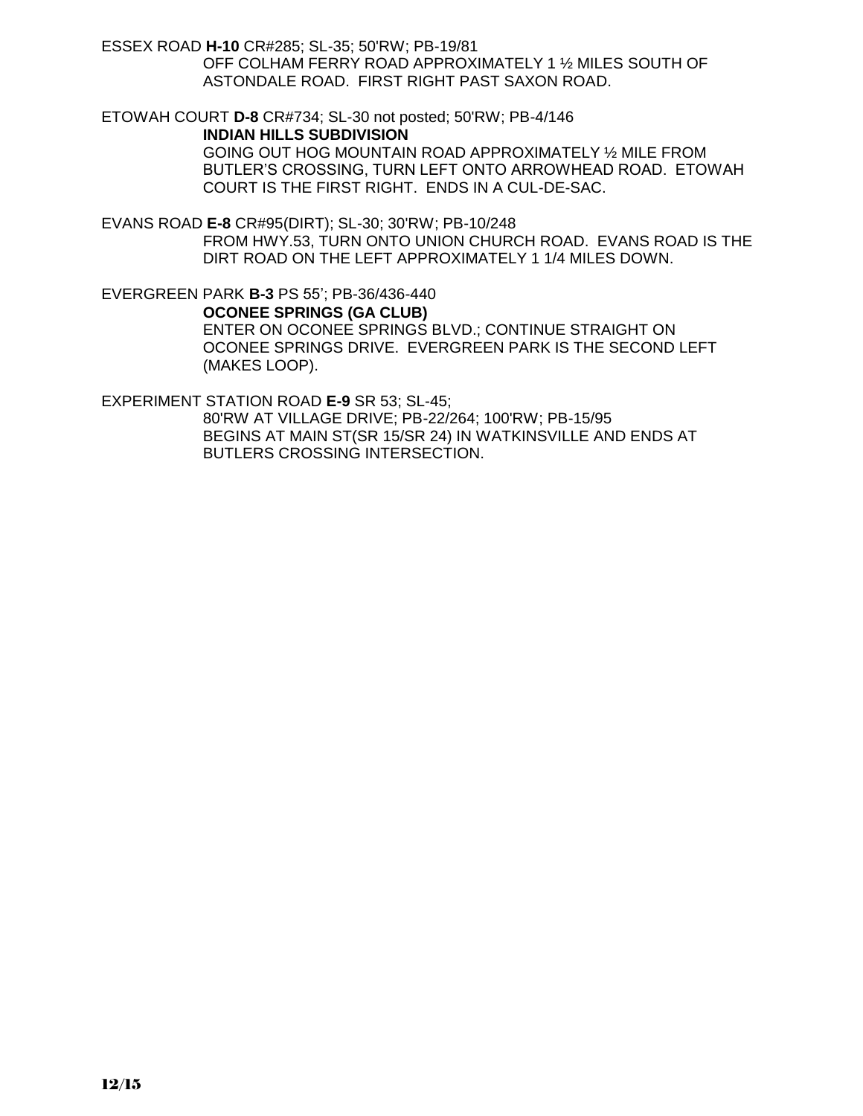ESSEX ROAD **H-10** CR#285; SL-35; 50'RW; PB-19/81 OFF COLHAM FERRY ROAD APPROXIMATELY 1 ½ MILES SOUTH OF ASTONDALE ROAD. FIRST RIGHT PAST SAXON ROAD.

ETOWAH COURT **D-8** CR#734; SL-30 not posted; 50'RW; PB-4/146 **INDIAN HILLS SUBDIVISION** GOING OUT HOG MOUNTAIN ROAD APPROXIMATELY ½ MILE FROM

BUTLER'S CROSSING, TURN LEFT ONTO ARROWHEAD ROAD. ETOWAH COURT IS THE FIRST RIGHT. ENDS IN A CUL-DE-SAC.

EVANS ROAD **E-8** CR#95(DIRT); SL-30; 30'RW; PB-10/248 FROM HWY.53, TURN ONTO UNION CHURCH ROAD. EVANS ROAD IS THE DIRT ROAD ON THE LEFT APPROXIMATELY 1 1/4 MILES DOWN.

EVERGREEN PARK **B-3** PS 55'; PB-36/436-440 **OCONEE SPRINGS (GA CLUB)** ENTER ON OCONEE SPRINGS BLVD.; CONTINUE STRAIGHT ON OCONEE SPRINGS DRIVE. EVERGREEN PARK IS THE SECOND LEFT (MAKES LOOP).

EXPERIMENT STATION ROAD **E-9** SR 53; SL-45;

80'RW AT VILLAGE DRIVE; PB-22/264; 100'RW; PB-15/95 BEGINS AT MAIN ST(SR 15/SR 24) IN WATKINSVILLE AND ENDS AT BUTLERS CROSSING INTERSECTION.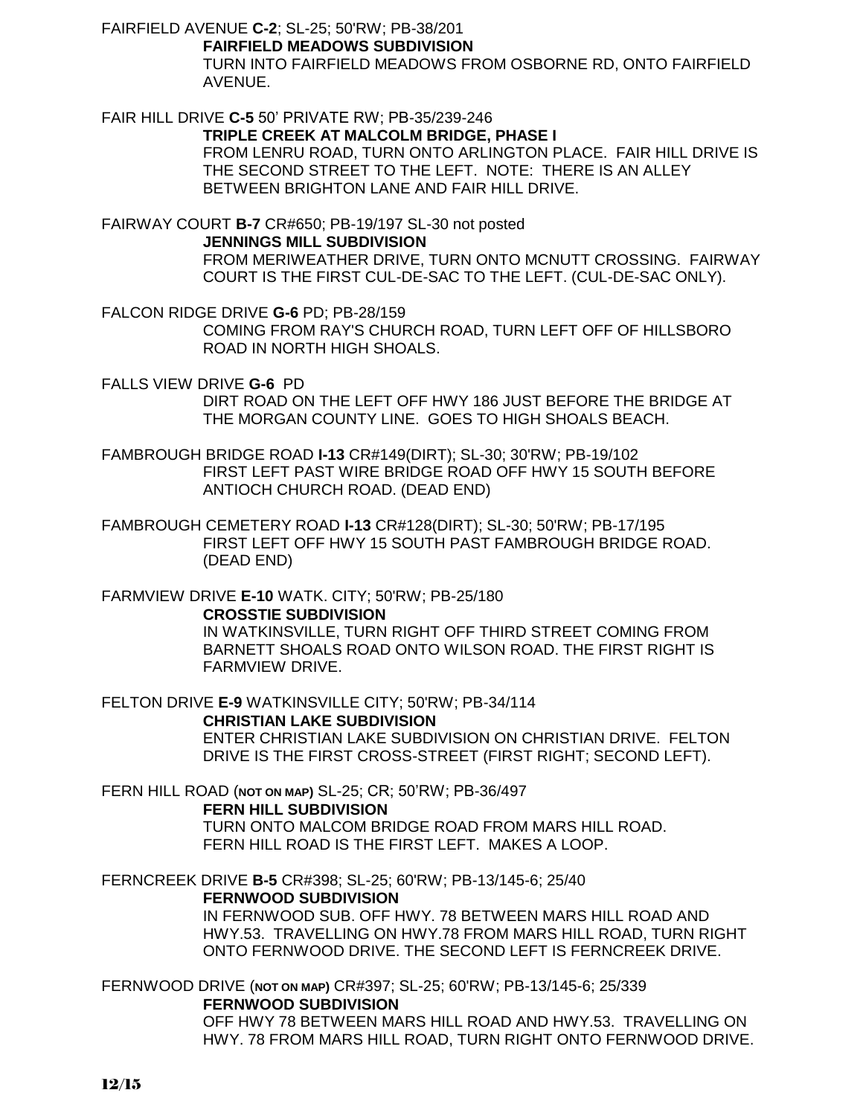FAIRFIELD AVENUE **C-2**; SL-25; 50'RW; PB-38/201

**FAIRFIELD MEADOWS SUBDIVISION**

TURN INTO FAIRFIELD MEADOWS FROM OSBORNE RD, ONTO FAIRFIELD AVENUE.

FAIR HILL DRIVE **C-5** 50' PRIVATE RW; PB-35/239-246

**TRIPLE CREEK AT MALCOLM BRIDGE, PHASE I**

FROM LENRU ROAD, TURN ONTO ARLINGTON PLACE. FAIR HILL DRIVE IS THE SECOND STREET TO THE LEFT. NOTE: THERE IS AN ALLEY BETWEEN BRIGHTON LANE AND FAIR HILL DRIVE.

FAIRWAY COURT **B-7** CR#650; PB-19/197 SL-30 not posted **JENNINGS MILL SUBDIVISION** FROM MERIWEATHER DRIVE, TURN ONTO MCNUTT CROSSING. FAIRWAY COURT IS THE FIRST CUL-DE-SAC TO THE LEFT. (CUL-DE-SAC ONLY).

FALCON RIDGE DRIVE **G-6** PD; PB-28/159 COMING FROM RAY'S CHURCH ROAD, TURN LEFT OFF OF HILLSBORO ROAD IN NORTH HIGH SHOALS.

FALLS VIEW DRIVE **G-6** PD

DIRT ROAD ON THE LEFT OFF HWY 186 JUST BEFORE THE BRIDGE AT THE MORGAN COUNTY LINE. GOES TO HIGH SHOALS BEACH.

FAMBROUGH BRIDGE ROAD **I-13** CR#149(DIRT); SL-30; 30'RW; PB-19/102 FIRST LEFT PAST WIRE BRIDGE ROAD OFF HWY 15 SOUTH BEFORE ANTIOCH CHURCH ROAD. (DEAD END)

FAMBROUGH CEMETERY ROAD **I-13** CR#128(DIRT); SL-30; 50'RW; PB-17/195 FIRST LEFT OFF HWY 15 SOUTH PAST FAMBROUGH BRIDGE ROAD. (DEAD END)

FARMVIEW DRIVE **E-10** WATK. CITY; 50'RW; PB-25/180

**CROSSTIE SUBDIVISION** IN WATKINSVILLE, TURN RIGHT OFF THIRD STREET COMING FROM BARNETT SHOALS ROAD ONTO WILSON ROAD. THE FIRST RIGHT IS FARMVIEW DRIVE.

FELTON DRIVE **E-9** WATKINSVILLE CITY; 50'RW; PB-34/114

**CHRISTIAN LAKE SUBDIVISION**

ENTER CHRISTIAN LAKE SUBDIVISION ON CHRISTIAN DRIVE. FELTON DRIVE IS THE FIRST CROSS-STREET (FIRST RIGHT; SECOND LEFT).

FERN HILL ROAD (**NOT ON MAP)** SL-25; CR; 50'RW; PB-36/497

**FERN HILL SUBDIVISION** TURN ONTO MALCOM BRIDGE ROAD FROM MARS HILL ROAD. FERN HILL ROAD IS THE FIRST LEFT. MAKES A LOOP.

FERNCREEK DRIVE **B-5** CR#398; SL-25; 60'RW; PB-13/145-6; 25/40

**FERNWOOD SUBDIVISION**

IN FERNWOOD SUB. OFF HWY. 78 BETWEEN MARS HILL ROAD AND HWY.53. TRAVELLING ON HWY.78 FROM MARS HILL ROAD, TURN RIGHT ONTO FERNWOOD DRIVE. THE SECOND LEFT IS FERNCREEK DRIVE.

FERNWOOD DRIVE (**NOT ON MAP)** CR#397; SL-25; 60'RW; PB-13/145-6; 25/339 **FERNWOOD SUBDIVISION**

OFF HWY 78 BETWEEN MARS HILL ROAD AND HWY.53. TRAVELLING ON HWY. 78 FROM MARS HILL ROAD, TURN RIGHT ONTO FERNWOOD DRIVE.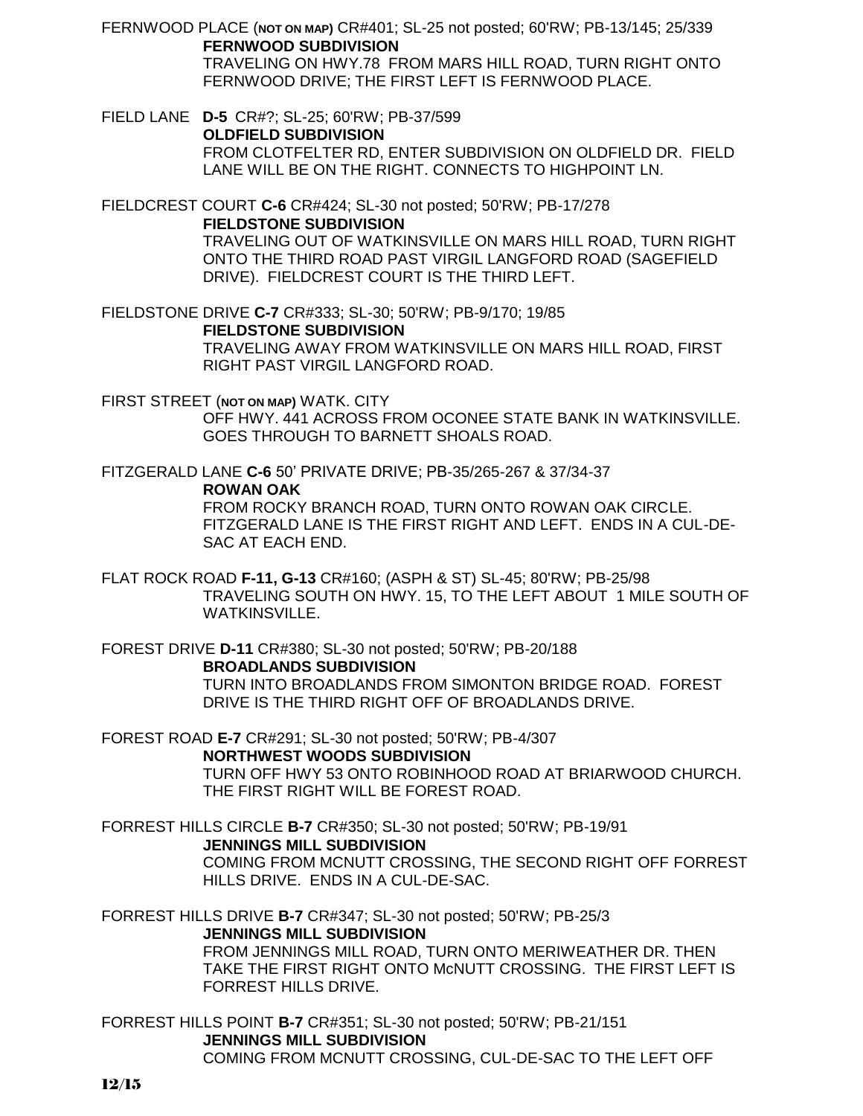FERNWOOD PLACE (**NOT ON MAP)** CR#401; SL-25 not posted; 60'RW; PB-13/145; 25/339 **FERNWOOD SUBDIVISION** TRAVELING ON HWY.78 FROM MARS HILL ROAD, TURN RIGHT ONTO FERNWOOD DRIVE; THE FIRST LEFT IS FERNWOOD PLACE.

FIELD LANE **D-5** CR#?; SL-25; 60'RW; PB-37/599 **OLDFIELD SUBDIVISION** FROM CLOTFELTER RD, ENTER SUBDIVISION ON OLDFIELD DR. FIELD LANE WILL BE ON THE RIGHT. CONNECTS TO HIGHPOINT LN.

FIELDCREST COURT **C-6** CR#424; SL-30 not posted; 50'RW; PB-17/278 **FIELDSTONE SUBDIVISION** TRAVELING OUT OF WATKINSVILLE ON MARS HILL ROAD, TURN RIGHT ONTO THE THIRD ROAD PAST VIRGIL LANGFORD ROAD (SAGEFIELD DRIVE). FIELDCREST COURT IS THE THIRD LEFT.

FIELDSTONE DRIVE **C-7** CR#333; SL-30; 50'RW; PB-9/170; 19/85 **FIELDSTONE SUBDIVISION** TRAVELING AWAY FROM WATKINSVILLE ON MARS HILL ROAD, FIRST RIGHT PAST VIRGIL LANGFORD ROAD.

FIRST STREET (**NOT ON MAP)** WATK. CITY OFF HWY. 441 ACROSS FROM OCONEE STATE BANK IN WATKINSVILLE. GOES THROUGH TO BARNETT SHOALS ROAD.

FITZGERALD LANE **C-6** 50' PRIVATE DRIVE; PB-35/265-267 & 37/34-37

**ROWAN OAK**

FROM ROCKY BRANCH ROAD, TURN ONTO ROWAN OAK CIRCLE. FITZGERALD LANE IS THE FIRST RIGHT AND LEFT. ENDS IN A CUL-DE-SAC AT EACH END.

FLAT ROCK ROAD **F-11, G-13** CR#160; (ASPH & ST) SL-45; 80'RW; PB-25/98 TRAVELING SOUTH ON HWY. 15, TO THE LEFT ABOUT 1 MILE SOUTH OF WATKINSVILLE.

FOREST DRIVE **D-11** CR#380; SL-30 not posted; 50'RW; PB-20/188 **BROADLANDS SUBDIVISION** TURN INTO BROADLANDS FROM SIMONTON BRIDGE ROAD. FOREST DRIVE IS THE THIRD RIGHT OFF OF BROADLANDS DRIVE.

FOREST ROAD **E-7** CR#291; SL-30 not posted; 50'RW; PB-4/307 **NORTHWEST WOODS SUBDIVISION** TURN OFF HWY 53 ONTO ROBINHOOD ROAD AT BRIARWOOD CHURCH. THE FIRST RIGHT WILL BE FOREST ROAD.

FORREST HILLS CIRCLE **B-7** CR#350; SL-30 not posted; 50'RW; PB-19/91 **JENNINGS MILL SUBDIVISION** COMING FROM MCNUTT CROSSING, THE SECOND RIGHT OFF FORREST HILLS DRIVE. ENDS IN A CUL-DE-SAC.

FORREST HILLS DRIVE **B-7** CR#347; SL-30 not posted; 50'RW; PB-25/3 **JENNINGS MILL SUBDIVISION** FROM JENNINGS MILL ROAD, TURN ONTO MERIWEATHER DR. THEN TAKE THE FIRST RIGHT ONTO McNUTT CROSSING. THE FIRST LEFT IS FORREST HILLS DRIVE.

FORREST HILLS POINT **B-7** CR#351; SL-30 not posted; 50'RW; PB-21/151 **JENNINGS MILL SUBDIVISION** COMING FROM MCNUTT CROSSING, CUL-DE-SAC TO THE LEFT OFF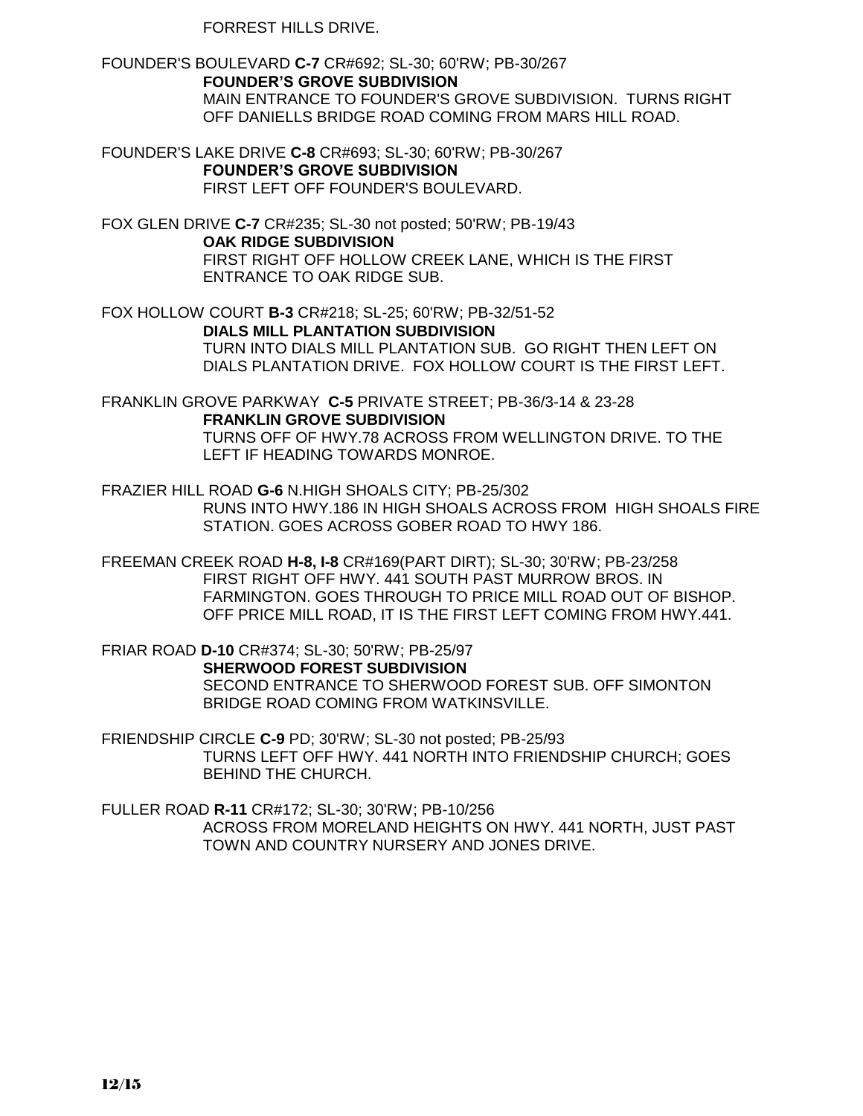FORREST HILLS DRIVE.

FOUNDER'S BOULEVARD **C-7** CR#692; SL-30; 60'RW; PB-30/267 **FOUNDER'S GROVE SUBDIVISION** MAIN ENTRANCE TO FOUNDER'S GROVE SUBDIVISION. TURNS RIGHT OFF DANIELLS BRIDGE ROAD COMING FROM MARS HILL ROAD.

FOUNDER'S LAKE DRIVE **C-8** CR#693; SL-30; 60'RW; PB-30/267 **FOUNDER'S GROVE SUBDIVISION** FIRST LEFT OFF FOUNDER'S BOULEVARD.

FOX GLEN DRIVE **C-7** CR#235; SL-30 not posted; 50'RW; PB-19/43 **OAK RIDGE SUBDIVISION** FIRST RIGHT OFF HOLLOW CREEK LANE, WHICH IS THE FIRST ENTRANCE TO OAK RIDGE SUB.

FOX HOLLOW COURT **B-3** CR#218; SL-25; 60'RW; PB-32/51-52 **DIALS MILL PLANTATION SUBDIVISION** TURN INTO DIALS MILL PLANTATION SUB. GO RIGHT THEN LEFT ON DIALS PLANTATION DRIVE. FOX HOLLOW COURT IS THE FIRST LEFT.

FRANKLIN GROVE PARKWAY **C-5** PRIVATE STREET; PB-36/3-14 & 23-28 **FRANKLIN GROVE SUBDIVISION**

TURNS OFF OF HWY.78 ACROSS FROM WELLINGTON DRIVE. TO THE LEFT IF HEADING TOWARDS MONROE.

FRAZIER HILL ROAD **G-6** N.HIGH SHOALS CITY; PB-25/302 RUNS INTO HWY.186 IN HIGH SHOALS ACROSS FROM HIGH SHOALS FIRE STATION. GOES ACROSS GOBER ROAD TO HWY 186.

FREEMAN CREEK ROAD **H-8, I-8** CR#169(PART DIRT); SL-30; 30'RW; PB-23/258 FIRST RIGHT OFF HWY. 441 SOUTH PAST MURROW BROS. IN FARMINGTON. GOES THROUGH TO PRICE MILL ROAD OUT OF BISHOP. OFF PRICE MILL ROAD, IT IS THE FIRST LEFT COMING FROM HWY.441.

FRIAR ROAD **D-10** CR#374; SL-30; 50'RW; PB-25/97 **SHERWOOD FOREST SUBDIVISION** SECOND ENTRANCE TO SHERWOOD FOREST SUB. OFF SIMONTON BRIDGE ROAD COMING FROM WATKINSVILLE.

FRIENDSHIP CIRCLE **C-9** PD; 30'RW; SL-30 not posted; PB-25/93 TURNS LEFT OFF HWY. 441 NORTH INTO FRIENDSHIP CHURCH; GOES BEHIND THE CHURCH.

FULLER ROAD **R-11** CR#172; SL-30; 30'RW; PB-10/256 ACROSS FROM MORELAND HEIGHTS ON HWY. 441 NORTH, JUST PAST TOWN AND COUNTRY NURSERY AND JONES DRIVE.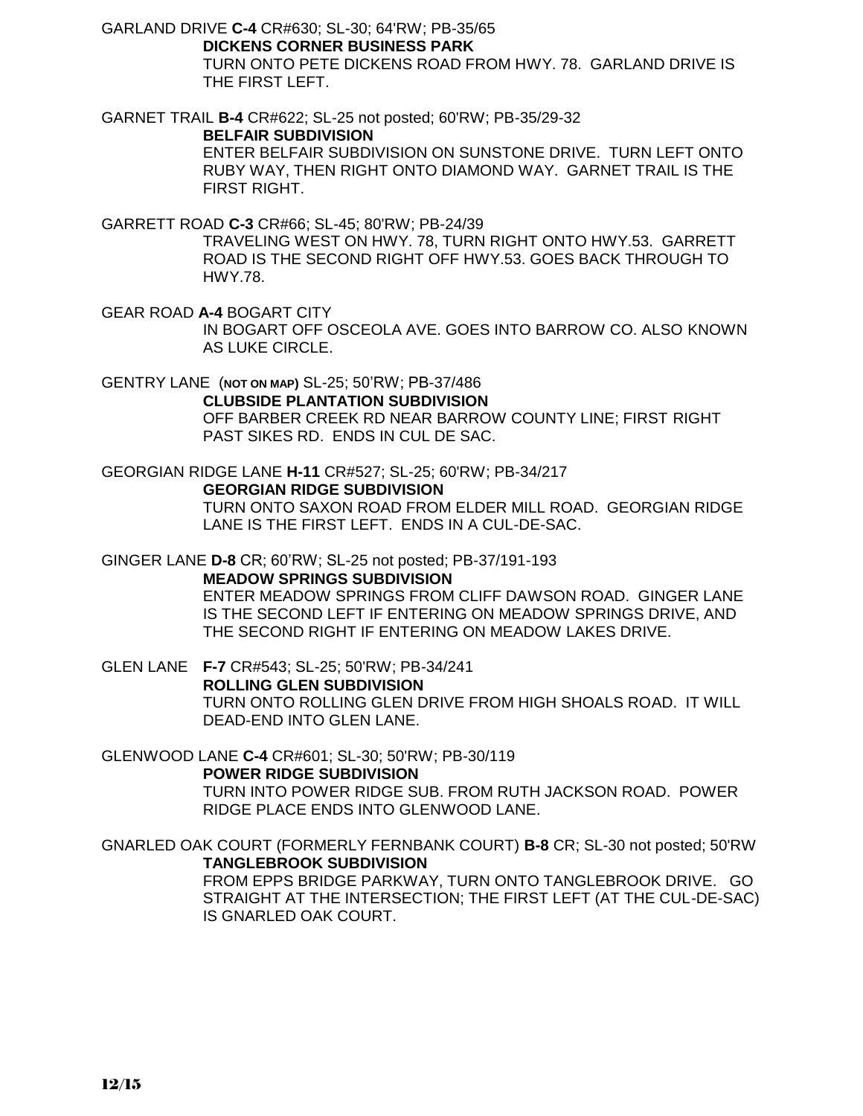GARLAND DRIVE **C-4** CR#630; SL-30; 64'RW; PB-35/65 **DICKENS CORNER BUSINESS PARK**

> TURN ONTO PETE DICKENS ROAD FROM HWY. 78. GARLAND DRIVE IS THE FIRST LEFT.

GARNET TRAIL **B-4** CR#622; SL-25 not posted; 60'RW; PB-35/29-32 **BELFAIR SUBDIVISION** ENTER BELFAIR SUBDIVISION ON SUNSTONE DRIVE. TURN LEFT ONTO

RUBY WAY, THEN RIGHT ONTO DIAMOND WAY. GARNET TRAIL IS THE FIRST RIGHT.

GARRETT ROAD **C-3** CR#66; SL-45; 80'RW; PB-24/39

TRAVELING WEST ON HWY. 78, TURN RIGHT ONTO HWY.53. GARRETT ROAD IS THE SECOND RIGHT OFF HWY.53. GOES BACK THROUGH TO HWY.78.

GEAR ROAD **A-4** BOGART CITY IN BOGART OFF OSCEOLA AVE. GOES INTO BARROW CO. ALSO KNOWN AS LUKE CIRCLE.

GENTRY LANE (**NOT ON MAP)** SL-25; 50'RW; PB-37/486 **CLUBSIDE PLANTATION SUBDIVISION** OFF BARBER CREEK RD NEAR BARROW COUNTY LINE; FIRST RIGHT PAST SIKES RD. ENDS IN CUL DE SAC.

GEORGIAN RIDGE LANE **H-11** CR#527; SL-25; 60'RW; PB-34/217

**GEORGIAN RIDGE SUBDIVISION**

TURN ONTO SAXON ROAD FROM ELDER MILL ROAD. GEORGIAN RIDGE LANE IS THE FIRST LEFT. ENDS IN A CUL-DE-SAC.

GINGER LANE **D-8** CR; 60'RW; SL-25 not posted; PB-37/191-193

**MEADOW SPRINGS SUBDIVISION**

ENTER MEADOW SPRINGS FROM CLIFF DAWSON ROAD. GINGER LANE IS THE SECOND LEFT IF ENTERING ON MEADOW SPRINGS DRIVE, AND THE SECOND RIGHT IF ENTERING ON MEADOW LAKES DRIVE.

GLEN LANE **F-7** CR#543; SL-25; 50'RW; PB-34/241 **ROLLING GLEN SUBDIVISION** TURN ONTO ROLLING GLEN DRIVE FROM HIGH SHOALS ROAD. IT WILL DEAD-END INTO GLEN LANE.

GLENWOOD LANE **C-4** CR#601; SL-30; 50'RW; PB-30/119 **POWER RIDGE SUBDIVISION**

TURN INTO POWER RIDGE SUB. FROM RUTH JACKSON ROAD. POWER RIDGE PLACE ENDS INTO GLENWOOD LANE.

GNARLED OAK COURT (FORMERLY FERNBANK COURT) **B-8** CR; SL-30 not posted; 50'RW **TANGLEBROOK SUBDIVISION**

FROM EPPS BRIDGE PARKWAY, TURN ONTO TANGLEBROOK DRIVE. GO STRAIGHT AT THE INTERSECTION; THE FIRST LEFT (AT THE CUL-DE-SAC) IS GNARLED OAK COURT.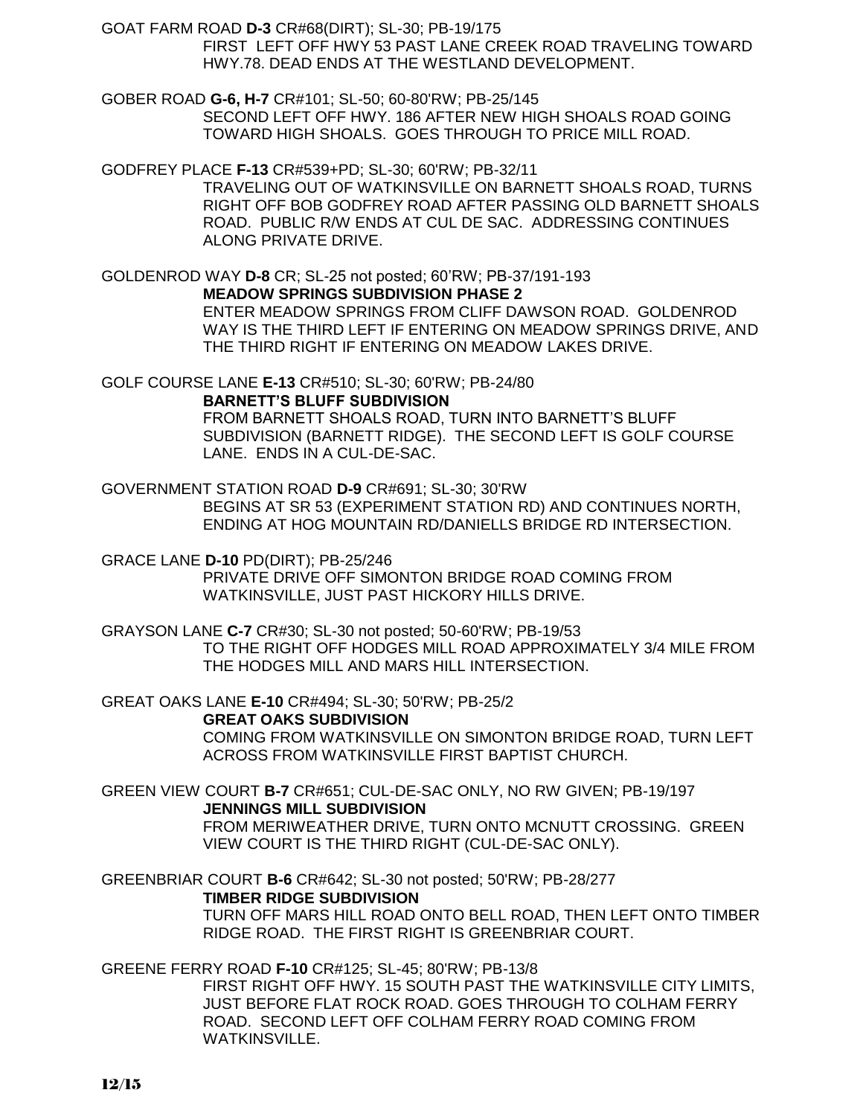GOAT FARM ROAD **D-3** CR#68(DIRT); SL-30; PB-19/175 FIRST LEFT OFF HWY 53 PAST LANE CREEK ROAD TRAVELING TOWARD HWY.78. DEAD ENDS AT THE WESTLAND DEVELOPMENT.

GOBER ROAD **G-6, H-7** CR#101; SL-50; 60-80'RW; PB-25/145 SECOND LEFT OFF HWY. 186 AFTER NEW HIGH SHOALS ROAD GOING TOWARD HIGH SHOALS. GOES THROUGH TO PRICE MILL ROAD.

GODFREY PLACE **F-13** CR#539+PD; SL-30; 60'RW; PB-32/11 TRAVELING OUT OF WATKINSVILLE ON BARNETT SHOALS ROAD, TURNS RIGHT OFF BOB GODFREY ROAD AFTER PASSING OLD BARNETT SHOALS ROAD. PUBLIC R/W ENDS AT CUL DE SAC. ADDRESSING CONTINUES ALONG PRIVATE DRIVE.

GOLDENROD WAY **D-8** CR; SL-25 not posted; 60'RW; PB-37/191-193 **MEADOW SPRINGS SUBDIVISION PHASE 2** ENTER MEADOW SPRINGS FROM CLIFF DAWSON ROAD. GOLDENROD WAY IS THE THIRD LEFT IF ENTERING ON MEADOW SPRINGS DRIVE, AND THE THIRD RIGHT IF ENTERING ON MEADOW LAKES DRIVE.

GOLF COURSE LANE **E-13** CR#510; SL-30; 60'RW; PB-24/80 **BARNETT'S BLUFF SUBDIVISION**

FROM BARNETT SHOALS ROAD, TURN INTO BARNETT'S BLUFF SUBDIVISION (BARNETT RIDGE). THE SECOND LEFT IS GOLF COURSE LANE. ENDS IN A CUL-DE-SAC.

GOVERNMENT STATION ROAD **D-9** CR#691; SL-30; 30'RW BEGINS AT SR 53 (EXPERIMENT STATION RD) AND CONTINUES NORTH, ENDING AT HOG MOUNTAIN RD/DANIELLS BRIDGE RD INTERSECTION.

GRACE LANE **D-10** PD(DIRT); PB-25/246 PRIVATE DRIVE OFF SIMONTON BRIDGE ROAD COMING FROM WATKINSVILLE, JUST PAST HICKORY HILLS DRIVE.

GRAYSON LANE **C-7** CR#30; SL-30 not posted; 50-60'RW; PB-19/53 TO THE RIGHT OFF HODGES MILL ROAD APPROXIMATELY 3/4 MILE FROM THE HODGES MILL AND MARS HILL INTERSECTION.

GREAT OAKS LANE **E-10** CR#494; SL-30; 50'RW; PB-25/2

**GREAT OAKS SUBDIVISION**

COMING FROM WATKINSVILLE ON SIMONTON BRIDGE ROAD, TURN LEFT ACROSS FROM WATKINSVILLE FIRST BAPTIST CHURCH.

GREEN VIEW COURT **B-7** CR#651; CUL-DE-SAC ONLY, NO RW GIVEN; PB-19/197 **JENNINGS MILL SUBDIVISION** FROM MERIWEATHER DRIVE, TURN ONTO MCNUTT CROSSING. GREEN VIEW COURT IS THE THIRD RIGHT (CUL-DE-SAC ONLY).

GREENBRIAR COURT **B-6** CR#642; SL-30 not posted; 50'RW; PB-28/277

### **TIMBER RIDGE SUBDIVISION**

TURN OFF MARS HILL ROAD ONTO BELL ROAD, THEN LEFT ONTO TIMBER RIDGE ROAD. THE FIRST RIGHT IS GREENBRIAR COURT.

GREENE FERRY ROAD **F-10** CR#125; SL-45; 80'RW; PB-13/8

FIRST RIGHT OFF HWY. 15 SOUTH PAST THE WATKINSVILLE CITY LIMITS, JUST BEFORE FLAT ROCK ROAD. GOES THROUGH TO COLHAM FERRY ROAD. SECOND LEFT OFF COLHAM FERRY ROAD COMING FROM WATKINSVILLE.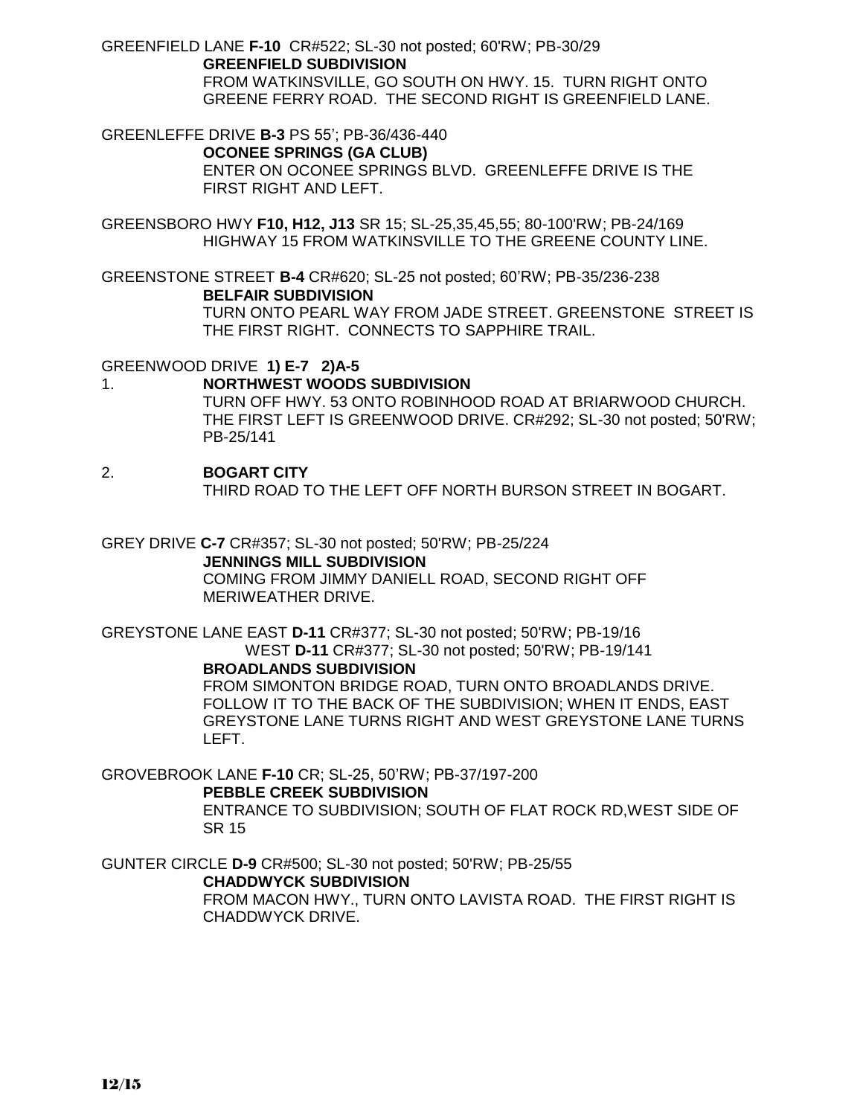GREENFIELD LANE **F-10** CR#522; SL-30 not posted; 60'RW; PB-30/29 **GREENFIELD SUBDIVISION** FROM WATKINSVILLE, GO SOUTH ON HWY. 15. TURN RIGHT ONTO GREENE FERRY ROAD. THE SECOND RIGHT IS GREENFIELD LANE.

GREENLEFFE DRIVE **B-3** PS 55'; PB-36/436-440 **OCONEE SPRINGS (GA CLUB)** ENTER ON OCONEE SPRINGS BLVD. GREENLEFFE DRIVE IS THE FIRST RIGHT AND LEFT.

GREENSBORO HWY **F10, H12, J13** SR 15; SL-25,35,45,55; 80-100'RW; PB-24/169 HIGHWAY 15 FROM WATKINSVILLE TO THE GREENE COUNTY LINE.

GREENSTONE STREET **B-4** CR#620; SL-25 not posted; 60'RW; PB-35/236-238 **BELFAIR SUBDIVISION** TURN ONTO PEARL WAY FROM JADE STREET. GREENSTONE STREET IS THE FIRST RIGHT. CONNECTS TO SAPPHIRE TRAIL.

GREENWOOD DRIVE **1) E-7 2)A-5**

1. **NORTHWEST WOODS SUBDIVISION** TURN OFF HWY. 53 ONTO ROBINHOOD ROAD AT BRIARWOOD CHURCH. THE FIRST LEFT IS GREENWOOD DRIVE. CR#292; SL-30 not posted; 50'RW; PB-25/141

#### 2. **BOGART CITY**

THIRD ROAD TO THE LEFT OFF NORTH BURSON STREET IN BOGART.

GREY DRIVE **C-7** CR#357; SL-30 not posted; 50'RW; PB-25/224 **JENNINGS MILL SUBDIVISION** COMING FROM JIMMY DANIELL ROAD, SECOND RIGHT OFF MERIWEATHER DRIVE.

GREYSTONE LANE EAST **D-11** CR#377; SL-30 not posted; 50'RW; PB-19/16 WEST **D-11** CR#377; SL-30 not posted; 50'RW; PB-19/141 **BROADLANDS SUBDIVISION**

FROM SIMONTON BRIDGE ROAD, TURN ONTO BROADLANDS DRIVE. FOLLOW IT TO THE BACK OF THE SUBDIVISION; WHEN IT ENDS, EAST GREYSTONE LANE TURNS RIGHT AND WEST GREYSTONE LANE TURNS LEFT.

GROVEBROOK LANE **F-10** CR; SL-25, 50'RW; PB-37/197-200 **PEBBLE CREEK SUBDIVISION**

ENTRANCE TO SUBDIVISION; SOUTH OF FLAT ROCK RD,WEST SIDE OF SR 15

GUNTER CIRCLE **D-9** CR#500; SL-30 not posted; 50'RW; PB-25/55 **CHADDWYCK SUBDIVISION** FROM MACON HWY., TURN ONTO LAVISTA ROAD. THE FIRST RIGHT IS CHADDWYCK DRIVE.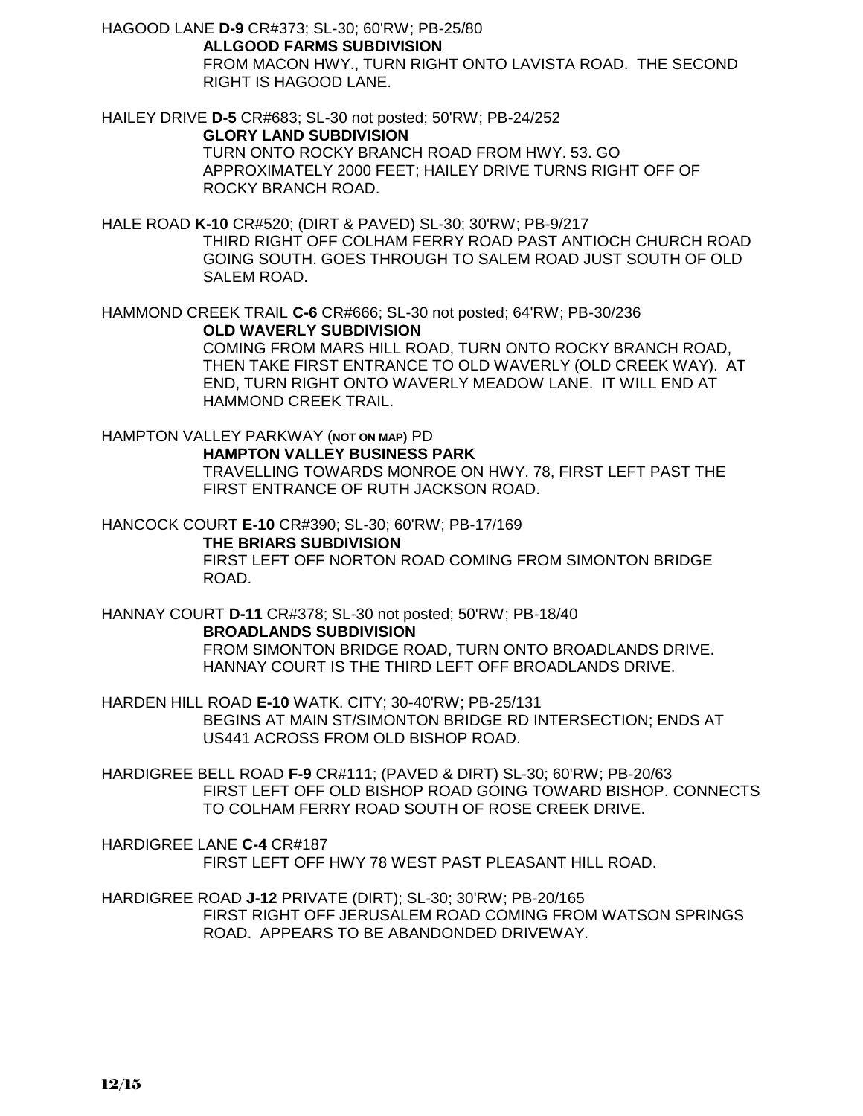HAGOOD LANE **D-9** CR#373; SL-30; 60'RW; PB-25/80 **ALLGOOD FARMS SUBDIVISION** FROM MACON HWY., TURN RIGHT ONTO LAVISTA ROAD. THE SECOND RIGHT IS HAGOOD LANE.

HAILEY DRIVE **D-5** CR#683; SL-30 not posted; 50'RW; PB-24/252 **GLORY LAND SUBDIVISION** TURN ONTO ROCKY BRANCH ROAD FROM HWY. 53. GO APPROXIMATELY 2000 FEET; HAILEY DRIVE TURNS RIGHT OFF OF ROCKY BRANCH ROAD.

HALE ROAD **K-10** CR#520; (DIRT & PAVED) SL-30; 30'RW; PB-9/217 THIRD RIGHT OFF COLHAM FERRY ROAD PAST ANTIOCH CHURCH ROAD GOING SOUTH. GOES THROUGH TO SALEM ROAD JUST SOUTH OF OLD SALEM ROAD.

HAMMOND CREEK TRAIL **C-6** CR#666; SL-30 not posted; 64'RW; PB-30/236 **OLD WAVERLY SUBDIVISION**

COMING FROM MARS HILL ROAD, TURN ONTO ROCKY BRANCH ROAD, THEN TAKE FIRST ENTRANCE TO OLD WAVERLY (OLD CREEK WAY). AT END, TURN RIGHT ONTO WAVERLY MEADOW LANE. IT WILL END AT HAMMOND CREEK TRAIL.

HAMPTON VALLEY PARKWAY (**NOT ON MAP)** PD **HAMPTON VALLEY BUSINESS PARK** TRAVELLING TOWARDS MONROE ON HWY. 78, FIRST LEFT PAST THE FIRST ENTRANCE OF RUTH JACKSON ROAD.

HANCOCK COURT **E-10** CR#390; SL-30; 60'RW; PB-17/169 **THE BRIARS SUBDIVISION** FIRST LEFT OFF NORTON ROAD COMING FROM SIMONTON BRIDGE ROAD.

HANNAY COURT **D-11** CR#378; SL-30 not posted; 50'RW; PB-18/40 **BROADLANDS SUBDIVISION** FROM SIMONTON BRIDGE ROAD, TURN ONTO BROADLANDS DRIVE. HANNAY COURT IS THE THIRD LEFT OFF BROADLANDS DRIVE.

HARDEN HILL ROAD **E-10** WATK. CITY; 30-40'RW; PB-25/131 BEGINS AT MAIN ST/SIMONTON BRIDGE RD INTERSECTION; ENDS AT US441 ACROSS FROM OLD BISHOP ROAD.

HARDIGREE BELL ROAD **F-9** CR#111; (PAVED & DIRT) SL-30; 60'RW; PB-20/63 FIRST LEFT OFF OLD BISHOP ROAD GOING TOWARD BISHOP. CONNECTS TO COLHAM FERRY ROAD SOUTH OF ROSE CREEK DRIVE.

HARDIGREE LANE **C-4** CR#187 FIRST LEFT OFF HWY 78 WEST PAST PLEASANT HILL ROAD.

HARDIGREE ROAD **J-12** PRIVATE (DIRT); SL-30; 30'RW; PB-20/165 FIRST RIGHT OFF JERUSALEM ROAD COMING FROM WATSON SPRINGS ROAD. APPEARS TO BE ABANDONDED DRIVEWAY.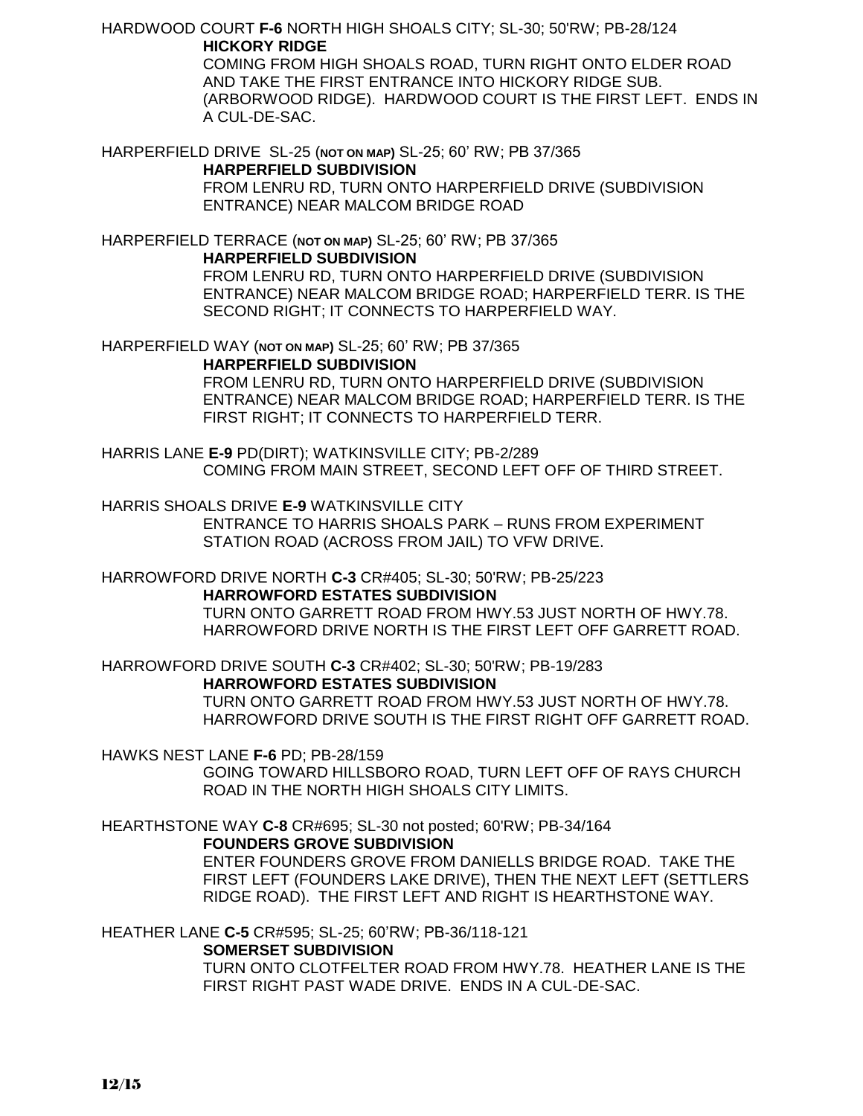HARDWOOD COURT **F-6** NORTH HIGH SHOALS CITY; SL-30; 50'RW; PB-28/124 **HICKORY RIDGE**

> COMING FROM HIGH SHOALS ROAD, TURN RIGHT ONTO ELDER ROAD AND TAKE THE FIRST ENTRANCE INTO HICKORY RIDGE SUB. (ARBORWOOD RIDGE). HARDWOOD COURT IS THE FIRST LEFT. ENDS IN A CUL-DE-SAC.

HARPERFIELD DRIVE SL-25 (**NOT ON MAP)** SL-25; 60' RW; PB 37/365 **HARPERFIELD SUBDIVISION** FROM LENRU RD, TURN ONTO HARPERFIELD DRIVE (SUBDIVISION ENTRANCE) NEAR MALCOM BRIDGE ROAD

HARPERFIELD TERRACE (**NOT ON MAP)** SL-25; 60' RW; PB 37/365 **HARPERFIELD SUBDIVISION**

FROM LENRU RD, TURN ONTO HARPERFIELD DRIVE (SUBDIVISION ENTRANCE) NEAR MALCOM BRIDGE ROAD; HARPERFIELD TERR. IS THE SECOND RIGHT; IT CONNECTS TO HARPERFIELD WAY.

HARPERFIELD WAY (**NOT ON MAP)** SL-25; 60' RW; PB 37/365

**HARPERFIELD SUBDIVISION**

FROM LENRU RD, TURN ONTO HARPERFIELD DRIVE (SUBDIVISION ENTRANCE) NEAR MALCOM BRIDGE ROAD; HARPERFIELD TERR. IS THE FIRST RIGHT; IT CONNECTS TO HARPERFIELD TERR.

HARRIS LANE **E-9** PD(DIRT); WATKINSVILLE CITY; PB-2/289 COMING FROM MAIN STREET, SECOND LEFT OFF OF THIRD STREET.

HARRIS SHOALS DRIVE **E-9** WATKINSVILLE CITY

ENTRANCE TO HARRIS SHOALS PARK – RUNS FROM EXPERIMENT STATION ROAD (ACROSS FROM JAIL) TO VFW DRIVE.

HARROWFORD DRIVE NORTH **C-3** CR#405; SL-30; 50'RW; PB-25/223

**HARROWFORD ESTATES SUBDIVISION** TURN ONTO GARRETT ROAD FROM HWY.53 JUST NORTH OF HWY.78. HARROWFORD DRIVE NORTH IS THE FIRST LEFT OFF GARRETT ROAD.

HARROWFORD DRIVE SOUTH **C-3** CR#402; SL-30; 50'RW; PB-19/283 **HARROWFORD ESTATES SUBDIVISION** TURN ONTO GARRETT ROAD FROM HWY.53 JUST NORTH OF HWY.78. HARROWFORD DRIVE SOUTH IS THE FIRST RIGHT OFF GARRETT ROAD.

HAWKS NEST LANE **F-6** PD; PB-28/159

GOING TOWARD HILLSBORO ROAD, TURN LEFT OFF OF RAYS CHURCH ROAD IN THE NORTH HIGH SHOALS CITY LIMITS.

HEARTHSTONE WAY **C-8** CR#695; SL-30 not posted; 60'RW; PB-34/164 **FOUNDERS GROVE SUBDIVISION**

> ENTER FOUNDERS GROVE FROM DANIELLS BRIDGE ROAD. TAKE THE FIRST LEFT (FOUNDERS LAKE DRIVE), THEN THE NEXT LEFT (SETTLERS RIDGE ROAD). THE FIRST LEFT AND RIGHT IS HEARTHSTONE WAY.

HEATHER LANE **C-5** CR#595; SL-25; 60'RW; PB-36/118-121

**SOMERSET SUBDIVISION**

TURN ONTO CLOTFELTER ROAD FROM HWY.78. HEATHER LANE IS THE FIRST RIGHT PAST WADE DRIVE. ENDS IN A CUL-DE-SAC.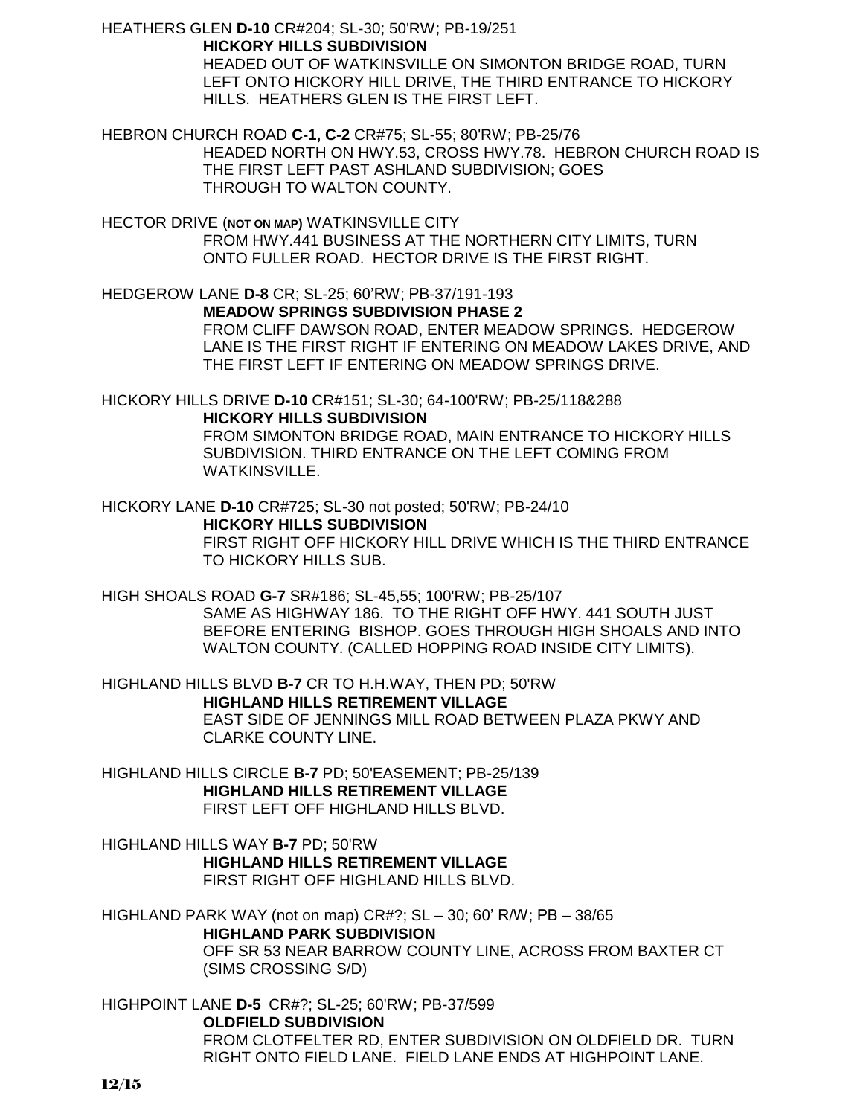HEATHERS GLEN **D-10** CR#204; SL-30; 50'RW; PB-19/251 **HICKORY HILLS SUBDIVISION**

HEADED OUT OF WATKINSVILLE ON SIMONTON BRIDGE ROAD, TURN LEFT ONTO HICKORY HILL DRIVE, THE THIRD ENTRANCE TO HICKORY HILLS. HEATHERS GLEN IS THE FIRST LEFT.

HEBRON CHURCH ROAD **C-1, C-2** CR#75; SL-55; 80'RW; PB-25/76

HEADED NORTH ON HWY.53, CROSS HWY.78. HEBRON CHURCH ROAD IS THE FIRST LEFT PAST ASHLAND SUBDIVISION; GOES THROUGH TO WALTON COUNTY.

HECTOR DRIVE (**NOT ON MAP)** WATKINSVILLE CITY FROM HWY.441 BUSINESS AT THE NORTHERN CITY LIMITS, TURN ONTO FULLER ROAD. HECTOR DRIVE IS THE FIRST RIGHT.

HEDGEROW LANE **D-8** CR; SL-25; 60'RW; PB-37/191-193 **MEADOW SPRINGS SUBDIVISION PHASE 2** FROM CLIFF DAWSON ROAD, ENTER MEADOW SPRINGS. HEDGEROW LANE IS THE FIRST RIGHT IF ENTERING ON MEADOW LAKES DRIVE, AND THE FIRST LEFT IF ENTERING ON MEADOW SPRINGS DRIVE.

HICKORY HILLS DRIVE **D-10** CR#151; SL-30; 64-100'RW; PB-25/118&288 **HICKORY HILLS SUBDIVISION** FROM SIMONTON BRIDGE ROAD, MAIN ENTRANCE TO HICKORY HILLS

SUBDIVISION. THIRD ENTRANCE ON THE LEFT COMING FROM WATKINSVILLE.

HICKORY LANE **D-10** CR#725; SL-30 not posted; 50'RW; PB-24/10 **HICKORY HILLS SUBDIVISION**

> FIRST RIGHT OFF HICKORY HILL DRIVE WHICH IS THE THIRD ENTRANCE TO HICKORY HILLS SUB.

HIGH SHOALS ROAD **G-7** SR#186; SL-45,55; 100'RW; PB-25/107 SAME AS HIGHWAY 186. TO THE RIGHT OFF HWY. 441 SOUTH JUST BEFORE ENTERING BISHOP. GOES THROUGH HIGH SHOALS AND INTO WALTON COUNTY. (CALLED HOPPING ROAD INSIDE CITY LIMITS).

HIGHLAND HILLS BLVD **B-7** CR TO H.H.WAY, THEN PD; 50'RW **HIGHLAND HILLS RETIREMENT VILLAGE**  EAST SIDE OF JENNINGS MILL ROAD BETWEEN PLAZA PKWY AND CLARKE COUNTY LINE.

HIGHLAND HILLS CIRCLE **B-7** PD; 50'EASEMENT; PB-25/139 **HIGHLAND HILLS RETIREMENT VILLAGE** FIRST LEFT OFF HIGHLAND HILLS BLVD.

HIGHLAND HILLS WAY **B-7** PD; 50'RW **HIGHLAND HILLS RETIREMENT VILLAGE** FIRST RIGHT OFF HIGHLAND HILLS BLVD.

HIGHLAND PARK WAY (not on map) CR#?; SL – 30; 60' R/W; PB – 38/65 **HIGHLAND PARK SUBDIVISION** OFF SR 53 NEAR BARROW COUNTY LINE, ACROSS FROM BAXTER CT (SIMS CROSSING S/D)

HIGHPOINT LANE **D-5** CR#?; SL-25; 60'RW; PB-37/599 **OLDFIELD SUBDIVISION** FROM CLOTFELTER RD, ENTER SUBDIVISION ON OLDFIELD DR. TURN RIGHT ONTO FIELD LANE. FIELD LANE ENDS AT HIGHPOINT LANE.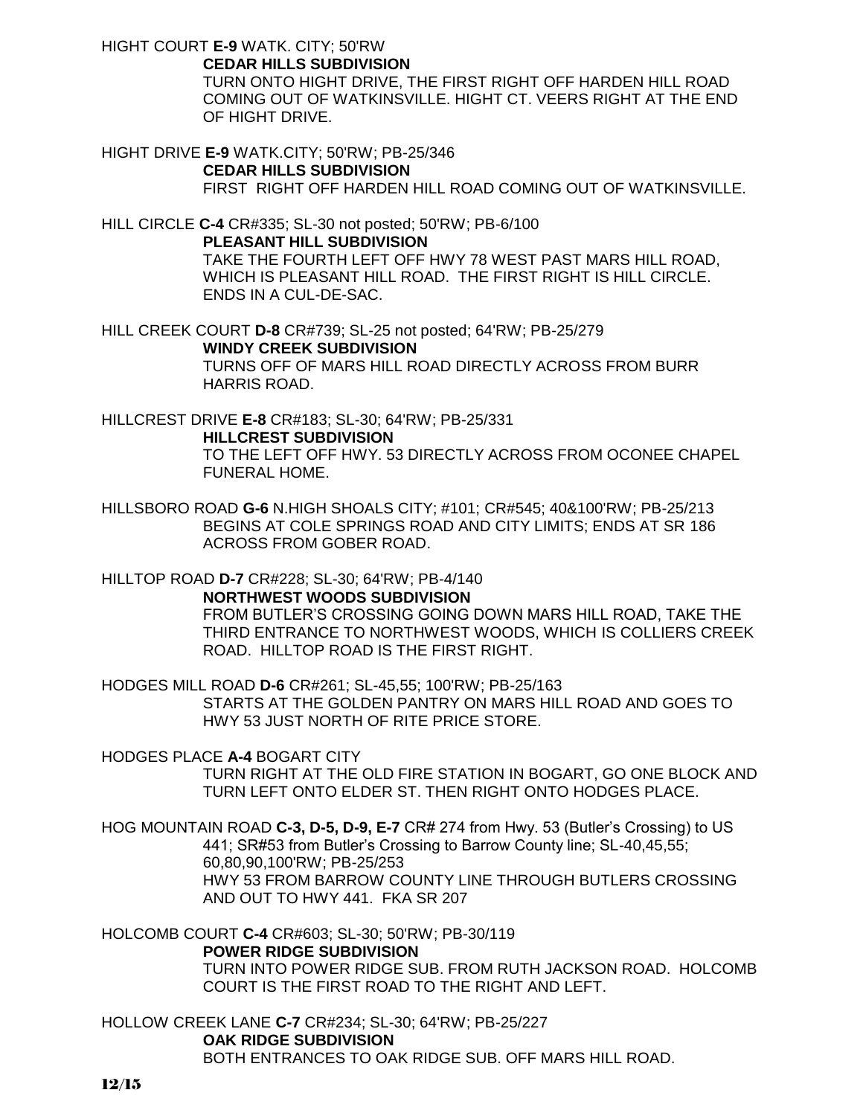HIGHT COURT **E-9** WATK. CITY; 50'RW

**CEDAR HILLS SUBDIVISION**

TURN ONTO HIGHT DRIVE, THE FIRST RIGHT OFF HARDEN HILL ROAD COMING OUT OF WATKINSVILLE. HIGHT CT. VEERS RIGHT AT THE END OF HIGHT DRIVE.

HIGHT DRIVE **E-9** WATK.CITY; 50'RW; PB-25/346 **CEDAR HILLS SUBDIVISION** FIRST RIGHT OFF HARDEN HILL ROAD COMING OUT OF WATKINSVILLE.

HILL CIRCLE **C-4** CR#335; SL-30 not posted; 50'RW; PB-6/100 **PLEASANT HILL SUBDIVISION** TAKE THE FOURTH LEFT OFF HWY 78 WEST PAST MARS HILL ROAD, WHICH IS PLEASANT HILL ROAD. THE FIRST RIGHT IS HILL CIRCLE. ENDS IN A CUL-DE-SAC.

HILL CREEK COURT **D-8** CR#739; SL-25 not posted; 64'RW; PB-25/279 **WINDY CREEK SUBDIVISION** TURNS OFF OF MARS HILL ROAD DIRECTLY ACROSS FROM BURR HARRIS ROAD.

HILLCREST DRIVE **E-8** CR#183; SL-30; 64'RW; PB-25/331 **HILLCREST SUBDIVISION**

TO THE LEFT OFF HWY. 53 DIRECTLY ACROSS FROM OCONEE CHAPEL FUNERAL HOME.

HILLSBORO ROAD **G-6** N.HIGH SHOALS CITY; #101; CR#545; 40&100'RW; PB-25/213 BEGINS AT COLE SPRINGS ROAD AND CITY LIMITS; ENDS AT SR 186 ACROSS FROM GOBER ROAD.

HILLTOP ROAD **D-7** CR#228; SL-30; 64'RW; PB-4/140

**NORTHWEST WOODS SUBDIVISION**

FROM BUTLER'S CROSSING GOING DOWN MARS HILL ROAD, TAKE THE THIRD ENTRANCE TO NORTHWEST WOODS, WHICH IS COLLIERS CREEK ROAD. HILLTOP ROAD IS THE FIRST RIGHT.

HODGES MILL ROAD **D-6** CR#261; SL-45,55; 100'RW; PB-25/163 STARTS AT THE GOLDEN PANTRY ON MARS HILL ROAD AND GOES TO HWY 53 JUST NORTH OF RITE PRICE STORE.

HODGES PLACE **A-4** BOGART CITY

TURN RIGHT AT THE OLD FIRE STATION IN BOGART, GO ONE BLOCK AND TURN LEFT ONTO ELDER ST. THEN RIGHT ONTO HODGES PLACE.

HOG MOUNTAIN ROAD **C-3, D-5, D-9, E-7** CR# 274 from Hwy. 53 (Butler's Crossing) to US 441; SR#53 from Butler's Crossing to Barrow County line; SL-40,45,55; 60,80,90,100'RW; PB-25/253 HWY 53 FROM BARROW COUNTY LINE THROUGH BUTLERS CROSSING AND OUT TO HWY 441. FKA SR 207

HOLCOMB COURT **C-4** CR#603; SL-30; 50'RW; PB-30/119

## **POWER RIDGE SUBDIVISION**

TURN INTO POWER RIDGE SUB. FROM RUTH JACKSON ROAD. HOLCOMB COURT IS THE FIRST ROAD TO THE RIGHT AND LEFT.

HOLLOW CREEK LANE **C-7** CR#234; SL-30; 64'RW; PB-25/227 **OAK RIDGE SUBDIVISION** BOTH ENTRANCES TO OAK RIDGE SUB. OFF MARS HILL ROAD.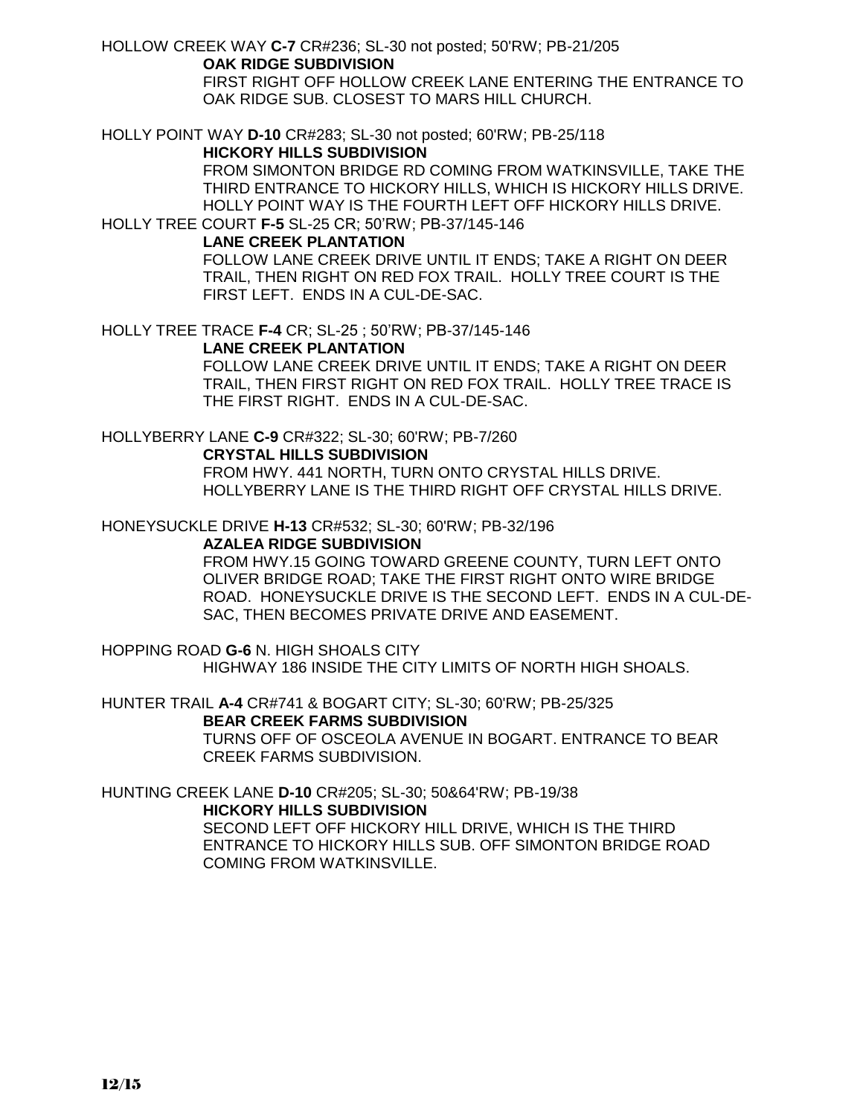HOLLOW CREEK WAY **C-7** CR#236; SL-30 not posted; 50'RW; PB-21/205

#### **OAK RIDGE SUBDIVISION**

FIRST RIGHT OFF HOLLOW CREEK LANE ENTERING THE ENTRANCE TO OAK RIDGE SUB. CLOSEST TO MARS HILL CHURCH.

HOLLY POINT WAY **D-10** CR#283; SL-30 not posted; 60'RW; PB-25/118

## **HICKORY HILLS SUBDIVISION**

FROM SIMONTON BRIDGE RD COMING FROM WATKINSVILLE, TAKE THE THIRD ENTRANCE TO HICKORY HILLS, WHICH IS HICKORY HILLS DRIVE. HOLLY POINT WAY IS THE FOURTH LEFT OFF HICKORY HILLS DRIVE.

# HOLLY TREE COURT **F-5** SL-25 CR; 50'RW; PB-37/145-146

## **LANE CREEK PLANTATION**

FOLLOW LANE CREEK DRIVE UNTIL IT ENDS; TAKE A RIGHT ON DEER TRAIL, THEN RIGHT ON RED FOX TRAIL. HOLLY TREE COURT IS THE FIRST LEFT. ENDS IN A CUL-DE-SAC.

HOLLY TREE TRACE **F-4** CR; SL-25 ; 50'RW; PB-37/145-146

## **LANE CREEK PLANTATION**

FOLLOW LANE CREEK DRIVE UNTIL IT ENDS; TAKE A RIGHT ON DEER TRAIL, THEN FIRST RIGHT ON RED FOX TRAIL. HOLLY TREE TRACE IS THE FIRST RIGHT. ENDS IN A CUL-DE-SAC.

## HOLLYBERRY LANE **C-9** CR#322; SL-30; 60'RW; PB-7/260

## **CRYSTAL HILLS SUBDIVISION**

FROM HWY. 441 NORTH, TURN ONTO CRYSTAL HILLS DRIVE. HOLLYBERRY LANE IS THE THIRD RIGHT OFF CRYSTAL HILLS DRIVE.

## HONEYSUCKLE DRIVE **H-13** CR#532; SL-30; 60'RW; PB-32/196

## **AZALEA RIDGE SUBDIVISION**

FROM HWY.15 GOING TOWARD GREENE COUNTY, TURN LEFT ONTO OLIVER BRIDGE ROAD; TAKE THE FIRST RIGHT ONTO WIRE BRIDGE ROAD. HONEYSUCKLE DRIVE IS THE SECOND LEFT. ENDS IN A CUL-DE-SAC, THEN BECOMES PRIVATE DRIVE AND EASEMENT.

HOPPING ROAD **G-6** N. HIGH SHOALS CITY HIGHWAY 186 INSIDE THE CITY LIMITS OF NORTH HIGH SHOALS.

HUNTER TRAIL **A-4** CR#741 & BOGART CITY; SL-30; 60'RW; PB-25/325 **BEAR CREEK FARMS SUBDIVISION**

TURNS OFF OF OSCEOLA AVENUE IN BOGART. ENTRANCE TO BEAR CREEK FARMS SUBDIVISION.

## HUNTING CREEK LANE **D-10** CR#205; SL-30; 50&64'RW; PB-19/38

## **HICKORY HILLS SUBDIVISION**

SECOND LEFT OFF HICKORY HILL DRIVE, WHICH IS THE THIRD ENTRANCE TO HICKORY HILLS SUB. OFF SIMONTON BRIDGE ROAD COMING FROM WATKINSVILLE.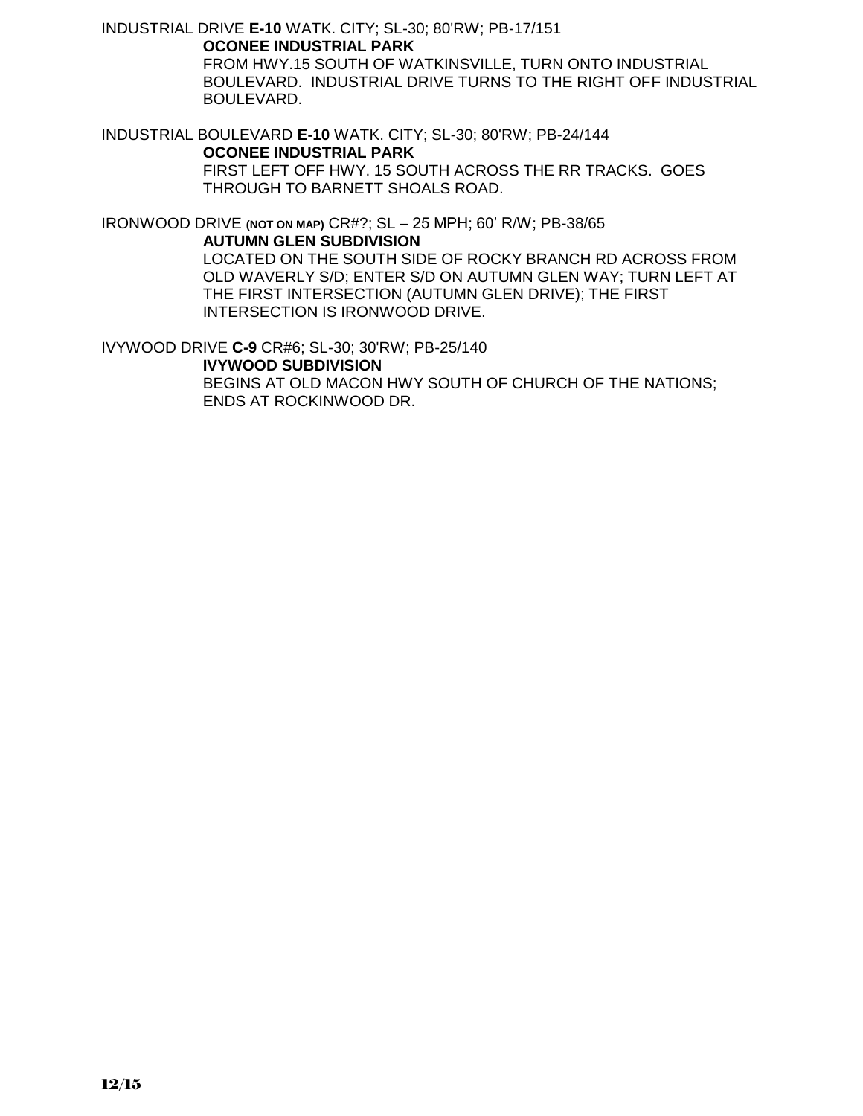INDUSTRIAL DRIVE **E-10** WATK. CITY; SL-30; 80'RW; PB-17/151 **OCONEE INDUSTRIAL PARK**

> FROM HWY.15 SOUTH OF WATKINSVILLE, TURN ONTO INDUSTRIAL BOULEVARD. INDUSTRIAL DRIVE TURNS TO THE RIGHT OFF INDUSTRIAL BOULEVARD.

INDUSTRIAL BOULEVARD **E-10** WATK. CITY; SL-30; 80'RW; PB-24/144 **OCONEE INDUSTRIAL PARK** FIRST LEFT OFF HWY. 15 SOUTH ACROSS THE RR TRACKS. GOES THROUGH TO BARNETT SHOALS ROAD.

IRONWOOD DRIVE **(NOT ON MAP)** CR#?; SL – 25 MPH; 60' R/W; PB-38/65 **AUTUMN GLEN SUBDIVISION**

LOCATED ON THE SOUTH SIDE OF ROCKY BRANCH RD ACROSS FROM OLD WAVERLY S/D; ENTER S/D ON AUTUMN GLEN WAY; TURN LEFT AT THE FIRST INTERSECTION (AUTUMN GLEN DRIVE); THE FIRST INTERSECTION IS IRONWOOD DRIVE.

IVYWOOD DRIVE **C-9** CR#6; SL-30; 30'RW; PB-25/140

**IVYWOOD SUBDIVISION**

BEGINS AT OLD MACON HWY SOUTH OF CHURCH OF THE NATIONS; ENDS AT ROCKINWOOD DR.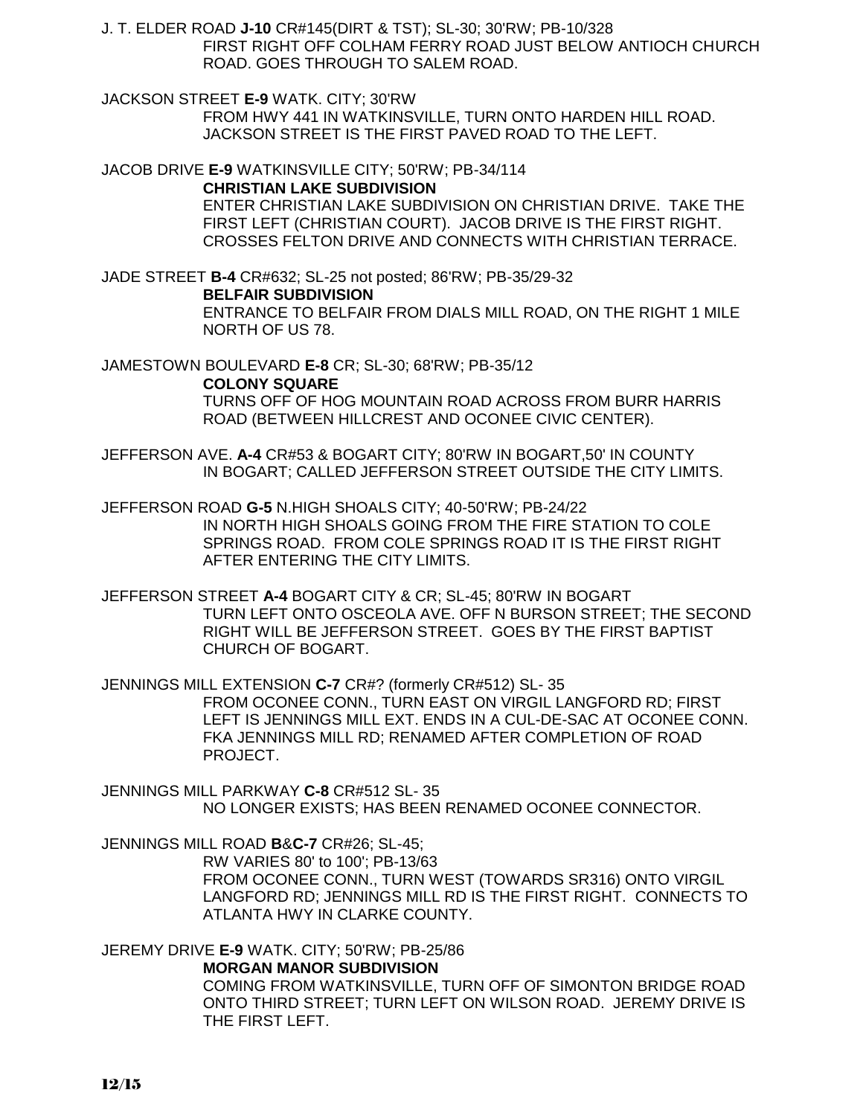J. T. ELDER ROAD **J-10** CR#145(DIRT & TST); SL-30; 30'RW; PB-10/328 FIRST RIGHT OFF COLHAM FERRY ROAD JUST BELOW ANTIOCH CHURCH ROAD. GOES THROUGH TO SALEM ROAD.

JACKSON STREET **E-9** WATK. CITY; 30'RW FROM HWY 441 IN WATKINSVILLE, TURN ONTO HARDEN HILL ROAD. JACKSON STREET IS THE FIRST PAVED ROAD TO THE LEFT.

JACOB DRIVE **E-9** WATKINSVILLE CITY; 50'RW; PB-34/114 **CHRISTIAN LAKE SUBDIVISION**

ENTER CHRISTIAN LAKE SUBDIVISION ON CHRISTIAN DRIVE. TAKE THE FIRST LEFT (CHRISTIAN COURT). JACOB DRIVE IS THE FIRST RIGHT. CROSSES FELTON DRIVE AND CONNECTS WITH CHRISTIAN TERRACE.

JADE STREET **B-4** CR#632; SL-25 not posted; 86'RW; PB-35/29-32

**BELFAIR SUBDIVISION**

ENTRANCE TO BELFAIR FROM DIALS MILL ROAD, ON THE RIGHT 1 MILE NORTH OF US 78.

JAMESTOWN BOULEVARD **E-8** CR; SL-30; 68'RW; PB-35/12

**COLONY SQUARE** 

TURNS OFF OF HOG MOUNTAIN ROAD ACROSS FROM BURR HARRIS ROAD (BETWEEN HILLCREST AND OCONEE CIVIC CENTER).

JEFFERSON AVE. **A-4** CR#53 & BOGART CITY; 80'RW IN BOGART,50' IN COUNTY IN BOGART; CALLED JEFFERSON STREET OUTSIDE THE CITY LIMITS.

JEFFERSON ROAD **G-5** N.HIGH SHOALS CITY; 40-50'RW; PB-24/22 IN NORTH HIGH SHOALS GOING FROM THE FIRE STATION TO COLE SPRINGS ROAD. FROM COLE SPRINGS ROAD IT IS THE FIRST RIGHT AFTER ENTERING THE CITY LIMITS.

JEFFERSON STREET **A-4** BOGART CITY & CR; SL-45; 80'RW IN BOGART TURN LEFT ONTO OSCEOLA AVE. OFF N BURSON STREET; THE SECOND RIGHT WILL BE JEFFERSON STREET. GOES BY THE FIRST BAPTIST CHURCH OF BOGART.

JENNINGS MILL EXTENSION **C-7** CR#? (formerly CR#512) SL- 35 FROM OCONEE CONN., TURN EAST ON VIRGIL LANGFORD RD; FIRST LEFT IS JENNINGS MILL EXT. ENDS IN A CUL-DE-SAC AT OCONEE CONN. FKA JENNINGS MILL RD; RENAMED AFTER COMPLETION OF ROAD PROJECT.

JENNINGS MILL PARKWAY **C-8** CR#512 SL- 35 NO LONGER EXISTS; HAS BEEN RENAMED OCONEE CONNECTOR.

JENNINGS MILL ROAD **B**&**C-7** CR#26; SL-45; RW VARIES 80' to 100'; PB-13/63 FROM OCONEE CONN., TURN WEST (TOWARDS SR316) ONTO VIRGIL LANGFORD RD; JENNINGS MILL RD IS THE FIRST RIGHT. CONNECTS TO ATLANTA HWY IN CLARKE COUNTY.

JEREMY DRIVE **E-9** WATK. CITY; 50'RW; PB-25/86

**MORGAN MANOR SUBDIVISION**

COMING FROM WATKINSVILLE, TURN OFF OF SIMONTON BRIDGE ROAD ONTO THIRD STREET; TURN LEFT ON WILSON ROAD. JEREMY DRIVE IS THE FIRST LEFT.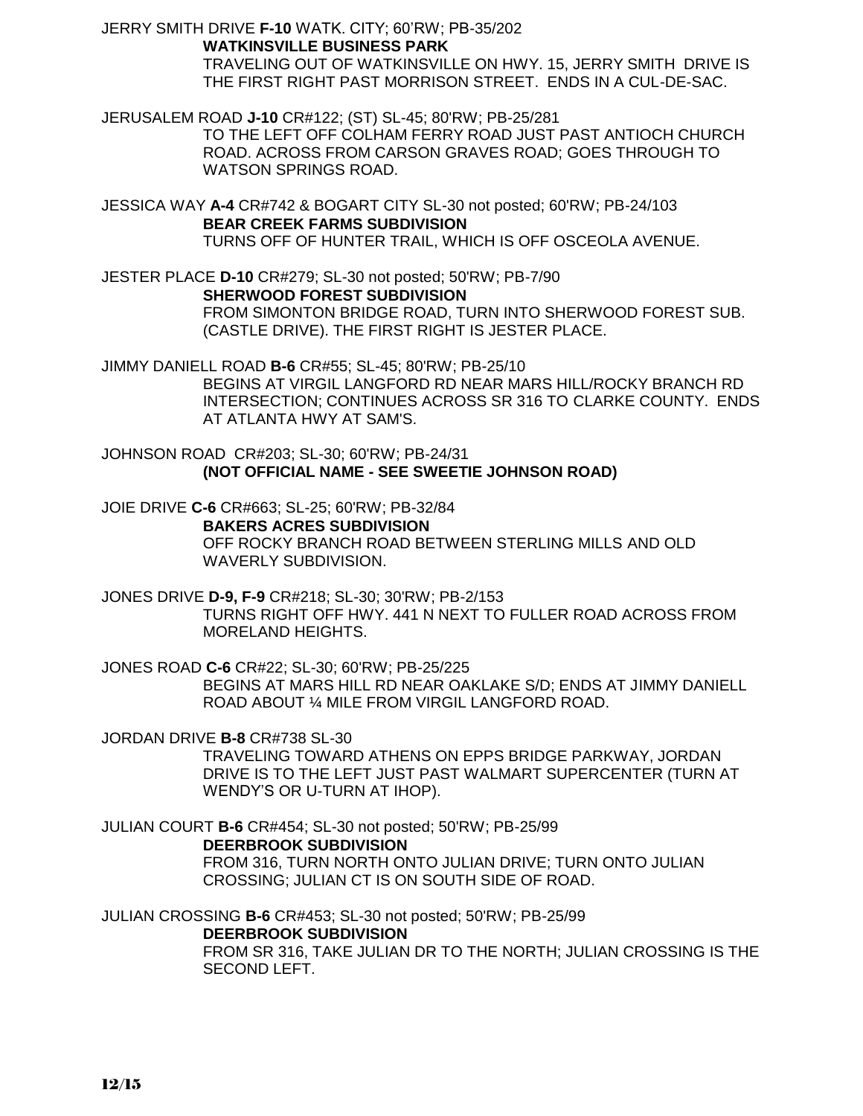JERRY SMITH DRIVE **F-10** WATK. CITY; 60'RW; PB-35/202 **WATKINSVILLE BUSINESS PARK** TRAVELING OUT OF WATKINSVILLE ON HWY. 15, JERRY SMITH DRIVE IS THE FIRST RIGHT PAST MORRISON STREET. ENDS IN A CUL-DE-SAC.

JERUSALEM ROAD **J-10** CR#122; (ST) SL-45; 80'RW; PB-25/281 TO THE LEFT OFF COLHAM FERRY ROAD JUST PAST ANTIOCH CHURCH ROAD. ACROSS FROM CARSON GRAVES ROAD; GOES THROUGH TO WATSON SPRINGS ROAD.

JESSICA WAY **A-4** CR#742 & BOGART CITY SL-30 not posted; 60'RW; PB-24/103 **BEAR CREEK FARMS SUBDIVISION** TURNS OFF OF HUNTER TRAIL, WHICH IS OFF OSCEOLA AVENUE.

JESTER PLACE **D-10** CR#279; SL-30 not posted; 50'RW; PB-7/90 **SHERWOOD FOREST SUBDIVISION** FROM SIMONTON BRIDGE ROAD, TURN INTO SHERWOOD FOREST SUB. (CASTLE DRIVE). THE FIRST RIGHT IS JESTER PLACE.

JIMMY DANIELL ROAD **B-6** CR#55; SL-45; 80'RW; PB-25/10 BEGINS AT VIRGIL LANGFORD RD NEAR MARS HILL/ROCKY BRANCH RD INTERSECTION; CONTINUES ACROSS SR 316 TO CLARKE COUNTY. ENDS AT ATLANTA HWY AT SAM'S.

JOHNSON ROAD CR#203; SL-30; 60'RW; PB-24/31 **(NOT OFFICIAL NAME - SEE SWEETIE JOHNSON ROAD)**

JOIE DRIVE **C-6** CR#663; SL-25; 60'RW; PB-32/84 **BAKERS ACRES SUBDIVISION** OFF ROCKY BRANCH ROAD BETWEEN STERLING MILLS AND OLD WAVERLY SUBDIVISION.

JONES DRIVE **D-9, F-9** CR#218; SL-30; 30'RW; PB-2/153 TURNS RIGHT OFF HWY. 441 N NEXT TO FULLER ROAD ACROSS FROM MORELAND HEIGHTS.

JONES ROAD **C-6** CR#22; SL-30; 60'RW; PB-25/225 BEGINS AT MARS HILL RD NEAR OAKLAKE S/D; ENDS AT JIMMY DANIELL ROAD ABOUT ¼ MILE FROM VIRGIL LANGFORD ROAD.

JORDAN DRIVE **B-8** CR#738 SL-30

TRAVELING TOWARD ATHENS ON EPPS BRIDGE PARKWAY, JORDAN DRIVE IS TO THE LEFT JUST PAST WALMART SUPERCENTER (TURN AT WENDY'S OR U-TURN AT IHOP).

JULIAN COURT **B-6** CR#454; SL-30 not posted; 50'RW; PB-25/99 **DEERBROOK SUBDIVISION** FROM 316, TURN NORTH ONTO JULIAN DRIVE; TURN ONTO JULIAN CROSSING; JULIAN CT IS ON SOUTH SIDE OF ROAD.

JULIAN CROSSING **B-6** CR#453; SL-30 not posted; 50'RW; PB-25/99 **DEERBROOK SUBDIVISION** FROM SR 316, TAKE JULIAN DR TO THE NORTH; JULIAN CROSSING IS THE SECOND LEFT.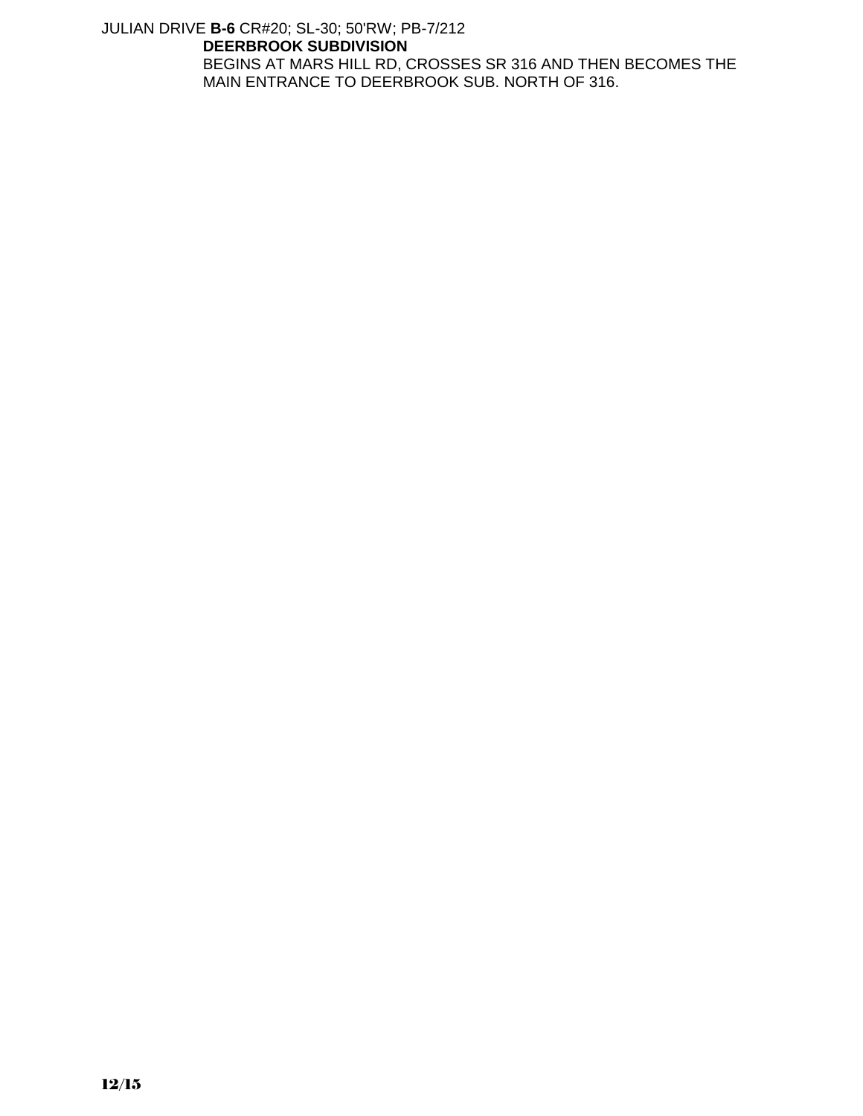## JULIAN DRIVE **B-6** CR#20; SL-30; 50'RW; PB-7/212 **DEERBROOK SUBDIVISION** BEGINS AT MARS HILL RD, CROSSES SR 316 AND THEN BECOMES THE MAIN ENTRANCE TO DEERBROOK SUB. NORTH OF 316.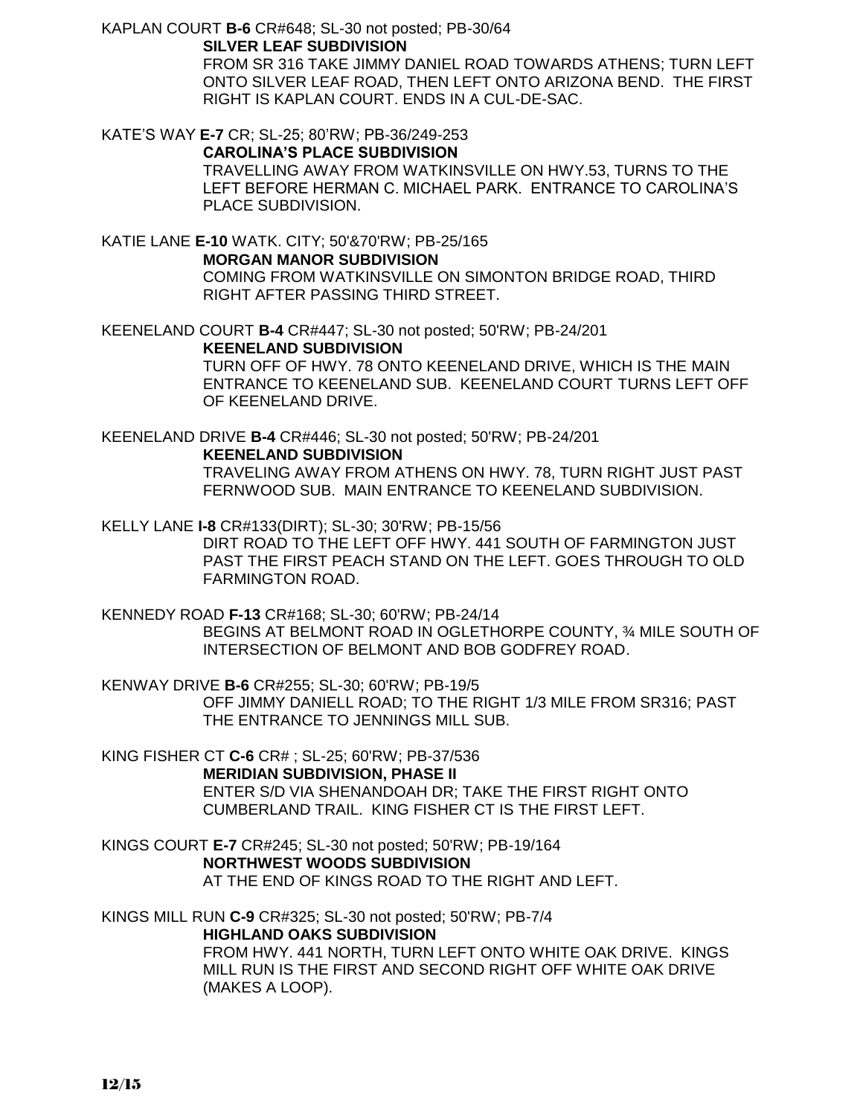KAPLAN COURT **B-6** CR#648; SL-30 not posted; PB-30/64

## **SILVER LEAF SUBDIVISION**

FROM SR 316 TAKE JIMMY DANIEL ROAD TOWARDS ATHENS; TURN LEFT ONTO SILVER LEAF ROAD, THEN LEFT ONTO ARIZONA BEND. THE FIRST RIGHT IS KAPLAN COURT. ENDS IN A CUL-DE-SAC.

KATE'S WAY **E-7** CR; SL-25; 80'RW; PB-36/249-253 **CAROLINA'S PLACE SUBDIVISION**

TRAVELLING AWAY FROM WATKINSVILLE ON HWY.53, TURNS TO THE LEFT BEFORE HERMAN C. MICHAEL PARK. ENTRANCE TO CAROLINA'S PLACE SUBDIVISION.

KATIE LANE **E-10** WATK. CITY; 50'&70'RW; PB-25/165 **MORGAN MANOR SUBDIVISION** COMING FROM WATKINSVILLE ON SIMONTON BRIDGE ROAD, THIRD RIGHT AFTER PASSING THIRD STREET.

KEENELAND COURT **B-4** CR#447; SL-30 not posted; 50'RW; PB-24/201 **KEENELAND SUBDIVISION** TURN OFF OF HWY. 78 ONTO KEENELAND DRIVE, WHICH IS THE MAIN

ENTRANCE TO KEENELAND SUB. KEENELAND COURT TURNS LEFT OFF OF KEENELAND DRIVE.

KEENELAND DRIVE **B-4** CR#446; SL-30 not posted; 50'RW; PB-24/201 **KEENELAND SUBDIVISION** TRAVELING AWAY FROM ATHENS ON HWY. 78, TURN RIGHT JUST PAST FERNWOOD SUB. MAIN ENTRANCE TO KEENELAND SUBDIVISION.

KELLY LANE **I-8** CR#133(DIRT); SL-30; 30'RW; PB-15/56 DIRT ROAD TO THE LEFT OFF HWY. 441 SOUTH OF FARMINGTON JUST PAST THE FIRST PEACH STAND ON THE LEFT. GOES THROUGH TO OLD FARMINGTON ROAD.

KENNEDY ROAD **F-13** CR#168; SL-30; 60'RW; PB-24/14 BEGINS AT BELMONT ROAD IN OGLETHORPE COUNTY, ¾ MILE SOUTH OF INTERSECTION OF BELMONT AND BOB GODFREY ROAD.

KENWAY DRIVE **B-6** CR#255; SL-30; 60'RW; PB-19/5 OFF JIMMY DANIELL ROAD; TO THE RIGHT 1/3 MILE FROM SR316; PAST THE ENTRANCE TO JENNINGS MILL SUB.

KING FISHER CT **C-6** CR# ; SL-25; 60'RW; PB-37/536 **MERIDIAN SUBDIVISION, PHASE II** ENTER S/D VIA SHENANDOAH DR; TAKE THE FIRST RIGHT ONTO CUMBERLAND TRAIL. KING FISHER CT IS THE FIRST LEFT.

KINGS COURT **E-7** CR#245; SL-30 not posted; 50'RW; PB-19/164 **NORTHWEST WOODS SUBDIVISION** AT THE END OF KINGS ROAD TO THE RIGHT AND LEFT.

KINGS MILL RUN **C-9** CR#325; SL-30 not posted; 50'RW; PB-7/4 **HIGHLAND OAKS SUBDIVISION** FROM HWY. 441 NORTH, TURN LEFT ONTO WHITE OAK DRIVE. KINGS MILL RUN IS THE FIRST AND SECOND RIGHT OFF WHITE OAK DRIVE (MAKES A LOOP).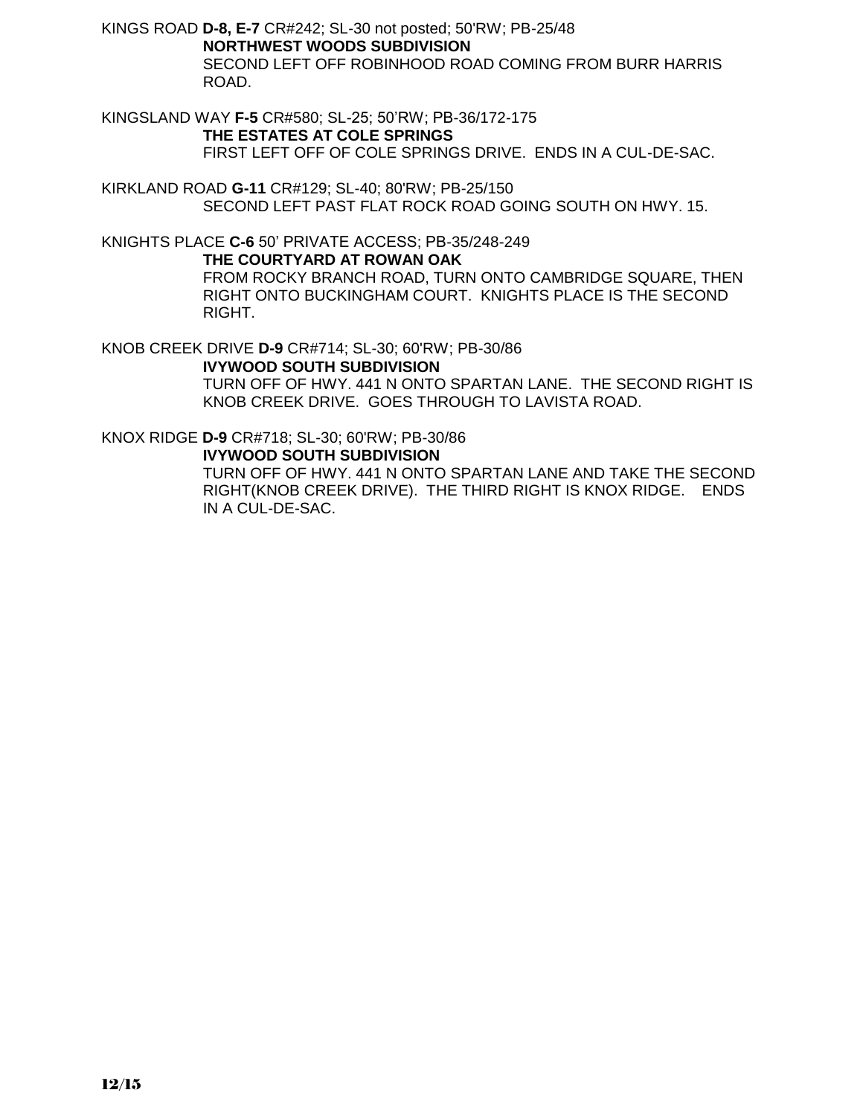KINGS ROAD **D-8, E-7** CR#242; SL-30 not posted; 50'RW; PB-25/48 **NORTHWEST WOODS SUBDIVISION** SECOND LEFT OFF ROBINHOOD ROAD COMING FROM BURR HARRIS ROAD.

KINGSLAND WAY **F-5** CR#580; SL-25; 50'RW; PB-36/172-175 **THE ESTATES AT COLE SPRINGS** FIRST LEFT OFF OF COLE SPRINGS DRIVE. ENDS IN A CUL-DE-SAC.

KIRKLAND ROAD **G-11** CR#129; SL-40; 80'RW; PB-25/150 SECOND LEFT PAST FLAT ROCK ROAD GOING SOUTH ON HWY. 15.

KNIGHTS PLACE **C-6** 50' PRIVATE ACCESS; PB-35/248-249

#### **THE COURTYARD AT ROWAN OAK**

FROM ROCKY BRANCH ROAD, TURN ONTO CAMBRIDGE SQUARE, THEN RIGHT ONTO BUCKINGHAM COURT. KNIGHTS PLACE IS THE SECOND RIGHT.

KNOB CREEK DRIVE **D-9** CR#714; SL-30; 60'RW; PB-30/86

**IVYWOOD SOUTH SUBDIVISION**

TURN OFF OF HWY. 441 N ONTO SPARTAN LANE. THE SECOND RIGHT IS KNOB CREEK DRIVE. GOES THROUGH TO LAVISTA ROAD.

KNOX RIDGE **D-9** CR#718; SL-30; 60'RW; PB-30/86

## **IVYWOOD SOUTH SUBDIVISION**

TURN OFF OF HWY. 441 N ONTO SPARTAN LANE AND TAKE THE SECOND RIGHT(KNOB CREEK DRIVE). THE THIRD RIGHT IS KNOX RIDGE. ENDS IN A CUL-DE-SAC.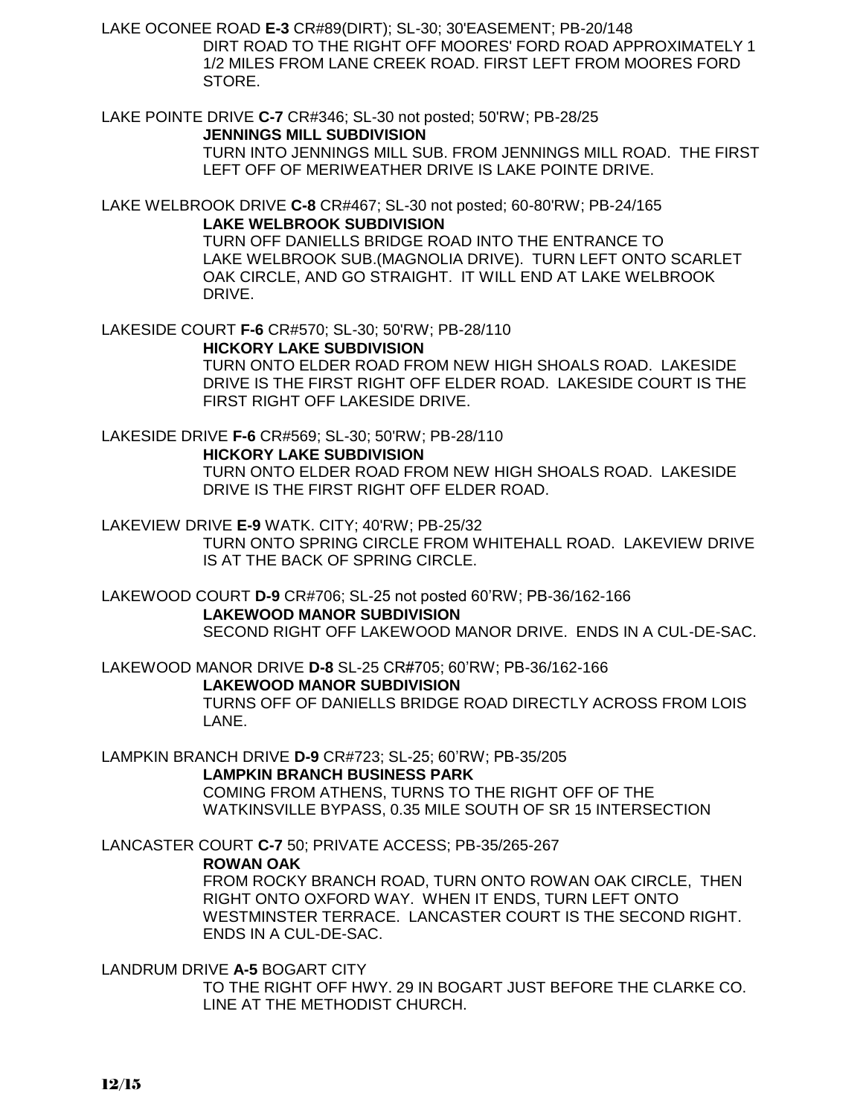LAKE OCONEE ROAD **E-3** CR#89(DIRT); SL-30; 30'EASEMENT; PB-20/148 DIRT ROAD TO THE RIGHT OFF MOORES' FORD ROAD APPROXIMATELY 1 1/2 MILES FROM LANE CREEK ROAD. FIRST LEFT FROM MOORES FORD STORE.

LAKE POINTE DRIVE **C-7** CR#346; SL-30 not posted; 50'RW; PB-28/25 **JENNINGS MILL SUBDIVISION** TURN INTO JENNINGS MILL SUB. FROM JENNINGS MILL ROAD. THE FIRST LEFT OFF OF MERIWEATHER DRIVE IS LAKE POINTE DRIVE.

LAKE WELBROOK DRIVE **C-8** CR#467; SL-30 not posted; 60-80'RW; PB-24/165 **LAKE WELBROOK SUBDIVISION** TURN OFF DANIELLS BRIDGE ROAD INTO THE ENTRANCE TO

 LAKE WELBROOK SUB.(MAGNOLIA DRIVE). TURN LEFT ONTO SCARLET OAK CIRCLE, AND GO STRAIGHT. IT WILL END AT LAKE WELBROOK DRIVE.

LAKESIDE COURT **F-6** CR#570; SL-30; 50'RW; PB-28/110

## **HICKORY LAKE SUBDIVISION**

TURN ONTO ELDER ROAD FROM NEW HIGH SHOALS ROAD. LAKESIDE DRIVE IS THE FIRST RIGHT OFF ELDER ROAD. LAKESIDE COURT IS THE FIRST RIGHT OFF LAKESIDE DRIVE.

LAKESIDE DRIVE **F-6** CR#569; SL-30; 50'RW; PB-28/110 **HICKORY LAKE SUBDIVISION** TURN ONTO ELDER ROAD FROM NEW HIGH SHOALS ROAD. LAKESIDE DRIVE IS THE FIRST RIGHT OFF ELDER ROAD.

LAKEVIEW DRIVE **E-9** WATK. CITY; 40'RW; PB-25/32 TURN ONTO SPRING CIRCLE FROM WHITEHALL ROAD. LAKEVIEW DRIVE IS AT THE BACK OF SPRING CIRCLE.

LAKEWOOD COURT **D-9** CR#706; SL-25 not posted 60'RW; PB-36/162-166 **LAKEWOOD MANOR SUBDIVISION** SECOND RIGHT OFF LAKEWOOD MANOR DRIVE. ENDS IN A CUL-DE-SAC.

LAKEWOOD MANOR DRIVE **D-8** SL-25 CR#705; 60'RW; PB-36/162-166 **LAKEWOOD MANOR SUBDIVISION** TURNS OFF OF DANIELLS BRIDGE ROAD DIRECTLY ACROSS FROM LOIS LANE.

LAMPKIN BRANCH DRIVE **D-9** CR#723; SL-25; 60'RW; PB-35/205 **LAMPKIN BRANCH BUSINESS PARK** COMING FROM ATHENS, TURNS TO THE RIGHT OFF OF THE WATKINSVILLE BYPASS, 0.35 MILE SOUTH OF SR 15 INTERSECTION

LANCASTER COURT **C-7** 50; PRIVATE ACCESS; PB-35/265-267

## **ROWAN OAK**

FROM ROCKY BRANCH ROAD, TURN ONTO ROWAN OAK CIRCLE, THEN RIGHT ONTO OXFORD WAY. WHEN IT ENDS, TURN LEFT ONTO WESTMINSTER TERRACE. LANCASTER COURT IS THE SECOND RIGHT. ENDS IN A CUL-DE-SAC.

LANDRUM DRIVE **A-5** BOGART CITY

TO THE RIGHT OFF HWY. 29 IN BOGART JUST BEFORE THE CLARKE CO. LINE AT THE METHODIST CHURCH.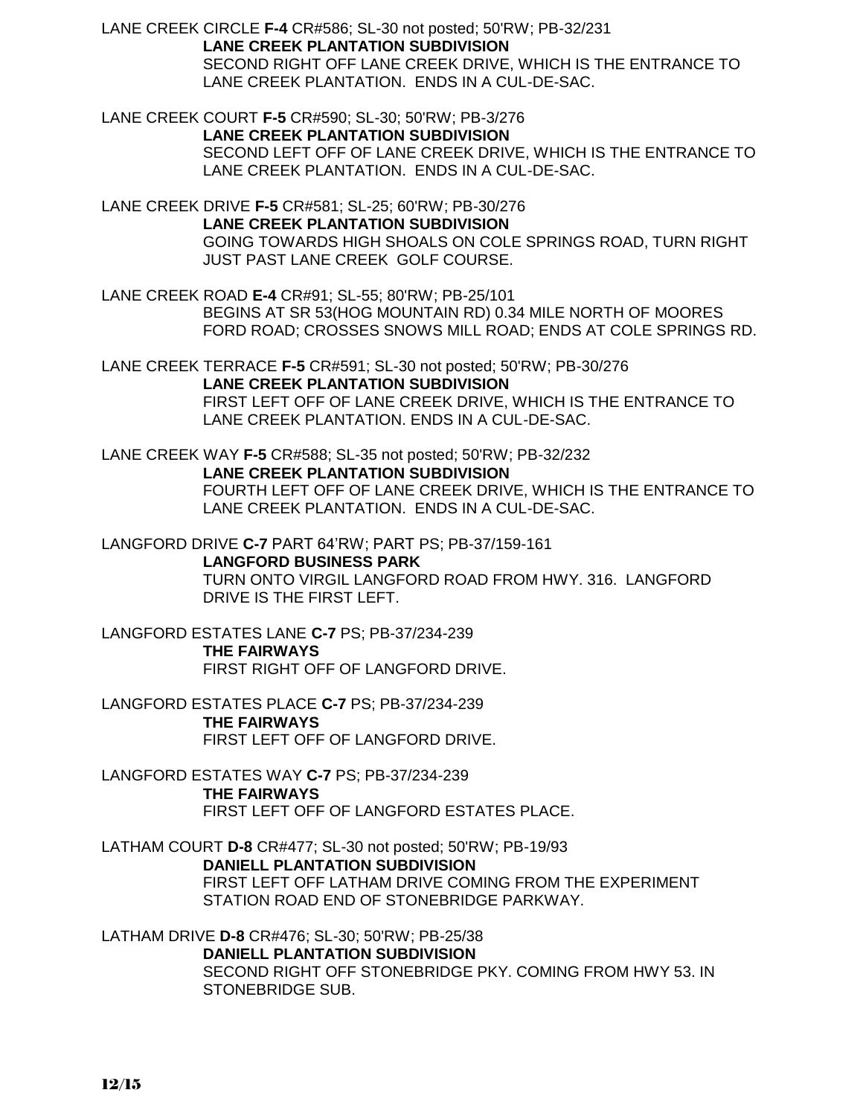LANE CREEK CIRCLE **F-4** CR#586; SL-30 not posted; 50'RW; PB-32/231 **LANE CREEK PLANTATION SUBDIVISION** SECOND RIGHT OFF LANE CREEK DRIVE, WHICH IS THE ENTRANCE TO LANE CREEK PLANTATION. ENDS IN A CUL-DE-SAC.

LANE CREEK COURT **F-5** CR#590; SL-30; 50'RW; PB-3/276 **LANE CREEK PLANTATION SUBDIVISION** SECOND LEFT OFF OF LANE CREEK DRIVE, WHICH IS THE ENTRANCE TO LANE CREEK PLANTATION. ENDS IN A CUL-DE-SAC.

LANE CREEK DRIVE **F-5** CR#581; SL-25; 60'RW; PB-30/276 **LANE CREEK PLANTATION SUBDIVISION** GOING TOWARDS HIGH SHOALS ON COLE SPRINGS ROAD, TURN RIGHT JUST PAST LANE CREEK GOLF COURSE.

LANE CREEK ROAD **E-4** CR#91; SL-55; 80'RW; PB-25/101 BEGINS AT SR 53(HOG MOUNTAIN RD) 0.34 MILE NORTH OF MOORES FORD ROAD; CROSSES SNOWS MILL ROAD; ENDS AT COLE SPRINGS RD.

LANE CREEK TERRACE **F-5** CR#591; SL-30 not posted; 50'RW; PB-30/276 **LANE CREEK PLANTATION SUBDIVISION** FIRST LEFT OFF OF LANE CREEK DRIVE, WHICH IS THE ENTRANCE TO LANE CREEK PLANTATION. ENDS IN A CUL-DE-SAC.

LANE CREEK WAY **F-5** CR#588; SL-35 not posted; 50'RW; PB-32/232 **LANE CREEK PLANTATION SUBDIVISION** FOURTH LEFT OFF OF LANE CREEK DRIVE, WHICH IS THE ENTRANCE TO LANE CREEK PLANTATION. ENDS IN A CUL-DE-SAC.

LANGFORD DRIVE **C-7** PART 64'RW; PART PS; PB-37/159-161 **LANGFORD BUSINESS PARK** TURN ONTO VIRGIL LANGFORD ROAD FROM HWY. 316. LANGFORD DRIVE IS THE FIRST LEFT.

LANGFORD ESTATES LANE **C-7** PS; PB-37/234-239 **THE FAIRWAYS** FIRST RIGHT OFF OF LANGFORD DRIVE.

LANGFORD ESTATES PLACE **C-7** PS; PB-37/234-239 **THE FAIRWAYS** FIRST LEFT OFF OF LANGFORD DRIVE.

LANGFORD ESTATES WAY **C-7** PS; PB-37/234-239 **THE FAIRWAYS** FIRST LEFT OFF OF LANGFORD ESTATES PLACE.

LATHAM COURT **D-8** CR#477; SL-30 not posted; 50'RW; PB-19/93 **DANIELL PLANTATION SUBDIVISION** FIRST LEFT OFF LATHAM DRIVE COMING FROM THE EXPERIMENT STATION ROAD END OF STONEBRIDGE PARKWAY.

LATHAM DRIVE **D-8** CR#476; SL-30; 50'RW; PB-25/38 **DANIELL PLANTATION SUBDIVISION**

SECOND RIGHT OFF STONEBRIDGE PKY. COMING FROM HWY 53. IN STONEBRIDGE SUB.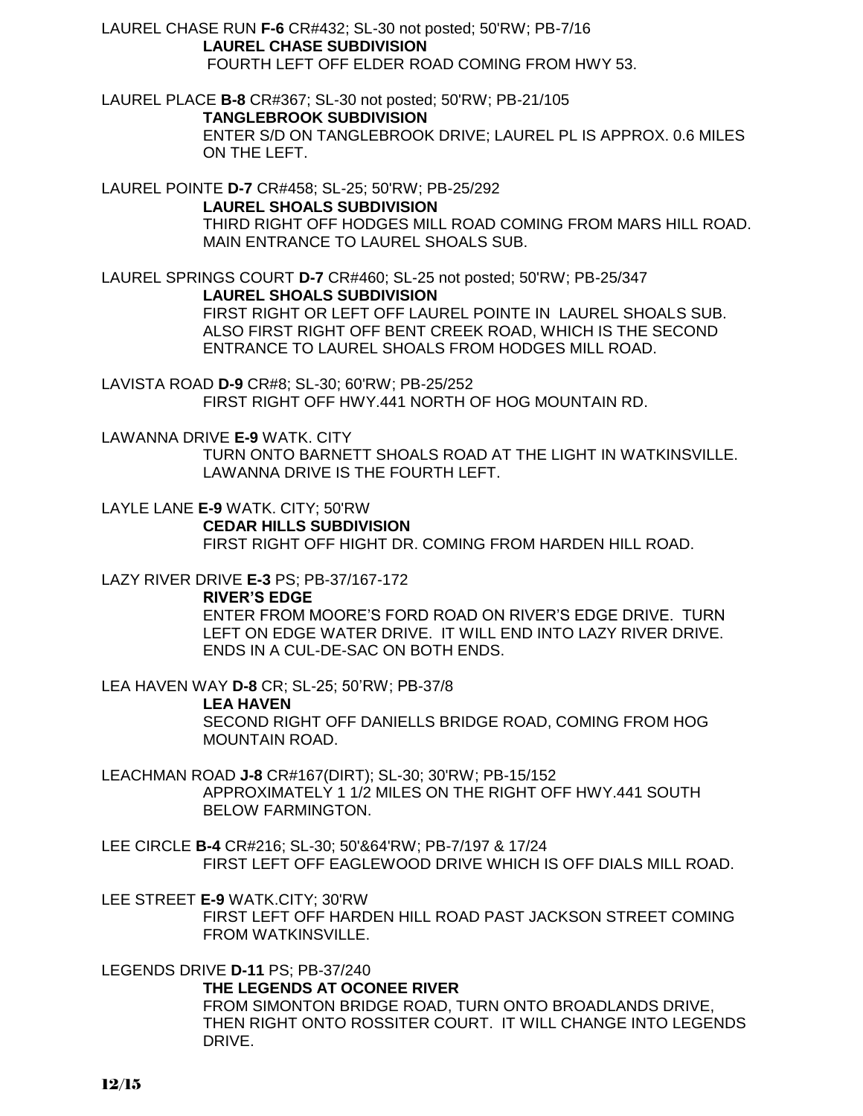LAUREL CHASE RUN **F-6** CR#432; SL-30 not posted; 50'RW; PB-7/16 **LAUREL CHASE SUBDIVISION** FOURTH LEFT OFF ELDER ROAD COMING FROM HWY 53.

LAUREL PLACE **B-8** CR#367; SL-30 not posted; 50'RW; PB-21/105 **TANGLEBROOK SUBDIVISION** ENTER S/D ON TANGLEBROOK DRIVE; LAUREL PL IS APPROX. 0.6 MILES ON THE LEFT.

LAUREL POINTE **D-7** CR#458; SL-25; 50'RW; PB-25/292 **LAUREL SHOALS SUBDIVISION**

THIRD RIGHT OFF HODGES MILL ROAD COMING FROM MARS HILL ROAD. MAIN ENTRANCE TO LAUREL SHOALS SUB.

LAUREL SPRINGS COURT **D-7** CR#460; SL-25 not posted; 50'RW; PB-25/347 **LAUREL SHOALS SUBDIVISION** FIRST RIGHT OR LEFT OFF LAUREL POINTE IN LAUREL SHOALS SUB. ALSO FIRST RIGHT OFF BENT CREEK ROAD, WHICH IS THE SECOND ENTRANCE TO LAUREL SHOALS FROM HODGES MILL ROAD.

LAVISTA ROAD **D-9** CR#8; SL-30; 60'RW; PB-25/252 FIRST RIGHT OFF HWY.441 NORTH OF HOG MOUNTAIN RD.

LAWANNA DRIVE **E-9** WATK. CITY

TURN ONTO BARNETT SHOALS ROAD AT THE LIGHT IN WATKINSVILLE. LAWANNA DRIVE IS THE FOURTH LEFT.

LAYLE LANE **E-9** WATK. CITY; 50'RW **CEDAR HILLS SUBDIVISION** FIRST RIGHT OFF HIGHT DR. COMING FROM HARDEN HILL ROAD.

LAZY RIVER DRIVE **E-3** PS; PB-37/167-172

**RIVER'S EDGE**

ENTER FROM MOORE'S FORD ROAD ON RIVER'S EDGE DRIVE. TURN LEFT ON EDGE WATER DRIVE. IT WILL END INTO LAZY RIVER DRIVE. ENDS IN A CUL-DE-SAC ON BOTH ENDS.

LEA HAVEN WAY **D-8** CR; SL-25; 50'RW; PB-37/8

**LEA HAVEN**

SECOND RIGHT OFF DANIELLS BRIDGE ROAD, COMING FROM HOG MOUNTAIN ROAD.

LEACHMAN ROAD **J-8** CR#167(DIRT); SL-30; 30'RW; PB-15/152 APPROXIMATELY 1 1/2 MILES ON THE RIGHT OFF HWY.441 SOUTH BELOW FARMINGTON.

LEE CIRCLE **B-4** CR#216; SL-30; 50'&64'RW; PB-7/197 & 17/24 FIRST LEFT OFF EAGLEWOOD DRIVE WHICH IS OFF DIALS MILL ROAD.

LEE STREET **E-9** WATK.CITY; 30'RW FIRST LEFT OFF HARDEN HILL ROAD PAST JACKSON STREET COMING FROM WATKINSVILLE.

LEGENDS DRIVE **D-11** PS; PB-37/240

**THE LEGENDS AT OCONEE RIVER**

FROM SIMONTON BRIDGE ROAD, TURN ONTO BROADLANDS DRIVE, THEN RIGHT ONTO ROSSITER COURT. IT WILL CHANGE INTO LEGENDS DRIVE.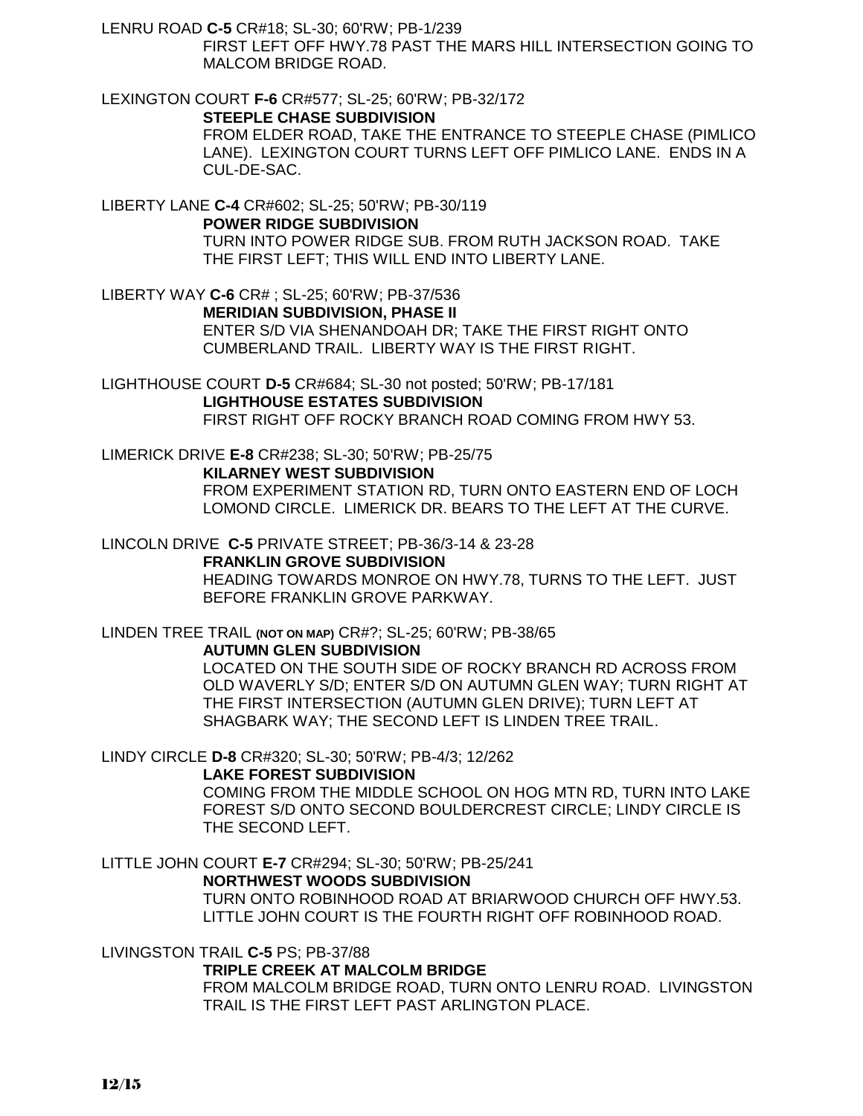LENRU ROAD **C-5** CR#18; SL-30; 60'RW; PB-1/239

CUL-DE-SAC.

FIRST LEFT OFF HWY.78 PAST THE MARS HILL INTERSECTION GOING TO MALCOM BRIDGE ROAD.

LEXINGTON COURT **F-6** CR#577; SL-25; 60'RW; PB-32/172 **STEEPLE CHASE SUBDIVISION** FROM ELDER ROAD, TAKE THE ENTRANCE TO STEEPLE CHASE (PIMLICO LANE). LEXINGTON COURT TURNS LEFT OFF PIMLICO LANE. ENDS IN A

LIBERTY LANE **C-4** CR#602; SL-25; 50'RW; PB-30/119 **POWER RIDGE SUBDIVISION**

> TURN INTO POWER RIDGE SUB. FROM RUTH JACKSON ROAD. TAKE THE FIRST LEFT; THIS WILL END INTO LIBERTY LANE.

LIBERTY WAY **C-6** CR# ; SL-25; 60'RW; PB-37/536 **MERIDIAN SUBDIVISION, PHASE II** ENTER S/D VIA SHENANDOAH DR; TAKE THE FIRST RIGHT ONTO CUMBERLAND TRAIL. LIBERTY WAY IS THE FIRST RIGHT.

LIGHTHOUSE COURT **D-5** CR#684; SL-30 not posted; 50'RW; PB-17/181 **LIGHTHOUSE ESTATES SUBDIVISION** FIRST RIGHT OFF ROCKY BRANCH ROAD COMING FROM HWY 53.

LIMERICK DRIVE **E-8** CR#238; SL-30; 50'RW; PB-25/75

## **KILARNEY WEST SUBDIVISION**

FROM EXPERIMENT STATION RD, TURN ONTO EASTERN END OF LOCH LOMOND CIRCLE. LIMERICK DR. BEARS TO THE LEFT AT THE CURVE.

## LINCOLN DRIVE **C-5** PRIVATE STREET; PB-36/3-14 & 23-28

**FRANKLIN GROVE SUBDIVISION**

HEADING TOWARDS MONROE ON HWY.78, TURNS TO THE LEFT. JUST BEFORE FRANKLIN GROVE PARKWAY.

LINDEN TREE TRAIL **(NOT ON MAP)** CR#?; SL-25; 60'RW; PB-38/65

## **AUTUMN GLEN SUBDIVISION**

LOCATED ON THE SOUTH SIDE OF ROCKY BRANCH RD ACROSS FROM OLD WAVERLY S/D; ENTER S/D ON AUTUMN GLEN WAY; TURN RIGHT AT THE FIRST INTERSECTION (AUTUMN GLEN DRIVE); TURN LEFT AT SHAGBARK WAY; THE SECOND LEFT IS LINDEN TREE TRAIL.

LINDY CIRCLE **D-8** CR#320; SL-30; 50'RW; PB-4/3; 12/262

## **LAKE FOREST SUBDIVISION**

COMING FROM THE MIDDLE SCHOOL ON HOG MTN RD, TURN INTO LAKE FOREST S/D ONTO SECOND BOULDERCREST CIRCLE; LINDY CIRCLE IS THE SECOND LEFT.

LITTLE JOHN COURT **E-7** CR#294; SL-30; 50'RW; PB-25/241

## **NORTHWEST WOODS SUBDIVISION**

TURN ONTO ROBINHOOD ROAD AT BRIARWOOD CHURCH OFF HWY.53. LITTLE JOHN COURT IS THE FOURTH RIGHT OFF ROBINHOOD ROAD.

LIVINGSTON TRAIL **C-5** PS; PB-37/88

## **TRIPLE CREEK AT MALCOLM BRIDGE**

FROM MALCOLM BRIDGE ROAD, TURN ONTO LENRU ROAD. LIVINGSTON TRAIL IS THE FIRST LEFT PAST ARLINGTON PLACE.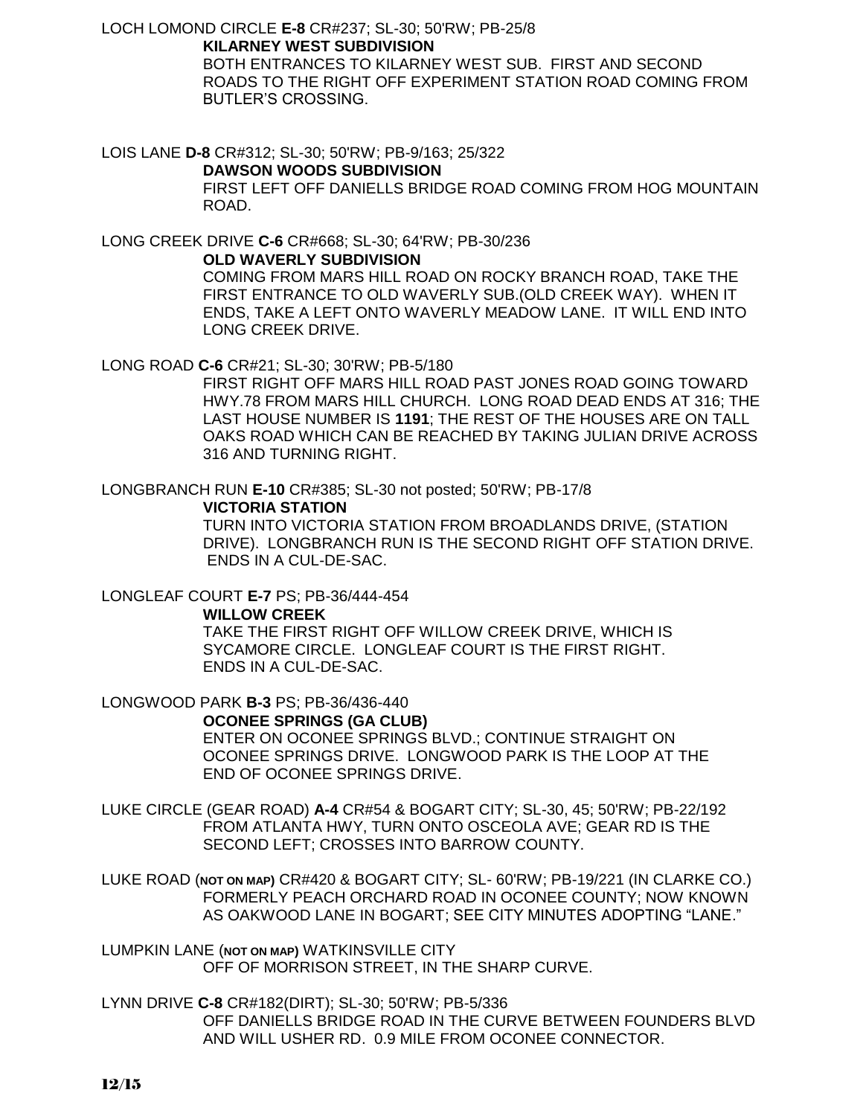LOCH LOMOND CIRCLE **E-8** CR#237; SL-30; 50'RW; PB-25/8 **KILARNEY WEST SUBDIVISION** BOTH ENTRANCES TO KILARNEY WEST SUB. FIRST AND SECOND ROADS TO THE RIGHT OFF EXPERIMENT STATION ROAD COMING FROM BUTLER'S CROSSING.

LOIS LANE **D-8** CR#312; SL-30; 50'RW; PB-9/163; 25/322

#### **DAWSON WOODS SUBDIVISION**

FIRST LEFT OFF DANIELLS BRIDGE ROAD COMING FROM HOG MOUNTAIN ROAD.

LONG CREEK DRIVE **C-6** CR#668; SL-30; 64'RW; PB-30/236

**OLD WAVERLY SUBDIVISION**

COMING FROM MARS HILL ROAD ON ROCKY BRANCH ROAD, TAKE THE FIRST ENTRANCE TO OLD WAVERLY SUB.(OLD CREEK WAY). WHEN IT ENDS, TAKE A LEFT ONTO WAVERLY MEADOW LANE. IT WILL END INTO LONG CREEK DRIVE.

LONG ROAD **C-6** CR#21; SL-30; 30'RW; PB-5/180

FIRST RIGHT OFF MARS HILL ROAD PAST JONES ROAD GOING TOWARD HWY.78 FROM MARS HILL CHURCH. LONG ROAD DEAD ENDS AT 316; THE LAST HOUSE NUMBER IS **1191**; THE REST OF THE HOUSES ARE ON TALL OAKS ROAD WHICH CAN BE REACHED BY TAKING JULIAN DRIVE ACROSS 316 AND TURNING RIGHT.

LONGBRANCH RUN **E-10** CR#385; SL-30 not posted; 50'RW; PB-17/8

**VICTORIA STATION**

TURN INTO VICTORIA STATION FROM BROADLANDS DRIVE, (STATION DRIVE). LONGBRANCH RUN IS THE SECOND RIGHT OFF STATION DRIVE. ENDS IN A CUL-DE-SAC.

LONGLEAF COURT **E-7** PS; PB-36/444-454

**WILLOW CREEK**

TAKE THE FIRST RIGHT OFF WILLOW CREEK DRIVE, WHICH IS SYCAMORE CIRCLE. LONGLEAF COURT IS THE FIRST RIGHT. ENDS IN A CUL-DE-SAC.

LONGWOOD PARK **B-3** PS; PB-36/436-440

**OCONEE SPRINGS (GA CLUB)**

ENTER ON OCONEE SPRINGS BLVD.; CONTINUE STRAIGHT ON OCONEE SPRINGS DRIVE. LONGWOOD PARK IS THE LOOP AT THE END OF OCONEE SPRINGS DRIVE.

LUKE CIRCLE (GEAR ROAD) **A-4** CR#54 & BOGART CITY; SL-30, 45; 50'RW; PB-22/192 FROM ATLANTA HWY, TURN ONTO OSCEOLA AVE; GEAR RD IS THE SECOND LEFT; CROSSES INTO BARROW COUNTY.

LUKE ROAD (**NOT ON MAP)** CR#420 & BOGART CITY; SL- 60'RW; PB-19/221 (IN CLARKE CO.) FORMERLY PEACH ORCHARD ROAD IN OCONEE COUNTY; NOW KNOWN AS OAKWOOD LANE IN BOGART; SEE CITY MINUTES ADOPTING "LANE."

LUMPKIN LANE (**NOT ON MAP)** WATKINSVILLE CITY OFF OF MORRISON STREET, IN THE SHARP CURVE.

LYNN DRIVE **C-8** CR#182(DIRT); SL-30; 50'RW; PB-5/336 OFF DANIELLS BRIDGE ROAD IN THE CURVE BETWEEN FOUNDERS BLVD AND WILL USHER RD. 0.9 MILE FROM OCONEE CONNECTOR.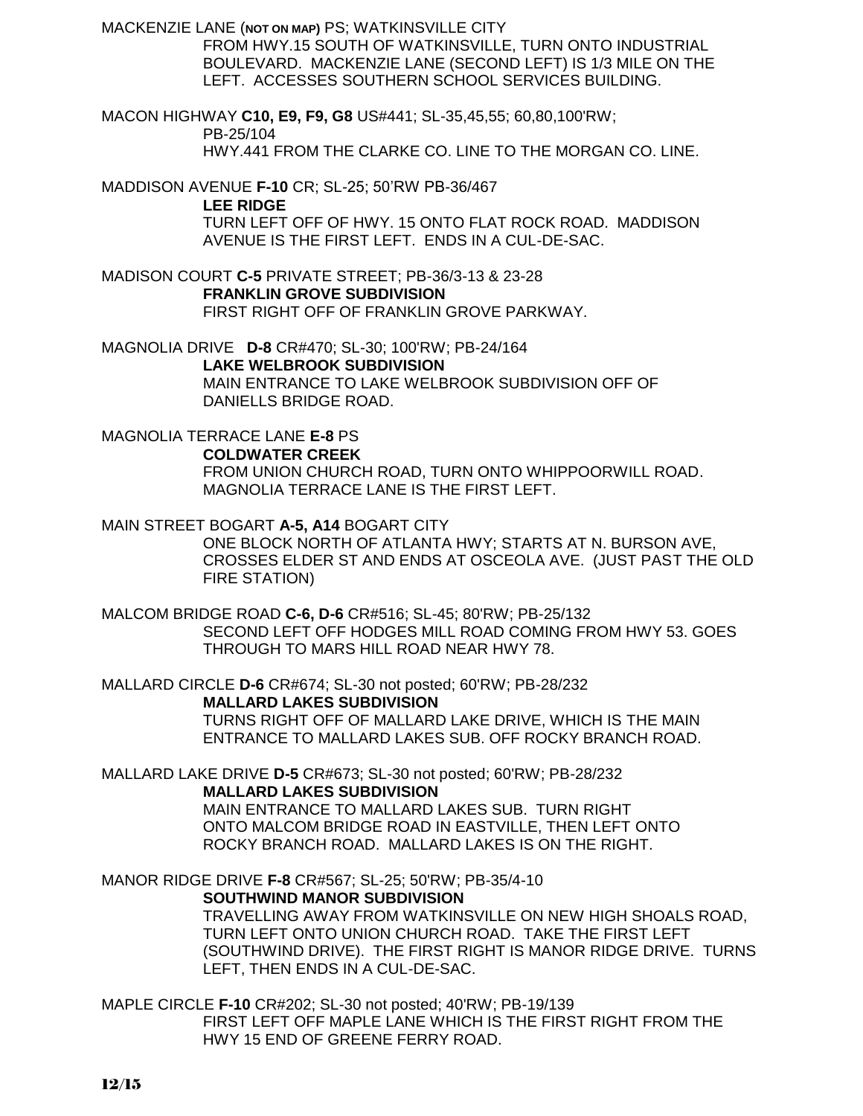MACKENZIE LANE (**NOT ON MAP)** PS; WATKINSVILLE CITY

FROM HWY.15 SOUTH OF WATKINSVILLE, TURN ONTO INDUSTRIAL BOULEVARD. MACKENZIE LANE (SECOND LEFT) IS 1/3 MILE ON THE LEFT. ACCESSES SOUTHERN SCHOOL SERVICES BUILDING.

MACON HIGHWAY **C10, E9, F9, G8** US#441; SL-35,45,55; 60,80,100'RW; PB-25/104 HWY.441 FROM THE CLARKE CO. LINE TO THE MORGAN CO. LINE.

MADDISON AVENUE **F-10** CR; SL-25; 50'RW PB-36/467

**LEE RIDGE**

TURN LEFT OFF OF HWY. 15 ONTO FLAT ROCK ROAD. MADDISON AVENUE IS THE FIRST LEFT. ENDS IN A CUL-DE-SAC.

MADISON COURT **C-5** PRIVATE STREET; PB-36/3-13 & 23-28 **FRANKLIN GROVE SUBDIVISION** FIRST RIGHT OFF OF FRANKLIN GROVE PARKWAY.

MAGNOLIA DRIVE **D-8** CR#470; SL-30; 100'RW; PB-24/164 **LAKE WELBROOK SUBDIVISION** MAIN ENTRANCE TO LAKE WELBROOK SUBDIVISION OFF OF DANIELLS BRIDGE ROAD.

MAGNOLIA TERRACE LANE **E-8** PS **COLDWATER CREEK** FROM UNION CHURCH ROAD, TURN ONTO WHIPPOORWILL ROAD. MAGNOLIA TERRACE LANE IS THE FIRST LEFT.

MAIN STREET BOGART **A-5, A14** BOGART CITY

ONE BLOCK NORTH OF ATLANTA HWY; STARTS AT N. BURSON AVE, CROSSES ELDER ST AND ENDS AT OSCEOLA AVE. (JUST PAST THE OLD FIRE STATION)

MALCOM BRIDGE ROAD **C-6, D-6** CR#516; SL-45; 80'RW; PB-25/132 SECOND LEFT OFF HODGES MILL ROAD COMING FROM HWY 53. GOES THROUGH TO MARS HILL ROAD NEAR HWY 78.

MALLARD CIRCLE **D-6** CR#674; SL-30 not posted; 60'RW; PB-28/232 **MALLARD LAKES SUBDIVISION** TURNS RIGHT OFF OF MALLARD LAKE DRIVE, WHICH IS THE MAIN ENTRANCE TO MALLARD LAKES SUB. OFF ROCKY BRANCH ROAD.

MALLARD LAKE DRIVE **D-5** CR#673; SL-30 not posted; 60'RW; PB-28/232 **MALLARD LAKES SUBDIVISION**

MAIN ENTRANCE TO MALLARD LAKES SUB. TURN RIGHT ONTO MALCOM BRIDGE ROAD IN EASTVILLE, THEN LEFT ONTO ROCKY BRANCH ROAD. MALLARD LAKES IS ON THE RIGHT.

MANOR RIDGE DRIVE **F-8** CR#567; SL-25; 50'RW; PB-35/4-10

**SOUTHWIND MANOR SUBDIVISION**

TRAVELLING AWAY FROM WATKINSVILLE ON NEW HIGH SHOALS ROAD, TURN LEFT ONTO UNION CHURCH ROAD. TAKE THE FIRST LEFT (SOUTHWIND DRIVE). THE FIRST RIGHT IS MANOR RIDGE DRIVE. TURNS LEFT, THEN ENDS IN A CUL-DE-SAC.

MAPLE CIRCLE **F-10** CR#202; SL-30 not posted; 40'RW; PB-19/139 FIRST LEFT OFF MAPLE LANE WHICH IS THE FIRST RIGHT FROM THE HWY 15 END OF GREENE FERRY ROAD.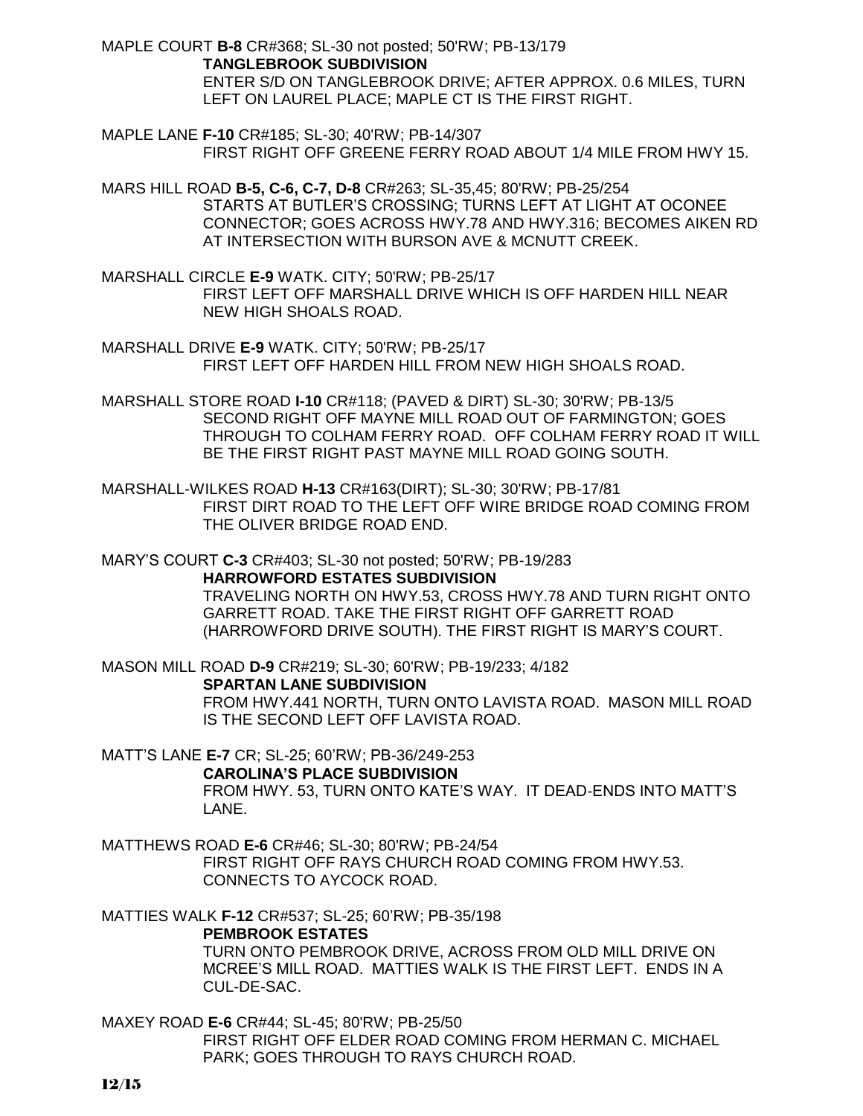MAPLE COURT **B-8** CR#368; SL-30 not posted; 50'RW; PB-13/179 **TANGLEBROOK SUBDIVISION** ENTER S/D ON TANGLEBROOK DRIVE; AFTER APPROX. 0.6 MILES, TURN LEFT ON LAUREL PLACE; MAPLE CT IS THE FIRST RIGHT.

MAPLE LANE **F-10** CR#185; SL-30; 40'RW; PB-14/307 FIRST RIGHT OFF GREENE FERRY ROAD ABOUT 1/4 MILE FROM HWY 15.

MARS HILL ROAD **B-5, C-6, C-7, D-8** CR#263; SL-35,45; 80'RW; PB-25/254 STARTS AT BUTLER'S CROSSING; TURNS LEFT AT LIGHT AT OCONEE CONNECTOR; GOES ACROSS HWY.78 AND HWY.316; BECOMES AIKEN RD AT INTERSECTION WITH BURSON AVE & MCNUTT CREEK.

MARSHALL CIRCLE **E-9** WATK. CITY; 50'RW; PB-25/17 FIRST LEFT OFF MARSHALL DRIVE WHICH IS OFF HARDEN HILL NEAR NEW HIGH SHOALS ROAD.

MARSHALL DRIVE **E-9** WATK. CITY; 50'RW; PB-25/17 FIRST LEFT OFF HARDEN HILL FROM NEW HIGH SHOALS ROAD.

MARSHALL STORE ROAD **I-10** CR#118; (PAVED & DIRT) SL-30; 30'RW; PB-13/5 SECOND RIGHT OFF MAYNE MILL ROAD OUT OF FARMINGTON; GOES THROUGH TO COLHAM FERRY ROAD. OFF COLHAM FERRY ROAD IT WILL BE THE FIRST RIGHT PAST MAYNE MILL ROAD GOING SOUTH.

MARSHALL-WILKES ROAD **H-13** CR#163(DIRT); SL-30; 30'RW; PB-17/81 FIRST DIRT ROAD TO THE LEFT OFF WIRE BRIDGE ROAD COMING FROM THE OLIVER BRIDGE ROAD END.

MARY'S COURT **C-3** CR#403; SL-30 not posted; 50'RW; PB-19/283

**HARROWFORD ESTATES SUBDIVISION**

TRAVELING NORTH ON HWY.53, CROSS HWY.78 AND TURN RIGHT ONTO GARRETT ROAD. TAKE THE FIRST RIGHT OFF GARRETT ROAD (HARROWFORD DRIVE SOUTH). THE FIRST RIGHT IS MARY'S COURT.

MASON MILL ROAD **D-9** CR#219; SL-30; 60'RW; PB-19/233; 4/182 **SPARTAN LANE SUBDIVISION** FROM HWY.441 NORTH, TURN ONTO LAVISTA ROAD. MASON MILL ROAD IS THE SECOND LEFT OFF LAVISTA ROAD.

MATT'S LANE **E-7** CR; SL-25; 60'RW; PB-36/249-253 **CAROLINA'S PLACE SUBDIVISION** FROM HWY. 53, TURN ONTO KATE'S WAY. IT DEAD-ENDS INTO MATT'S LANE.

MATTHEWS ROAD **E-6** CR#46; SL-30; 80'RW; PB-24/54 FIRST RIGHT OFF RAYS CHURCH ROAD COMING FROM HWY.53. CONNECTS TO AYCOCK ROAD.

MATTIES WALK **F-12** CR#537; SL-25; 60'RW; PB-35/198 **PEMBROOK ESTATES** TURN ONTO PEMBROOK DRIVE, ACROSS FROM OLD MILL DRIVE ON MCREE'S MILL ROAD. MATTIES WALK IS THE FIRST LEFT. ENDS IN A CUL-DE-SAC.

MAXEY ROAD **E-6** CR#44; SL-45; 80'RW; PB-25/50 FIRST RIGHT OFF ELDER ROAD COMING FROM HERMAN C. MICHAEL PARK; GOES THROUGH TO RAYS CHURCH ROAD.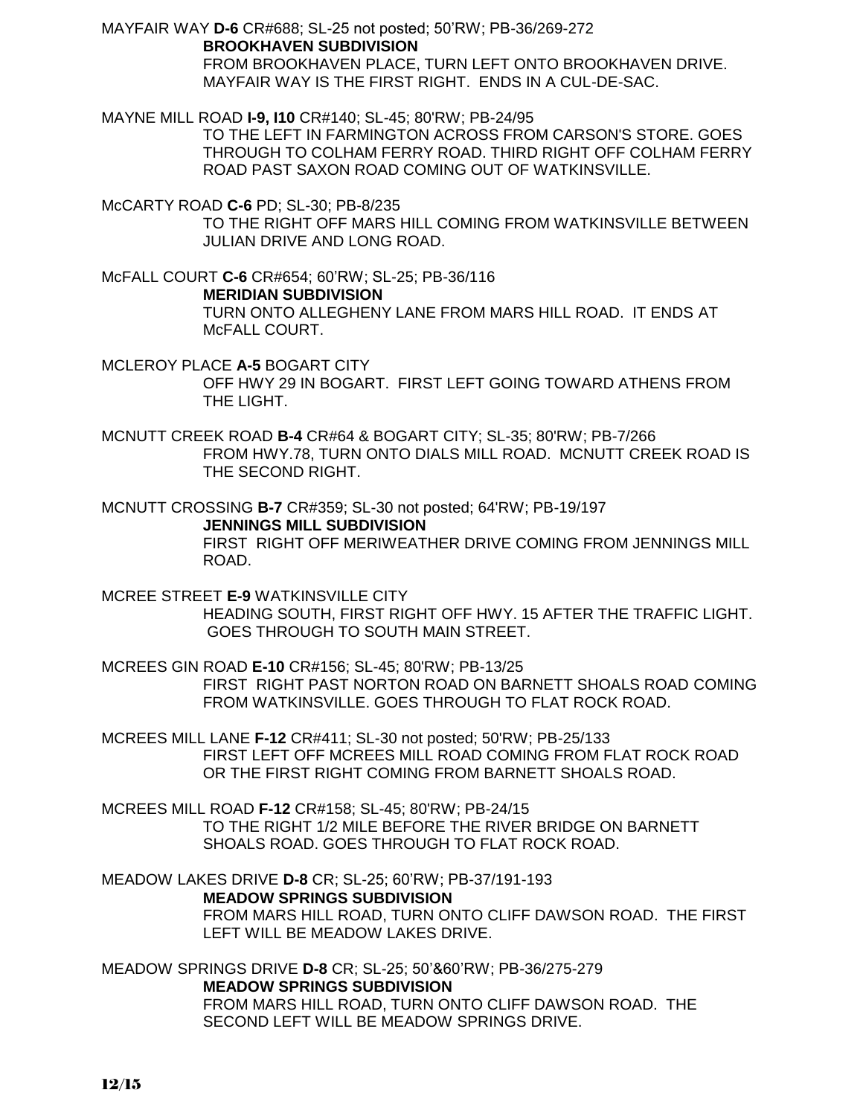MAYFAIR WAY **D-6** CR#688; SL-25 not posted; 50'RW; PB-36/269-272 **BROOKHAVEN SUBDIVISION** FROM BROOKHAVEN PLACE, TURN LEFT ONTO BROOKHAVEN DRIVE.

MAYFAIR WAY IS THE FIRST RIGHT. ENDS IN A CUL-DE-SAC.

MAYNE MILL ROAD **I-9, I10** CR#140; SL-45; 80'RW; PB-24/95

TO THE LEFT IN FARMINGTON ACROSS FROM CARSON'S STORE. GOES THROUGH TO COLHAM FERRY ROAD. THIRD RIGHT OFF COLHAM FERRY ROAD PAST SAXON ROAD COMING OUT OF WATKINSVILLE.

McCARTY ROAD **C-6** PD; SL-30; PB-8/235

TO THE RIGHT OFF MARS HILL COMING FROM WATKINSVILLE BETWEEN JULIAN DRIVE AND LONG ROAD.

McFALL COURT **C-6** CR#654; 60'RW; SL-25; PB-36/116 **MERIDIAN SUBDIVISION** TURN ONTO ALLEGHENY LANE FROM MARS HILL ROAD. IT ENDS AT McFALL COURT.

MCLEROY PLACE **A-5** BOGART CITY OFF HWY 29 IN BOGART. FIRST LEFT GOING TOWARD ATHENS FROM THE LIGHT.

MCNUTT CREEK ROAD **B-4** CR#64 & BOGART CITY; SL-35; 80'RW; PB-7/266 FROM HWY.78, TURN ONTO DIALS MILL ROAD. MCNUTT CREEK ROAD IS THE SECOND RIGHT.

MCNUTT CROSSING **B-7** CR#359; SL-30 not posted; 64'RW; PB-19/197

**JENNINGS MILL SUBDIVISION**

FIRST RIGHT OFF MERIWEATHER DRIVE COMING FROM JENNINGS MILL ROAD.

MCREE STREET **E-9** WATKINSVILLE CITY HEADING SOUTH, FIRST RIGHT OFF HWY. 15 AFTER THE TRAFFIC LIGHT. GOES THROUGH TO SOUTH MAIN STREET.

MCREES GIN ROAD **E-10** CR#156; SL-45; 80'RW; PB-13/25 FIRST RIGHT PAST NORTON ROAD ON BARNETT SHOALS ROAD COMING FROM WATKINSVILLE. GOES THROUGH TO FLAT ROCK ROAD.

MCREES MILL LANE **F-12** CR#411; SL-30 not posted; 50'RW; PB-25/133 FIRST LEFT OFF MCREES MILL ROAD COMING FROM FLAT ROCK ROAD OR THE FIRST RIGHT COMING FROM BARNETT SHOALS ROAD.

MCREES MILL ROAD **F-12** CR#158; SL-45; 80'RW; PB-24/15 TO THE RIGHT 1/2 MILE BEFORE THE RIVER BRIDGE ON BARNETT SHOALS ROAD. GOES THROUGH TO FLAT ROCK ROAD.

MEADOW LAKES DRIVE **D-8** CR; SL-25; 60'RW; PB-37/191-193 **MEADOW SPRINGS SUBDIVISION** FROM MARS HILL ROAD, TURN ONTO CLIFF DAWSON ROAD. THE FIRST LEFT WILL BE MEADOW LAKES DRIVE.

MEADOW SPRINGS DRIVE **D-8** CR; SL-25; 50'&60'RW; PB-36/275-279 **MEADOW SPRINGS SUBDIVISION** FROM MARS HILL ROAD, TURN ONTO CLIFF DAWSON ROAD. THE SECOND LEFT WILL BE MEADOW SPRINGS DRIVE.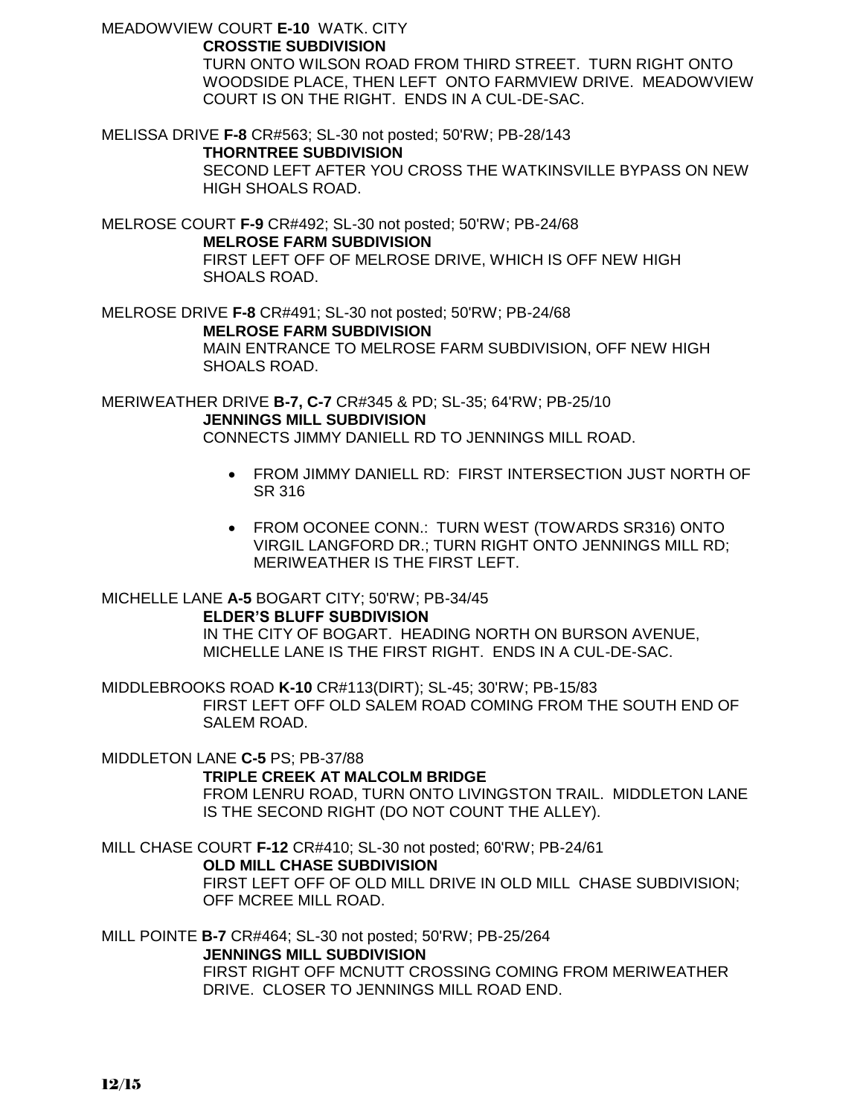MEADOWVIEW COURT **E-10** WATK. CITY

## **CROSSTIE SUBDIVISION**

TURN ONTO WILSON ROAD FROM THIRD STREET. TURN RIGHT ONTO WOODSIDE PLACE, THEN LEFT ONTO FARMVIEW DRIVE. MEADOWVIEW COURT IS ON THE RIGHT. ENDS IN A CUL-DE-SAC.

MELISSA DRIVE **F-8** CR#563; SL-30 not posted; 50'RW; PB-28/143

## **THORNTREE SUBDIVISION**

SECOND LEFT AFTER YOU CROSS THE WATKINSVILLE BYPASS ON NEW HIGH SHOALS ROAD.

MELROSE COURT **F-9** CR#492; SL-30 not posted; 50'RW; PB-24/68 **MELROSE FARM SUBDIVISION** FIRST LEFT OFF OF MELROSE DRIVE, WHICH IS OFF NEW HIGH SHOALS ROAD.

MELROSE DRIVE **F-8** CR#491; SL-30 not posted; 50'RW; PB-24/68 **MELROSE FARM SUBDIVISION** MAIN ENTRANCE TO MELROSE FARM SUBDIVISION, OFF NEW HIGH SHOALS ROAD.

MERIWEATHER DRIVE **B-7, C-7** CR#345 & PD; SL-35; 64'RW; PB-25/10 **JENNINGS MILL SUBDIVISION**

CONNECTS JIMMY DANIELL RD TO JENNINGS MILL ROAD.

- FROM JIMMY DANIELL RD: FIRST INTERSECTION JUST NORTH OF SR 316
- FROM OCONEE CONN.: TURN WEST (TOWARDS SR316) ONTO VIRGIL LANGFORD DR.; TURN RIGHT ONTO JENNINGS MILL RD; MERIWEATHER IS THE FIRST LEFT.

#### MICHELLE LANE **A-5** BOGART CITY; 50'RW; PB-34/45 **ELDER'S BLUFF SUBDIVISION**

IN THE CITY OF BOGART. HEADING NORTH ON BURSON AVENUE, MICHELLE LANE IS THE FIRST RIGHT. ENDS IN A CUL-DE-SAC.

MIDDLEBROOKS ROAD **K-10** CR#113(DIRT); SL-45; 30'RW; PB-15/83 FIRST LEFT OFF OLD SALEM ROAD COMING FROM THE SOUTH END OF SALEM ROAD.

MIDDLETON LANE **C-5** PS; PB-37/88

## **TRIPLE CREEK AT MALCOLM BRIDGE**

FROM LENRU ROAD, TURN ONTO LIVINGSTON TRAIL. MIDDLETON LANE IS THE SECOND RIGHT (DO NOT COUNT THE ALLEY).

MILL CHASE COURT **F-12** CR#410; SL-30 not posted; 60'RW; PB-24/61 **OLD MILL CHASE SUBDIVISION** FIRST LEFT OFF OF OLD MILL DRIVE IN OLD MILL CHASE SUBDIVISION; OFF MCREE MILL ROAD.

MILL POINTE **B-7** CR#464; SL-30 not posted; 50'RW; PB-25/264 **JENNINGS MILL SUBDIVISION**

FIRST RIGHT OFF MCNUTT CROSSING COMING FROM MERIWEATHER DRIVE. CLOSER TO JENNINGS MILL ROAD END.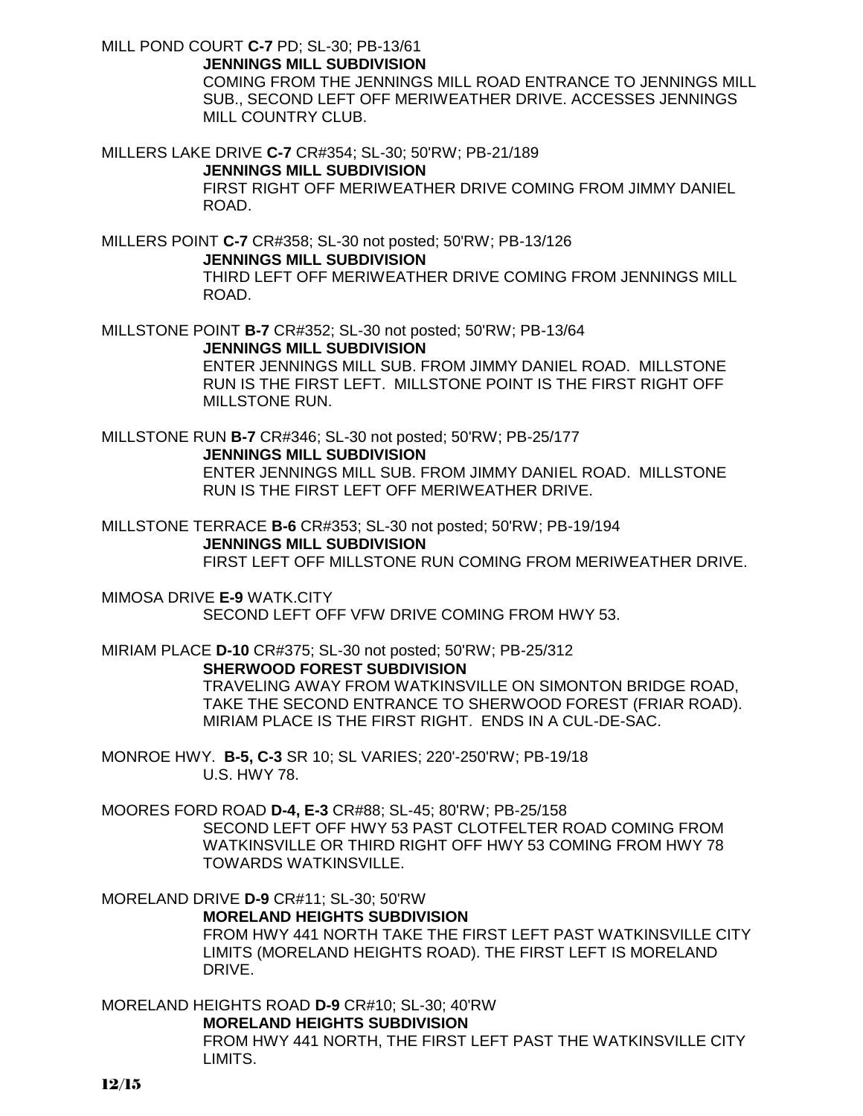MILL POND COURT **C-7** PD; SL-30; PB-13/61

**JENNINGS MILL SUBDIVISION**

COMING FROM THE JENNINGS MILL ROAD ENTRANCE TO JENNINGS MILL SUB., SECOND LEFT OFF MERIWEATHER DRIVE. ACCESSES JENNINGS MILL COUNTRY CLUB.

MILLERS LAKE DRIVE **C-7** CR#354; SL-30; 50'RW; PB-21/189 **JENNINGS MILL SUBDIVISION** FIRST RIGHT OFF MERIWEATHER DRIVE COMING FROM JIMMY DANIEL ROAD.

MILLERS POINT **C-7** CR#358; SL-30 not posted; 50'RW; PB-13/126 **JENNINGS MILL SUBDIVISION** THIRD LEFT OFF MERIWEATHER DRIVE COMING FROM JENNINGS MILL ROAD.

MILLSTONE POINT **B-7** CR#352; SL-30 not posted; 50'RW; PB-13/64 **JENNINGS MILL SUBDIVISION** ENTER JENNINGS MILL SUB. FROM JIMMY DANIEL ROAD. MILLSTONE RUN IS THE FIRST LEFT. MILLSTONE POINT IS THE FIRST RIGHT OFF MILLSTONE RUN.

MILLSTONE RUN **B-7** CR#346; SL-30 not posted; 50'RW; PB-25/177 **JENNINGS MILL SUBDIVISION** ENTER JENNINGS MILL SUB. FROM JIMMY DANIEL ROAD. MILLSTONE RUN IS THE FIRST LEFT OFF MERIWEATHER DRIVE.

MILLSTONE TERRACE **B-6** CR#353; SL-30 not posted; 50'RW; PB-19/194 **JENNINGS MILL SUBDIVISION** FIRST LEFT OFF MILLSTONE RUN COMING FROM MERIWEATHER DRIVE.

MIMOSA DRIVE **E-9** WATK.CITY SECOND LEFT OFF VFW DRIVE COMING FROM HWY 53.

MIRIAM PLACE **D-10** CR#375; SL-30 not posted; 50'RW; PB-25/312 **SHERWOOD FOREST SUBDIVISION** TRAVELING AWAY FROM WATKINSVILLE ON SIMONTON BRIDGE ROAD, TAKE THE SECOND ENTRANCE TO SHERWOOD FOREST (FRIAR ROAD). MIRIAM PLACE IS THE FIRST RIGHT. ENDS IN A CUL-DE-SAC.

MONROE HWY. **B-5, C-3** SR 10; SL VARIES; 220'-250'RW; PB-19/18 U.S. HWY 78.

MOORES FORD ROAD **D-4, E-3** CR#88; SL-45; 80'RW; PB-25/158 SECOND LEFT OFF HWY 53 PAST CLOTFELTER ROAD COMING FROM WATKINSVILLE OR THIRD RIGHT OFF HWY 53 COMING FROM HWY 78 TOWARDS WATKINSVILLE.

MORELAND DRIVE **D-9** CR#11; SL-30; 50'RW **MORELAND HEIGHTS SUBDIVISION** FROM HWY 441 NORTH TAKE THE FIRST LEFT PAST WATKINSVILLE CITY LIMITS (MORELAND HEIGHTS ROAD). THE FIRST LEFT IS MORELAND DRIVE.

MORELAND HEIGHTS ROAD **D-9** CR#10; SL-30; 40'RW **MORELAND HEIGHTS SUBDIVISION** FROM HWY 441 NORTH, THE FIRST LEFT PAST THE WATKINSVILLE CITY LIMITS.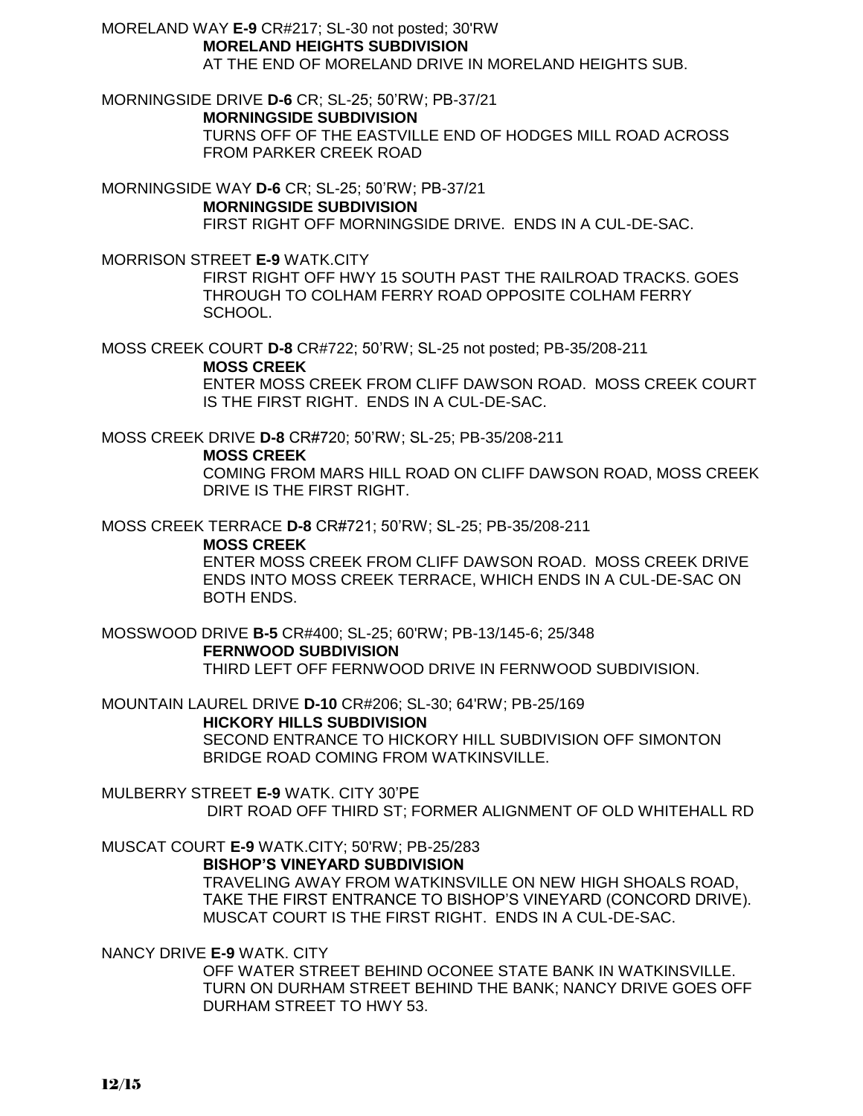MORELAND WAY **E-9** CR#217; SL-30 not posted; 30'RW **MORELAND HEIGHTS SUBDIVISION** AT THE END OF MORELAND DRIVE IN MORELAND HEIGHTS SUB.

MORNINGSIDE DRIVE **D-6** CR; SL-25; 50'RW; PB-37/21 **MORNINGSIDE SUBDIVISION** TURNS OFF OF THE EASTVILLE END OF HODGES MILL ROAD ACROSS FROM PARKER CREEK ROAD

MORNINGSIDE WAY **D-6** CR; SL-25; 50'RW; PB-37/21 **MORNINGSIDE SUBDIVISION** FIRST RIGHT OFF MORNINGSIDE DRIVE. ENDS IN A CUL-DE-SAC.

MORRISON STREET **E-9** WATK.CITY

FIRST RIGHT OFF HWY 15 SOUTH PAST THE RAILROAD TRACKS. GOES THROUGH TO COLHAM FERRY ROAD OPPOSITE COLHAM FERRY SCHOOL.

MOSS CREEK COURT **D-8** CR#722; 50'RW; SL-25 not posted; PB-35/208-211

**MOSS CREEK**

ENTER MOSS CREEK FROM CLIFF DAWSON ROAD. MOSS CREEK COURT IS THE FIRST RIGHT. ENDS IN A CUL-DE-SAC.

MOSS CREEK DRIVE **D-8** CR#720; 50'RW; SL-25; PB-35/208-211

**MOSS CREEK**

COMING FROM MARS HILL ROAD ON CLIFF DAWSON ROAD, MOSS CREEK DRIVE IS THE FIRST RIGHT.

MOSS CREEK TERRACE **D-8** CR#721; 50'RW; SL-25; PB-35/208-211

#### **MOSS CREEK**

ENTER MOSS CREEK FROM CLIFF DAWSON ROAD. MOSS CREEK DRIVE ENDS INTO MOSS CREEK TERRACE, WHICH ENDS IN A CUL-DE-SAC ON BOTH ENDS.

MOSSWOOD DRIVE **B-5** CR#400; SL-25; 60'RW; PB-13/145-6; 25/348 **FERNWOOD SUBDIVISION** THIRD LEFT OFF FERNWOOD DRIVE IN FERNWOOD SUBDIVISION.

MOUNTAIN LAUREL DRIVE **D-10** CR#206; SL-30; 64'RW; PB-25/169 **HICKORY HILLS SUBDIVISION** SECOND ENTRANCE TO HICKORY HILL SUBDIVISION OFF SIMONTON BRIDGE ROAD COMING FROM WATKINSVILLE.

MULBERRY STREET **E-9** WATK. CITY 30'PE DIRT ROAD OFF THIRD ST; FORMER ALIGNMENT OF OLD WHITEHALL RD

MUSCAT COURT **E-9** WATK.CITY; 50'RW; PB-25/283 **BISHOP'S VINEYARD SUBDIVISION**

TRAVELING AWAY FROM WATKINSVILLE ON NEW HIGH SHOALS ROAD, TAKE THE FIRST ENTRANCE TO BISHOP'S VINEYARD (CONCORD DRIVE). MUSCAT COURT IS THE FIRST RIGHT. ENDS IN A CUL-DE-SAC.

NANCY DRIVE **E-9** WATK. CITY

OFF WATER STREET BEHIND OCONEE STATE BANK IN WATKINSVILLE. TURN ON DURHAM STREET BEHIND THE BANK; NANCY DRIVE GOES OFF DURHAM STREET TO HWY 53.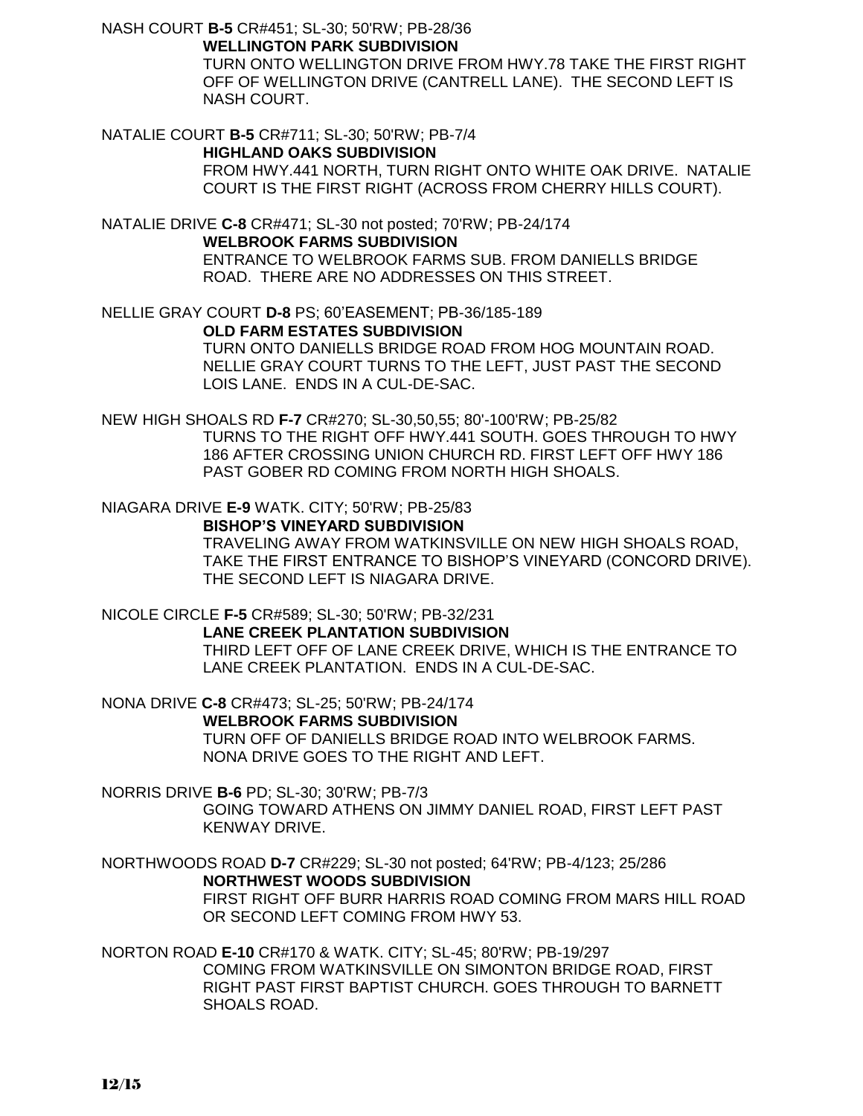NASH COURT **B-5** CR#451; SL-30; 50'RW; PB-28/36

**WELLINGTON PARK SUBDIVISION**

TURN ONTO WELLINGTON DRIVE FROM HWY.78 TAKE THE FIRST RIGHT OFF OF WELLINGTON DRIVE (CANTRELL LANE). THE SECOND LEFT IS NASH COURT.

NATALIE COURT **B-5** CR#711; SL-30; 50'RW; PB-7/4

**HIGHLAND OAKS SUBDIVISION**

FROM HWY.441 NORTH, TURN RIGHT ONTO WHITE OAK DRIVE. NATALIE COURT IS THE FIRST RIGHT (ACROSS FROM CHERRY HILLS COURT).

NATALIE DRIVE **C-8** CR#471; SL-30 not posted; 70'RW; PB-24/174 **WELBROOK FARMS SUBDIVISION** ENTRANCE TO WELBROOK FARMS SUB. FROM DANIELLS BRIDGE ROAD. THERE ARE NO ADDRESSES ON THIS STREET.

NELLIE GRAY COURT **D-8** PS; 60'EASEMENT; PB-36/185-189 **OLD FARM ESTATES SUBDIVISION** TURN ONTO DANIELLS BRIDGE ROAD FROM HOG MOUNTAIN ROAD. NELLIE GRAY COURT TURNS TO THE LEFT, JUST PAST THE SECOND LOIS LANE. ENDS IN A CUL-DE-SAC.

NEW HIGH SHOALS RD **F-7** CR#270; SL-30,50,55; 80'-100'RW; PB-25/82 TURNS TO THE RIGHT OFF HWY.441 SOUTH. GOES THROUGH TO HWY 186 AFTER CROSSING UNION CHURCH RD. FIRST LEFT OFF HWY 186 PAST GOBER RD COMING FROM NORTH HIGH SHOALS.

NIAGARA DRIVE **E-9** WATK. CITY; 50'RW; PB-25/83 **BISHOP'S VINEYARD SUBDIVISION**

TRAVELING AWAY FROM WATKINSVILLE ON NEW HIGH SHOALS ROAD, TAKE THE FIRST ENTRANCE TO BISHOP'S VINEYARD (CONCORD DRIVE). THE SECOND LEFT IS NIAGARA DRIVE.

NICOLE CIRCLE **F-5** CR#589; SL-30; 50'RW; PB-32/231 **LANE CREEK PLANTATION SUBDIVISION** THIRD LEFT OFF OF LANE CREEK DRIVE, WHICH IS THE ENTRANCE TO LANE CREEK PLANTATION. ENDS IN A CUL-DE-SAC.

NONA DRIVE **C-8** CR#473; SL-25; 50'RW; PB-24/174 **WELBROOK FARMS SUBDIVISION** TURN OFF OF DANIELLS BRIDGE ROAD INTO WELBROOK FARMS. NONA DRIVE GOES TO THE RIGHT AND LEFT.

NORRIS DRIVE **B-6** PD; SL-30; 30'RW; PB-7/3 GOING TOWARD ATHENS ON JIMMY DANIEL ROAD, FIRST LEFT PAST KENWAY DRIVE.

NORTHWOODS ROAD **D-7** CR#229; SL-30 not posted; 64'RW; PB-4/123; 25/286 **NORTHWEST WOODS SUBDIVISION** FIRST RIGHT OFF BURR HARRIS ROAD COMING FROM MARS HILL ROAD OR SECOND LEFT COMING FROM HWY 53.

NORTON ROAD **E-10** CR#170 & WATK. CITY; SL-45; 80'RW; PB-19/297 COMING FROM WATKINSVILLE ON SIMONTON BRIDGE ROAD, FIRST RIGHT PAST FIRST BAPTIST CHURCH. GOES THROUGH TO BARNETT SHOALS ROAD.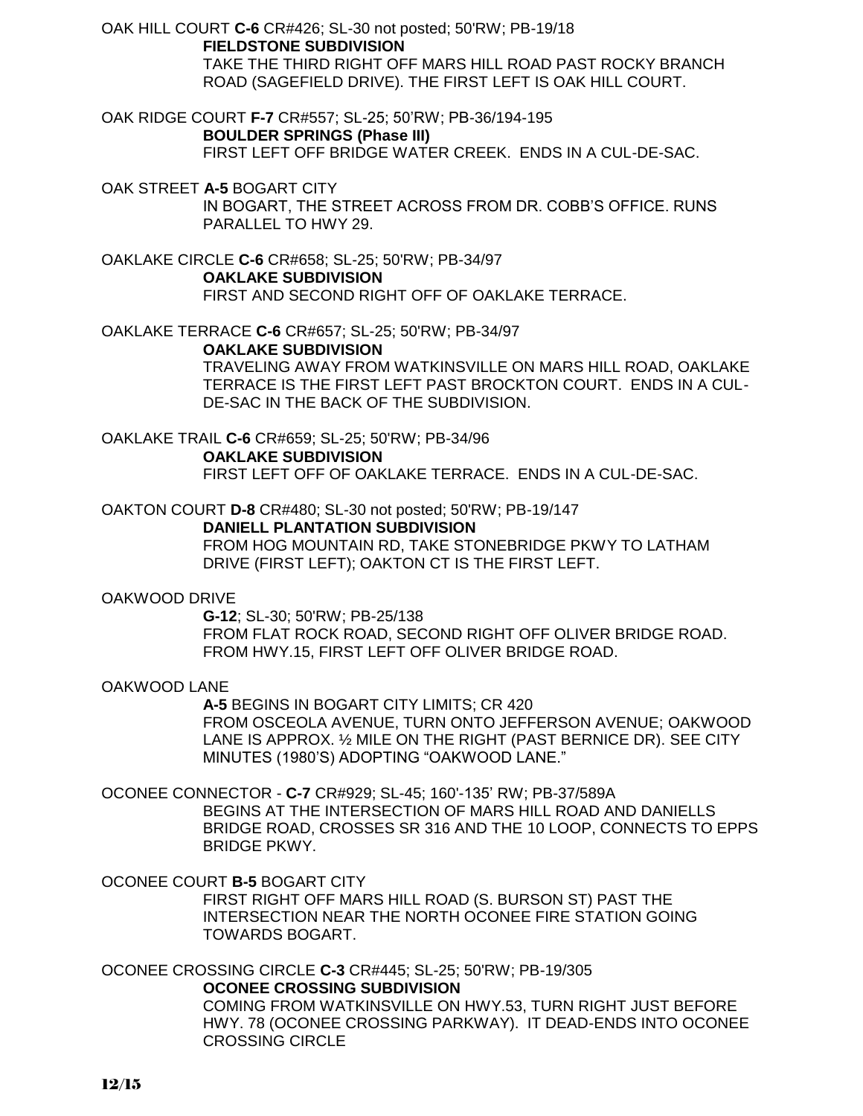OAK HILL COURT **C-6** CR#426; SL-30 not posted; 50'RW; PB-19/18 **FIELDSTONE SUBDIVISION** TAKE THE THIRD RIGHT OFF MARS HILL ROAD PAST ROCKY BRANCH ROAD (SAGEFIELD DRIVE). THE FIRST LEFT IS OAK HILL COURT.

OAK RIDGE COURT **F-7** CR#557; SL-25; 50'RW; PB-36/194-195 **BOULDER SPRINGS (Phase III)** FIRST LEFT OFF BRIDGE WATER CREEK. ENDS IN A CUL-DE-SAC.

OAK STREET **A-5** BOGART CITY IN BOGART, THE STREET ACROSS FROM DR. COBB'S OFFICE. RUNS PARALLEL TO HWY 29.

OAKLAKE CIRCLE **C-6** CR#658; SL-25; 50'RW; PB-34/97 **OAKLAKE SUBDIVISION** FIRST AND SECOND RIGHT OFF OF OAKLAKE TERRACE.

OAKLAKE TERRACE **C-6** CR#657; SL-25; 50'RW; PB-34/97

## **OAKLAKE SUBDIVISION**

TRAVELING AWAY FROM WATKINSVILLE ON MARS HILL ROAD, OAKLAKE TERRACE IS THE FIRST LEFT PAST BROCKTON COURT. ENDS IN A CUL-DE-SAC IN THE BACK OF THE SUBDIVISION.

OAKLAKE TRAIL **C-6** CR#659; SL-25; 50'RW; PB-34/96 **OAKLAKE SUBDIVISION** FIRST LEFT OFF OF OAKLAKE TERRACE. ENDS IN A CUL-DE-SAC.

OAKTON COURT **D-8** CR#480; SL-30 not posted; 50'RW; PB-19/147

## **DANIELL PLANTATION SUBDIVISION**

FROM HOG MOUNTAIN RD, TAKE STONEBRIDGE PKWY TO LATHAM DRIVE (FIRST LEFT); OAKTON CT IS THE FIRST LEFT.

## OAKWOOD DRIVE

**G-12**; SL-30; 50'RW; PB-25/138 FROM FLAT ROCK ROAD, SECOND RIGHT OFF OLIVER BRIDGE ROAD. FROM HWY.15, FIRST LEFT OFF OLIVER BRIDGE ROAD.

## OAKWOOD LANE

**A-5** BEGINS IN BOGART CITY LIMITS; CR 420 FROM OSCEOLA AVENUE, TURN ONTO JEFFERSON AVENUE; OAKWOOD LANE IS APPROX. ½ MILE ON THE RIGHT (PAST BERNICE DR). SEE CITY MINUTES (1980'S) ADOPTING "OAKWOOD LANE."

## OCONEE CONNECTOR - **C-7** CR#929; SL-45; 160'-135' RW; PB-37/589A

BEGINS AT THE INTERSECTION OF MARS HILL ROAD AND DANIELLS BRIDGE ROAD, CROSSES SR 316 AND THE 10 LOOP, CONNECTS TO EPPS BRIDGE PKWY.

## OCONEE COURT **B-5** BOGART CITY

FIRST RIGHT OFF MARS HILL ROAD (S. BURSON ST) PAST THE INTERSECTION NEAR THE NORTH OCONEE FIRE STATION GOING TOWARDS BOGART.

OCONEE CROSSING CIRCLE **C-3** CR#445; SL-25; 50'RW; PB-19/305

**OCONEE CROSSING SUBDIVISION**

COMING FROM WATKINSVILLE ON HWY.53, TURN RIGHT JUST BEFORE HWY. 78 (OCONEE CROSSING PARKWAY). IT DEAD-ENDS INTO OCONEE CROSSING CIRCLE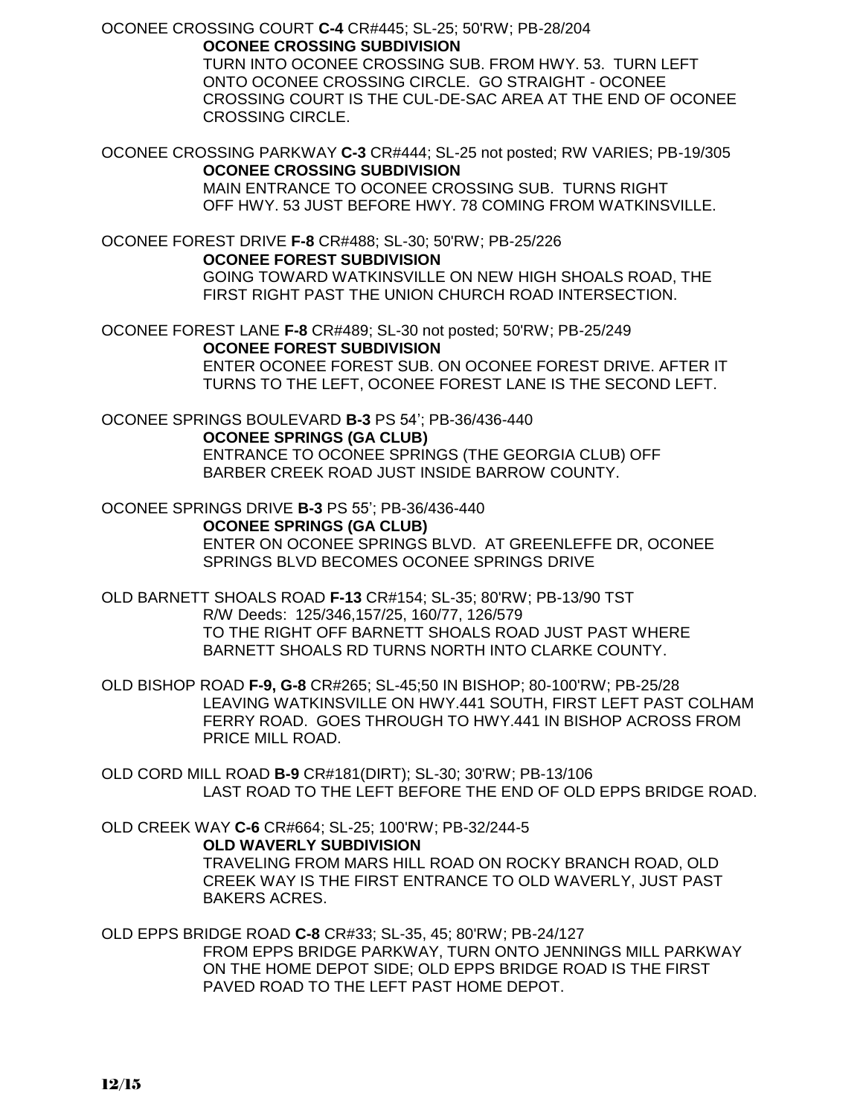OCONEE CROSSING COURT **C-4** CR#445; SL-25; 50'RW; PB-28/204 **OCONEE CROSSING SUBDIVISION**

> TURN INTO OCONEE CROSSING SUB. FROM HWY. 53. TURN LEFT ONTO OCONEE CROSSING CIRCLE. GO STRAIGHT - OCONEE CROSSING COURT IS THE CUL-DE-SAC AREA AT THE END OF OCONEE CROSSING CIRCLE.

OCONEE CROSSING PARKWAY **C-3** CR#444; SL-25 not posted; RW VARIES; PB-19/305 **OCONEE CROSSING SUBDIVISION**

MAIN ENTRANCE TO OCONEE CROSSING SUB. TURNS RIGHT OFF HWY. 53 JUST BEFORE HWY. 78 COMING FROM WATKINSVILLE.

OCONEE FOREST DRIVE **F-8** CR#488; SL-30; 50'RW; PB-25/226 **OCONEE FOREST SUBDIVISION** GOING TOWARD WATKINSVILLE ON NEW HIGH SHOALS ROAD, THE FIRST RIGHT PAST THE UNION CHURCH ROAD INTERSECTION.

OCONEE FOREST LANE **F-8** CR#489; SL-30 not posted; 50'RW; PB-25/249 **OCONEE FOREST SUBDIVISION** ENTER OCONEE FOREST SUB. ON OCONEE FOREST DRIVE. AFTER IT

TURNS TO THE LEFT, OCONEE FOREST LANE IS THE SECOND LEFT.

OCONEE SPRINGS BOULEVARD **B-3** PS 54'; PB-36/436-440 **OCONEE SPRINGS (GA CLUB)**

ENTRANCE TO OCONEE SPRINGS (THE GEORGIA CLUB) OFF BARBER CREEK ROAD JUST INSIDE BARROW COUNTY.

OCONEE SPRINGS DRIVE **B-3** PS 55'; PB-36/436-440

**OCONEE SPRINGS (GA CLUB)**

ENTER ON OCONEE SPRINGS BLVD. AT GREENLEFFE DR, OCONEE SPRINGS BLVD BECOMES OCONEE SPRINGS DRIVE

OLD BARNETT SHOALS ROAD **F-13** CR#154; SL-35; 80'RW; PB-13/90 TST R/W Deeds: 125/346,157/25, 160/77, 126/579 TO THE RIGHT OFF BARNETT SHOALS ROAD JUST PAST WHERE BARNETT SHOALS RD TURNS NORTH INTO CLARKE COUNTY.

OLD BISHOP ROAD **F-9, G-8** CR#265; SL-45;50 IN BISHOP; 80-100'RW; PB-25/28 LEAVING WATKINSVILLE ON HWY.441 SOUTH, FIRST LEFT PAST COLHAM FERRY ROAD. GOES THROUGH TO HWY.441 IN BISHOP ACROSS FROM PRICE MILL ROAD.

OLD CORD MILL ROAD **B-9** CR#181(DIRT); SL-30; 30'RW; PB-13/106 LAST ROAD TO THE LEFT BEFORE THE END OF OLD EPPS BRIDGE ROAD.

OLD CREEK WAY **C-6** CR#664; SL-25; 100'RW; PB-32/244-5 **OLD WAVERLY SUBDIVISION**

TRAVELING FROM MARS HILL ROAD ON ROCKY BRANCH ROAD, OLD CREEK WAY IS THE FIRST ENTRANCE TO OLD WAVERLY, JUST PAST BAKERS ACRES.

OLD EPPS BRIDGE ROAD **C-8** CR#33; SL-35, 45; 80'RW; PB-24/127 FROM EPPS BRIDGE PARKWAY, TURN ONTO JENNINGS MILL PARKWAY ON THE HOME DEPOT SIDE; OLD EPPS BRIDGE ROAD IS THE FIRST PAVED ROAD TO THE LEFT PAST HOME DEPOT.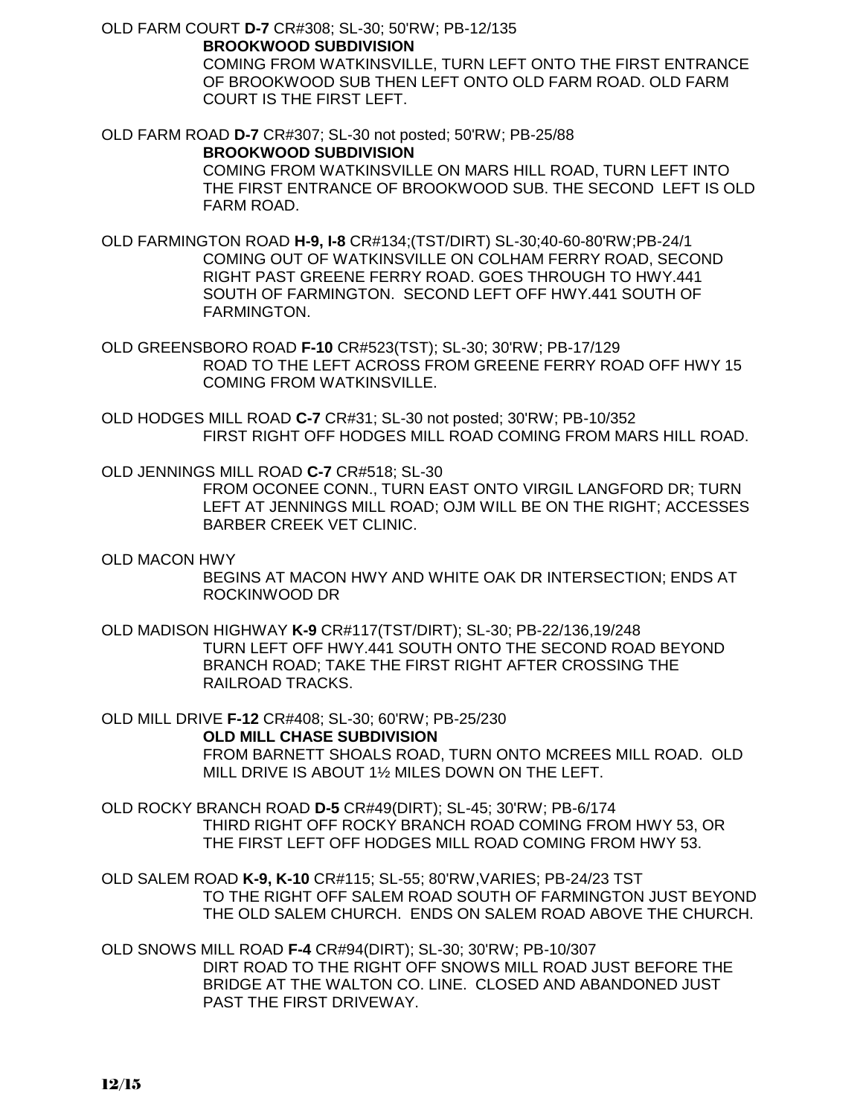OLD FARM COURT **D-7** CR#308; SL-30; 50'RW; PB-12/135 **BROOKWOOD SUBDIVISION**

COMING FROM WATKINSVILLE, TURN LEFT ONTO THE FIRST ENTRANCE OF BROOKWOOD SUB THEN LEFT ONTO OLD FARM ROAD. OLD FARM COURT IS THE FIRST LEFT.

OLD FARM ROAD **D-7** CR#307; SL-30 not posted; 50'RW; PB-25/88 **BROOKWOOD SUBDIVISION** COMING FROM WATKINSVILLE ON MARS HILL ROAD, TURN LEFT INTO THE FIRST ENTRANCE OF BROOKWOOD SUB. THE SECOND LEFT IS OLD FARM ROAD.

OLD FARMINGTON ROAD **H-9, I-8** CR#134;(TST/DIRT) SL-30;40-60-80'RW;PB-24/1 COMING OUT OF WATKINSVILLE ON COLHAM FERRY ROAD, SECOND RIGHT PAST GREENE FERRY ROAD. GOES THROUGH TO HWY.441 SOUTH OF FARMINGTON. SECOND LEFT OFF HWY.441 SOUTH OF FARMINGTON.

OLD GREENSBORO ROAD **F-10** CR#523(TST); SL-30; 30'RW; PB-17/129 ROAD TO THE LEFT ACROSS FROM GREENE FERRY ROAD OFF HWY 15 COMING FROM WATKINSVILLE.

OLD HODGES MILL ROAD **C-7** CR#31; SL-30 not posted; 30'RW; PB-10/352 FIRST RIGHT OFF HODGES MILL ROAD COMING FROM MARS HILL ROAD.

OLD JENNINGS MILL ROAD **C-7** CR#518; SL-30

FROM OCONEE CONN., TURN EAST ONTO VIRGIL LANGFORD DR; TURN LEFT AT JENNINGS MILL ROAD; OJM WILL BE ON THE RIGHT; ACCESSES BARBER CREEK VET CLINIC.

OLD MACON HWY

BEGINS AT MACON HWY AND WHITE OAK DR INTERSECTION; ENDS AT ROCKINWOOD DR

OLD MADISON HIGHWAY **K-9** CR#117(TST/DIRT); SL-30; PB-22/136,19/248 TURN LEFT OFF HWY.441 SOUTH ONTO THE SECOND ROAD BEYOND BRANCH ROAD; TAKE THE FIRST RIGHT AFTER CROSSING THE RAILROAD TRACKS.

OLD MILL DRIVE **F-12** CR#408; SL-30; 60'RW; PB-25/230 **OLD MILL CHASE SUBDIVISION** FROM BARNETT SHOALS ROAD, TURN ONTO MCREES MILL ROAD. OLD MILL DRIVE IS ABOUT 1½ MILES DOWN ON THE LEFT.

OLD ROCKY BRANCH ROAD **D-5** CR#49(DIRT); SL-45; 30'RW; PB-6/174 THIRD RIGHT OFF ROCKY BRANCH ROAD COMING FROM HWY 53, OR THE FIRST LEFT OFF HODGES MILL ROAD COMING FROM HWY 53.

OLD SALEM ROAD **K-9, K-10** CR#115; SL-55; 80'RW,VARIES; PB-24/23 TST TO THE RIGHT OFF SALEM ROAD SOUTH OF FARMINGTON JUST BEYOND THE OLD SALEM CHURCH. ENDS ON SALEM ROAD ABOVE THE CHURCH.

OLD SNOWS MILL ROAD **F-4** CR#94(DIRT); SL-30; 30'RW; PB-10/307 DIRT ROAD TO THE RIGHT OFF SNOWS MILL ROAD JUST BEFORE THE BRIDGE AT THE WALTON CO. LINE. CLOSED AND ABANDONED JUST PAST THE FIRST DRIVEWAY.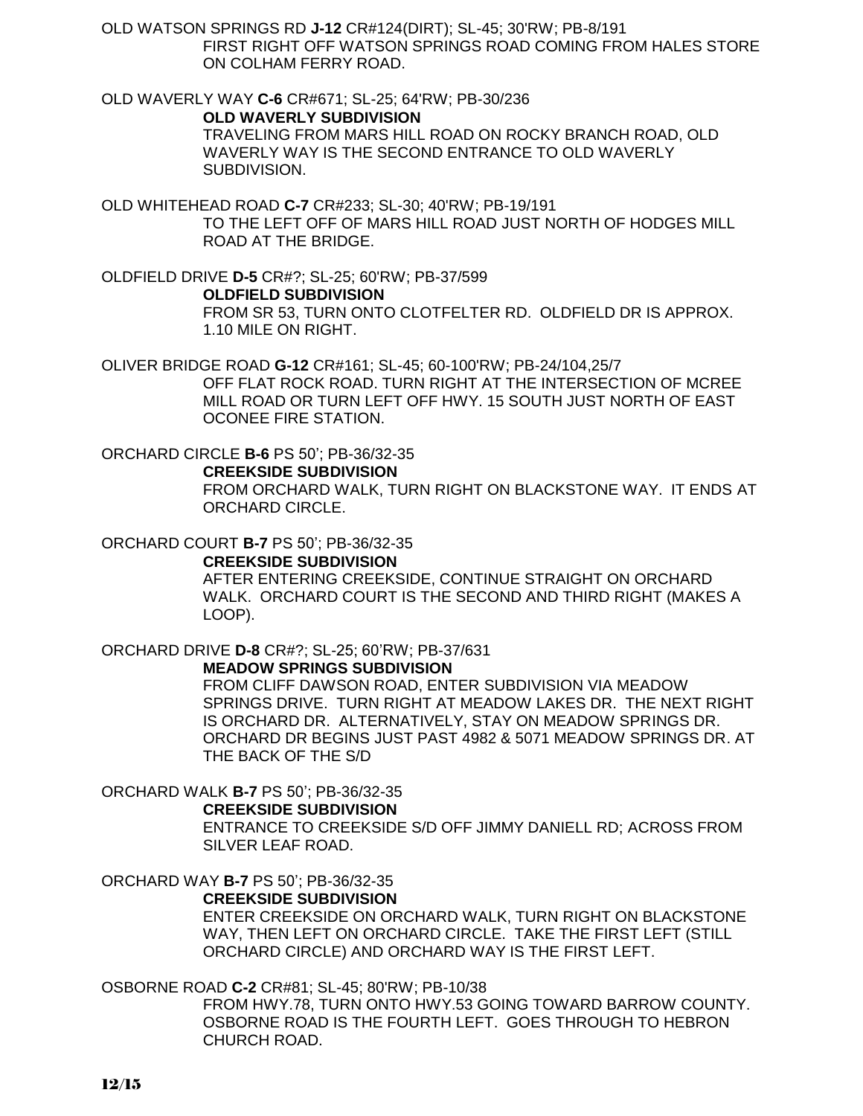OLD WATSON SPRINGS RD **J-12** CR#124(DIRT); SL-45; 30'RW; PB-8/191 FIRST RIGHT OFF WATSON SPRINGS ROAD COMING FROM HALES STORE ON COLHAM FERRY ROAD.

OLD WAVERLY WAY **C-6** CR#671; SL-25; 64'RW; PB-30/236 **OLD WAVERLY SUBDIVISION**  TRAVELING FROM MARS HILL ROAD ON ROCKY BRANCH ROAD, OLD WAVERLY WAY IS THE SECOND ENTRANCE TO OLD WAVERLY SUBDIVISION.

OLD WHITEHEAD ROAD **C-7** CR#233; SL-30; 40'RW; PB-19/191 TO THE LEFT OFF OF MARS HILL ROAD JUST NORTH OF HODGES MILL ROAD AT THE BRIDGE.

OLDFIELD DRIVE **D-5** CR#?; SL-25; 60'RW; PB-37/599 **OLDFIELD SUBDIVISION** FROM SR 53, TURN ONTO CLOTFELTER RD. OLDFIELD DR IS APPROX. 1.10 MILE ON RIGHT.

OLIVER BRIDGE ROAD **G-12** CR#161; SL-45; 60-100'RW; PB-24/104,25/7 OFF FLAT ROCK ROAD. TURN RIGHT AT THE INTERSECTION OF MCREE MILL ROAD OR TURN LEFT OFF HWY. 15 SOUTH JUST NORTH OF EAST OCONEE FIRE STATION.

ORCHARD CIRCLE **B-6** PS 50'; PB-36/32-35 **CREEKSIDE SUBDIVISION** FROM ORCHARD WALK, TURN RIGHT ON BLACKSTONE WAY. IT ENDS AT ORCHARD CIRCLE.

ORCHARD COURT **B-7** PS 50'; PB-36/32-35

#### **CREEKSIDE SUBDIVISION**

AFTER ENTERING CREEKSIDE, CONTINUE STRAIGHT ON ORCHARD WALK. ORCHARD COURT IS THE SECOND AND THIRD RIGHT (MAKES A LOOP).

ORCHARD DRIVE **D-8** CR#?; SL-25; 60'RW; PB-37/631

**MEADOW SPRINGS SUBDIVISION**

FROM CLIFF DAWSON ROAD, ENTER SUBDIVISION VIA MEADOW SPRINGS DRIVE. TURN RIGHT AT MEADOW LAKES DR. THE NEXT RIGHT IS ORCHARD DR. ALTERNATIVELY, STAY ON MEADOW SPRINGS DR. ORCHARD DR BEGINS JUST PAST 4982 & 5071 MEADOW SPRINGS DR. AT THE BACK OF THE S/D

## ORCHARD WALK **B-7** PS 50'; PB-36/32-35

#### **CREEKSIDE SUBDIVISION**

ENTRANCE TO CREEKSIDE S/D OFF JIMMY DANIELL RD; ACROSS FROM SILVER LEAF ROAD.

ORCHARD WAY **B-7** PS 50'; PB-36/32-35

## **CREEKSIDE SUBDIVISION**

ENTER CREEKSIDE ON ORCHARD WALK, TURN RIGHT ON BLACKSTONE WAY, THEN LEFT ON ORCHARD CIRCLE. TAKE THE FIRST LEFT (STILL ORCHARD CIRCLE) AND ORCHARD WAY IS THE FIRST LEFT.

## OSBORNE ROAD **C-2** CR#81; SL-45; 80'RW; PB-10/38

FROM HWY.78, TURN ONTO HWY.53 GOING TOWARD BARROW COUNTY. OSBORNE ROAD IS THE FOURTH LEFT. GOES THROUGH TO HEBRON CHURCH ROAD.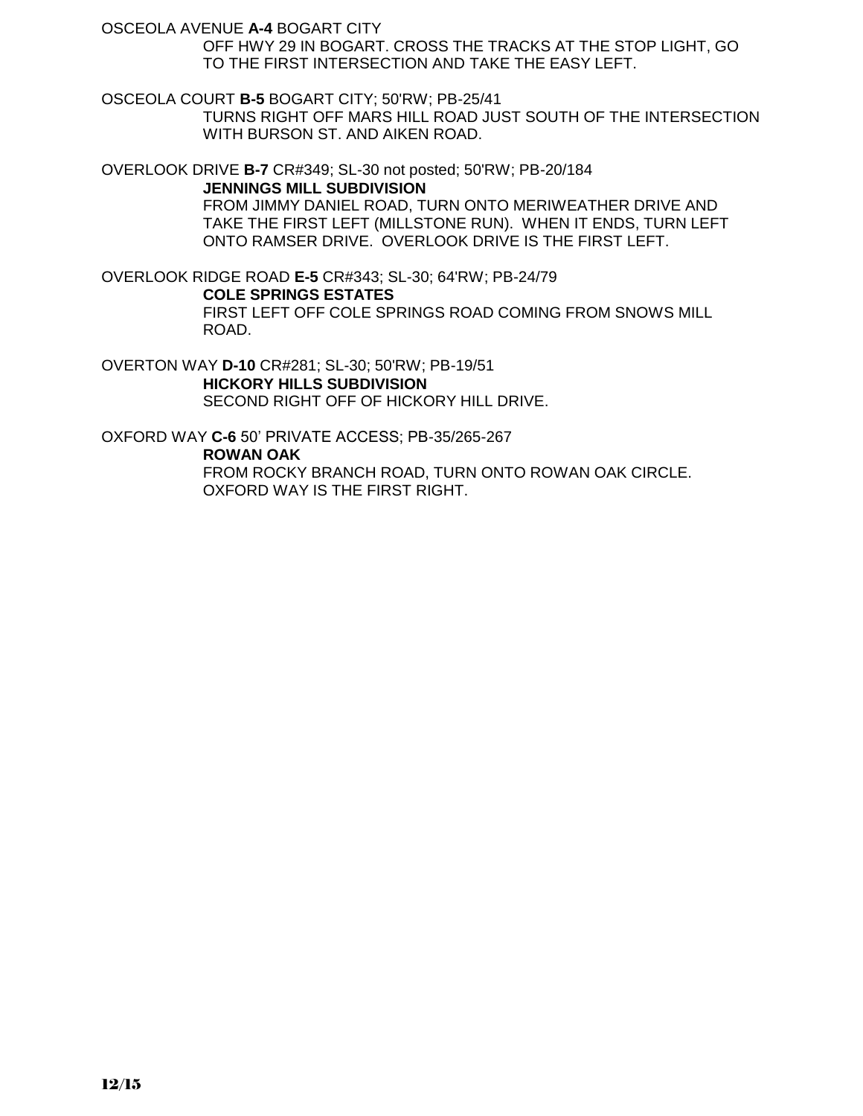OSCEOLA AVENUE **A-4** BOGART CITY

OFF HWY 29 IN BOGART. CROSS THE TRACKS AT THE STOP LIGHT, GO TO THE FIRST INTERSECTION AND TAKE THE EASY LEFT.

OSCEOLA COURT **B-5** BOGART CITY; 50'RW; PB-25/41

TURNS RIGHT OFF MARS HILL ROAD JUST SOUTH OF THE INTERSECTION WITH BURSON ST. AND AIKEN ROAD.

OVERLOOK DRIVE **B-7** CR#349; SL-30 not posted; 50'RW; PB-20/184 **JENNINGS MILL SUBDIVISION**

FROM JIMMY DANIEL ROAD, TURN ONTO MERIWEATHER DRIVE AND TAKE THE FIRST LEFT (MILLSTONE RUN). WHEN IT ENDS, TURN LEFT ONTO RAMSER DRIVE. OVERLOOK DRIVE IS THE FIRST LEFT.

OVERLOOK RIDGE ROAD **E-5** CR#343; SL-30; 64'RW; PB-24/79 **COLE SPRINGS ESTATES** FIRST LEFT OFF COLE SPRINGS ROAD COMING FROM SNOWS MILL ROAD.

OVERTON WAY **D-10** CR#281; SL-30; 50'RW; PB-19/51 **HICKORY HILLS SUBDIVISION** SECOND RIGHT OFF OF HICKORY HILL DRIVE.

OXFORD WAY **C-6** 50' PRIVATE ACCESS; PB-35/265-267

**ROWAN OAK**

FROM ROCKY BRANCH ROAD, TURN ONTO ROWAN OAK CIRCLE. OXFORD WAY IS THE FIRST RIGHT.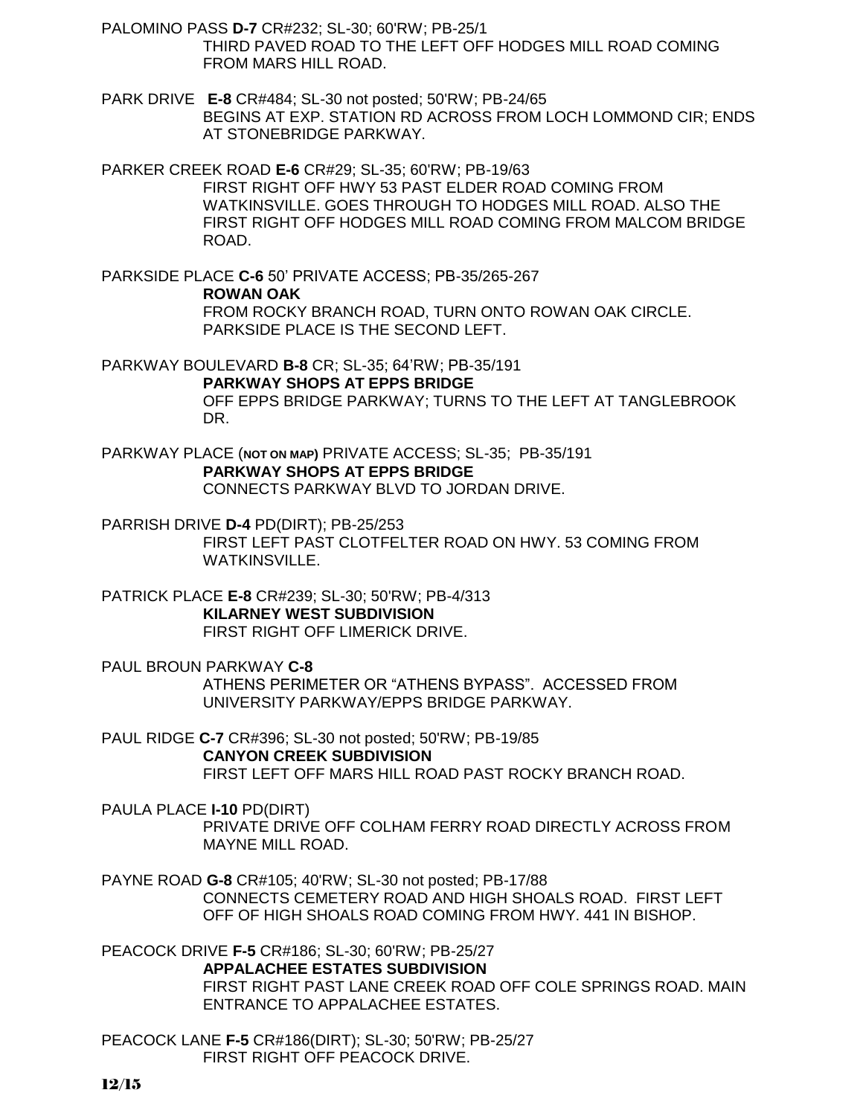PALOMINO PASS **D-7** CR#232; SL-30; 60'RW; PB-25/1 THIRD PAVED ROAD TO THE LEFT OFF HODGES MILL ROAD COMING FROM MARS HILL ROAD.

PARK DRIVE **E-8** CR#484; SL-30 not posted; 50'RW; PB-24/65 BEGINS AT EXP. STATION RD ACROSS FROM LOCH LOMMOND CIR; ENDS AT STONEBRIDGE PARKWAY.

PARKER CREEK ROAD **E-6** CR#29; SL-35; 60'RW; PB-19/63 FIRST RIGHT OFF HWY 53 PAST ELDER ROAD COMING FROM WATKINSVILLE. GOES THROUGH TO HODGES MILL ROAD. ALSO THE FIRST RIGHT OFF HODGES MILL ROAD COMING FROM MALCOM BRIDGE ROAD.

PARKSIDE PLACE **C-6** 50' PRIVATE ACCESS; PB-35/265-267 **ROWAN OAK** FROM ROCKY BRANCH ROAD, TURN ONTO ROWAN OAK CIRCLE. PARKSIDE PLACE IS THE SECOND LEFT.

PARKWAY BOULEVARD **B-8** CR; SL-35; 64'RW; PB-35/191 **PARKWAY SHOPS AT EPPS BRIDGE** OFF EPPS BRIDGE PARKWAY; TURNS TO THE LEFT AT TANGLEBROOK DR.

PARKWAY PLACE (**NOT ON MAP)** PRIVATE ACCESS; SL-35; PB-35/191 **PARKWAY SHOPS AT EPPS BRIDGE** CONNECTS PARKWAY BLVD TO JORDAN DRIVE.

PARRISH DRIVE **D-4** PD(DIRT); PB-25/253 FIRST LEFT PAST CLOTFELTER ROAD ON HWY. 53 COMING FROM WATKINSVILLE.

PATRICK PLACE **E-8** CR#239; SL-30; 50'RW; PB-4/313 **KILARNEY WEST SUBDIVISION** FIRST RIGHT OFF LIMERICK DRIVE.

PAUL BROUN PARKWAY **C-8** ATHENS PERIMETER OR "ATHENS BYPASS". ACCESSED FROM UNIVERSITY PARKWAY/EPPS BRIDGE PARKWAY.

PAUL RIDGE **C-7** CR#396; SL-30 not posted; 50'RW; PB-19/85 **CANYON CREEK SUBDIVISION** FIRST LEFT OFF MARS HILL ROAD PAST ROCKY BRANCH ROAD.

PAULA PLACE **I-10** PD(DIRT) PRIVATE DRIVE OFF COLHAM FERRY ROAD DIRECTLY ACROSS FROM MAYNE MILL ROAD.

PAYNE ROAD **G-8** CR#105; 40'RW; SL-30 not posted; PB-17/88 CONNECTS CEMETERY ROAD AND HIGH SHOALS ROAD. FIRST LEFT OFF OF HIGH SHOALS ROAD COMING FROM HWY. 441 IN BISHOP.

PEACOCK DRIVE **F-5** CR#186; SL-30; 60'RW; PB-25/27 **APPALACHEE ESTATES SUBDIVISION** FIRST RIGHT PAST LANE CREEK ROAD OFF COLE SPRINGS ROAD. MAIN ENTRANCE TO APPALACHEE ESTATES.

PEACOCK LANE **F-5** CR#186(DIRT); SL-30; 50'RW; PB-25/27 FIRST RIGHT OFF PEACOCK DRIVE.

12/15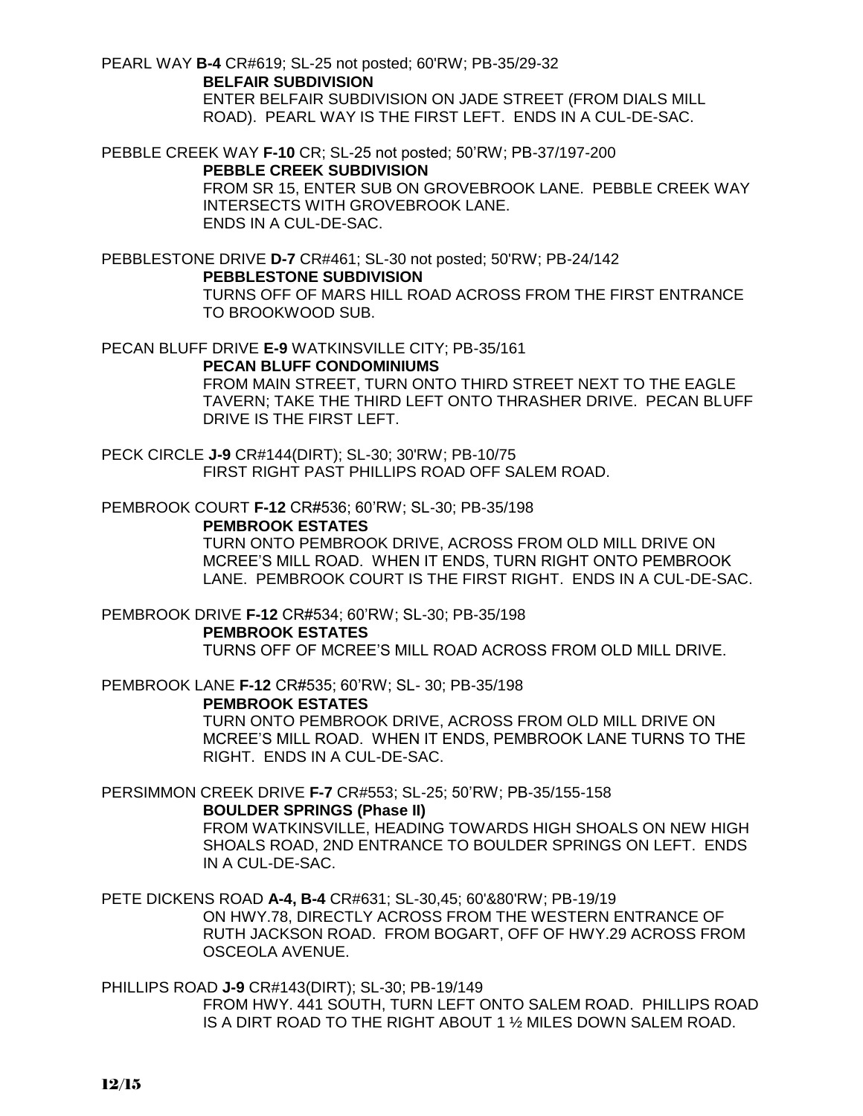PEARL WAY **B-4** CR#619; SL-25 not posted; 60'RW; PB-35/29-32 **BELFAIR SUBDIVISION** ENTER BELFAIR SUBDIVISION ON JADE STREET (FROM DIALS MILL

ROAD). PEARL WAY IS THE FIRST LEFT. ENDS IN A CUL-DE-SAC.

PEBBLE CREEK WAY **F-10** CR; SL-25 not posted; 50'RW; PB-37/197-200

## **PEBBLE CREEK SUBDIVISION**

FROM SR 15, ENTER SUB ON GROVEBROOK LANE. PEBBLE CREEK WAY INTERSECTS WITH GROVEBROOK LANE. ENDS IN A CUL-DE-SAC.

PEBBLESTONE DRIVE **D-7** CR#461; SL-30 not posted; 50'RW; PB-24/142 **PEBBLESTONE SUBDIVISION**

> TURNS OFF OF MARS HILL ROAD ACROSS FROM THE FIRST ENTRANCE TO BROOKWOOD SUB.

PECAN BLUFF DRIVE **E-9** WATKINSVILLE CITY; PB-35/161

## **PECAN BLUFF CONDOMINIUMS**

FROM MAIN STREET, TURN ONTO THIRD STREET NEXT TO THE EAGLE TAVERN; TAKE THE THIRD LEFT ONTO THRASHER DRIVE. PECAN BLUFF DRIVE IS THE FIRST LEFT.

PECK CIRCLE **J-9** CR#144(DIRT); SL-30; 30'RW; PB-10/75 FIRST RIGHT PAST PHILLIPS ROAD OFF SALEM ROAD.

PEMBROOK COURT **F-12** CR#536; 60'RW; SL-30; PB-35/198

## **PEMBROOK ESTATES**

TURN ONTO PEMBROOK DRIVE, ACROSS FROM OLD MILL DRIVE ON MCREE'S MILL ROAD. WHEN IT ENDS, TURN RIGHT ONTO PEMBROOK LANE. PEMBROOK COURT IS THE FIRST RIGHT. ENDS IN A CUL-DE-SAC.

PEMBROOK DRIVE **F-12** CR#534; 60'RW; SL-30; PB-35/198 **PEMBROOK ESTATES** TURNS OFF OF MCREE'S MILL ROAD ACROSS FROM OLD MILL DRIVE.

PEMBROOK LANE **F-12** CR#535; 60'RW; SL- 30; PB-35/198 **PEMBROOK ESTATES**

TURN ONTO PEMBROOK DRIVE, ACROSS FROM OLD MILL DRIVE ON MCREE'S MILL ROAD. WHEN IT ENDS, PEMBROOK LANE TURNS TO THE RIGHT. ENDS IN A CUL-DE-SAC.

PERSIMMON CREEK DRIVE **F-7** CR#553; SL-25; 50'RW; PB-35/155-158

## **BOULDER SPRINGS (Phase II)**

FROM WATKINSVILLE, HEADING TOWARDS HIGH SHOALS ON NEW HIGH SHOALS ROAD, 2ND ENTRANCE TO BOULDER SPRINGS ON LEFT. ENDS IN A CUL-DE-SAC.

PETE DICKENS ROAD **A-4, B-4** CR#631; SL-30,45; 60'&80'RW; PB-19/19 ON HWY.78, DIRECTLY ACROSS FROM THE WESTERN ENTRANCE OF

RUTH JACKSON ROAD. FROM BOGART, OFF OF HWY.29 ACROSS FROM OSCEOLA AVENUE.

PHILLIPS ROAD **J-9** CR#143(DIRT); SL-30; PB-19/149

FROM HWY. 441 SOUTH, TURN LEFT ONTO SALEM ROAD. PHILLIPS ROAD IS A DIRT ROAD TO THE RIGHT ABOUT 1 ½ MILES DOWN SALEM ROAD.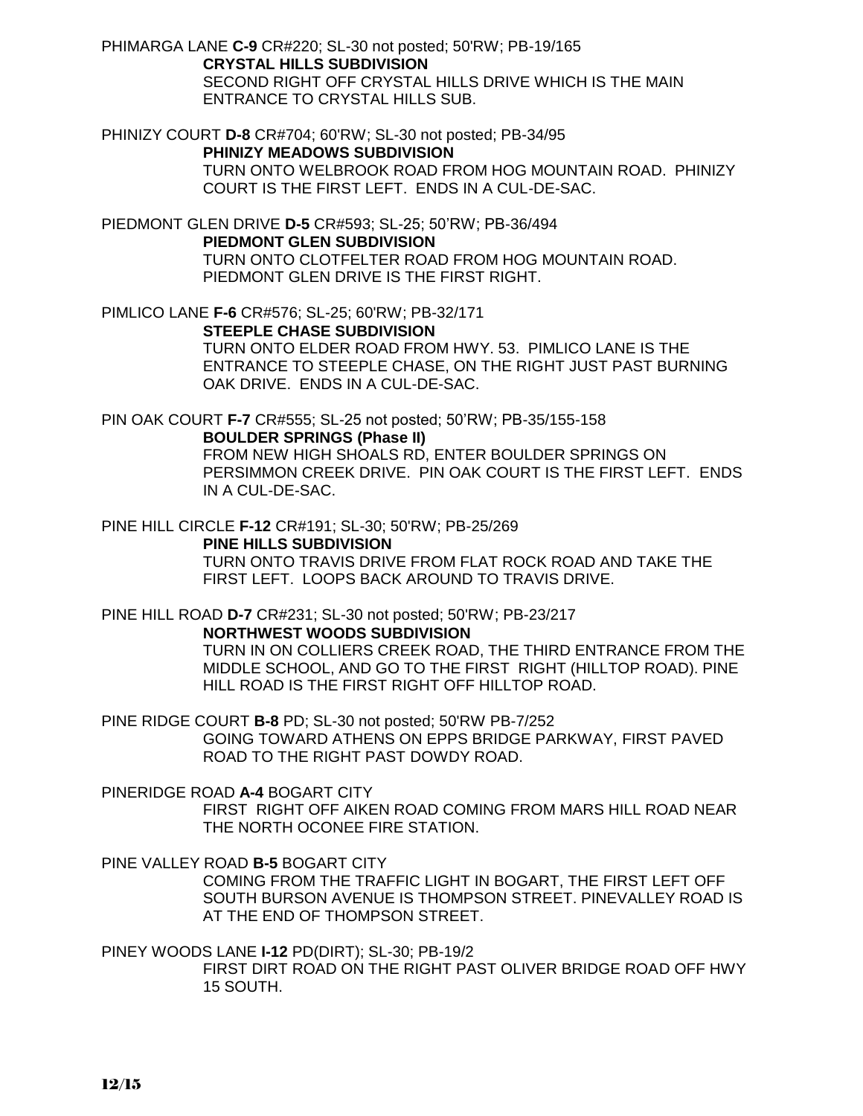PHIMARGA LANE **C-9** CR#220; SL-30 not posted; 50'RW; PB-19/165 **CRYSTAL HILLS SUBDIVISION** SECOND RIGHT OFF CRYSTAL HILLS DRIVE WHICH IS THE MAIN ENTRANCE TO CRYSTAL HILLS SUB.

PHINIZY COURT **D-8** CR#704; 60'RW; SL-30 not posted; PB-34/95 **PHINIZY MEADOWS SUBDIVISION** TURN ONTO WELBROOK ROAD FROM HOG MOUNTAIN ROAD. PHINIZY COURT IS THE FIRST LEFT. ENDS IN A CUL-DE-SAC.

PIEDMONT GLEN DRIVE **D-5** CR#593; SL-25; 50'RW; PB-36/494 **PIEDMONT GLEN SUBDIVISION** TURN ONTO CLOTFELTER ROAD FROM HOG MOUNTAIN ROAD. PIEDMONT GLEN DRIVE IS THE FIRST RIGHT.

PIMLICO LANE **F-6** CR#576; SL-25; 60'RW; PB-32/171 **STEEPLE CHASE SUBDIVISION** TURN ONTO ELDER ROAD FROM HWY. 53. PIMLICO LANE IS THE ENTRANCE TO STEEPLE CHASE, ON THE RIGHT JUST PAST BURNING OAK DRIVE. ENDS IN A CUL-DE-SAC.

PIN OAK COURT **F-7** CR#555; SL-25 not posted; 50'RW; PB-35/155-158

**BOULDER SPRINGS (Phase II)**

FROM NEW HIGH SHOALS RD, ENTER BOULDER SPRINGS ON PERSIMMON CREEK DRIVE. PIN OAK COURT IS THE FIRST LEFT. ENDS IN A CUL-DE-SAC.

PINE HILL CIRCLE **F-12** CR#191; SL-30; 50'RW; PB-25/269 **PINE HILLS SUBDIVISION** TURN ONTO TRAVIS DRIVE FROM FLAT ROCK ROAD AND TAKE THE

PINE HILL ROAD **D-7** CR#231; SL-30 not posted; 50'RW; PB-23/217

**NORTHWEST WOODS SUBDIVISION**

TURN IN ON COLLIERS CREEK ROAD, THE THIRD ENTRANCE FROM THE MIDDLE SCHOOL, AND GO TO THE FIRST RIGHT (HILLTOP ROAD). PINE HILL ROAD IS THE FIRST RIGHT OFF HILLTOP ROAD.

PINE RIDGE COURT **B-8** PD; SL-30 not posted; 50'RW PB-7/252 GOING TOWARD ATHENS ON EPPS BRIDGE PARKWAY, FIRST PAVED ROAD TO THE RIGHT PAST DOWDY ROAD.

FIRST LEFT. LOOPS BACK AROUND TO TRAVIS DRIVE.

PINERIDGE ROAD **A-4** BOGART CITY FIRST RIGHT OFF AIKEN ROAD COMING FROM MARS HILL ROAD NEAR THE NORTH OCONEE FIRE STATION.

PINE VALLEY ROAD **B-5** BOGART CITY COMING FROM THE TRAFFIC LIGHT IN BOGART, THE FIRST LEFT OFF SOUTH BURSON AVENUE IS THOMPSON STREET. PINEVALLEY ROAD IS AT THE END OF THOMPSON STREET.

PINEY WOODS LANE **I-12** PD(DIRT); SL-30; PB-19/2 FIRST DIRT ROAD ON THE RIGHT PAST OLIVER BRIDGE ROAD OFF HWY 15 SOUTH.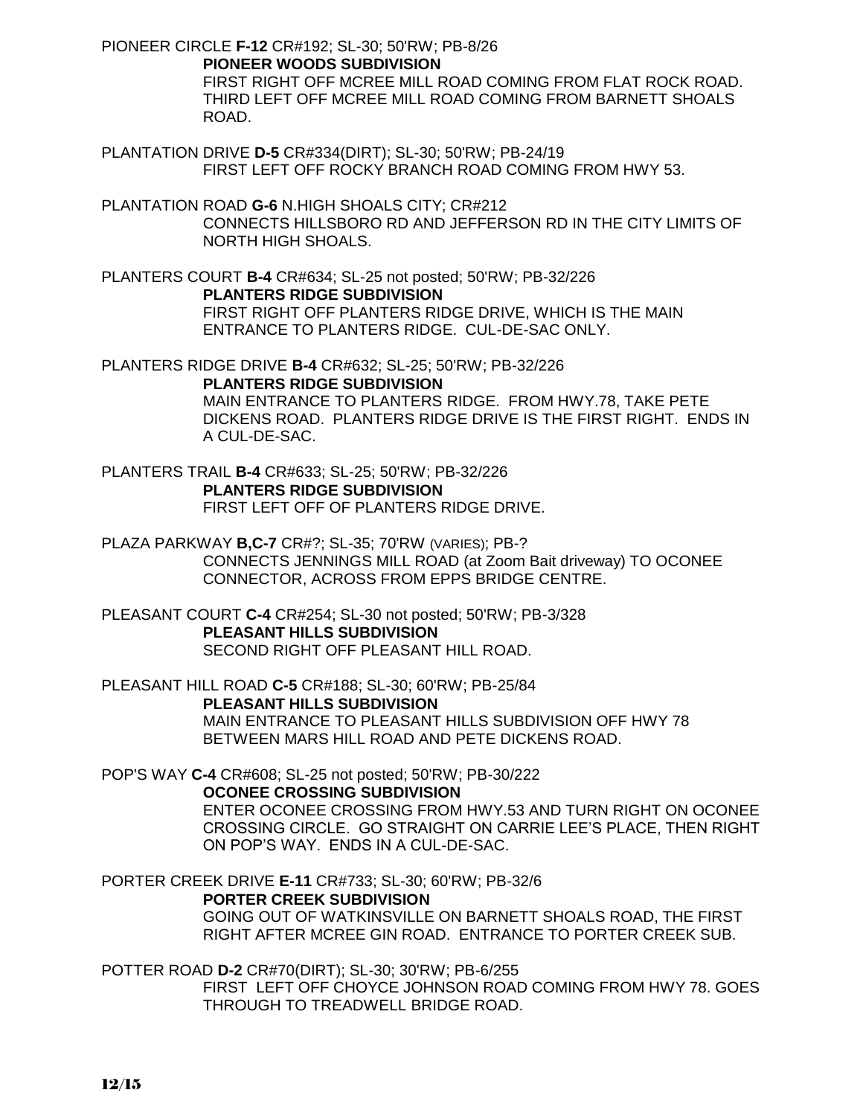PIONEER CIRCLE **F-12** CR#192; SL-30; 50'RW; PB-8/26 **PIONEER WOODS SUBDIVISION** FIRST RIGHT OFF MCREE MILL ROAD COMING FROM FLAT ROCK ROAD. THIRD LEFT OFF MCREE MILL ROAD COMING FROM BARNETT SHOALS ROAD.

- PLANTATION DRIVE **D-5** CR#334(DIRT); SL-30; 50'RW; PB-24/19 FIRST LEFT OFF ROCKY BRANCH ROAD COMING FROM HWY 53.
- PLANTATION ROAD **G-6** N.HIGH SHOALS CITY; CR#212 CONNECTS HILLSBORO RD AND JEFFERSON RD IN THE CITY LIMITS OF NORTH HIGH SHOALS.

PLANTERS COURT **B-4** CR#634; SL-25 not posted; 50'RW; PB-32/226 **PLANTERS RIDGE SUBDIVISION** FIRST RIGHT OFF PLANTERS RIDGE DRIVE, WHICH IS THE MAIN ENTRANCE TO PLANTERS RIDGE. CUL-DE-SAC ONLY.

PLANTERS RIDGE DRIVE **B-4** CR#632; SL-25; 50'RW; PB-32/226 **PLANTERS RIDGE SUBDIVISION** MAIN ENTRANCE TO PLANTERS RIDGE. FROM HWY.78, TAKE PETE DICKENS ROAD. PLANTERS RIDGE DRIVE IS THE FIRST RIGHT. ENDS IN A CUL-DE-SAC.

PLANTERS TRAIL **B-4** CR#633; SL-25; 50'RW; PB-32/226 **PLANTERS RIDGE SUBDIVISION** FIRST LEFT OFF OF PLANTERS RIDGE DRIVE.

PLAZA PARKWAY **B,C-7** CR#?; SL-35; 70'RW (VARIES); PB-? CONNECTS JENNINGS MILL ROAD (at Zoom Bait driveway) TO OCONEE CONNECTOR, ACROSS FROM EPPS BRIDGE CENTRE.

PLEASANT COURT **C-4** CR#254; SL-30 not posted; 50'RW; PB-3/328 **PLEASANT HILLS SUBDIVISION** SECOND RIGHT OFF PLEASANT HILL ROAD.

PLEASANT HILL ROAD **C-5** CR#188; SL-30; 60'RW; PB-25/84 **PLEASANT HILLS SUBDIVISION** MAIN ENTRANCE TO PLEASANT HILLS SUBDIVISION OFF HWY 78 BETWEEN MARS HILL ROAD AND PETE DICKENS ROAD.

POP'S WAY **C-4** CR#608; SL-25 not posted; 50'RW; PB-30/222

**OCONEE CROSSING SUBDIVISION**

ENTER OCONEE CROSSING FROM HWY.53 AND TURN RIGHT ON OCONEE CROSSING CIRCLE. GO STRAIGHT ON CARRIE LEE'S PLACE, THEN RIGHT ON POP'S WAY. ENDS IN A CUL-DE-SAC.

PORTER CREEK DRIVE **E-11** CR#733; SL-30; 60'RW; PB-32/6

## **PORTER CREEK SUBDIVISION**

GOING OUT OF WATKINSVILLE ON BARNETT SHOALS ROAD, THE FIRST RIGHT AFTER MCREE GIN ROAD. ENTRANCE TO PORTER CREEK SUB.

POTTER ROAD **D-2** CR#70(DIRT); SL-30; 30'RW; PB-6/255 FIRST LEFT OFF CHOYCE JOHNSON ROAD COMING FROM HWY 78. GOES THROUGH TO TREADWELL BRIDGE ROAD.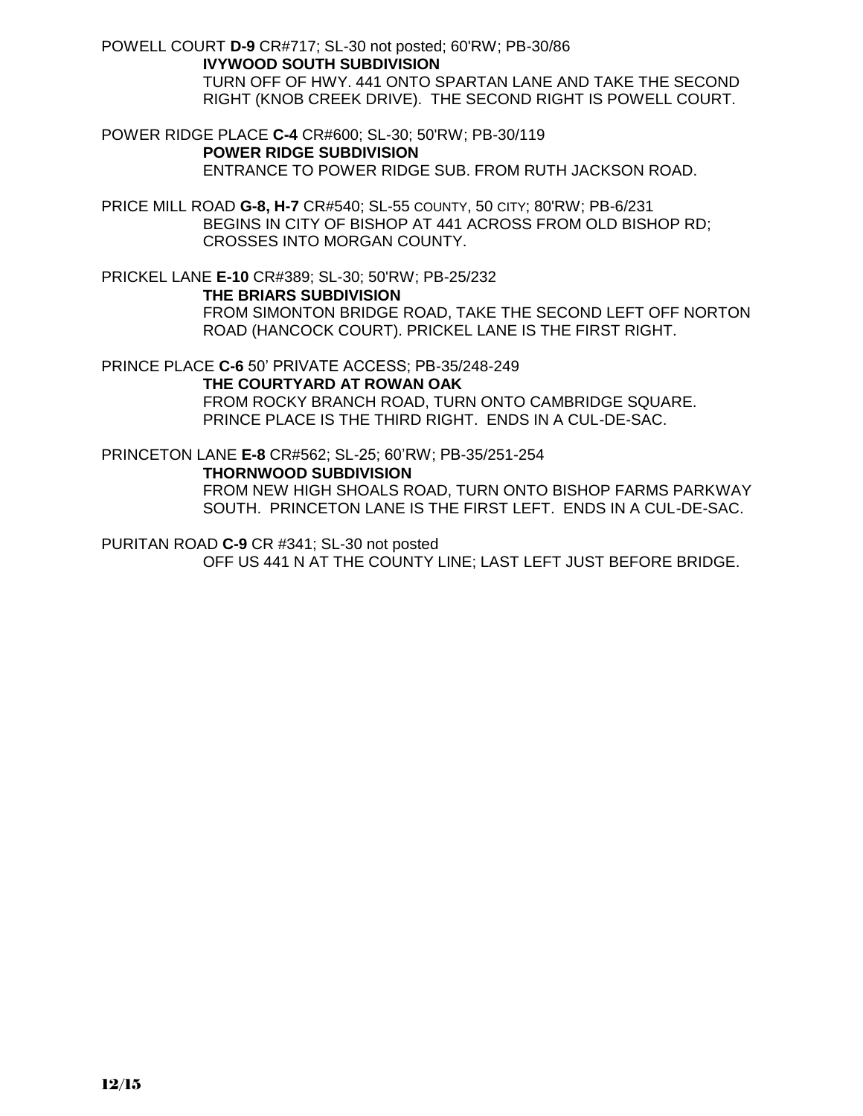POWELL COURT **D-9** CR#717; SL-30 not posted; 60'RW; PB-30/86 **IVYWOOD SOUTH SUBDIVISION** TURN OFF OF HWY. 441 ONTO SPARTAN LANE AND TAKE THE SECOND RIGHT (KNOB CREEK DRIVE). THE SECOND RIGHT IS POWELL COURT.

POWER RIDGE PLACE **C-4** CR#600; SL-30; 50'RW; PB-30/119 **POWER RIDGE SUBDIVISION** ENTRANCE TO POWER RIDGE SUB. FROM RUTH JACKSON ROAD.

PRICE MILL ROAD **G-8, H-7** CR#540; SL-55 COUNTY, 50 CITY; 80'RW; PB-6/231 BEGINS IN CITY OF BISHOP AT 441 ACROSS FROM OLD BISHOP RD; CROSSES INTO MORGAN COUNTY.

PRICKEL LANE **E-10** CR#389; SL-30; 50'RW; PB-25/232 **THE BRIARS SUBDIVISION** FROM SIMONTON BRIDGE ROAD, TAKE THE SECOND LEFT OFF NORTON ROAD (HANCOCK COURT). PRICKEL LANE IS THE FIRST RIGHT.

PRINCE PLACE **C-6** 50' PRIVATE ACCESS; PB-35/248-249

**THE COURTYARD AT ROWAN OAK** FROM ROCKY BRANCH ROAD, TURN ONTO CAMBRIDGE SQUARE.

PRINCE PLACE IS THE THIRD RIGHT. ENDS IN A CUL-DE-SAC.

PRINCETON LANE **E-8** CR#562; SL-25; 60'RW; PB-35/251-254 **THORNWOOD SUBDIVISION**

FROM NEW HIGH SHOALS ROAD, TURN ONTO BISHOP FARMS PARKWAY SOUTH. PRINCETON LANE IS THE FIRST LEFT. ENDS IN A CUL-DE-SAC.

PURITAN ROAD **C-9** CR #341; SL-30 not posted

OFF US 441 N AT THE COUNTY LINE; LAST LEFT JUST BEFORE BRIDGE.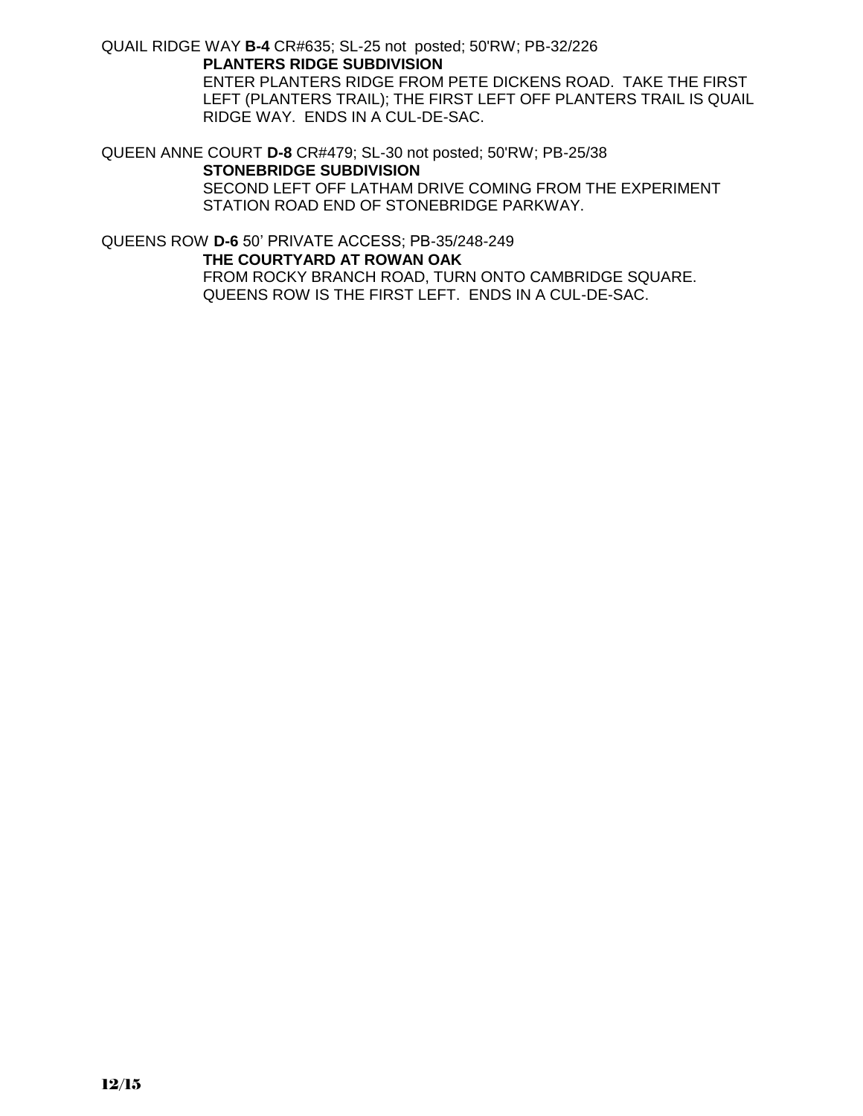QUAIL RIDGE WAY **B-4** CR#635; SL-25 not posted; 50'RW; PB-32/226 **PLANTERS RIDGE SUBDIVISION**

ENTER PLANTERS RIDGE FROM PETE DICKENS ROAD. TAKE THE FIRST LEFT (PLANTERS TRAIL); THE FIRST LEFT OFF PLANTERS TRAIL IS QUAIL RIDGE WAY. ENDS IN A CUL-DE-SAC.

QUEEN ANNE COURT **D-8** CR#479; SL-30 not posted; 50'RW; PB-25/38 **STONEBRIDGE SUBDIVISION**

> SECOND LEFT OFF LATHAM DRIVE COMING FROM THE EXPERIMENT STATION ROAD END OF STONEBRIDGE PARKWAY.

QUEENS ROW **D-6** 50' PRIVATE ACCESS; PB-35/248-249 **THE COURTYARD AT ROWAN OAK** FROM ROCKY BRANCH ROAD, TURN ONTO CAMBRIDGE SQUARE. QUEENS ROW IS THE FIRST LEFT. ENDS IN A CUL-DE-SAC.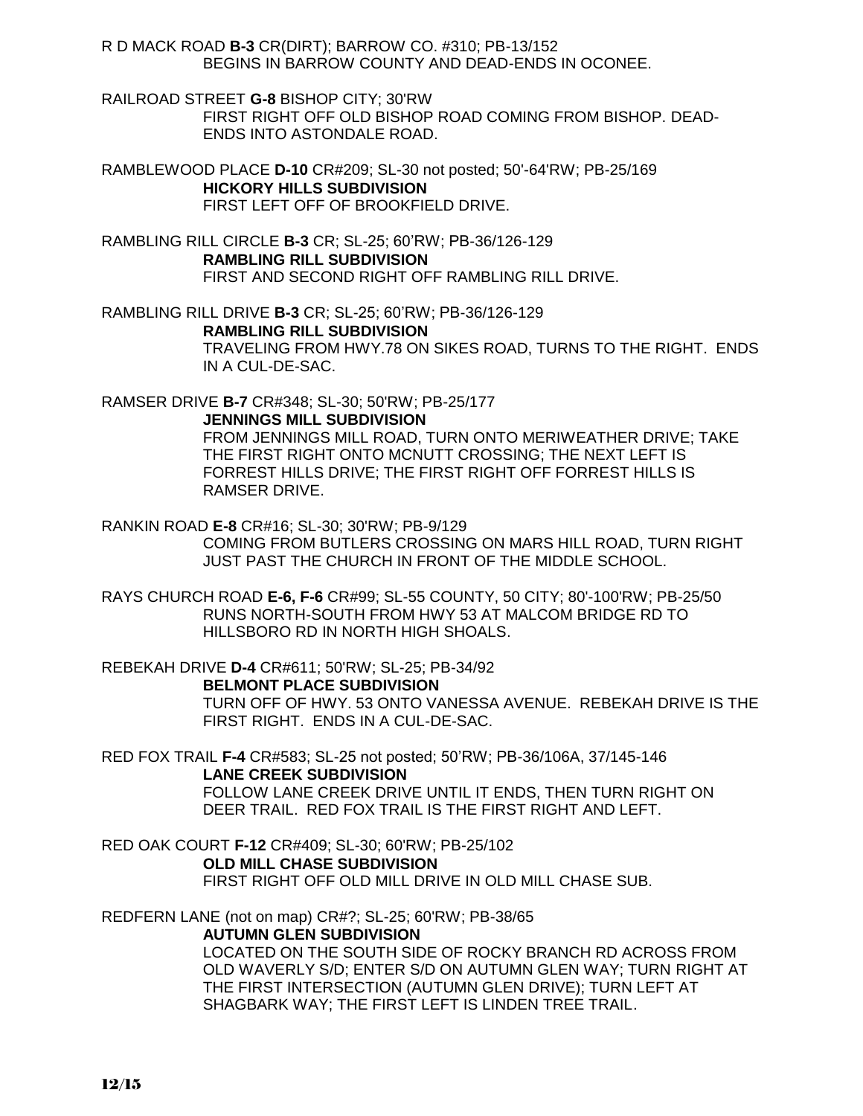R D MACK ROAD **B-3** CR(DIRT); BARROW CO. #310; PB-13/152 BEGINS IN BARROW COUNTY AND DEAD-ENDS IN OCONEE.

RAILROAD STREET **G-8** BISHOP CITY; 30'RW FIRST RIGHT OFF OLD BISHOP ROAD COMING FROM BISHOP. DEAD-ENDS INTO ASTONDALE ROAD.

RAMBLEWOOD PLACE **D-10** CR#209; SL-30 not posted; 50'-64'RW; PB-25/169 **HICKORY HILLS SUBDIVISION** FIRST LEFT OFF OF BROOKFIELD DRIVE.

RAMBLING RILL CIRCLE **B-3** CR; SL-25; 60'RW; PB-36/126-129 **RAMBLING RILL SUBDIVISION** FIRST AND SECOND RIGHT OFF RAMBLING RILL DRIVE.

RAMBLING RILL DRIVE **B-3** CR; SL-25; 60'RW; PB-36/126-129 **RAMBLING RILL SUBDIVISION** TRAVELING FROM HWY.78 ON SIKES ROAD, TURNS TO THE RIGHT. ENDS IN A CUL-DE-SAC.

RAMSER DRIVE **B-7** CR#348; SL-30; 50'RW; PB-25/177

**JENNINGS MILL SUBDIVISION**

FROM JENNINGS MILL ROAD, TURN ONTO MERIWEATHER DRIVE; TAKE THE FIRST RIGHT ONTO MCNUTT CROSSING; THE NEXT LEFT IS FORREST HILLS DRIVE; THE FIRST RIGHT OFF FORREST HILLS IS RAMSER DRIVE.

RANKIN ROAD **E-8** CR#16; SL-30; 30'RW; PB-9/129 COMING FROM BUTLERS CROSSING ON MARS HILL ROAD, TURN RIGHT JUST PAST THE CHURCH IN FRONT OF THE MIDDLE SCHOOL.

RAYS CHURCH ROAD **E-6, F-6** CR#99; SL-55 COUNTY, 50 CITY; 80'-100'RW; PB-25/50 RUNS NORTH-SOUTH FROM HWY 53 AT MALCOM BRIDGE RD TO HILLSBORO RD IN NORTH HIGH SHOALS.

REBEKAH DRIVE **D-4** CR#611; 50'RW; SL-25; PB-34/92 **BELMONT PLACE SUBDIVISION** TURN OFF OF HWY. 53 ONTO VANESSA AVENUE. REBEKAH DRIVE IS THE FIRST RIGHT. ENDS IN A CUL-DE-SAC.

RED FOX TRAIL **F-4** CR#583; SL-25 not posted; 50'RW; PB-36/106A, 37/145-146 **LANE CREEK SUBDIVISION** FOLLOW LANE CREEK DRIVE UNTIL IT ENDS, THEN TURN RIGHT ON DEER TRAIL. RED FOX TRAIL IS THE FIRST RIGHT AND LEFT.

RED OAK COURT **F-12** CR#409; SL-30; 60'RW; PB-25/102 **OLD MILL CHASE SUBDIVISION** FIRST RIGHT OFF OLD MILL DRIVE IN OLD MILL CHASE SUB.

REDFERN LANE (not on map) CR#?; SL-25; 60'RW; PB-38/65 **AUTUMN GLEN SUBDIVISION** LOCATED ON THE SOUTH SIDE OF ROCKY BRANCH RD ACROSS FROM OLD WAVERLY S/D; ENTER S/D ON AUTUMN GLEN WAY; TURN RIGHT AT THE FIRST INTERSECTION (AUTUMN GLEN DRIVE); TURN LEFT AT SHAGBARK WAY; THE FIRST LEFT IS LINDEN TREE TRAIL.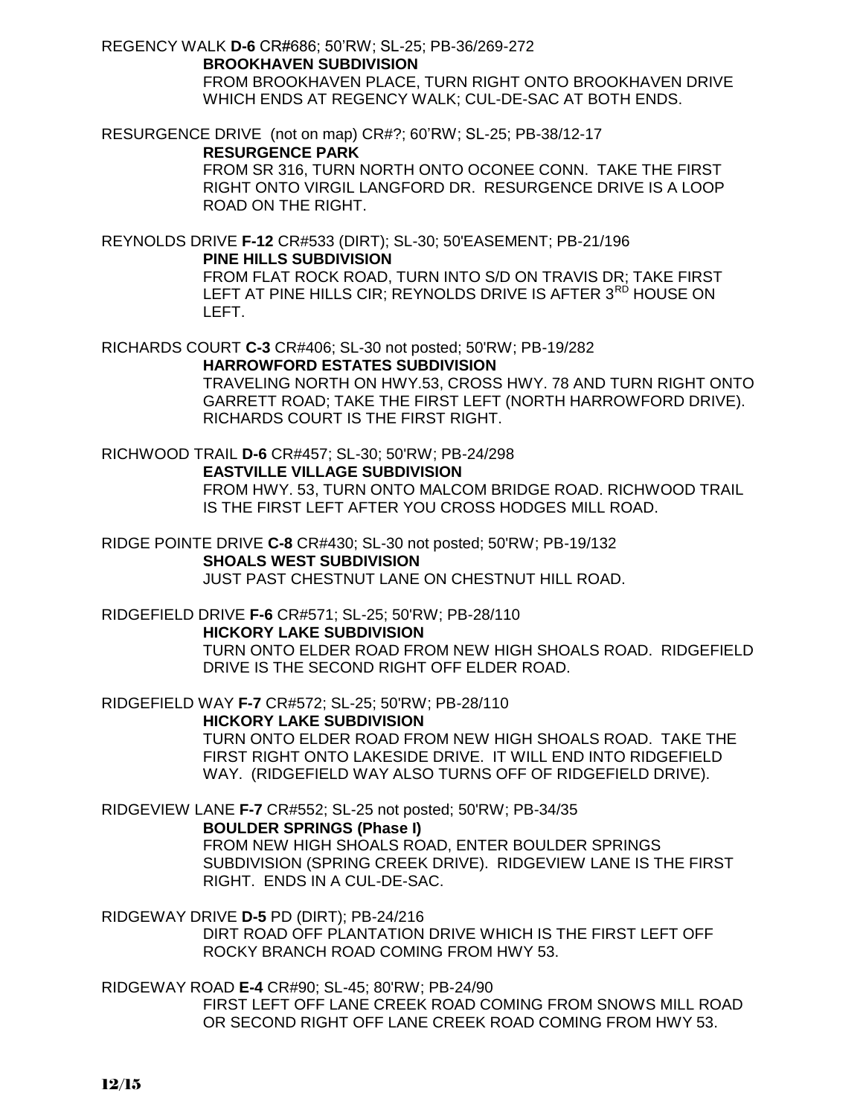REGENCY WALK **D-6** CR#686; 50'RW; SL-25; PB-36/269-272

**BROOKHAVEN SUBDIVISION** FROM BROOKHAVEN PLACE, TURN RIGHT ONTO BROOKHAVEN DRIVE WHICH ENDS AT REGENCY WALK; CUL-DE-SAC AT BOTH ENDS.

RESURGENCE DRIVE (not on map) CR#?; 60'RW; SL-25; PB-38/12-17

## **RESURGENCE PARK**

FROM SR 316, TURN NORTH ONTO OCONEE CONN. TAKE THE FIRST RIGHT ONTO VIRGIL LANGFORD DR. RESURGENCE DRIVE IS A LOOP ROAD ON THE RIGHT.

REYNOLDS DRIVE **F-12** CR#533 (DIRT); SL-30; 50'EASEMENT; PB-21/196 **PINE HILLS SUBDIVISION**

FROM FLAT ROCK ROAD, TURN INTO S/D ON TRAVIS DR; TAKE FIRST LEFT AT PINE HILLS CIR; REYNOLDS DRIVE IS AFTER 3<sup>RD</sup> HOUSE ON LEFT.

RICHARDS COURT **C-3** CR#406; SL-30 not posted; 50'RW; PB-19/282

**HARROWFORD ESTATES SUBDIVISION** TRAVELING NORTH ON HWY.53, CROSS HWY. 78 AND TURN RIGHT ONTO GARRETT ROAD; TAKE THE FIRST LEFT (NORTH HARROWFORD DRIVE). RICHARDS COURT IS THE FIRST RIGHT.

RICHWOOD TRAIL **D-6** CR#457; SL-30; 50'RW; PB-24/298

**EASTVILLE VILLAGE SUBDIVISION**

FROM HWY. 53, TURN ONTO MALCOM BRIDGE ROAD. RICHWOOD TRAIL IS THE FIRST LEFT AFTER YOU CROSS HODGES MILL ROAD.

RIDGE POINTE DRIVE **C-8** CR#430; SL-30 not posted; 50'RW; PB-19/132 **SHOALS WEST SUBDIVISION** JUST PAST CHESTNUT LANE ON CHESTNUT HILL ROAD.

RIDGEFIELD DRIVE **F-6** CR#571; SL-25; 50'RW; PB-28/110

## **HICKORY LAKE SUBDIVISION**

TURN ONTO ELDER ROAD FROM NEW HIGH SHOALS ROAD. RIDGEFIELD DRIVE IS THE SECOND RIGHT OFF ELDER ROAD.

RIDGEFIELD WAY **F-7** CR#572; SL-25; 50'RW; PB-28/110

## **HICKORY LAKE SUBDIVISION**

TURN ONTO ELDER ROAD FROM NEW HIGH SHOALS ROAD. TAKE THE FIRST RIGHT ONTO LAKESIDE DRIVE. IT WILL END INTO RIDGEFIELD WAY. (RIDGEFIELD WAY ALSO TURNS OFF OF RIDGEFIELD DRIVE).

RIDGEVIEW LANE **F-7** CR#552; SL-25 not posted; 50'RW; PB-34/35

## **BOULDER SPRINGS (Phase I)**

FROM NEW HIGH SHOALS ROAD, ENTER BOULDER SPRINGS SUBDIVISION (SPRING CREEK DRIVE). RIDGEVIEW LANE IS THE FIRST RIGHT. ENDS IN A CUL-DE-SAC.

RIDGEWAY DRIVE **D-5** PD (DIRT); PB-24/216

DIRT ROAD OFF PLANTATION DRIVE WHICH IS THE FIRST LEFT OFF ROCKY BRANCH ROAD COMING FROM HWY 53.

RIDGEWAY ROAD **E-4** CR#90; SL-45; 80'RW; PB-24/90

FIRST LEFT OFF LANE CREEK ROAD COMING FROM SNOWS MILL ROAD OR SECOND RIGHT OFF LANE CREEK ROAD COMING FROM HWY 53.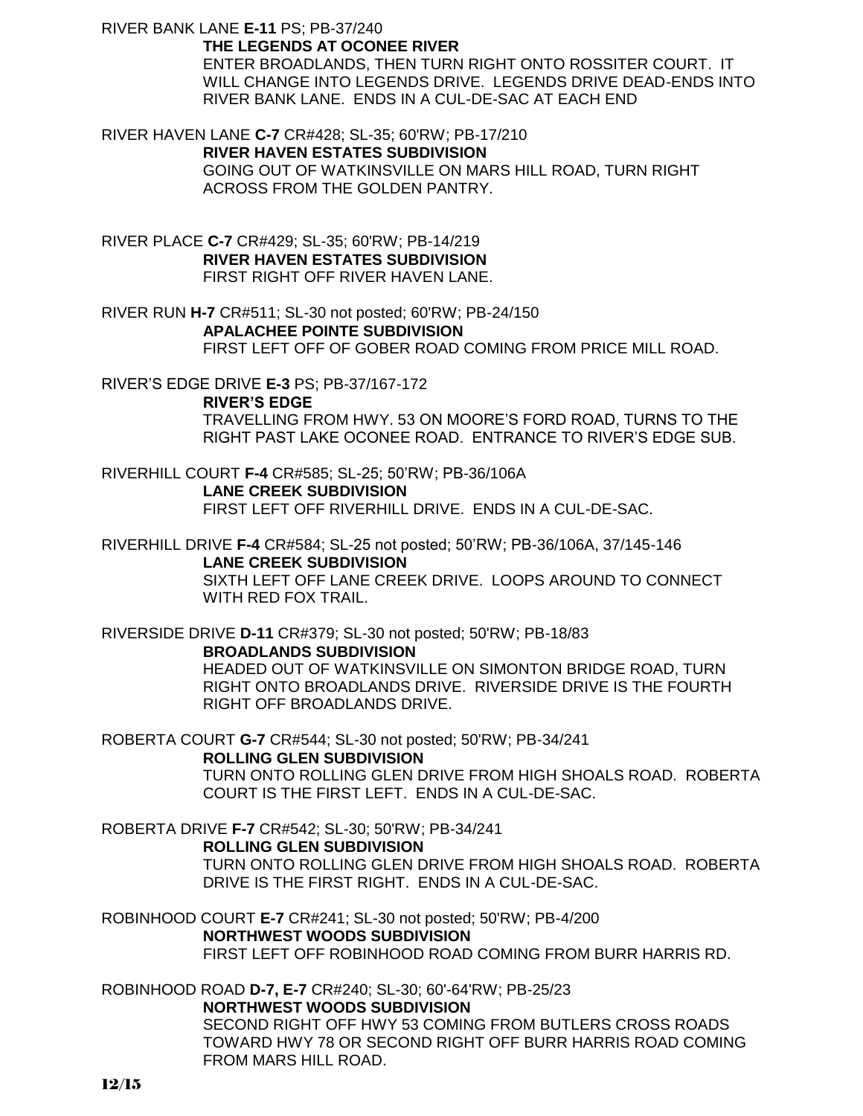RIVER BANK LANE **E-11** PS; PB-37/240

#### **THE LEGENDS AT OCONEE RIVER**

ENTER BROADLANDS, THEN TURN RIGHT ONTO ROSSITER COURT. IT WILL CHANGE INTO LEGENDS DRIVE. LEGENDS DRIVE DEAD-ENDS INTO RIVER BANK LANE. ENDS IN A CUL-DE-SAC AT EACH END

RIVER HAVEN LANE **C-7** CR#428; SL-35; 60'RW; PB-17/210 **RIVER HAVEN ESTATES SUBDIVISION** GOING OUT OF WATKINSVILLE ON MARS HILL ROAD, TURN RIGHT ACROSS FROM THE GOLDEN PANTRY.

RIVER PLACE **C-7** CR#429; SL-35; 60'RW; PB-14/219 **RIVER HAVEN ESTATES SUBDIVISION** FIRST RIGHT OFF RIVER HAVEN LANE.

RIVER RUN **H-7** CR#511; SL-30 not posted; 60'RW; PB-24/150 **APALACHEE POINTE SUBDIVISION** FIRST LEFT OFF OF GOBER ROAD COMING FROM PRICE MILL ROAD.

RIVER'S EDGE DRIVE **E-3** PS; PB-37/167-172 **RIVER'S EDGE** TRAVELLING FROM HWY. 53 ON MOORE'S FORD ROAD, TURNS TO THE RIGHT PAST LAKE OCONEE ROAD. ENTRANCE TO RIVER'S EDGE SUB.

RIVERHILL COURT **F-4** CR#585; SL-25; 50'RW; PB-36/106A **LANE CREEK SUBDIVISION** FIRST LEFT OFF RIVERHILL DRIVE. ENDS IN A CUL-DE-SAC.

RIVERHILL DRIVE **F-4** CR#584; SL-25 not posted; 50'RW; PB-36/106A, 37/145-146 **LANE CREEK SUBDIVISION** SIXTH LEFT OFF LANE CREEK DRIVE. LOOPS AROUND TO CONNECT WITH RED FOX TRAIL.

RIVERSIDE DRIVE **D-11** CR#379; SL-30 not posted; 50'RW; PB-18/83

### **BROADLANDS SUBDIVISION**

HEADED OUT OF WATKINSVILLE ON SIMONTON BRIDGE ROAD, TURN RIGHT ONTO BROADLANDS DRIVE. RIVERSIDE DRIVE IS THE FOURTH RIGHT OFF BROADLANDS DRIVE.

ROBERTA COURT **G-7** CR#544; SL-30 not posted; 50'RW; PB-34/241

### **ROLLING GLEN SUBDIVISION**

TURN ONTO ROLLING GLEN DRIVE FROM HIGH SHOALS ROAD. ROBERTA COURT IS THE FIRST LEFT. ENDS IN A CUL-DE-SAC.

ROBERTA DRIVE **F-7** CR#542; SL-30; 50'RW; PB-34/241

### **ROLLING GLEN SUBDIVISION**

FROM MARS HILL ROAD.

TURN ONTO ROLLING GLEN DRIVE FROM HIGH SHOALS ROAD. ROBERTA DRIVE IS THE FIRST RIGHT. ENDS IN A CUL-DE-SAC.

ROBINHOOD COURT **E-7** CR#241; SL-30 not posted; 50'RW; PB-4/200 **NORTHWEST WOODS SUBDIVISION** FIRST LEFT OFF ROBINHOOD ROAD COMING FROM BURR HARRIS RD.

ROBINHOOD ROAD **D-7, E-7** CR#240; SL-30; 60'-64'RW; PB-25/23 **NORTHWEST WOODS SUBDIVISION** SECOND RIGHT OFF HWY 53 COMING FROM BUTLERS CROSS ROADS TOWARD HWY 78 OR SECOND RIGHT OFF BURR HARRIS ROAD COMING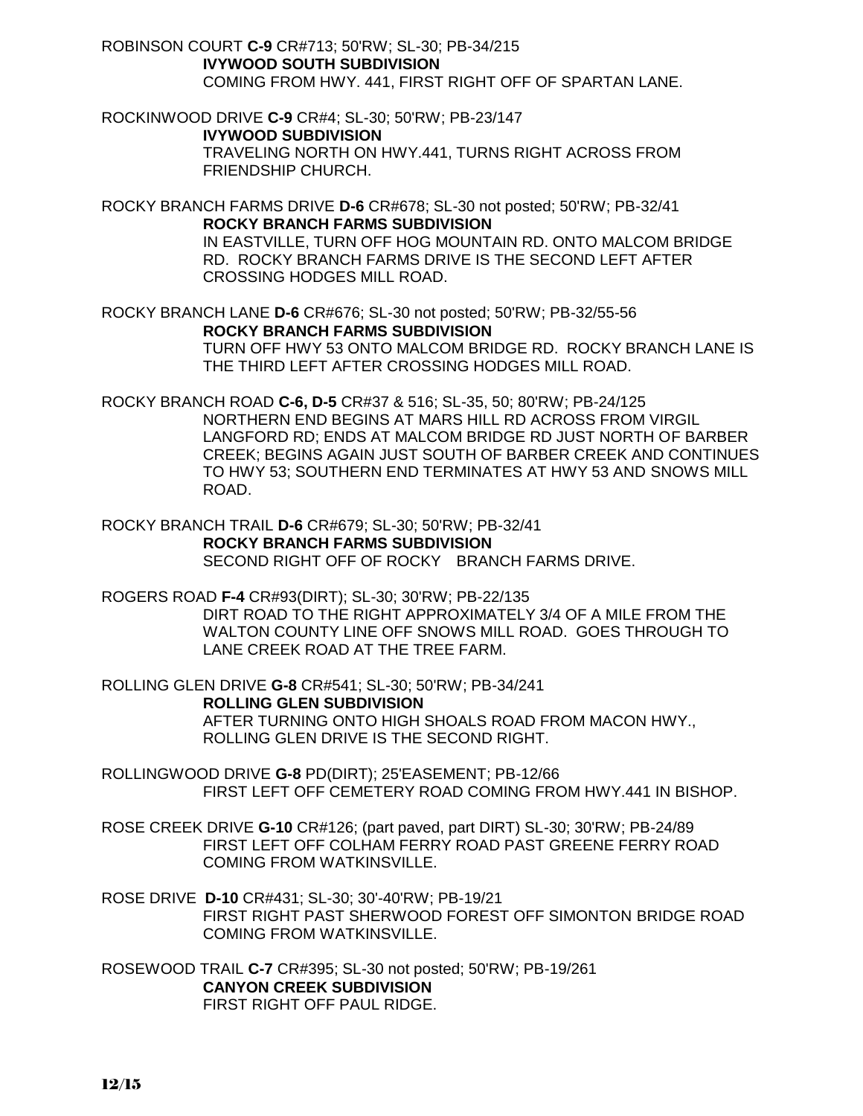ROBINSON COURT **C-9** CR#713; 50'RW; SL-30; PB-34/215 **IVYWOOD SOUTH SUBDIVISION** COMING FROM HWY. 441, FIRST RIGHT OFF OF SPARTAN LANE.

ROCKINWOOD DRIVE **C-9** CR#4; SL-30; 50'RW; PB-23/147 **IVYWOOD SUBDIVISION** TRAVELING NORTH ON HWY.441, TURNS RIGHT ACROSS FROM FRIENDSHIP CHURCH.

ROCKY BRANCH FARMS DRIVE **D-6** CR#678; SL-30 not posted; 50'RW; PB-32/41 **ROCKY BRANCH FARMS SUBDIVISION** IN EASTVILLE, TURN OFF HOG MOUNTAIN RD. ONTO MALCOM BRIDGE RD. ROCKY BRANCH FARMS DRIVE IS THE SECOND LEFT AFTER CROSSING HODGES MILL ROAD.

ROCKY BRANCH LANE **D-6** CR#676; SL-30 not posted; 50'RW; PB-32/55-56 **ROCKY BRANCH FARMS SUBDIVISION** TURN OFF HWY 53 ONTO MALCOM BRIDGE RD. ROCKY BRANCH LANE IS THE THIRD LEFT AFTER CROSSING HODGES MILL ROAD.

ROCKY BRANCH ROAD **C-6, D-5** CR#37 & 516; SL-35, 50; 80'RW; PB-24/125 NORTHERN END BEGINS AT MARS HILL RD ACROSS FROM VIRGIL LANGFORD RD; ENDS AT MALCOM BRIDGE RD JUST NORTH OF BARBER CREEK; BEGINS AGAIN JUST SOUTH OF BARBER CREEK AND CONTINUES TO HWY 53; SOUTHERN END TERMINATES AT HWY 53 AND SNOWS MILL ROAD.

ROCKY BRANCH TRAIL **D-6** CR#679; SL-30; 50'RW; PB-32/41 **ROCKY BRANCH FARMS SUBDIVISION** SECOND RIGHT OFF OF ROCKY BRANCH FARMS DRIVE.

ROGERS ROAD **F-4** CR#93(DIRT); SL-30; 30'RW; PB-22/135 DIRT ROAD TO THE RIGHT APPROXIMATELY 3/4 OF A MILE FROM THE WALTON COUNTY LINE OFF SNOWS MILL ROAD. GOES THROUGH TO LANE CREEK ROAD AT THE TREE FARM.

ROLLING GLEN DRIVE **G-8** CR#541; SL-30; 50'RW; PB-34/241 **ROLLING GLEN SUBDIVISION** AFTER TURNING ONTO HIGH SHOALS ROAD FROM MACON HWY., ROLLING GLEN DRIVE IS THE SECOND RIGHT.

ROLLINGWOOD DRIVE **G-8** PD(DIRT); 25'EASEMENT; PB-12/66 FIRST LEFT OFF CEMETERY ROAD COMING FROM HWY.441 IN BISHOP.

ROSE CREEK DRIVE **G-10** CR#126; (part paved, part DIRT) SL-30; 30'RW; PB-24/89 FIRST LEFT OFF COLHAM FERRY ROAD PAST GREENE FERRY ROAD COMING FROM WATKINSVILLE.

ROSE DRIVE **D-10** CR#431; SL-30; 30'-40'RW; PB-19/21 FIRST RIGHT PAST SHERWOOD FOREST OFF SIMONTON BRIDGE ROAD COMING FROM WATKINSVILLE.

ROSEWOOD TRAIL **C-7** CR#395; SL-30 not posted; 50'RW; PB-19/261 **CANYON CREEK SUBDIVISION** FIRST RIGHT OFF PAUL RIDGE.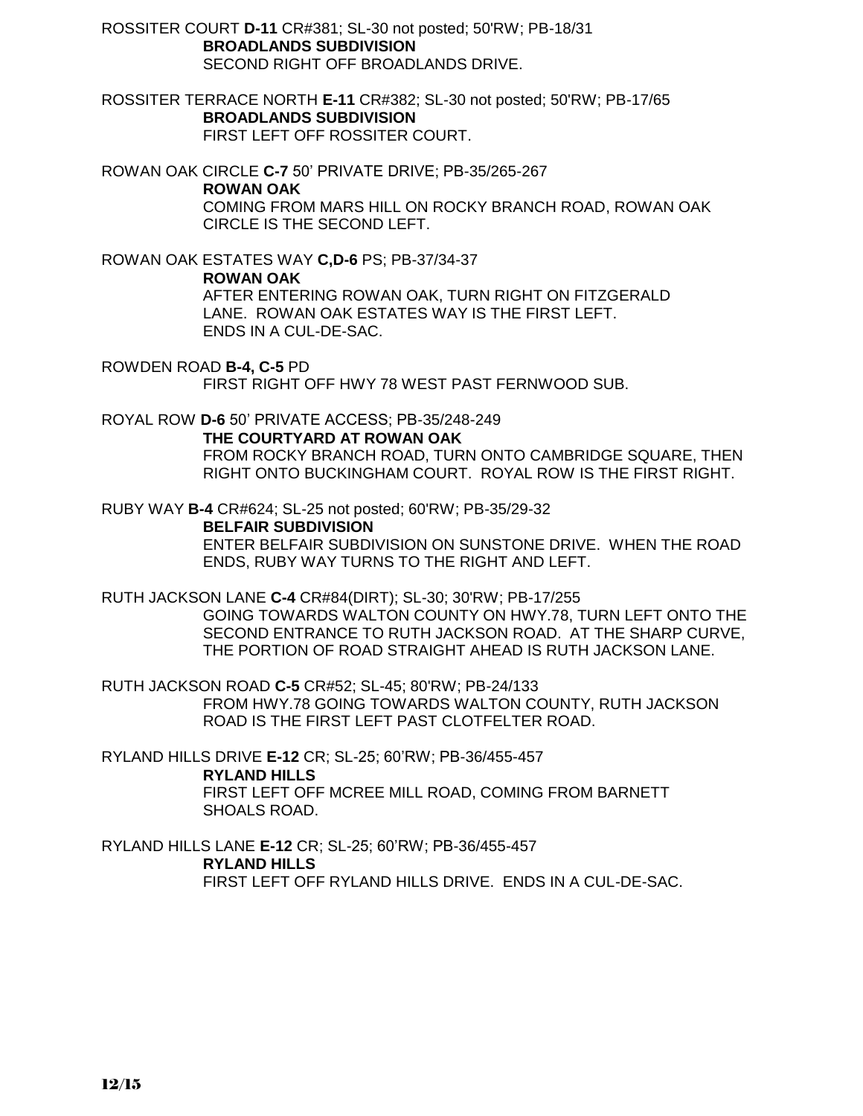ROSSITER COURT **D-11** CR#381; SL-30 not posted; 50'RW; PB-18/31 **BROADLANDS SUBDIVISION** SECOND RIGHT OFF BROADLANDS DRIVE.

ROSSITER TERRACE NORTH **E-11** CR#382; SL-30 not posted; 50'RW; PB-17/65 **BROADLANDS SUBDIVISION** FIRST LEFT OFF ROSSITER COURT.

ROWAN OAK CIRCLE **C-7** 50' PRIVATE DRIVE; PB-35/265-267 **ROWAN OAK** COMING FROM MARS HILL ON ROCKY BRANCH ROAD, ROWAN OAK CIRCLE IS THE SECOND LEFT.

ROWAN OAK ESTATES WAY **C,D-6** PS; PB-37/34-37 **ROWAN OAK** AFTER ENTERING ROWAN OAK, TURN RIGHT ON FITZGERALD LANE. ROWAN OAK ESTATES WAY IS THE FIRST LEFT.

ROWDEN ROAD **B-4, C-5** PD FIRST RIGHT OFF HWY 78 WEST PAST FERNWOOD SUB.

ROYAL ROW **D-6** 50' PRIVATE ACCESS; PB-35/248-249

ENDS IN A CUL-DE-SAC.

**THE COURTYARD AT ROWAN OAK** FROM ROCKY BRANCH ROAD, TURN ONTO CAMBRIDGE SQUARE, THEN RIGHT ONTO BUCKINGHAM COURT. ROYAL ROW IS THE FIRST RIGHT.

RUBY WAY **B-4** CR#624; SL-25 not posted; 60'RW; PB-35/29-32

**BELFAIR SUBDIVISION** ENTER BELFAIR SUBDIVISION ON SUNSTONE DRIVE. WHEN THE ROAD ENDS, RUBY WAY TURNS TO THE RIGHT AND LEFT.

RUTH JACKSON LANE **C-4** CR#84(DIRT); SL-30; 30'RW; PB-17/255 GOING TOWARDS WALTON COUNTY ON HWY.78, TURN LEFT ONTO THE SECOND ENTRANCE TO RUTH JACKSON ROAD. AT THE SHARP CURVE,

THE PORTION OF ROAD STRAIGHT AHEAD IS RUTH JACKSON LANE.

RUTH JACKSON ROAD **C-5** CR#52; SL-45; 80'RW; PB-24/133 FROM HWY.78 GOING TOWARDS WALTON COUNTY, RUTH JACKSON ROAD IS THE FIRST LEFT PAST CLOTFELTER ROAD.

RYLAND HILLS DRIVE **E-12** CR; SL-25; 60'RW; PB-36/455-457 **RYLAND HILLS** FIRST LEFT OFF MCREE MILL ROAD, COMING FROM BARNETT SHOALS ROAD.

RYLAND HILLS LANE **E-12** CR; SL-25; 60'RW; PB-36/455-457 **RYLAND HILLS** FIRST LEFT OFF RYLAND HILLS DRIVE. ENDS IN A CUL-DE-SAC.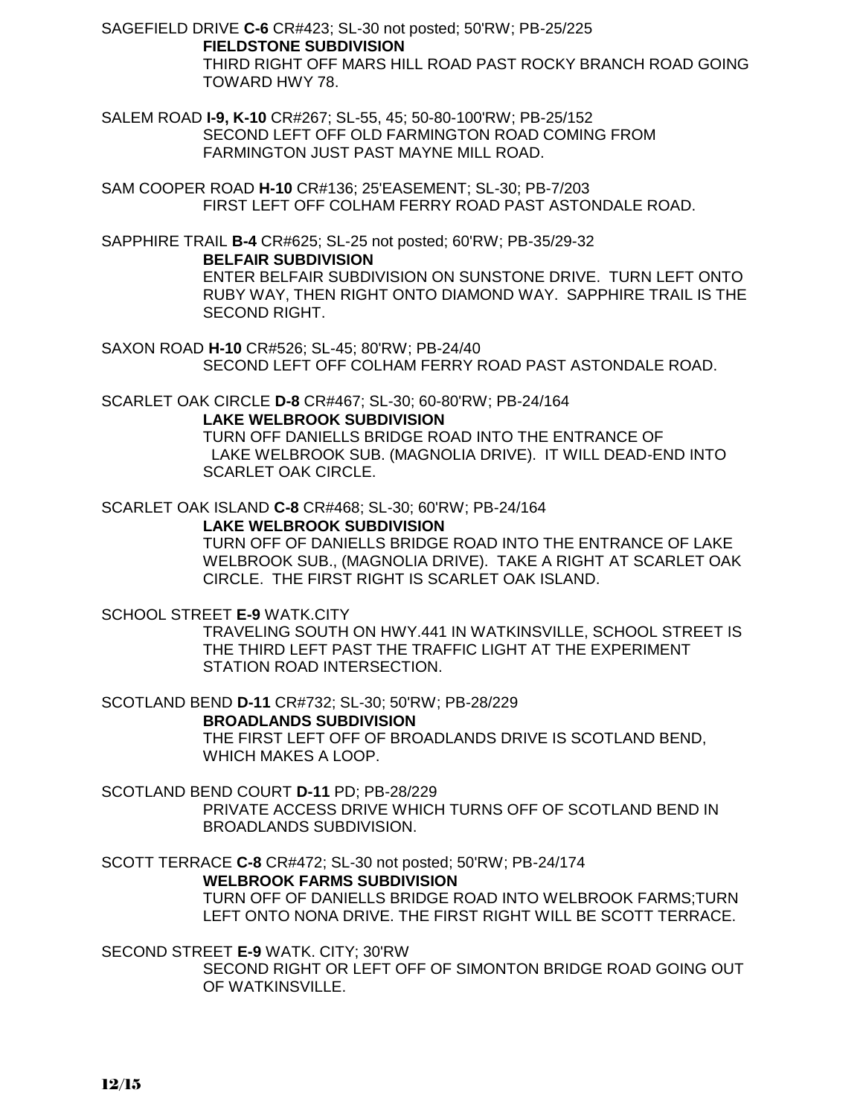SAGEFIELD DRIVE **C-6** CR#423; SL-30 not posted; 50'RW; PB-25/225 **FIELDSTONE SUBDIVISION** THIRD RIGHT OFF MARS HILL ROAD PAST ROCKY BRANCH ROAD GOING TOWARD HWY 78.

SALEM ROAD **I-9, K-10** CR#267; SL-55, 45; 50-80-100'RW; PB-25/152 SECOND LEFT OFF OLD FARMINGTON ROAD COMING FROM FARMINGTON JUST PAST MAYNE MILL ROAD.

SAM COOPER ROAD **H-10** CR#136; 25'EASEMENT; SL-30; PB-7/203 FIRST LEFT OFF COLHAM FERRY ROAD PAST ASTONDALE ROAD.

SAPPHIRE TRAIL **B-4** CR#625; SL-25 not posted; 60'RW; PB-35/29-32

### **BELFAIR SUBDIVISION**

ENTER BELFAIR SUBDIVISION ON SUNSTONE DRIVE. TURN LEFT ONTO RUBY WAY, THEN RIGHT ONTO DIAMOND WAY. SAPPHIRE TRAIL IS THE SECOND RIGHT.

SAXON ROAD **H-10** CR#526; SL-45; 80'RW; PB-24/40 SECOND LEFT OFF COLHAM FERRY ROAD PAST ASTONDALE ROAD.

SCARLET OAK CIRCLE **D-8** CR#467; SL-30; 60-80'RW; PB-24/164 **LAKE WELBROOK SUBDIVISION**

TURN OFF DANIELLS BRIDGE ROAD INTO THE ENTRANCE OF LAKE WELBROOK SUB. (MAGNOLIA DRIVE). IT WILL DEAD-END INTO SCARLET OAK CIRCLE.

SCARLET OAK ISLAND **C-8** CR#468; SL-30; 60'RW; PB-24/164

# **LAKE WELBROOK SUBDIVISION**

TURN OFF OF DANIELLS BRIDGE ROAD INTO THE ENTRANCE OF LAKE WELBROOK SUB., (MAGNOLIA DRIVE). TAKE A RIGHT AT SCARLET OAK CIRCLE. THE FIRST RIGHT IS SCARLET OAK ISLAND.

SCHOOL STREET **E-9** WATK.CITY

TRAVELING SOUTH ON HWY.441 IN WATKINSVILLE, SCHOOL STREET IS THE THIRD LEFT PAST THE TRAFFIC LIGHT AT THE EXPERIMENT STATION ROAD INTERSECTION.

SCOTLAND BEND **D-11** CR#732; SL-30; 50'RW; PB-28/229

# **BROADLANDS SUBDIVISION**

THE FIRST LEFT OFF OF BROADLANDS DRIVE IS SCOTLAND BEND, WHICH MAKES A LOOP.

# SCOTLAND BEND COURT **D-11** PD; PB-28/229

PRIVATE ACCESS DRIVE WHICH TURNS OFF OF SCOTLAND BEND IN BROADLANDS SUBDIVISION.

SCOTT TERRACE **C-8** CR#472; SL-30 not posted; 50'RW; PB-24/174

# **WELBROOK FARMS SUBDIVISION**

TURN OFF OF DANIELLS BRIDGE ROAD INTO WELBROOK FARMS;TURN LEFT ONTO NONA DRIVE. THE FIRST RIGHT WILL BE SCOTT TERRACE.

SECOND STREET **E-9** WATK. CITY; 30'RW

SECOND RIGHT OR LEFT OFF OF SIMONTON BRIDGE ROAD GOING OUT OF WATKINSVILLE.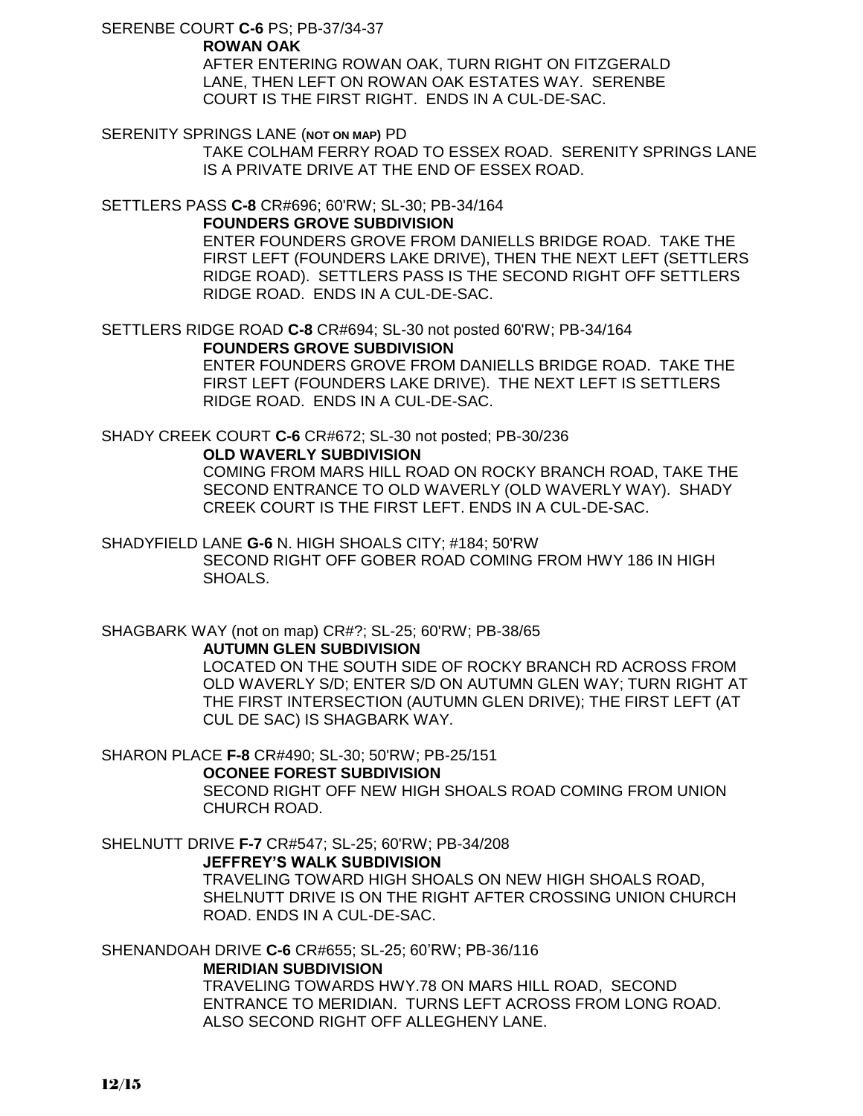SERENBE COURT **C-6** PS; PB-37/34-37

# **ROWAN OAK**

AFTER ENTERING ROWAN OAK, TURN RIGHT ON FITZGERALD LANE, THEN LEFT ON ROWAN OAK ESTATES WAY. SERENBE COURT IS THE FIRST RIGHT. ENDS IN A CUL-DE-SAC.

SERENITY SPRINGS LANE (**NOT ON MAP)** PD

TAKE COLHAM FERRY ROAD TO ESSEX ROAD. SERENITY SPRINGS LANE IS A PRIVATE DRIVE AT THE END OF ESSEX ROAD.

SETTLERS PASS **C-8** CR#696; 60'RW; SL-30; PB-34/164

# **FOUNDERS GROVE SUBDIVISION**

ENTER FOUNDERS GROVE FROM DANIELLS BRIDGE ROAD. TAKE THE FIRST LEFT (FOUNDERS LAKE DRIVE), THEN THE NEXT LEFT (SETTLERS RIDGE ROAD). SETTLERS PASS IS THE SECOND RIGHT OFF SETTLERS RIDGE ROAD. ENDS IN A CUL-DE-SAC.

SETTLERS RIDGE ROAD **C-8** CR#694; SL-30 not posted 60'RW; PB-34/164 **FOUNDERS GROVE SUBDIVISION**

> ENTER FOUNDERS GROVE FROM DANIELLS BRIDGE ROAD. TAKE THE FIRST LEFT (FOUNDERS LAKE DRIVE). THE NEXT LEFT IS SETTLERS RIDGE ROAD. ENDS IN A CUL-DE-SAC.

#### SHADY CREEK COURT **C-6** CR#672; SL-30 not posted; PB-30/236 **OLD WAVERLY SUBDIVISION**

COMING FROM MARS HILL ROAD ON ROCKY BRANCH ROAD, TAKE THE SECOND ENTRANCE TO OLD WAVERLY (OLD WAVERLY WAY). SHADY CREEK COURT IS THE FIRST LEFT. ENDS IN A CUL-DE-SAC.

# SHADYFIELD LANE **G-6** N. HIGH SHOALS CITY; #184; 50'RW SECOND RIGHT OFF GOBER ROAD COMING FROM HWY 186 IN HIGH SHOALS.

# SHAGBARK WAY (not on map) CR#?; SL-25; 60'RW; PB-38/65

### **AUTUMN GLEN SUBDIVISION**

LOCATED ON THE SOUTH SIDE OF ROCKY BRANCH RD ACROSS FROM OLD WAVERLY S/D; ENTER S/D ON AUTUMN GLEN WAY; TURN RIGHT AT THE FIRST INTERSECTION (AUTUMN GLEN DRIVE); THE FIRST LEFT (AT CUL DE SAC) IS SHAGBARK WAY.

# SHARON PLACE **F-8** CR#490; SL-30; 50'RW; PB-25/151

### **OCONEE FOREST SUBDIVISION**

SECOND RIGHT OFF NEW HIGH SHOALS ROAD COMING FROM UNION CHURCH ROAD.

# SHELNUTT DRIVE **F-7** CR#547; SL-25; 60'RW; PB-34/208

# **JEFFREY'S WALK SUBDIVISION**

TRAVELING TOWARD HIGH SHOALS ON NEW HIGH SHOALS ROAD, SHELNUTT DRIVE IS ON THE RIGHT AFTER CROSSING UNION CHURCH ROAD. ENDS IN A CUL-DE-SAC.

### SHENANDOAH DRIVE **C-6** CR#655; SL-25; 60'RW; PB-36/116

# **MERIDIAN SUBDIVISION**

TRAVELING TOWARDS HWY.78 ON MARS HILL ROAD, SECOND ENTRANCE TO MERIDIAN. TURNS LEFT ACROSS FROM LONG ROAD. ALSO SECOND RIGHT OFF ALLEGHENY LANE.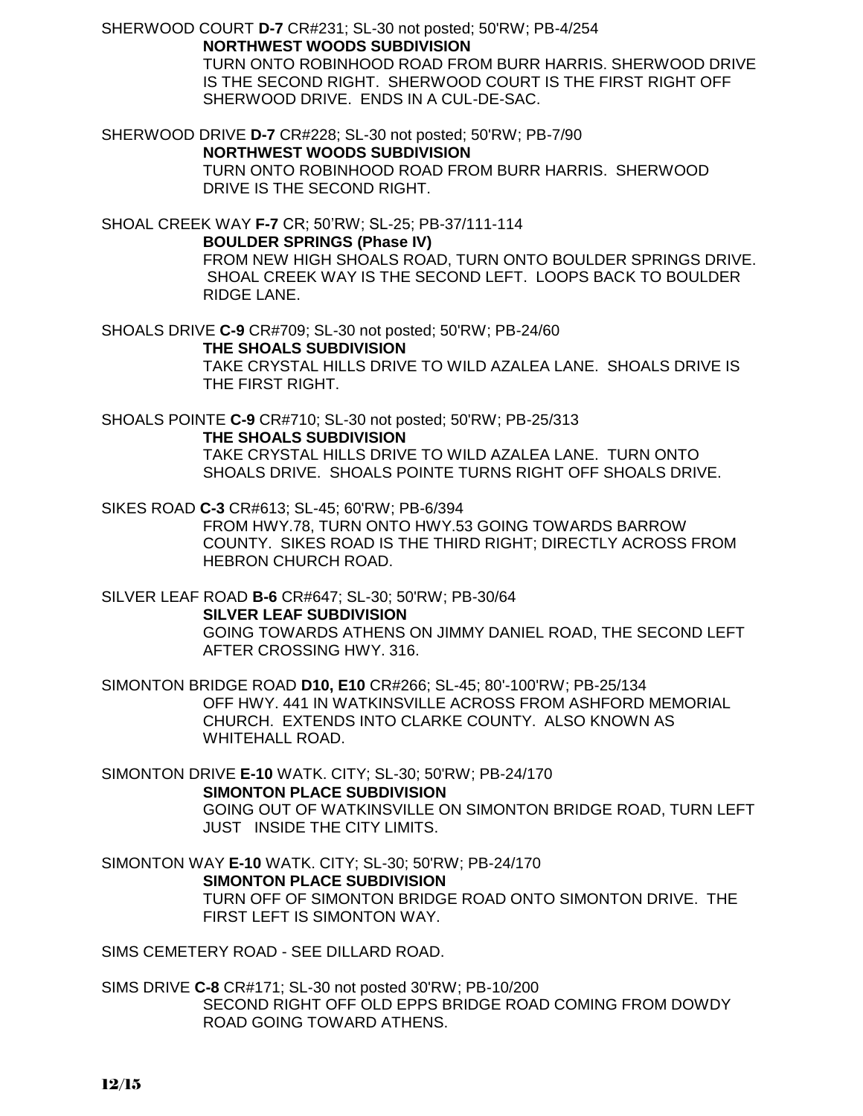SHERWOOD COURT **D-7** CR#231; SL-30 not posted; 50'RW; PB-4/254 **NORTHWEST WOODS SUBDIVISION**

> TURN ONTO ROBINHOOD ROAD FROM BURR HARRIS. SHERWOOD DRIVE IS THE SECOND RIGHT. SHERWOOD COURT IS THE FIRST RIGHT OFF SHERWOOD DRIVE. ENDS IN A CUL-DE-SAC.

SHERWOOD DRIVE **D-7** CR#228; SL-30 not posted; 50'RW; PB-7/90 **NORTHWEST WOODS SUBDIVISION** TURN ONTO ROBINHOOD ROAD FROM BURR HARRIS. SHERWOOD DRIVE IS THE SECOND RIGHT.

SHOAL CREEK WAY **F-7** CR; 50'RW; SL-25; PB-37/111-114 **BOULDER SPRINGS (Phase IV)** FROM NEW HIGH SHOALS ROAD, TURN ONTO BOULDER SPRINGS DRIVE. SHOAL CREEK WAY IS THE SECOND LEFT. LOOPS BACK TO BOULDER RIDGE LANE.

SHOALS DRIVE **C-9** CR#709; SL-30 not posted; 50'RW; PB-24/60 **THE SHOALS SUBDIVISION** TAKE CRYSTAL HILLS DRIVE TO WILD AZALEA LANE. SHOALS DRIVE IS THE FIRST RIGHT.

SHOALS POINTE **C-9** CR#710; SL-30 not posted; 50'RW; PB-25/313 **THE SHOALS SUBDIVISION** TAKE CRYSTAL HILLS DRIVE TO WILD AZALEA LANE. TURN ONTO SHOALS DRIVE. SHOALS POINTE TURNS RIGHT OFF SHOALS DRIVE.

SIKES ROAD **C-3** CR#613; SL-45; 60'RW; PB-6/394 FROM HWY.78, TURN ONTO HWY.53 GOING TOWARDS BARROW COUNTY. SIKES ROAD IS THE THIRD RIGHT; DIRECTLY ACROSS FROM HEBRON CHURCH ROAD.

SILVER LEAF ROAD **B-6** CR#647; SL-30; 50'RW; PB-30/64 **SILVER LEAF SUBDIVISION** GOING TOWARDS ATHENS ON JIMMY DANIEL ROAD, THE SECOND LEFT AFTER CROSSING HWY. 316.

SIMONTON BRIDGE ROAD **D10, E10** CR#266; SL-45; 80'-100'RW; PB-25/134 OFF HWY. 441 IN WATKINSVILLE ACROSS FROM ASHFORD MEMORIAL CHURCH. EXTENDS INTO CLARKE COUNTY. ALSO KNOWN AS WHITEHALL ROAD.

SIMONTON DRIVE **E-10** WATK. CITY; SL-30; 50'RW; PB-24/170 **SIMONTON PLACE SUBDIVISION** GOING OUT OF WATKINSVILLE ON SIMONTON BRIDGE ROAD, TURN LEFT JUST INSIDE THE CITY LIMITS.

SIMONTON WAY **E-10** WATK. CITY; SL-30; 50'RW; PB-24/170 **SIMONTON PLACE SUBDIVISION** TURN OFF OF SIMONTON BRIDGE ROAD ONTO SIMONTON DRIVE. THE FIRST LEFT IS SIMONTON WAY.

SIMS CEMETERY ROAD - SEE DILLARD ROAD.

SIMS DRIVE **C-8** CR#171; SL-30 not posted 30'RW; PB-10/200 SECOND RIGHT OFF OLD EPPS BRIDGE ROAD COMING FROM DOWDY ROAD GOING TOWARD ATHENS.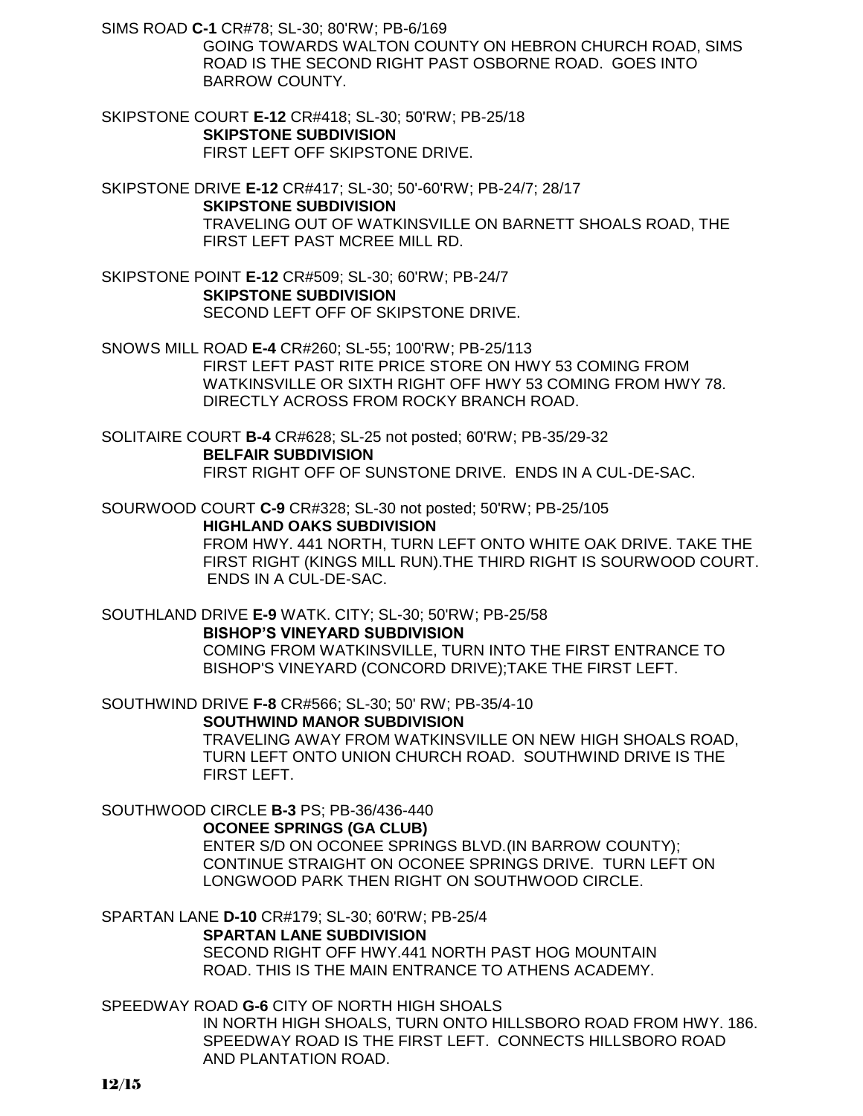SIMS ROAD **C-1** CR#78; SL-30; 80'RW; PB-6/169

GOING TOWARDS WALTON COUNTY ON HEBRON CHURCH ROAD, SIMS ROAD IS THE SECOND RIGHT PAST OSBORNE ROAD. GOES INTO BARROW COUNTY.

SKIPSTONE COURT **E-12** CR#418; SL-30; 50'RW; PB-25/18 **SKIPSTONE SUBDIVISION** FIRST LEFT OFF SKIPSTONE DRIVE.

SKIPSTONE DRIVE **E-12** CR#417; SL-30; 50'-60'RW; PB-24/7; 28/17 **SKIPSTONE SUBDIVISION** TRAVELING OUT OF WATKINSVILLE ON BARNETT SHOALS ROAD, THE FIRST LEFT PAST MCREE MILL RD.

SKIPSTONE POINT **E-12** CR#509; SL-30; 60'RW; PB-24/7 **SKIPSTONE SUBDIVISION** SECOND LEFT OFF OF SKIPSTONE DRIVE.

SNOWS MILL ROAD **E-4** CR#260; SL-55; 100'RW; PB-25/113 FIRST LEFT PAST RITE PRICE STORE ON HWY 53 COMING FROM WATKINSVILLE OR SIXTH RIGHT OFF HWY 53 COMING FROM HWY 78. DIRECTLY ACROSS FROM ROCKY BRANCH ROAD.

SOLITAIRE COURT **B-4** CR#628; SL-25 not posted; 60'RW; PB-35/29-32 **BELFAIR SUBDIVISION** FIRST RIGHT OFF OF SUNSTONE DRIVE. ENDS IN A CUL-DE-SAC.

SOURWOOD COURT **C-9** CR#328; SL-30 not posted; 50'RW; PB-25/105 **HIGHLAND OAKS SUBDIVISION** FROM HWY. 441 NORTH, TURN LEFT ONTO WHITE OAK DRIVE. TAKE THE FIRST RIGHT (KINGS MILL RUN).THE THIRD RIGHT IS SOURWOOD COURT. ENDS IN A CUL-DE-SAC.

SOUTHLAND DRIVE **E-9** WATK. CITY; SL-30; 50'RW; PB-25/58 **BISHOP'S VINEYARD SUBDIVISION** COMING FROM WATKINSVILLE, TURN INTO THE FIRST ENTRANCE TO BISHOP'S VINEYARD (CONCORD DRIVE);TAKE THE FIRST LEFT.

SOUTHWIND DRIVE **F-8** CR#566; SL-30; 50' RW; PB-35/4-10

**SOUTHWIND MANOR SUBDIVISION**

TRAVELING AWAY FROM WATKINSVILLE ON NEW HIGH SHOALS ROAD, TURN LEFT ONTO UNION CHURCH ROAD. SOUTHWIND DRIVE IS THE FIRST LEFT.

SOUTHWOOD CIRCLE **B-3** PS; PB-36/436-440

**OCONEE SPRINGS (GA CLUB)**

ENTER S/D ON OCONEE SPRINGS BLVD.(IN BARROW COUNTY); CONTINUE STRAIGHT ON OCONEE SPRINGS DRIVE. TURN LEFT ON LONGWOOD PARK THEN RIGHT ON SOUTHWOOD CIRCLE.

SPARTAN LANE **D-10** CR#179; SL-30; 60'RW; PB-25/4 **SPARTAN LANE SUBDIVISION** SECOND RIGHT OFF HWY.441 NORTH PAST HOG MOUNTAIN ROAD. THIS IS THE MAIN ENTRANCE TO ATHENS ACADEMY.

SPEEDWAY ROAD **G-6** CITY OF NORTH HIGH SHOALS

IN NORTH HIGH SHOALS, TURN ONTO HILLSBORO ROAD FROM HWY. 186. SPEEDWAY ROAD IS THE FIRST LEFT. CONNECTS HILLSBORO ROAD AND PLANTATION ROAD.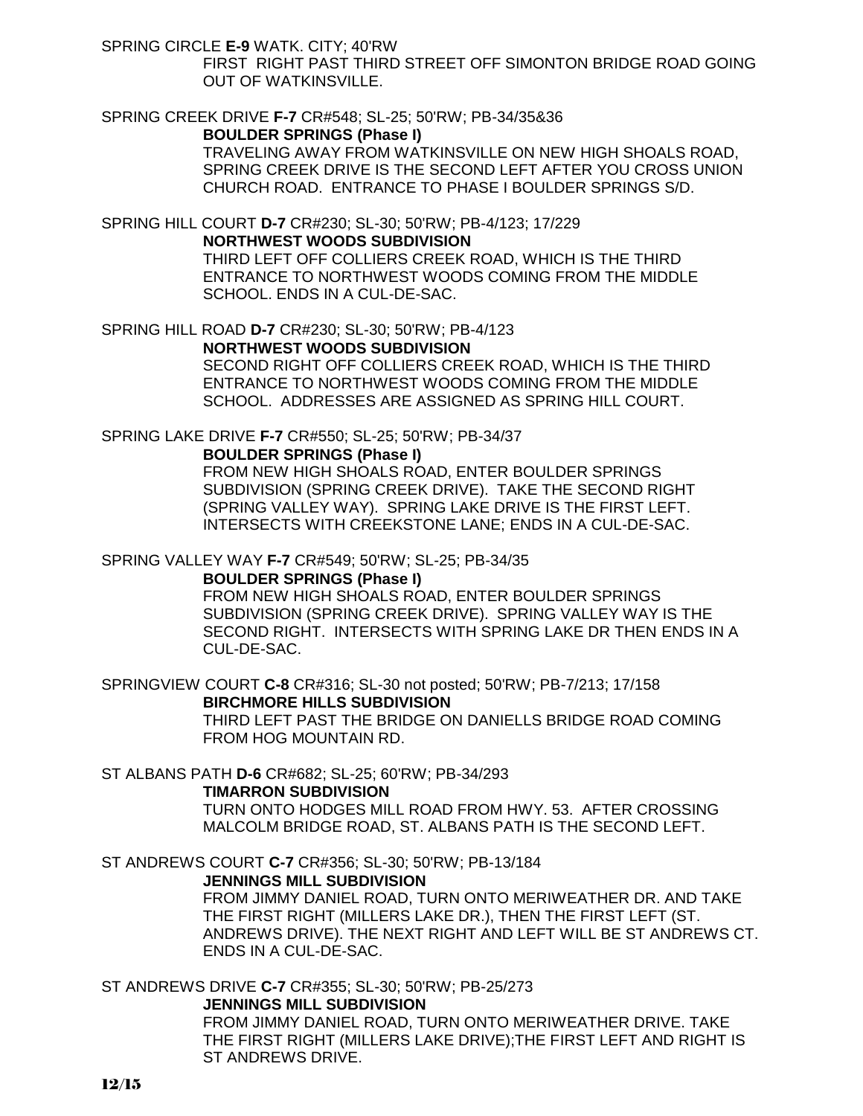SPRING CIRCLE **E-9** WATK. CITY; 40'RW

FIRST RIGHT PAST THIRD STREET OFF SIMONTON BRIDGE ROAD GOING OUT OF WATKINSVILLE.

SPRING CREEK DRIVE **F-7** CR#548; SL-25; 50'RW; PB-34/35&36

### **BOULDER SPRINGS (Phase I)**

TRAVELING AWAY FROM WATKINSVILLE ON NEW HIGH SHOALS ROAD, SPRING CREEK DRIVE IS THE SECOND LEFT AFTER YOU CROSS UNION CHURCH ROAD. ENTRANCE TO PHASE I BOULDER SPRINGS S/D.

SPRING HILL COURT **D-7** CR#230; SL-30; 50'RW; PB-4/123; 17/229 **NORTHWEST WOODS SUBDIVISION** THIRD LEFT OFF COLLIERS CREEK ROAD, WHICH IS THE THIRD ENTRANCE TO NORTHWEST WOODS COMING FROM THE MIDDLE SCHOOL. ENDS IN A CUL-DE-SAC.

SPRING HILL ROAD **D-7** CR#230; SL-30; 50'RW; PB-4/123 **NORTHWEST WOODS SUBDIVISION** SECOND RIGHT OFF COLLIERS CREEK ROAD, WHICH IS THE THIRD ENTRANCE TO NORTHWEST WOODS COMING FROM THE MIDDLE SCHOOL. ADDRESSES ARE ASSIGNED AS SPRING HILL COURT.

SPRING LAKE DRIVE **F-7** CR#550; SL-25; 50'RW; PB-34/37

#### **BOULDER SPRINGS (Phase I)**

FROM NEW HIGH SHOALS ROAD, ENTER BOULDER SPRINGS SUBDIVISION (SPRING CREEK DRIVE). TAKE THE SECOND RIGHT (SPRING VALLEY WAY). SPRING LAKE DRIVE IS THE FIRST LEFT. INTERSECTS WITH CREEKSTONE LANE; ENDS IN A CUL-DE-SAC.

SPRING VALLEY WAY **F-7** CR#549; 50'RW; SL-25; PB-34/35

### **BOULDER SPRINGS (Phase I)**

FROM NEW HIGH SHOALS ROAD, ENTER BOULDER SPRINGS SUBDIVISION (SPRING CREEK DRIVE). SPRING VALLEY WAY IS THE SECOND RIGHT. INTERSECTS WITH SPRING LAKE DR THEN ENDS IN A CUL-DE-SAC.

SPRINGVIEW COURT **C-8** CR#316; SL-30 not posted; 50'RW; PB-7/213; 17/158 **BIRCHMORE HILLS SUBDIVISION** THIRD LEFT PAST THE BRIDGE ON DANIELLS BRIDGE ROAD COMING FROM HOG MOUNTAIN RD.

ST ALBANS PATH **D-6** CR#682; SL-25; 60'RW; PB-34/293

#### **TIMARRON SUBDIVISION**

TURN ONTO HODGES MILL ROAD FROM HWY. 53. AFTER CROSSING MALCOLM BRIDGE ROAD, ST. ALBANS PATH IS THE SECOND LEFT.

ST ANDREWS COURT **C-7** CR#356; SL-30; 50'RW; PB-13/184

#### **JENNINGS MILL SUBDIVISION**

FROM JIMMY DANIEL ROAD, TURN ONTO MERIWEATHER DR. AND TAKE THE FIRST RIGHT (MILLERS LAKE DR.), THEN THE FIRST LEFT (ST. ANDREWS DRIVE). THE NEXT RIGHT AND LEFT WILL BE ST ANDREWS CT. ENDS IN A CUL-DE-SAC.

ST ANDREWS DRIVE **C-7** CR#355; SL-30; 50'RW; PB-25/273 **JENNINGS MILL SUBDIVISION**

FROM JIMMY DANIEL ROAD, TURN ONTO MERIWEATHER DRIVE. TAKE THE FIRST RIGHT (MILLERS LAKE DRIVE);THE FIRST LEFT AND RIGHT IS ST ANDREWS DRIVE.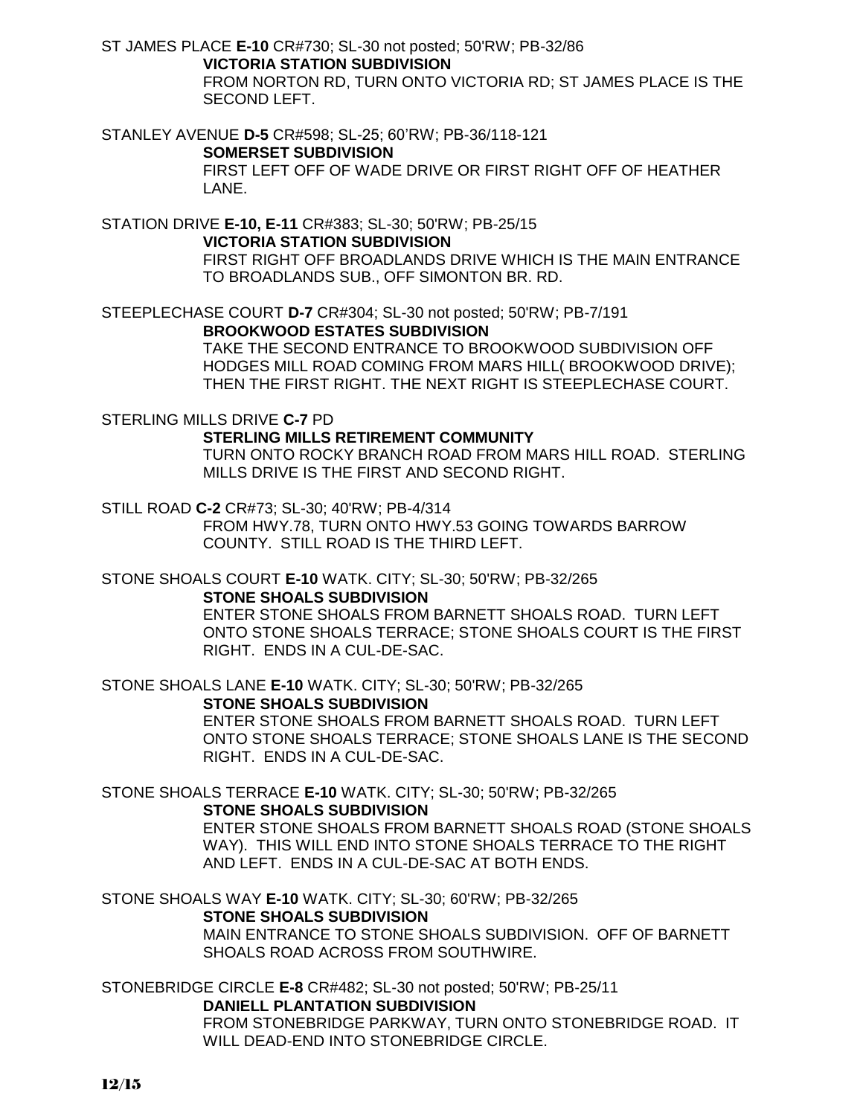ST JAMES PLACE **E-10** CR#730; SL-30 not posted; 50'RW; PB-32/86 **VICTORIA STATION SUBDIVISION** FROM NORTON RD, TURN ONTO VICTORIA RD; ST JAMES PLACE IS THE SECOND LEFT.

STANLEY AVENUE **D-5** CR#598; SL-25; 60'RW; PB-36/118-121 **SOMERSET SUBDIVISION** FIRST LEFT OFF OF WADE DRIVE OR FIRST RIGHT OFF OF HEATHER LANE.

STATION DRIVE **E-10, E-11** CR#383; SL-30; 50'RW; PB-25/15 **VICTORIA STATION SUBDIVISION** FIRST RIGHT OFF BROADLANDS DRIVE WHICH IS THE MAIN ENTRANCE TO BROADLANDS SUB., OFF SIMONTON BR. RD.

STEEPLECHASE COURT **D-7** CR#304; SL-30 not posted; 50'RW; PB-7/191 **BROOKWOOD ESTATES SUBDIVISION**

TAKE THE SECOND ENTRANCE TO BROOKWOOD SUBDIVISION OFF HODGES MILL ROAD COMING FROM MARS HILL( BROOKWOOD DRIVE); THEN THE FIRST RIGHT. THE NEXT RIGHT IS STEEPLECHASE COURT.

STERLING MILLS DRIVE **C-7** PD

**STERLING MILLS RETIREMENT COMMUNITY**

TURN ONTO ROCKY BRANCH ROAD FROM MARS HILL ROAD. STERLING MILLS DRIVE IS THE FIRST AND SECOND RIGHT.

STILL ROAD **C-2** CR#73; SL-30; 40'RW; PB-4/314

FROM HWY.78, TURN ONTO HWY.53 GOING TOWARDS BARROW COUNTY. STILL ROAD IS THE THIRD LEFT.

STONE SHOALS COURT **E-10** WATK. CITY; SL-30; 50'RW; PB-32/265

**STONE SHOALS SUBDIVISION**

ENTER STONE SHOALS FROM BARNETT SHOALS ROAD. TURN LEFT ONTO STONE SHOALS TERRACE; STONE SHOALS COURT IS THE FIRST RIGHT. ENDS IN A CUL-DE-SAC.

STONE SHOALS LANE **E-10** WATK. CITY; SL-30; 50'RW; PB-32/265 **STONE SHOALS SUBDIVISION**

ENTER STONE SHOALS FROM BARNETT SHOALS ROAD. TURN LEFT ONTO STONE SHOALS TERRACE; STONE SHOALS LANE IS THE SECOND RIGHT. ENDS IN A CUL-DE-SAC.

STONE SHOALS TERRACE **E-10** WATK. CITY; SL-30; 50'RW; PB-32/265

# **STONE SHOALS SUBDIVISION**

ENTER STONE SHOALS FROM BARNETT SHOALS ROAD (STONE SHOALS WAY). THIS WILL END INTO STONE SHOALS TERRACE TO THE RIGHT AND LEFT. ENDS IN A CUL-DE-SAC AT BOTH ENDS.

STONE SHOALS WAY **E-10** WATK. CITY; SL-30; 60'RW; PB-32/265

# **STONE SHOALS SUBDIVISION**

MAIN ENTRANCE TO STONE SHOALS SUBDIVISION. OFF OF BARNETT SHOALS ROAD ACROSS FROM SOUTHWIRE.

STONEBRIDGE CIRCLE **E-8** CR#482; SL-30 not posted; 50'RW; PB-25/11 **DANIELL PLANTATION SUBDIVISION** FROM STONEBRIDGE PARKWAY, TURN ONTO STONEBRIDGE ROAD. IT WILL DEAD-END INTO STONEBRIDGE CIRCLE.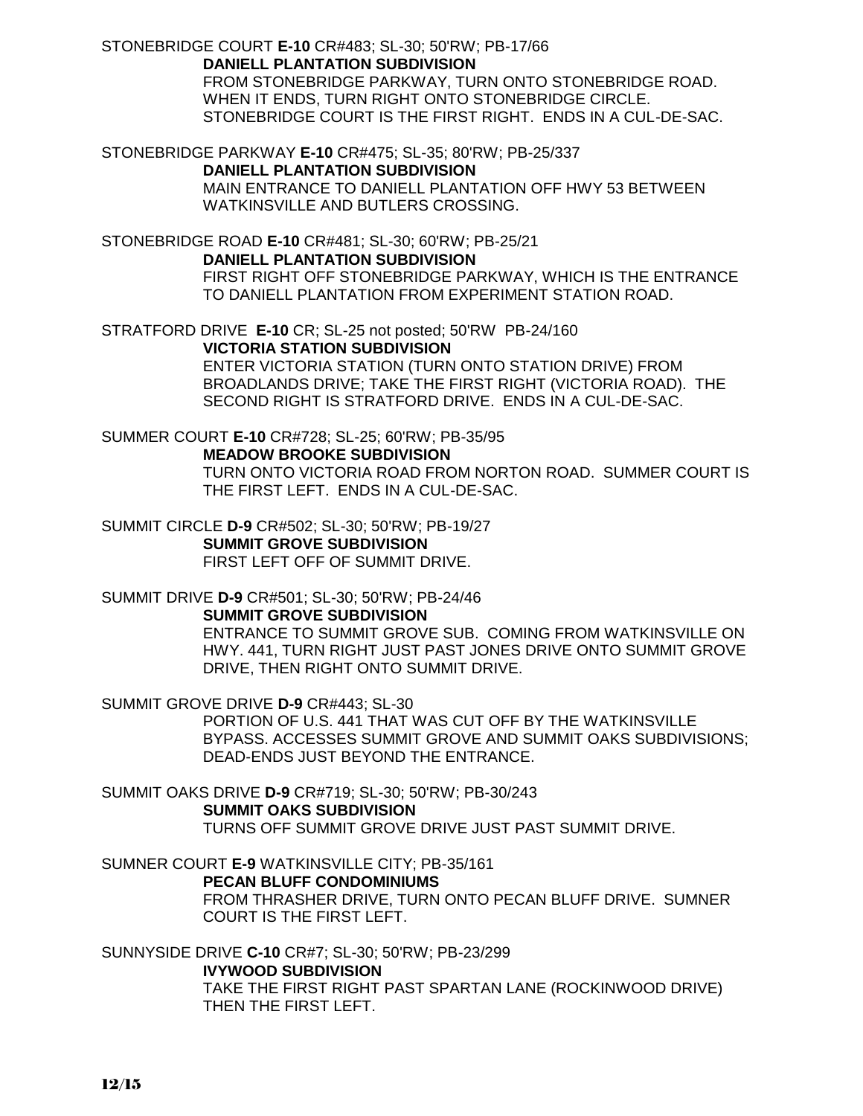STONEBRIDGE COURT **E-10** CR#483; SL-30; 50'RW; PB-17/66 **DANIELL PLANTATION SUBDIVISION** FROM STONEBRIDGE PARKWAY, TURN ONTO STONEBRIDGE ROAD. WHEN IT ENDS, TURN RIGHT ONTO STONEBRIDGE CIRCLE. STONEBRIDGE COURT IS THE FIRST RIGHT. ENDS IN A CUL-DE-SAC.

STONEBRIDGE PARKWAY **E-10** CR#475; SL-35; 80'RW; PB-25/337

**DANIELL PLANTATION SUBDIVISION** MAIN ENTRANCE TO DANIELL PLANTATION OFF HWY 53 BETWEEN WATKINSVILLE AND BUTLERS CROSSING.

STONEBRIDGE ROAD **E-10** CR#481; SL-30; 60'RW; PB-25/21 **DANIELL PLANTATION SUBDIVISION** FIRST RIGHT OFF STONEBRIDGE PARKWAY, WHICH IS THE ENTRANCE TO DANIELL PLANTATION FROM EXPERIMENT STATION ROAD.

STRATFORD DRIVE **E-10** CR; SL-25 not posted; 50'RW PB-24/160 **VICTORIA STATION SUBDIVISION** ENTER VICTORIA STATION (TURN ONTO STATION DRIVE) FROM

BROADLANDS DRIVE; TAKE THE FIRST RIGHT (VICTORIA ROAD). THE SECOND RIGHT IS STRATFORD DRIVE. ENDS IN A CUL-DE-SAC.

SUMMER COURT **E-10** CR#728; SL-25; 60'RW; PB-35/95 **MEADOW BROOKE SUBDIVISION** TURN ONTO VICTORIA ROAD FROM NORTON ROAD. SUMMER COURT IS THE FIRST LEFT. ENDS IN A CUL-DE-SAC.

SUMMIT CIRCLE **D-9** CR#502; SL-30; 50'RW; PB-19/27 **SUMMIT GROVE SUBDIVISION** FIRST LEFT OFF OF SUMMIT DRIVE.

SUMMIT DRIVE **D-9** CR#501; SL-30; 50'RW; PB-24/46 **SUMMIT GROVE SUBDIVISION** ENTRANCE TO SUMMIT GROVE SUB. COMING FROM WATKINSVILLE ON HWY. 441, TURN RIGHT JUST PAST JONES DRIVE ONTO SUMMIT GROVE DRIVE, THEN RIGHT ONTO SUMMIT DRIVE.

SUMMIT GROVE DRIVE **D-9** CR#443; SL-30

PORTION OF U.S. 441 THAT WAS CUT OFF BY THE WATKINSVILLE BYPASS. ACCESSES SUMMIT GROVE AND SUMMIT OAKS SUBDIVISIONS; DEAD-ENDS JUST BEYOND THE ENTRANCE.

SUMMIT OAKS DRIVE **D-9** CR#719; SL-30; 50'RW; PB-30/243 **SUMMIT OAKS SUBDIVISION**

TURNS OFF SUMMIT GROVE DRIVE JUST PAST SUMMIT DRIVE.

SUMNER COURT **E-9** WATKINSVILLE CITY; PB-35/161

**PECAN BLUFF CONDOMINIUMS**

FROM THRASHER DRIVE, TURN ONTO PECAN BLUFF DRIVE. SUMNER COURT IS THE FIRST LEFT.

SUNNYSIDE DRIVE **C-10** CR#7; SL-30; 50'RW; PB-23/299

**IVYWOOD SUBDIVISION**

TAKE THE FIRST RIGHT PAST SPARTAN LANE (ROCKINWOOD DRIVE) THEN THE FIRST LEFT.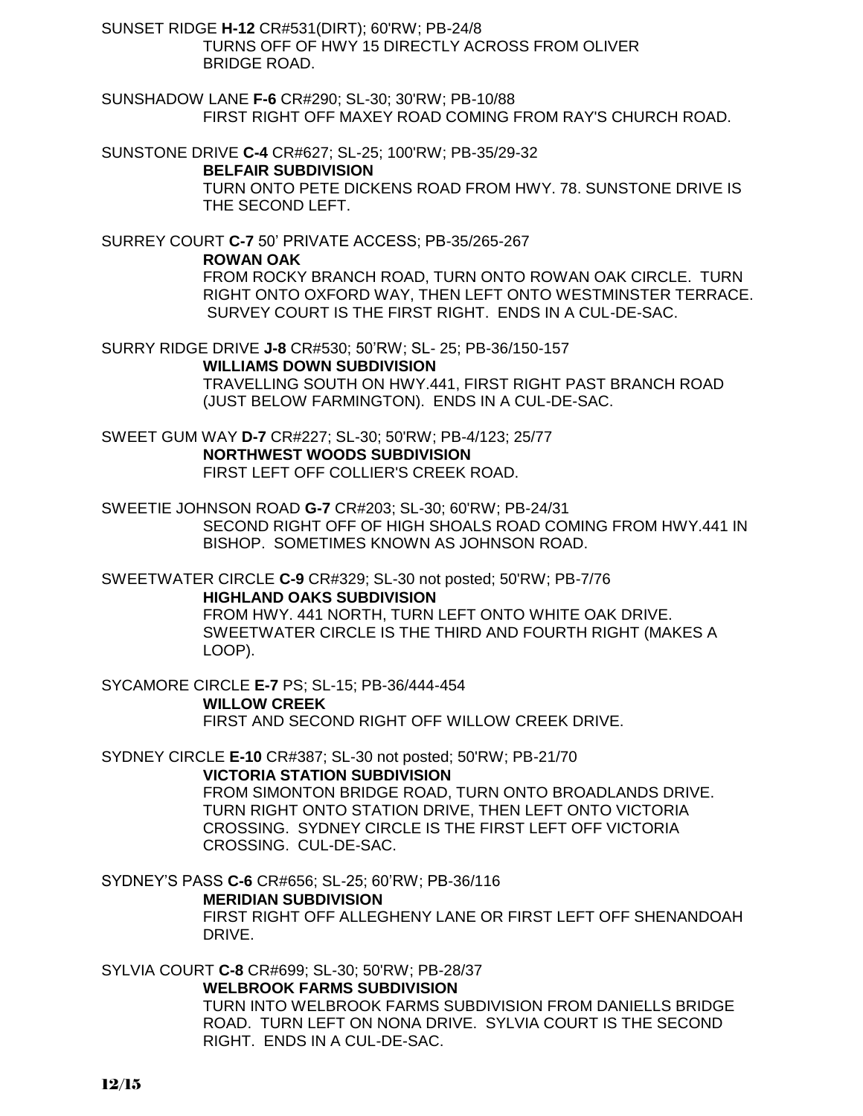SUNSET RIDGE **H-12** CR#531(DIRT); 60'RW; PB-24/8 TURNS OFF OF HWY 15 DIRECTLY ACROSS FROM OLIVER BRIDGE ROAD.

SUNSHADOW LANE **F-6** CR#290; SL-30; 30'RW; PB-10/88 FIRST RIGHT OFF MAXEY ROAD COMING FROM RAY'S CHURCH ROAD.

SUNSTONE DRIVE **C-4** CR#627; SL-25; 100'RW; PB-35/29-32

### **BELFAIR SUBDIVISION**

TURN ONTO PETE DICKENS ROAD FROM HWY. 78. SUNSTONE DRIVE IS THE SECOND LEFT.

SURREY COURT **C-7** 50' PRIVATE ACCESS; PB-35/265-267

**ROWAN OAK**

FROM ROCKY BRANCH ROAD, TURN ONTO ROWAN OAK CIRCLE. TURN RIGHT ONTO OXFORD WAY, THEN LEFT ONTO WESTMINSTER TERRACE. SURVEY COURT IS THE FIRST RIGHT. ENDS IN A CUL-DE-SAC.

SURRY RIDGE DRIVE **J-8** CR#530; 50'RW; SL- 25; PB-36/150-157

**WILLIAMS DOWN SUBDIVISION**

TRAVELLING SOUTH ON HWY.441, FIRST RIGHT PAST BRANCH ROAD (JUST BELOW FARMINGTON). ENDS IN A CUL-DE-SAC.

SWEET GUM WAY **D-7** CR#227; SL-30; 50'RW; PB-4/123; 25/77 **NORTHWEST WOODS SUBDIVISION** FIRST LEFT OFF COLLIER'S CREEK ROAD.

SWEETIE JOHNSON ROAD **G-7** CR#203; SL-30; 60'RW; PB-24/31 SECOND RIGHT OFF OF HIGH SHOALS ROAD COMING FROM HWY.441 IN BISHOP. SOMETIMES KNOWN AS JOHNSON ROAD.

SWEETWATER CIRCLE **C-9** CR#329; SL-30 not posted; 50'RW; PB-7/76 **HIGHLAND OAKS SUBDIVISION**

FROM HWY. 441 NORTH, TURN LEFT ONTO WHITE OAK DRIVE. SWEETWATER CIRCLE IS THE THIRD AND FOURTH RIGHT (MAKES A LOOP).

SYCAMORE CIRCLE **E-7** PS; SL-15; PB-36/444-454 **WILLOW CREEK** FIRST AND SECOND RIGHT OFF WILLOW CREEK DRIVE.

SYDNEY CIRCLE **E-10** CR#387; SL-30 not posted; 50'RW; PB-21/70 **VICTORIA STATION SUBDIVISION**

FROM SIMONTON BRIDGE ROAD, TURN ONTO BROADLANDS DRIVE. TURN RIGHT ONTO STATION DRIVE, THEN LEFT ONTO VICTORIA CROSSING. SYDNEY CIRCLE IS THE FIRST LEFT OFF VICTORIA CROSSING. CUL-DE-SAC.

SYDNEY'S PASS **C-6** CR#656; SL-25; 60'RW; PB-36/116

**MERIDIAN SUBDIVISION**

FIRST RIGHT OFF ALLEGHENY LANE OR FIRST LEFT OFF SHENANDOAH DRIVE.

SYLVIA COURT **C-8** CR#699; SL-30; 50'RW; PB-28/37

**WELBROOK FARMS SUBDIVISION** TURN INTO WELBROOK FARMS SUBDIVISION FROM DANIELLS BRIDGE ROAD. TURN LEFT ON NONA DRIVE. SYLVIA COURT IS THE SECOND RIGHT. ENDS IN A CUL-DE-SAC.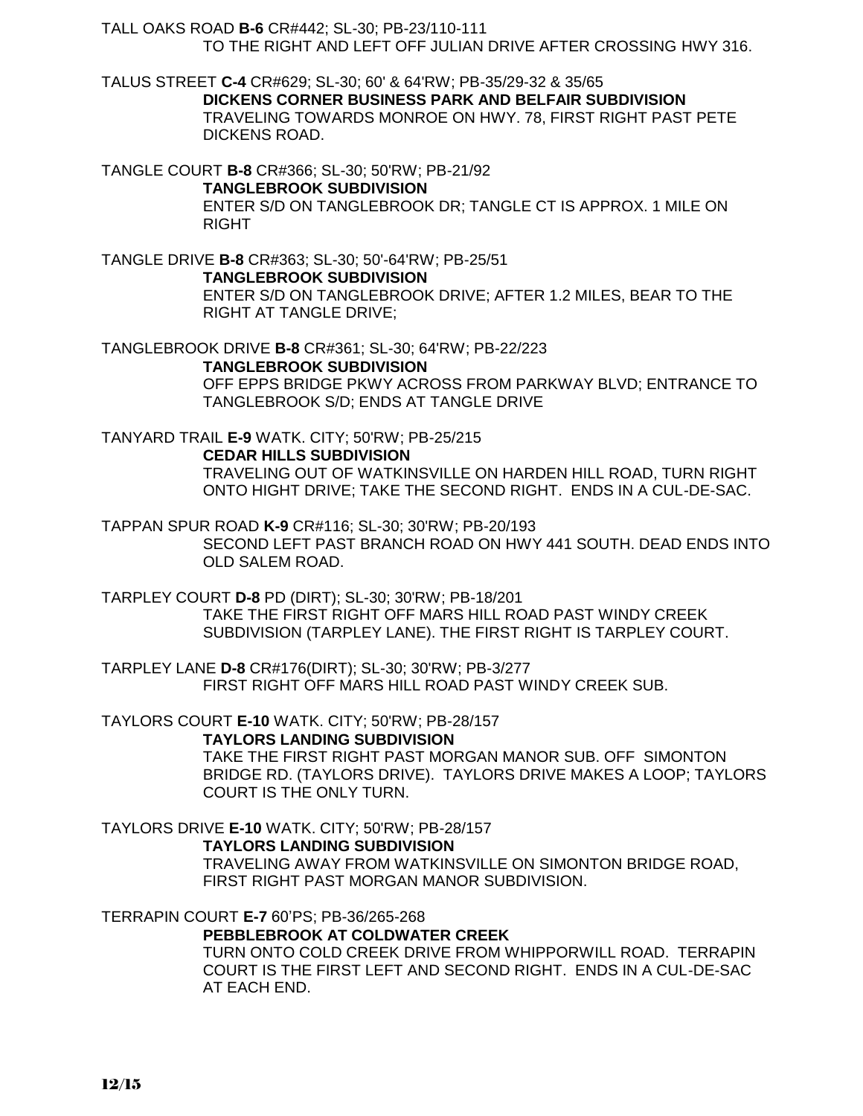TALL OAKS ROAD **B-6** CR#442; SL-30; PB-23/110-111

TO THE RIGHT AND LEFT OFF JULIAN DRIVE AFTER CROSSING HWY 316.

TALUS STREET **C-4** CR#629; SL-30; 60' & 64'RW; PB-35/29-32 & 35/65 **DICKENS CORNER BUSINESS PARK AND BELFAIR SUBDIVISION** TRAVELING TOWARDS MONROE ON HWY. 78, FIRST RIGHT PAST PETE DICKENS ROAD.

TANGLE COURT **B-8** CR#366; SL-30; 50'RW; PB-21/92 **TANGLEBROOK SUBDIVISION** ENTER S/D ON TANGLEBROOK DR; TANGLE CT IS APPROX. 1 MILE ON RIGHT

TANGLE DRIVE **B-8** CR#363; SL-30; 50'-64'RW; PB-25/51 **TANGLEBROOK SUBDIVISION** ENTER S/D ON TANGLEBROOK DRIVE; AFTER 1.2 MILES, BEAR TO THE RIGHT AT TANGLE DRIVE;

TANGLEBROOK DRIVE **B-8** CR#361; SL-30; 64'RW; PB-22/223 **TANGLEBROOK SUBDIVISION** OFF EPPS BRIDGE PKWY ACROSS FROM PARKWAY BLVD; ENTRANCE TO TANGLEBROOK S/D; ENDS AT TANGLE DRIVE

TANYARD TRAIL **E-9** WATK. CITY; 50'RW; PB-25/215

# **CEDAR HILLS SUBDIVISION**

TRAVELING OUT OF WATKINSVILLE ON HARDEN HILL ROAD, TURN RIGHT ONTO HIGHT DRIVE; TAKE THE SECOND RIGHT. ENDS IN A CUL-DE-SAC.

TAPPAN SPUR ROAD **K-9** CR#116; SL-30; 30'RW; PB-20/193

SECOND LEFT PAST BRANCH ROAD ON HWY 441 SOUTH. DEAD ENDS INTO OLD SALEM ROAD.

TARPLEY COURT **D-8** PD (DIRT); SL-30; 30'RW; PB-18/201 TAKE THE FIRST RIGHT OFF MARS HILL ROAD PAST WINDY CREEK SUBDIVISION (TARPLEY LANE). THE FIRST RIGHT IS TARPLEY COURT.

TARPLEY LANE **D-8** CR#176(DIRT); SL-30; 30'RW; PB-3/277 FIRST RIGHT OFF MARS HILL ROAD PAST WINDY CREEK SUB.

TAYLORS COURT **E-10** WATK. CITY; 50'RW; PB-28/157

### **TAYLORS LANDING SUBDIVISION**

TAKE THE FIRST RIGHT PAST MORGAN MANOR SUB. OFF SIMONTON BRIDGE RD. (TAYLORS DRIVE). TAYLORS DRIVE MAKES A LOOP; TAYLORS COURT IS THE ONLY TURN.

TAYLORS DRIVE **E-10** WATK. CITY; 50'RW; PB-28/157

# **TAYLORS LANDING SUBDIVISION**

TRAVELING AWAY FROM WATKINSVILLE ON SIMONTON BRIDGE ROAD, FIRST RIGHT PAST MORGAN MANOR SUBDIVISION.

TERRAPIN COURT **E-7** 60'PS; PB-36/265-268

# **PEBBLEBROOK AT COLDWATER CREEK**

TURN ONTO COLD CREEK DRIVE FROM WHIPPORWILL ROAD. TERRAPIN COURT IS THE FIRST LEFT AND SECOND RIGHT. ENDS IN A CUL-DE-SAC AT EACH END.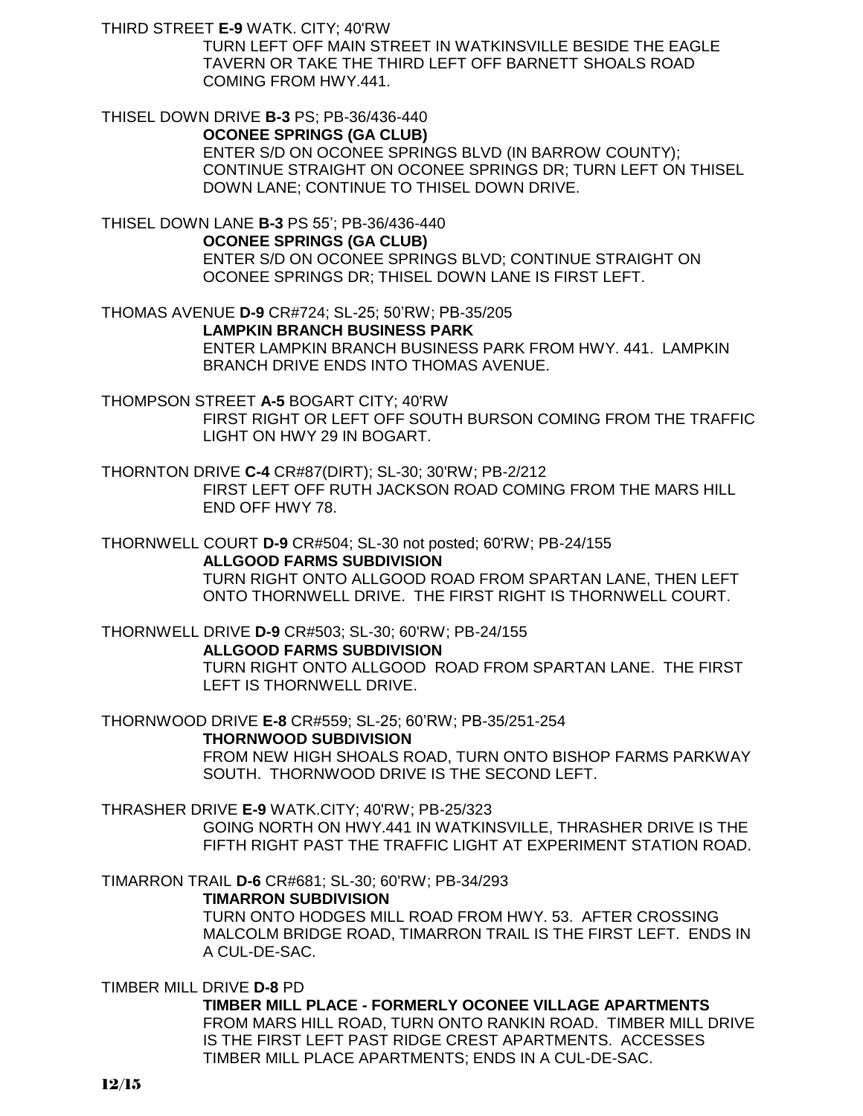THIRD STREET **E-9** WATK. CITY; 40'RW

TURN LEFT OFF MAIN STREET IN WATKINSVILLE BESIDE THE EAGLE TAVERN OR TAKE THE THIRD LEFT OFF BARNETT SHOALS ROAD COMING FROM HWY.441.

# THISEL DOWN DRIVE **B-3** PS; PB-36/436-440

**OCONEE SPRINGS (GA CLUB)**

ENTER S/D ON OCONEE SPRINGS BLVD (IN BARROW COUNTY); CONTINUE STRAIGHT ON OCONEE SPRINGS DR; TURN LEFT ON THISEL DOWN LANE; CONTINUE TO THISEL DOWN DRIVE.

THISEL DOWN LANE **B-3** PS 55'; PB-36/436-440 **OCONEE SPRINGS (GA CLUB)** ENTER S/D ON OCONEE SPRINGS BLVD; CONTINUE STRAIGHT ON OCONEE SPRINGS DR; THISEL DOWN LANE IS FIRST LEFT.

THOMAS AVENUE **D-9** CR#724; SL-25; 50'RW; PB-35/205 **LAMPKIN BRANCH BUSINESS PARK** ENTER LAMPKIN BRANCH BUSINESS PARK FROM HWY. 441. LAMPKIN BRANCH DRIVE ENDS INTO THOMAS AVENUE.

THOMPSON STREET **A-5** BOGART CITY; 40'RW FIRST RIGHT OR LEFT OFF SOUTH BURSON COMING FROM THE TRAFFIC LIGHT ON HWY 29 IN BOGART.

THORNTON DRIVE **C-4** CR#87(DIRT); SL-30; 30'RW; PB-2/212 FIRST LEFT OFF RUTH JACKSON ROAD COMING FROM THE MARS HILL END OFF HWY 78.

THORNWELL COURT **D-9** CR#504; SL-30 not posted; 60'RW; PB-24/155 **ALLGOOD FARMS SUBDIVISION**

TURN RIGHT ONTO ALLGOOD ROAD FROM SPARTAN LANE, THEN LEFT ONTO THORNWELL DRIVE. THE FIRST RIGHT IS THORNWELL COURT.

THORNWELL DRIVE **D-9** CR#503; SL-30; 60'RW; PB-24/155

**ALLGOOD FARMS SUBDIVISION**

TURN RIGHT ONTO ALLGOOD ROAD FROM SPARTAN LANE. THE FIRST LEFT IS THORNWELL DRIVE.

THORNWOOD DRIVE **E-8** CR#559; SL-25; 60'RW; PB-35/251-254

**THORNWOOD SUBDIVISION**

FROM NEW HIGH SHOALS ROAD, TURN ONTO BISHOP FARMS PARKWAY SOUTH. THORNWOOD DRIVE IS THE SECOND LEFT.

THRASHER DRIVE **E-9** WATK.CITY; 40'RW; PB-25/323

GOING NORTH ON HWY.441 IN WATKINSVILLE, THRASHER DRIVE IS THE FIFTH RIGHT PAST THE TRAFFIC LIGHT AT EXPERIMENT STATION ROAD.

TIMARRON TRAIL **D-6** CR#681; SL-30; 60'RW; PB-34/293

**TIMARRON SUBDIVISION**

TURN ONTO HODGES MILL ROAD FROM HWY. 53. AFTER CROSSING MALCOLM BRIDGE ROAD, TIMARRON TRAIL IS THE FIRST LEFT. ENDS IN A CUL-DE-SAC.

TIMBER MILL DRIVE **D-8** PD

**TIMBER MILL PLACE - FORMERLY OCONEE VILLAGE APARTMENTS** FROM MARS HILL ROAD, TURN ONTO RANKIN ROAD. TIMBER MILL DRIVE IS THE FIRST LEFT PAST RIDGE CREST APARTMENTS. ACCESSES TIMBER MILL PLACE APARTMENTS; ENDS IN A CUL-DE-SAC.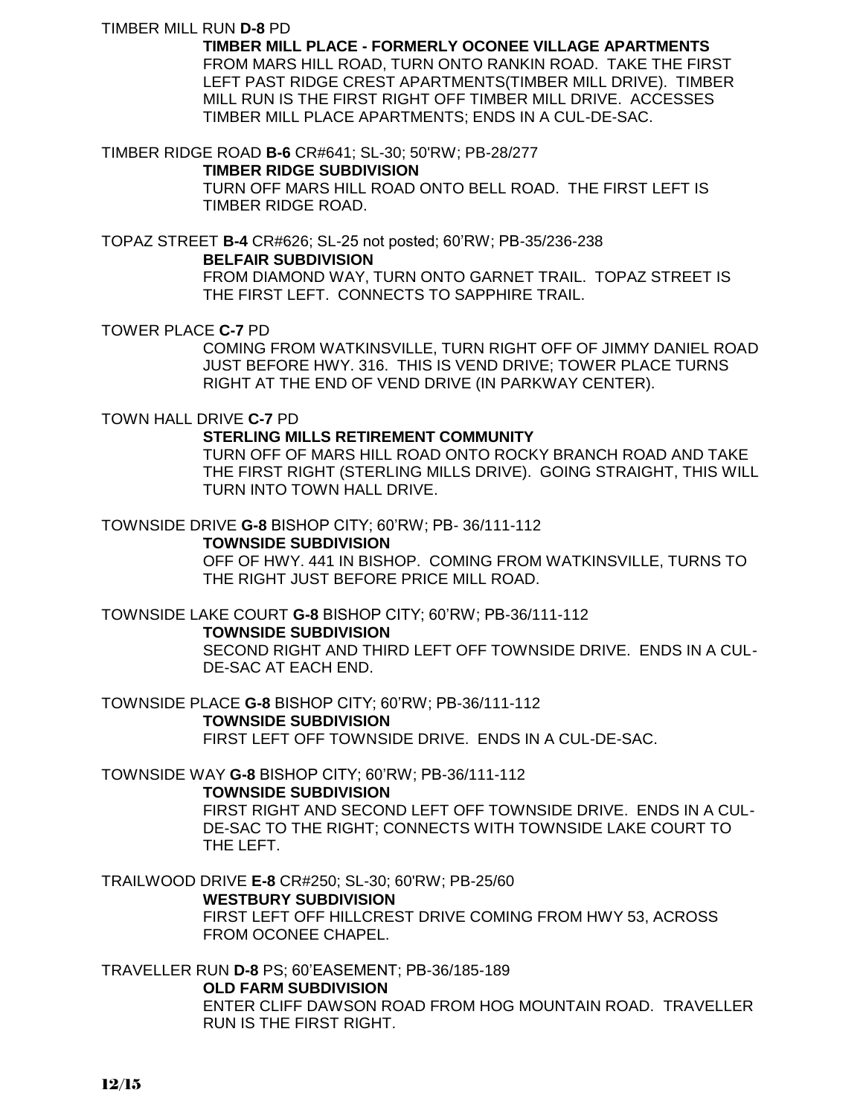### TIMBER MILL RUN **D-8** PD

**TIMBER MILL PLACE - FORMERLY OCONEE VILLAGE APARTMENTS** FROM MARS HILL ROAD, TURN ONTO RANKIN ROAD. TAKE THE FIRST LEFT PAST RIDGE CREST APARTMENTS(TIMBER MILL DRIVE). TIMBER MILL RUN IS THE FIRST RIGHT OFF TIMBER MILL DRIVE. ACCESSES TIMBER MILL PLACE APARTMENTS; ENDS IN A CUL-DE-SAC.

TIMBER RIDGE ROAD **B-6** CR#641; SL-30; 50'RW; PB-28/277

### **TIMBER RIDGE SUBDIVISION**

TURN OFF MARS HILL ROAD ONTO BELL ROAD. THE FIRST LEFT IS TIMBER RIDGE ROAD.

TOPAZ STREET **B-4** CR#626; SL-25 not posted; 60'RW; PB-35/236-238 **BELFAIR SUBDIVISION**

> FROM DIAMOND WAY, TURN ONTO GARNET TRAIL. TOPAZ STREET IS THE FIRST LEFT. CONNECTS TO SAPPHIRE TRAIL.

TOWER PLACE **C-7** PD

COMING FROM WATKINSVILLE, TURN RIGHT OFF OF JIMMY DANIEL ROAD JUST BEFORE HWY. 316. THIS IS VEND DRIVE; TOWER PLACE TURNS RIGHT AT THE END OF VEND DRIVE (IN PARKWAY CENTER).

TOWN HALL DRIVE **C-7** PD

### **STERLING MILLS RETIREMENT COMMUNITY**

TURN OFF OF MARS HILL ROAD ONTO ROCKY BRANCH ROAD AND TAKE THE FIRST RIGHT (STERLING MILLS DRIVE). GOING STRAIGHT, THIS WILL TURN INTO TOWN HALL DRIVE.

TOWNSIDE DRIVE **G-8** BISHOP CITY; 60'RW; PB- 36/111-112

### **TOWNSIDE SUBDIVISION**

OFF OF HWY. 441 IN BISHOP. COMING FROM WATKINSVILLE, TURNS TO THE RIGHT JUST BEFORE PRICE MILL ROAD.

TOWNSIDE LAKE COURT **G-8** BISHOP CITY; 60'RW; PB-36/111-112

#### **TOWNSIDE SUBDIVISION**

SECOND RIGHT AND THIRD LEFT OFF TOWNSIDE DRIVE. ENDS IN A CUL-DE-SAC AT EACH END.

TOWNSIDE PLACE **G-8** BISHOP CITY; 60'RW; PB-36/111-112 **TOWNSIDE SUBDIVISION** FIRST LEFT OFF TOWNSIDE DRIVE. ENDS IN A CUL-DE-SAC.

TOWNSIDE WAY **G-8** BISHOP CITY; 60'RW; PB-36/111-112

### **TOWNSIDE SUBDIVISION**

FIRST RIGHT AND SECOND LEFT OFF TOWNSIDE DRIVE. ENDS IN A CUL-DE-SAC TO THE RIGHT; CONNECTS WITH TOWNSIDE LAKE COURT TO THE LEFT.

TRAILWOOD DRIVE **E-8** CR#250; SL-30; 60'RW; PB-25/60 **WESTBURY SUBDIVISION**

FIRST LEFT OFF HILLCREST DRIVE COMING FROM HWY 53, ACROSS FROM OCONEE CHAPEL.

TRAVELLER RUN **D-8** PS; 60'EASEMENT; PB-36/185-189

#### **OLD FARM SUBDIVISION**

ENTER CLIFF DAWSON ROAD FROM HOG MOUNTAIN ROAD. TRAVELLER RUN IS THE FIRST RIGHT.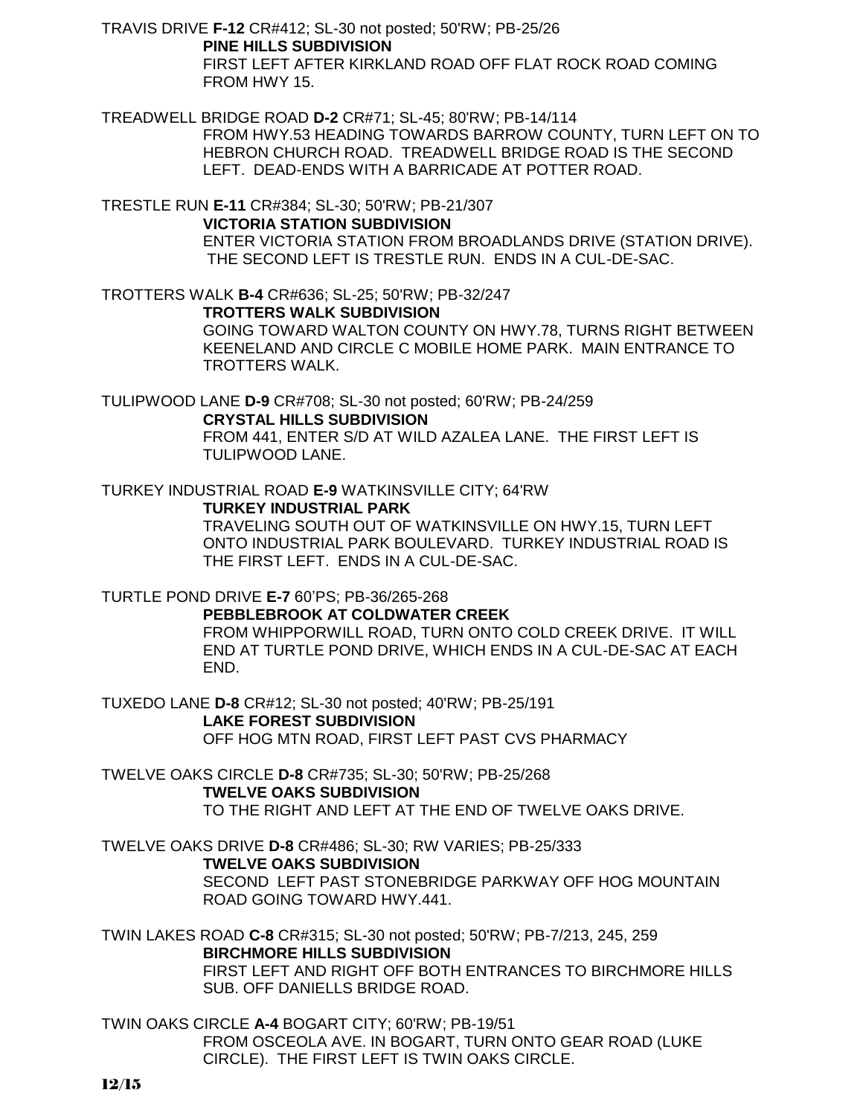TRAVIS DRIVE **F-12** CR#412; SL-30 not posted; 50'RW; PB-25/26 **PINE HILLS SUBDIVISION**

FIRST LEFT AFTER KIRKLAND ROAD OFF FLAT ROCK ROAD COMING FROM HWY 15.

TREADWELL BRIDGE ROAD **D-2** CR#71; SL-45; 80'RW; PB-14/114

FROM HWY.53 HEADING TOWARDS BARROW COUNTY, TURN LEFT ON TO HEBRON CHURCH ROAD. TREADWELL BRIDGE ROAD IS THE SECOND LEFT. DEAD-ENDS WITH A BARRICADE AT POTTER ROAD.

TRESTLE RUN **E-11** CR#384; SL-30; 50'RW; PB-21/307

**VICTORIA STATION SUBDIVISION**

ENTER VICTORIA STATION FROM BROADLANDS DRIVE (STATION DRIVE). THE SECOND LEFT IS TRESTLE RUN. ENDS IN A CUL-DE-SAC.

TROTTERS WALK **B-4** CR#636; SL-25; 50'RW; PB-32/247 **TROTTERS WALK SUBDIVISION** GOING TOWARD WALTON COUNTY ON HWY.78, TURNS RIGHT BETWEEN KEENELAND AND CIRCLE C MOBILE HOME PARK. MAIN ENTRANCE TO TROTTERS WALK.

TULIPWOOD LANE **D-9** CR#708; SL-30 not posted; 60'RW; PB-24/259 **CRYSTAL HILLS SUBDIVISION** FROM 441, ENTER S/D AT WILD AZALEA LANE. THE FIRST LEFT IS

TURKEY INDUSTRIAL ROAD **E-9** WATKINSVILLE CITY; 64'RW

**TURKEY INDUSTRIAL PARK**

TRAVELING SOUTH OUT OF WATKINSVILLE ON HWY.15, TURN LEFT ONTO INDUSTRIAL PARK BOULEVARD. TURKEY INDUSTRIAL ROAD IS THE FIRST LEFT. ENDS IN A CUL-DE-SAC.

TURTLE POND DRIVE **E-7** 60'PS; PB-36/265-268

TULIPWOOD LANE.

**PEBBLEBROOK AT COLDWATER CREEK** FROM WHIPPORWILL ROAD, TURN ONTO COLD CREEK DRIVE. IT WILL END AT TURTLE POND DRIVE, WHICH ENDS IN A CUL-DE-SAC AT EACH END.

TUXEDO LANE **D-8** CR#12; SL-30 not posted; 40'RW; PB-25/191 **LAKE FOREST SUBDIVISION** OFF HOG MTN ROAD, FIRST LEFT PAST CVS PHARMACY

TWELVE OAKS CIRCLE **D-8** CR#735; SL-30; 50'RW; PB-25/268 **TWELVE OAKS SUBDIVISION** TO THE RIGHT AND LEFT AT THE END OF TWELVE OAKS DRIVE.

TWELVE OAKS DRIVE **D-8** CR#486; SL-30; RW VARIES; PB-25/333 **TWELVE OAKS SUBDIVISION** SECOND LEFT PAST STONEBRIDGE PARKWAY OFF HOG MOUNTAIN ROAD GOING TOWARD HWY.441.

TWIN LAKES ROAD **C-8** CR#315; SL-30 not posted; 50'RW; PB-7/213, 245, 259 **BIRCHMORE HILLS SUBDIVISION** FIRST LEFT AND RIGHT OFF BOTH ENTRANCES TO BIRCHMORE HILLS SUB. OFF DANIELLS BRIDGE ROAD.

TWIN OAKS CIRCLE **A-4** BOGART CITY; 60'RW; PB-19/51 FROM OSCEOLA AVE. IN BOGART, TURN ONTO GEAR ROAD (LUKE CIRCLE). THE FIRST LEFT IS TWIN OAKS CIRCLE.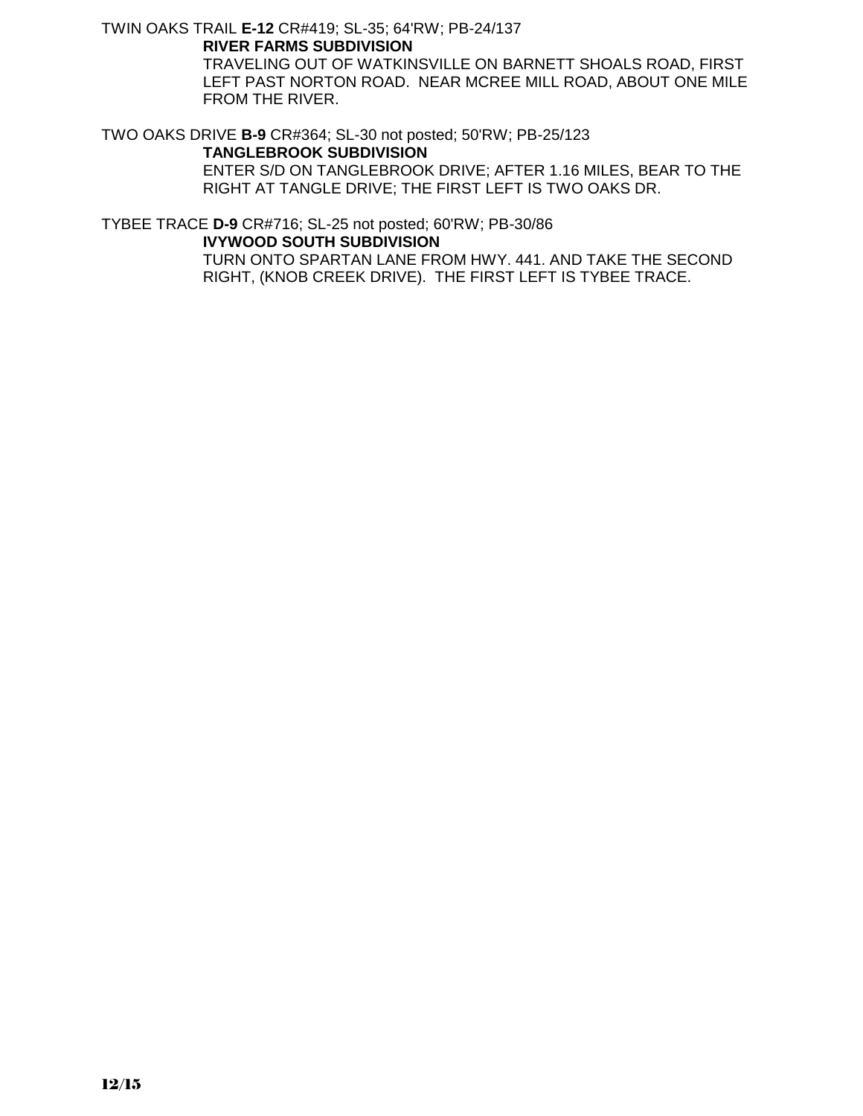TWIN OAKS TRAIL **E-12** CR#419; SL-35; 64'RW; PB-24/137 **RIVER FARMS SUBDIVISION**

> TRAVELING OUT OF WATKINSVILLE ON BARNETT SHOALS ROAD, FIRST LEFT PAST NORTON ROAD. NEAR MCREE MILL ROAD, ABOUT ONE MILE FROM THE RIVER.

TWO OAKS DRIVE **B-9** CR#364; SL-30 not posted; 50'RW; PB-25/123

### **TANGLEBROOK SUBDIVISION**

ENTER S/D ON TANGLEBROOK DRIVE; AFTER 1.16 MILES, BEAR TO THE RIGHT AT TANGLE DRIVE; THE FIRST LEFT IS TWO OAKS DR.

TYBEE TRACE **D-9** CR#716; SL-25 not posted; 60'RW; PB-30/86 **IVYWOOD SOUTH SUBDIVISION**

> TURN ONTO SPARTAN LANE FROM HWY. 441. AND TAKE THE SECOND RIGHT, (KNOB CREEK DRIVE). THE FIRST LEFT IS TYBEE TRACE.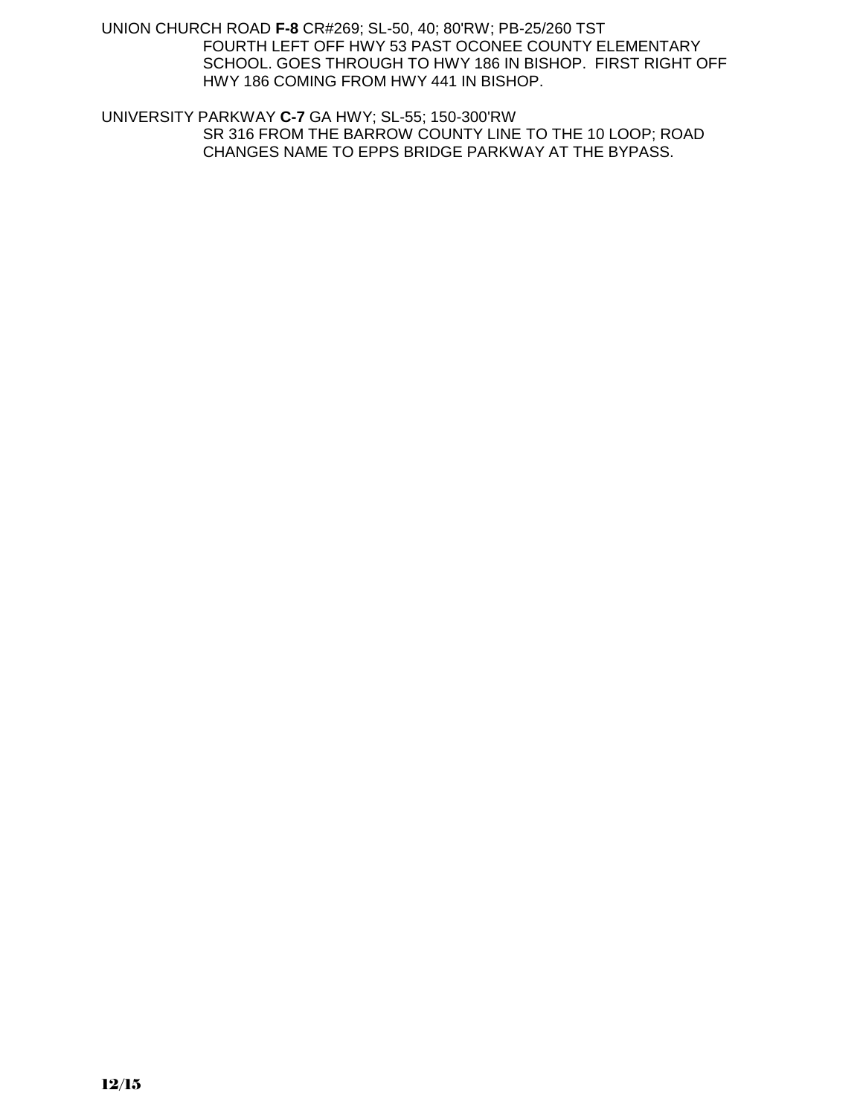UNION CHURCH ROAD **F-8** CR#269; SL-50, 40; 80'RW; PB-25/260 TST FOURTH LEFT OFF HWY 53 PAST OCONEE COUNTY ELEMENTARY SCHOOL. GOES THROUGH TO HWY 186 IN BISHOP. FIRST RIGHT OFF HWY 186 COMING FROM HWY 441 IN BISHOP.

UNIVERSITY PARKWAY **C-7** GA HWY; SL-55; 150-300'RW SR 316 FROM THE BARROW COUNTY LINE TO THE 10 LOOP; ROAD CHANGES NAME TO EPPS BRIDGE PARKWAY AT THE BYPASS.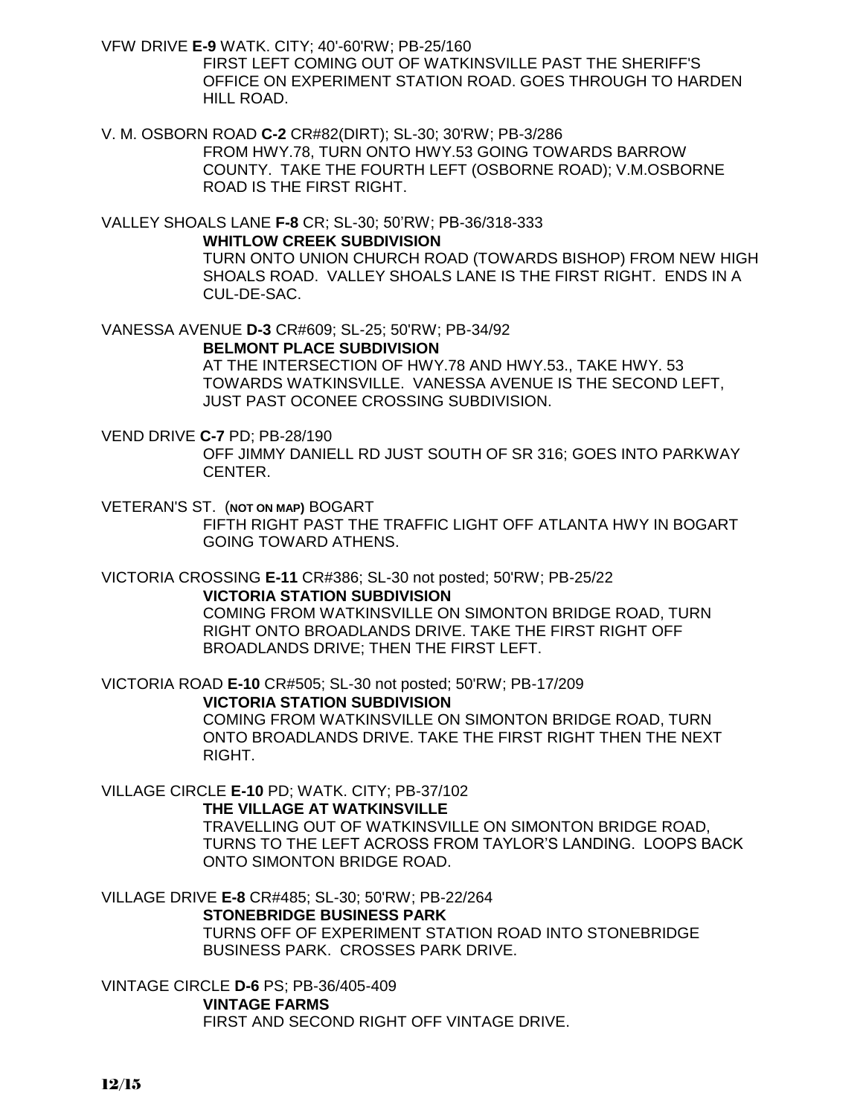VFW DRIVE **E-9** WATK. CITY; 40'-60'RW; PB-25/160

FIRST LEFT COMING OUT OF WATKINSVILLE PAST THE SHERIFF'S OFFICE ON EXPERIMENT STATION ROAD. GOES THROUGH TO HARDEN HILL ROAD.

V. M. OSBORN ROAD **C-2** CR#82(DIRT); SL-30; 30'RW; PB-3/286 FROM HWY.78, TURN ONTO HWY.53 GOING TOWARDS BARROW COUNTY. TAKE THE FOURTH LEFT (OSBORNE ROAD); V.M.OSBORNE ROAD IS THE FIRST RIGHT.

VALLEY SHOALS LANE **F-8** CR; SL-30; 50'RW; PB-36/318-333 **WHITLOW CREEK SUBDIVISION** TURN ONTO UNION CHURCH ROAD (TOWARDS BISHOP) FROM NEW HIGH SHOALS ROAD. VALLEY SHOALS LANE IS THE FIRST RIGHT. ENDS IN A CUL-DE-SAC.

VANESSA AVENUE **D-3** CR#609; SL-25; 50'RW; PB-34/92 **BELMONT PLACE SUBDIVISION**

> AT THE INTERSECTION OF HWY.78 AND HWY.53., TAKE HWY. 53 TOWARDS WATKINSVILLE. VANESSA AVENUE IS THE SECOND LEFT, JUST PAST OCONEE CROSSING SUBDIVISION.

### VEND DRIVE **C-7** PD; PB-28/190

OFF JIMMY DANIELL RD JUST SOUTH OF SR 316; GOES INTO PARKWAY CENTER.

VETERAN'S ST. (**NOT ON MAP)** BOGART FIFTH RIGHT PAST THE TRAFFIC LIGHT OFF ATLANTA HWY IN BOGART GOING TOWARD ATHENS.

VICTORIA CROSSING **E-11** CR#386; SL-30 not posted; 50'RW; PB-25/22 **VICTORIA STATION SUBDIVISION** COMING FROM WATKINSVILLE ON SIMONTON BRIDGE ROAD, TURN

RIGHT ONTO BROADLANDS DRIVE. TAKE THE FIRST RIGHT OFF BROADLANDS DRIVE; THEN THE FIRST LEFT.

VICTORIA ROAD **E-10** CR#505; SL-30 not posted; 50'RW; PB-17/209

**VICTORIA STATION SUBDIVISION** COMING FROM WATKINSVILLE ON SIMONTON BRIDGE ROAD, TURN ONTO BROADLANDS DRIVE. TAKE THE FIRST RIGHT THEN THE NEXT RIGHT.

VILLAGE CIRCLE **E-10** PD; WATK. CITY; PB-37/102

**THE VILLAGE AT WATKINSVILLE**

TRAVELLING OUT OF WATKINSVILLE ON SIMONTON BRIDGE ROAD, TURNS TO THE LEFT ACROSS FROM TAYLOR'S LANDING. LOOPS BACK ONTO SIMONTON BRIDGE ROAD.

VILLAGE DRIVE **E-8** CR#485; SL-30; 50'RW; PB-22/264 **STONEBRIDGE BUSINESS PARK**

> TURNS OFF OF EXPERIMENT STATION ROAD INTO STONEBRIDGE BUSINESS PARK. CROSSES PARK DRIVE.

VINTAGE CIRCLE **D-6** PS; PB-36/405-409 **VINTAGE FARMS** FIRST AND SECOND RIGHT OFF VINTAGE DRIVE.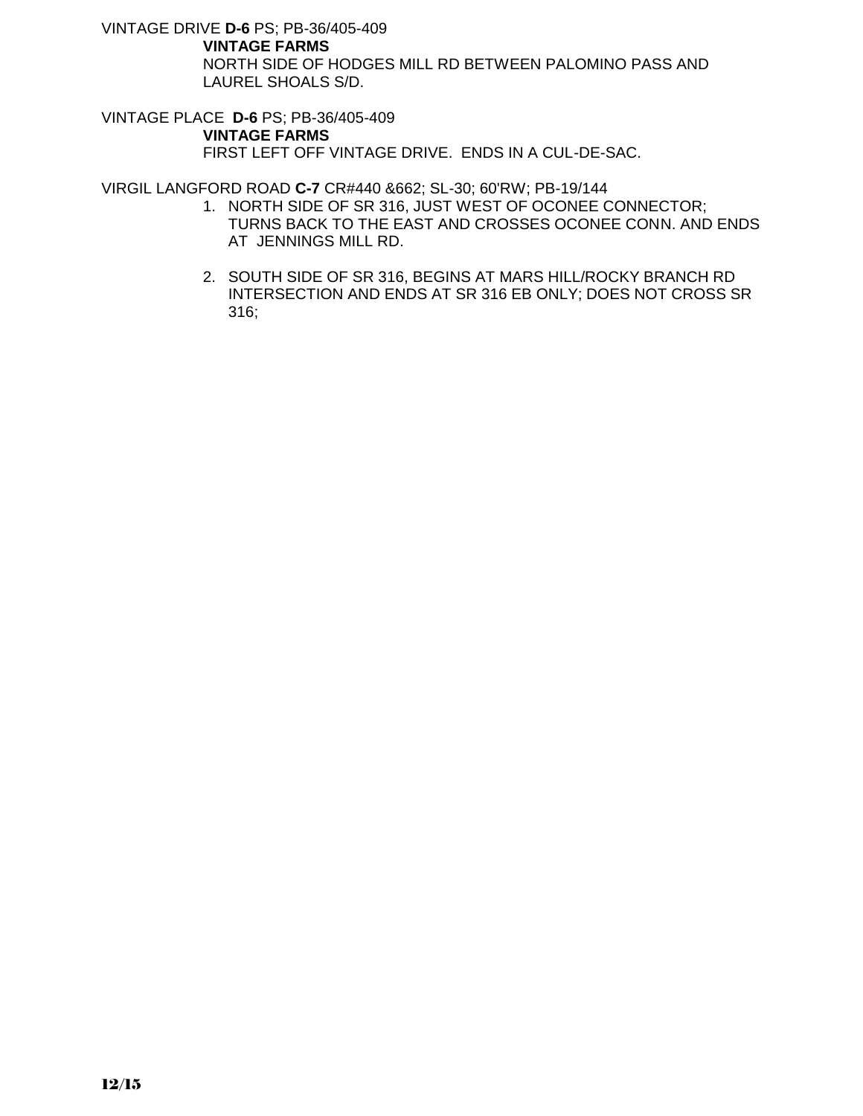VINTAGE DRIVE **D-6** PS; PB-36/405-409

### **VINTAGE FARMS**

NORTH SIDE OF HODGES MILL RD BETWEEN PALOMINO PASS AND LAUREL SHOALS S/D.

VINTAGE PLACE **D-6** PS; PB-36/405-409

# **VINTAGE FARMS**

FIRST LEFT OFF VINTAGE DRIVE. ENDS IN A CUL-DE-SAC.

VIRGIL LANGFORD ROAD **C-7** CR#440 &662; SL-30; 60'RW; PB-19/144

- 1. NORTH SIDE OF SR 316, JUST WEST OF OCONEE CONNECTOR; TURNS BACK TO THE EAST AND CROSSES OCONEE CONN. AND ENDS AT JENNINGS MILL RD.
- 2. SOUTH SIDE OF SR 316, BEGINS AT MARS HILL/ROCKY BRANCH RD INTERSECTION AND ENDS AT SR 316 EB ONLY; DOES NOT CROSS SR 316;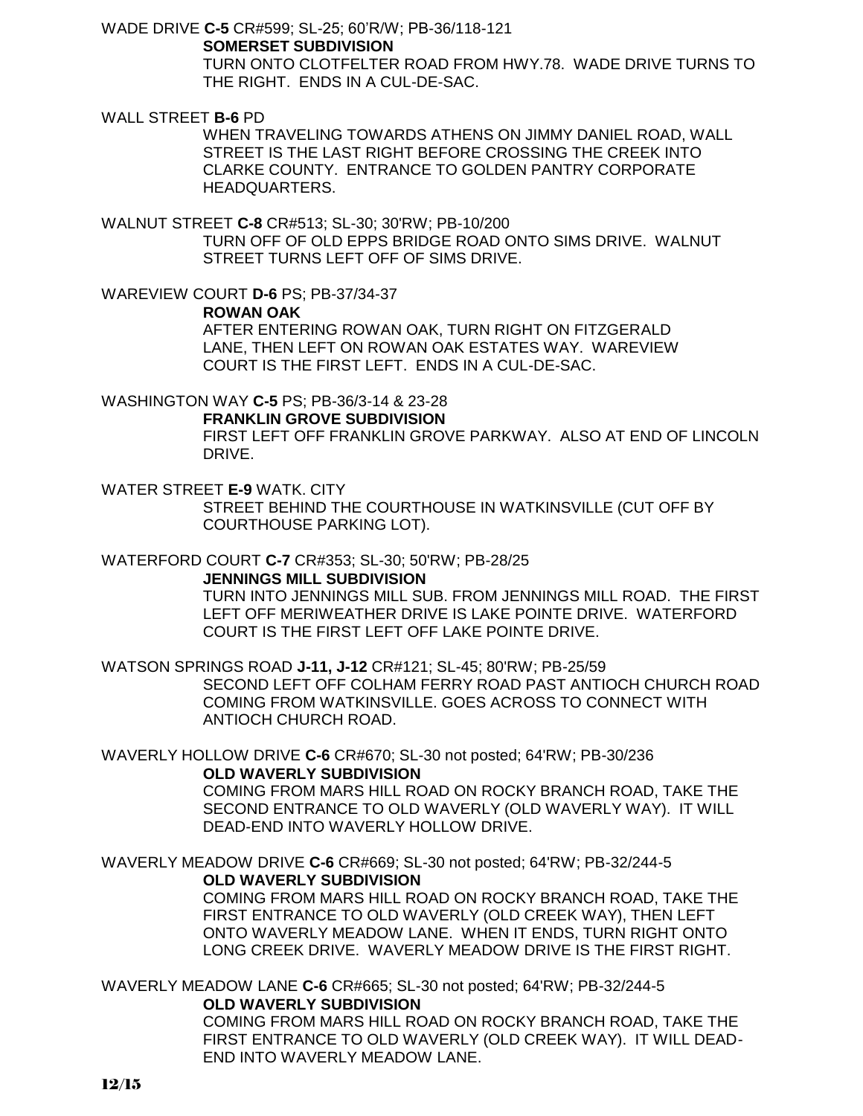WADE DRIVE **C-5** CR#599; SL-25; 60'R/W; PB-36/118-121

**SOMERSET SUBDIVISION**

TURN ONTO CLOTFELTER ROAD FROM HWY.78. WADE DRIVE TURNS TO THE RIGHT. ENDS IN A CUL-DE-SAC.

WALL STREET **B-6** PD

WHEN TRAVELING TOWARDS ATHENS ON JIMMY DANIEL ROAD, WALL STREET IS THE LAST RIGHT BEFORE CROSSING THE CREEK INTO CLARKE COUNTY. ENTRANCE TO GOLDEN PANTRY CORPORATE HEADQUARTERS.

WALNUT STREET **C-8** CR#513; SL-30; 30'RW; PB-10/200 TURN OFF OF OLD EPPS BRIDGE ROAD ONTO SIMS DRIVE. WALNUT STREET TURNS LEFT OFF OF SIMS DRIVE.

WAREVIEW COURT **D-6** PS; PB-37/34-37 **ROWAN OAK** AFTER ENTERING ROWAN OAK, TURN RIGHT ON FITZGERALD LANE, THEN LEFT ON ROWAN OAK ESTATES WAY. WAREVIEW COURT IS THE FIRST LEFT. ENDS IN A CUL-DE-SAC.

WASHINGTON WAY **C-5** PS; PB-36/3-14 & 23-28

# **FRANKLIN GROVE SUBDIVISION**

FIRST LEFT OFF FRANKLIN GROVE PARKWAY. ALSO AT END OF LINCOLN DRIVE.

WATER STREET **E-9** WATK. CITY STREET BEHIND THE COURTHOUSE IN WATKINSVILLE (CUT OFF BY COURTHOUSE PARKING LOT).

WATERFORD COURT **C-7** CR#353; SL-30; 50'RW; PB-28/25

### **JENNINGS MILL SUBDIVISION**

TURN INTO JENNINGS MILL SUB. FROM JENNINGS MILL ROAD. THE FIRST LEFT OFF MERIWEATHER DRIVE IS LAKE POINTE DRIVE. WATERFORD COURT IS THE FIRST LEFT OFF LAKE POINTE DRIVE.

WATSON SPRINGS ROAD **J-11, J-12** CR#121; SL-45; 80'RW; PB-25/59 SECOND LEFT OFF COLHAM FERRY ROAD PAST ANTIOCH CHURCH ROAD COMING FROM WATKINSVILLE. GOES ACROSS TO CONNECT WITH ANTIOCH CHURCH ROAD.

WAVERLY HOLLOW DRIVE **C-6** CR#670; SL-30 not posted; 64'RW; PB-30/236 **OLD WAVERLY SUBDIVISION**

COMING FROM MARS HILL ROAD ON ROCKY BRANCH ROAD, TAKE THE SECOND ENTRANCE TO OLD WAVERLY (OLD WAVERLY WAY). IT WILL DEAD-END INTO WAVERLY HOLLOW DRIVE.

WAVERLY MEADOW DRIVE **C-6** CR#669; SL-30 not posted; 64'RW; PB-32/244-5 **OLD WAVERLY SUBDIVISION**

COMING FROM MARS HILL ROAD ON ROCKY BRANCH ROAD, TAKE THE FIRST ENTRANCE TO OLD WAVERLY (OLD CREEK WAY), THEN LEFT ONTO WAVERLY MEADOW LANE. WHEN IT ENDS, TURN RIGHT ONTO LONG CREEK DRIVE. WAVERLY MEADOW DRIVE IS THE FIRST RIGHT.

WAVERLY MEADOW LANE **C-6** CR#665; SL-30 not posted; 64'RW; PB-32/244-5 **OLD WAVERLY SUBDIVISION**

COMING FROM MARS HILL ROAD ON ROCKY BRANCH ROAD, TAKE THE FIRST ENTRANCE TO OLD WAVERLY (OLD CREEK WAY). IT WILL DEAD-END INTO WAVERLY MEADOW LANE.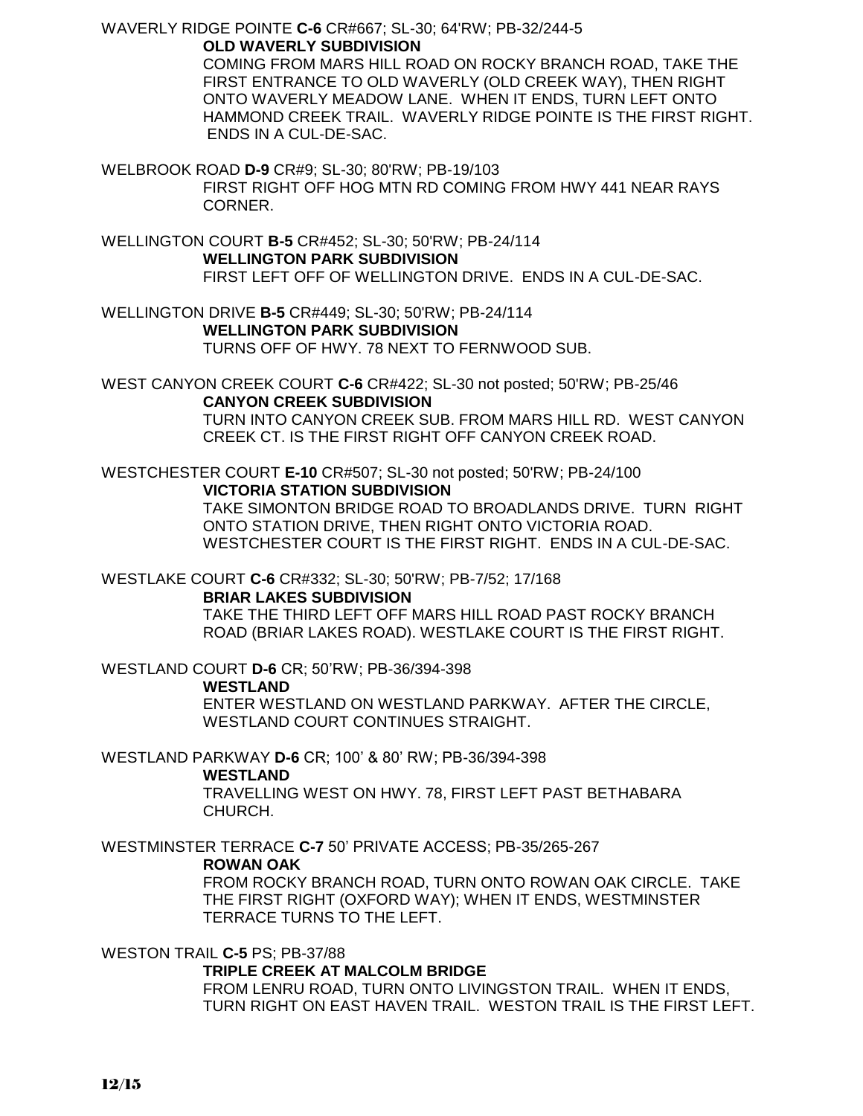WAVERLY RIDGE POINTE **C-6** CR#667; SL-30; 64'RW; PB-32/244-5 **OLD WAVERLY SUBDIVISION**

COMING FROM MARS HILL ROAD ON ROCKY BRANCH ROAD, TAKE THE FIRST ENTRANCE TO OLD WAVERLY (OLD CREEK WAY), THEN RIGHT ONTO WAVERLY MEADOW LANE. WHEN IT ENDS, TURN LEFT ONTO HAMMOND CREEK TRAIL. WAVERLY RIDGE POINTE IS THE FIRST RIGHT. ENDS IN A CUL-DE-SAC.

WELBROOK ROAD **D-9** CR#9; SL-30; 80'RW; PB-19/103 FIRST RIGHT OFF HOG MTN RD COMING FROM HWY 441 NEAR RAYS CORNER.

WELLINGTON COURT **B-5** CR#452; SL-30; 50'RW; PB-24/114 **WELLINGTON PARK SUBDIVISION** FIRST LEFT OFF OF WELLINGTON DRIVE. ENDS IN A CUL-DE-SAC.

WELLINGTON DRIVE **B-5** CR#449; SL-30; 50'RW; PB-24/114 **WELLINGTON PARK SUBDIVISION** TURNS OFF OF HWY. 78 NEXT TO FERNWOOD SUB.

WEST CANYON CREEK COURT **C-6** CR#422; SL-30 not posted; 50'RW; PB-25/46 **CANYON CREEK SUBDIVISION** TURN INTO CANYON CREEK SUB. FROM MARS HILL RD. WEST CANYON

CREEK CT. IS THE FIRST RIGHT OFF CANYON CREEK ROAD.

WESTCHESTER COURT **E-10** CR#507; SL-30 not posted; 50'RW; PB-24/100 **VICTORIA STATION SUBDIVISION**

> TAKE SIMONTON BRIDGE ROAD TO BROADLANDS DRIVE. TURN RIGHT ONTO STATION DRIVE, THEN RIGHT ONTO VICTORIA ROAD. WESTCHESTER COURT IS THE FIRST RIGHT. ENDS IN A CUL-DE-SAC.

WESTLAKE COURT **C-6** CR#332; SL-30; 50'RW; PB-7/52; 17/168

### **BRIAR LAKES SUBDIVISION**

TAKE THE THIRD LEFT OFF MARS HILL ROAD PAST ROCKY BRANCH ROAD (BRIAR LAKES ROAD). WESTLAKE COURT IS THE FIRST RIGHT.

WESTLAND COURT **D-6** CR; 50'RW; PB-36/394-398

**WESTLAND**

ENTER WESTLAND ON WESTLAND PARKWAY. AFTER THE CIRCLE, WESTLAND COURT CONTINUES STRAIGHT.

WESTLAND PARKWAY **D-6** CR; 100' & 80' RW; PB-36/394-398

### **WESTLAND**

TRAVELLING WEST ON HWY. 78, FIRST LEFT PAST BETHABARA CHURCH.

WESTMINSTER TERRACE **C-7** 50' PRIVATE ACCESS; PB-35/265-267

### **ROWAN OAK**

FROM ROCKY BRANCH ROAD, TURN ONTO ROWAN OAK CIRCLE. TAKE THE FIRST RIGHT (OXFORD WAY); WHEN IT ENDS, WESTMINSTER TERRACE TURNS TO THE LEFT.

WESTON TRAIL **C-5** PS; PB-37/88

### **TRIPLE CREEK AT MALCOLM BRIDGE**

FROM LENRU ROAD, TURN ONTO LIVINGSTON TRAIL. WHEN IT ENDS, TURN RIGHT ON EAST HAVEN TRAIL. WESTON TRAIL IS THE FIRST LEFT.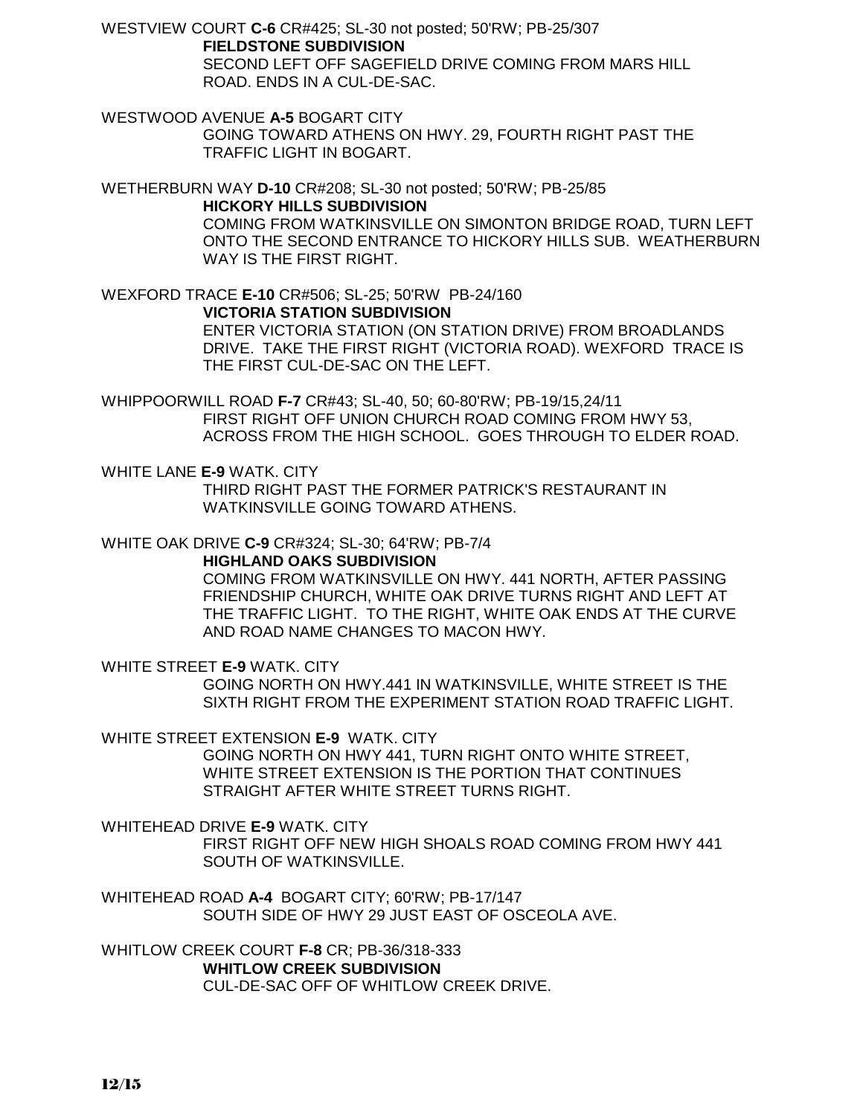WESTVIEW COURT **C-6** CR#425; SL-30 not posted; 50'RW; PB-25/307 **FIELDSTONE SUBDIVISION**

SECOND LEFT OFF SAGEFIELD DRIVE COMING FROM MARS HILL ROAD. ENDS IN A CUL-DE-SAC.

WESTWOOD AVENUE **A-5** BOGART CITY GOING TOWARD ATHENS ON HWY. 29, FOURTH RIGHT PAST THE TRAFFIC LIGHT IN BOGART.

WETHERBURN WAY **D-10** CR#208; SL-30 not posted; 50'RW; PB-25/85 **HICKORY HILLS SUBDIVISION**

COMING FROM WATKINSVILLE ON SIMONTON BRIDGE ROAD, TURN LEFT ONTO THE SECOND ENTRANCE TO HICKORY HILLS SUB. WEATHERBURN WAY IS THE FIRST RIGHT.

WEXFORD TRACE **E-10** CR#506; SL-25; 50'RW PB-24/160 **VICTORIA STATION SUBDIVISION** ENTER VICTORIA STATION (ON STATION DRIVE) FROM BROADLANDS DRIVE. TAKE THE FIRST RIGHT (VICTORIA ROAD). WEXFORD TRACE IS THE FIRST CUL-DE-SAC ON THE LEFT.

WHIPPOORWILL ROAD **F-7** CR#43; SL-40, 50; 60-80'RW; PB-19/15,24/11 FIRST RIGHT OFF UNION CHURCH ROAD COMING FROM HWY 53, ACROSS FROM THE HIGH SCHOOL. GOES THROUGH TO ELDER ROAD.

WHITE LANE **E-9** WATK. CITY THIRD RIGHT PAST THE FORMER PATRICK'S RESTAURANT IN WATKINSVILLE GOING TOWARD ATHENS.

WHITE OAK DRIVE **C-9** CR#324; SL-30; 64'RW; PB-7/4

**HIGHLAND OAKS SUBDIVISION**

COMING FROM WATKINSVILLE ON HWY. 441 NORTH, AFTER PASSING FRIENDSHIP CHURCH, WHITE OAK DRIVE TURNS RIGHT AND LEFT AT THE TRAFFIC LIGHT. TO THE RIGHT, WHITE OAK ENDS AT THE CURVE AND ROAD NAME CHANGES TO MACON HWY.

WHITE STREET **E-9** WATK. CITY

GOING NORTH ON HWY.441 IN WATKINSVILLE, WHITE STREET IS THE SIXTH RIGHT FROM THE EXPERIMENT STATION ROAD TRAFFIC LIGHT.

WHITE STREET EXTENSION **E-9** WATK. CITY

 GOING NORTH ON HWY 441, TURN RIGHT ONTO WHITE STREET, WHITE STREET EXTENSION IS THE PORTION THAT CONTINUES STRAIGHT AFTER WHITE STREET TURNS RIGHT.

WHITEHEAD DRIVE **E-9** WATK. CITY FIRST RIGHT OFF NEW HIGH SHOALS ROAD COMING FROM HWY 441 SOUTH OF WATKINSVILLE.

WHITEHEAD ROAD **A-4** BOGART CITY; 60'RW; PB-17/147 SOUTH SIDE OF HWY 29 JUST EAST OF OSCEOLA AVE.

WHITLOW CREEK COURT **F-8** CR; PB-36/318-333 **WHITLOW CREEK SUBDIVISION** CUL-DE-SAC OFF OF WHITLOW CREEK DRIVE.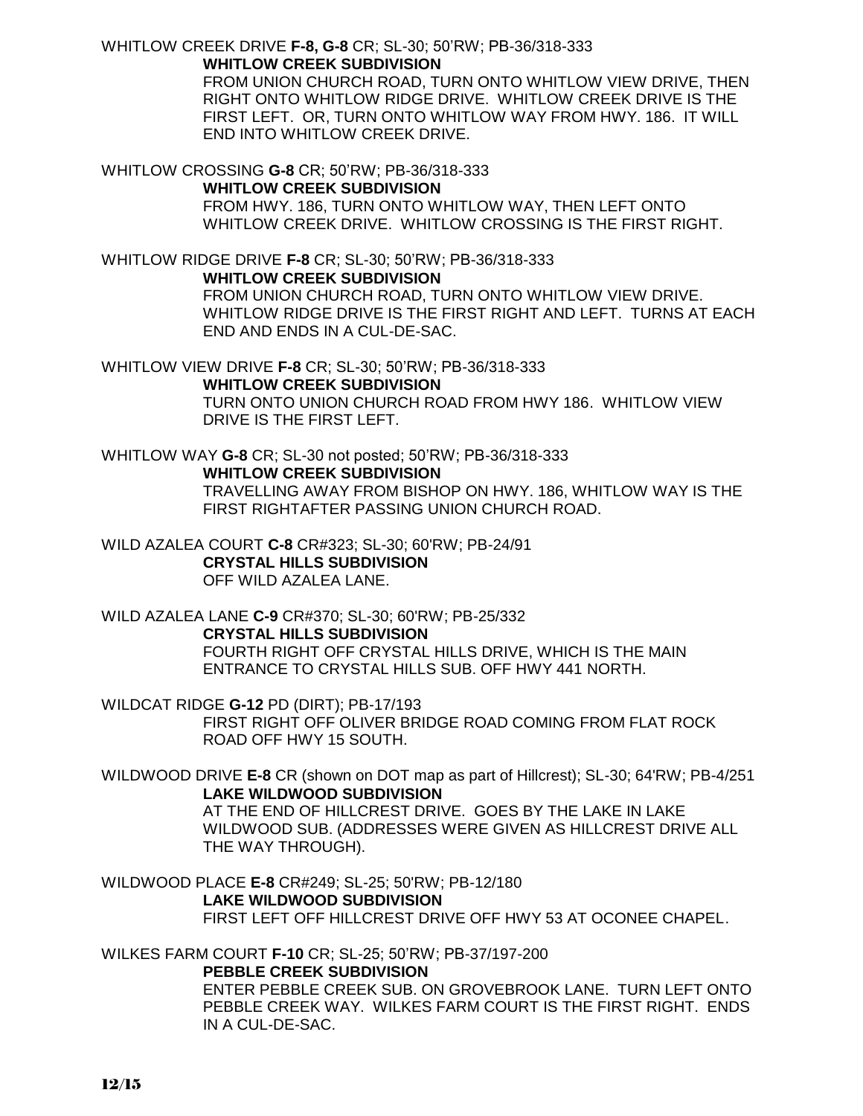### WHITLOW CREEK DRIVE **F-8, G-8** CR; SL-30; 50'RW; PB-36/318-333 **WHITLOW CREEK SUBDIVISION**

FROM UNION CHURCH ROAD, TURN ONTO WHITLOW VIEW DRIVE, THEN RIGHT ONTO WHITLOW RIDGE DRIVE. WHITLOW CREEK DRIVE IS THE FIRST LEFT. OR, TURN ONTO WHITLOW WAY FROM HWY. 186. IT WILL END INTO WHITLOW CREEK DRIVE.

#### WHITLOW CROSSING **G-8** CR; 50'RW; PB-36/318-333 **WHITLOW CREEK SUBDIVISION**

FROM HWY. 186, TURN ONTO WHITLOW WAY, THEN LEFT ONTO WHITLOW CREEK DRIVE. WHITLOW CROSSING IS THE FIRST RIGHT.

WHITLOW RIDGE DRIVE **F-8** CR; SL-30; 50'RW; PB-36/318-333

**WHITLOW CREEK SUBDIVISION**

FROM UNION CHURCH ROAD, TURN ONTO WHITLOW VIEW DRIVE. WHITLOW RIDGE DRIVE IS THE FIRST RIGHT AND LEFT. TURNS AT EACH END AND ENDS IN A CUL-DE-SAC.

WHITLOW VIEW DRIVE **F-8** CR; SL-30; 50'RW; PB-36/318-333

### **WHITLOW CREEK SUBDIVISION**

TURN ONTO UNION CHURCH ROAD FROM HWY 186. WHITLOW VIEW DRIVE IS THE FIRST LEFT.

WHITLOW WAY **G-8** CR; SL-30 not posted; 50'RW; PB-36/318-333

### **WHITLOW CREEK SUBDIVISION**

TRAVELLING AWAY FROM BISHOP ON HWY. 186, WHITLOW WAY IS THE FIRST RIGHTAFTER PASSING UNION CHURCH ROAD.

WILD AZALEA COURT **C-8** CR#323; SL-30; 60'RW; PB-24/91 **CRYSTAL HILLS SUBDIVISION** OFF WILD AZALEA LANE.

WILD AZALEA LANE **C-9** CR#370; SL-30; 60'RW; PB-25/332 **CRYSTAL HILLS SUBDIVISION** FOURTH RIGHT OFF CRYSTAL HILLS DRIVE, WHICH IS THE MAIN ENTRANCE TO CRYSTAL HILLS SUB. OFF HWY 441 NORTH.

WILDCAT RIDGE **G-12** PD (DIRT); PB-17/193 FIRST RIGHT OFF OLIVER BRIDGE ROAD COMING FROM FLAT ROCK ROAD OFF HWY 15 SOUTH.

WILDWOOD DRIVE **E-8** CR (shown on DOT map as part of Hillcrest); SL-30; 64'RW; PB-4/251 **LAKE WILDWOOD SUBDIVISION**

AT THE END OF HILLCREST DRIVE. GOES BY THE LAKE IN LAKE WILDWOOD SUB. (ADDRESSES WERE GIVEN AS HILLCREST DRIVE ALL THE WAY THROUGH).

WILDWOOD PLACE **E-8** CR#249; SL-25; 50'RW; PB-12/180 **LAKE WILDWOOD SUBDIVISION** FIRST LEFT OFF HILLCREST DRIVE OFF HWY 53 AT OCONEE CHAPEL.

WILKES FARM COURT **F-10** CR; SL-25; 50'RW; PB-37/197-200

# **PEBBLE CREEK SUBDIVISION**

ENTER PEBBLE CREEK SUB. ON GROVEBROOK LANE. TURN LEFT ONTO PEBBLE CREEK WAY. WILKES FARM COURT IS THE FIRST RIGHT. ENDS IN A CUL-DE-SAC.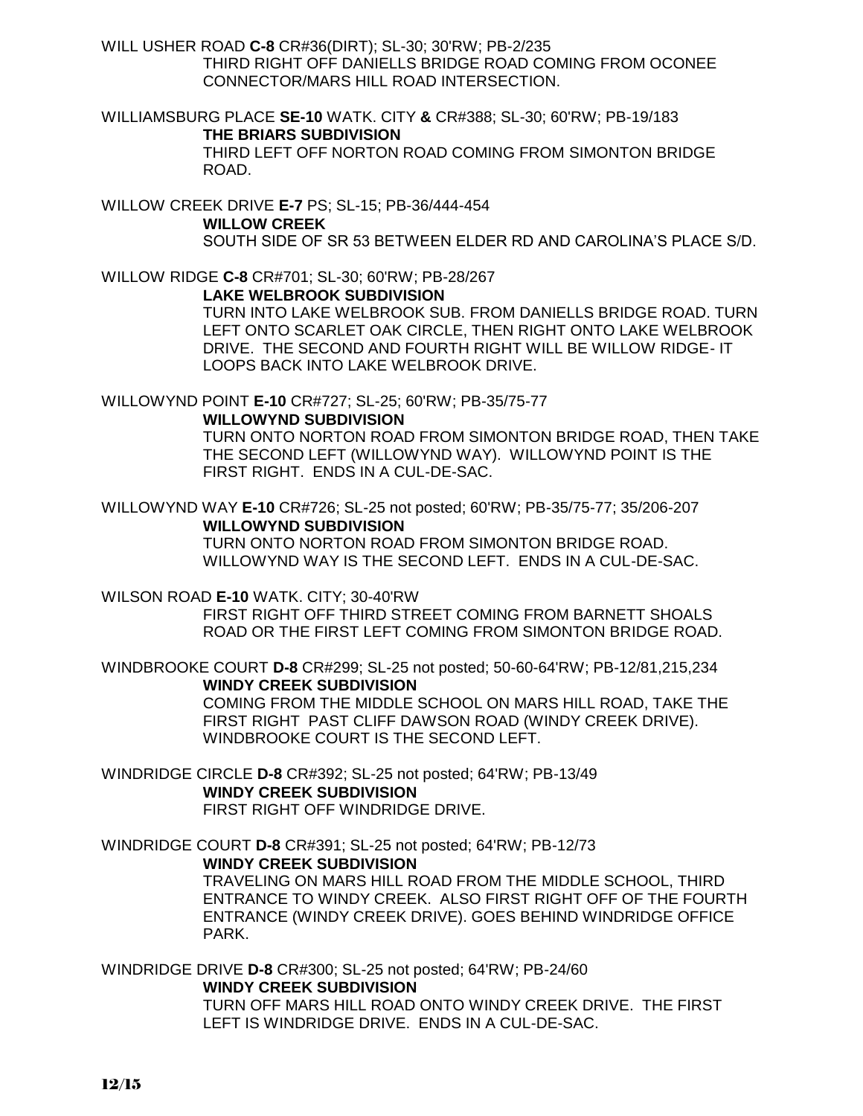WILL USHER ROAD **C-8** CR#36(DIRT); SL-30; 30'RW; PB-2/235 THIRD RIGHT OFF DANIELLS BRIDGE ROAD COMING FROM OCONEE CONNECTOR/MARS HILL ROAD INTERSECTION.

WILLIAMSBURG PLACE **SE-10** WATK. CITY **&** CR#388; SL-30; 60'RW; PB-19/183 **THE BRIARS SUBDIVISION**

THIRD LEFT OFF NORTON ROAD COMING FROM SIMONTON BRIDGE ROAD.

WILLOW CREEK DRIVE **E-7** PS; SL-15; PB-36/444-454 **WILLOW CREEK** SOUTH SIDE OF SR 53 BETWEEN ELDER RD AND CAROLINA'S PLACE S/D.

WILLOW RIDGE **C-8** CR#701; SL-30; 60'RW; PB-28/267

### **LAKE WELBROOK SUBDIVISION**

TURN INTO LAKE WELBROOK SUB. FROM DANIELLS BRIDGE ROAD. TURN LEFT ONTO SCARLET OAK CIRCLE, THEN RIGHT ONTO LAKE WELBROOK DRIVE. THE SECOND AND FOURTH RIGHT WILL BE WILLOW RIDGE- IT LOOPS BACK INTO LAKE WELBROOK DRIVE.

WILLOWYND POINT **E-10** CR#727; SL-25; 60'RW; PB-35/75-77

## **WILLOWYND SUBDIVISION**

TURN ONTO NORTON ROAD FROM SIMONTON BRIDGE ROAD, THEN TAKE THE SECOND LEFT (WILLOWYND WAY). WILLOWYND POINT IS THE FIRST RIGHT. ENDS IN A CUL-DE-SAC.

WILLOWYND WAY **E-10** CR#726; SL-25 not posted; 60'RW; PB-35/75-77; 35/206-207 **WILLOWYND SUBDIVISION**

TURN ONTO NORTON ROAD FROM SIMONTON BRIDGE ROAD. WILLOWYND WAY IS THE SECOND LEFT. ENDS IN A CUL-DE-SAC.

WILSON ROAD **E-10** WATK. CITY; 30-40'RW

FIRST RIGHT OFF THIRD STREET COMING FROM BARNETT SHOALS ROAD OR THE FIRST LEFT COMING FROM SIMONTON BRIDGE ROAD.

WINDBROOKE COURT **D-8** CR#299; SL-25 not posted; 50-60-64'RW; PB-12/81,215,234 **WINDY CREEK SUBDIVISION**

> COMING FROM THE MIDDLE SCHOOL ON MARS HILL ROAD, TAKE THE FIRST RIGHT PAST CLIFF DAWSON ROAD (WINDY CREEK DRIVE). WINDBROOKE COURT IS THE SECOND LEFT.

WINDRIDGE CIRCLE **D-8** CR#392; SL-25 not posted; 64'RW; PB-13/49 **WINDY CREEK SUBDIVISION** FIRST RIGHT OFF WINDRIDGE DRIVE.

WINDRIDGE COURT **D-8** CR#391; SL-25 not posted; 64'RW; PB-12/73 **WINDY CREEK SUBDIVISION**

TRAVELING ON MARS HILL ROAD FROM THE MIDDLE SCHOOL, THIRD ENTRANCE TO WINDY CREEK. ALSO FIRST RIGHT OFF OF THE FOURTH ENTRANCE (WINDY CREEK DRIVE). GOES BEHIND WINDRIDGE OFFICE PARK.

WINDRIDGE DRIVE **D-8** CR#300; SL-25 not posted; 64'RW; PB-24/60 **WINDY CREEK SUBDIVISION** TURN OFF MARS HILL ROAD ONTO WINDY CREEK DRIVE. THE FIRST LEFT IS WINDRIDGE DRIVE. ENDS IN A CUL-DE-SAC.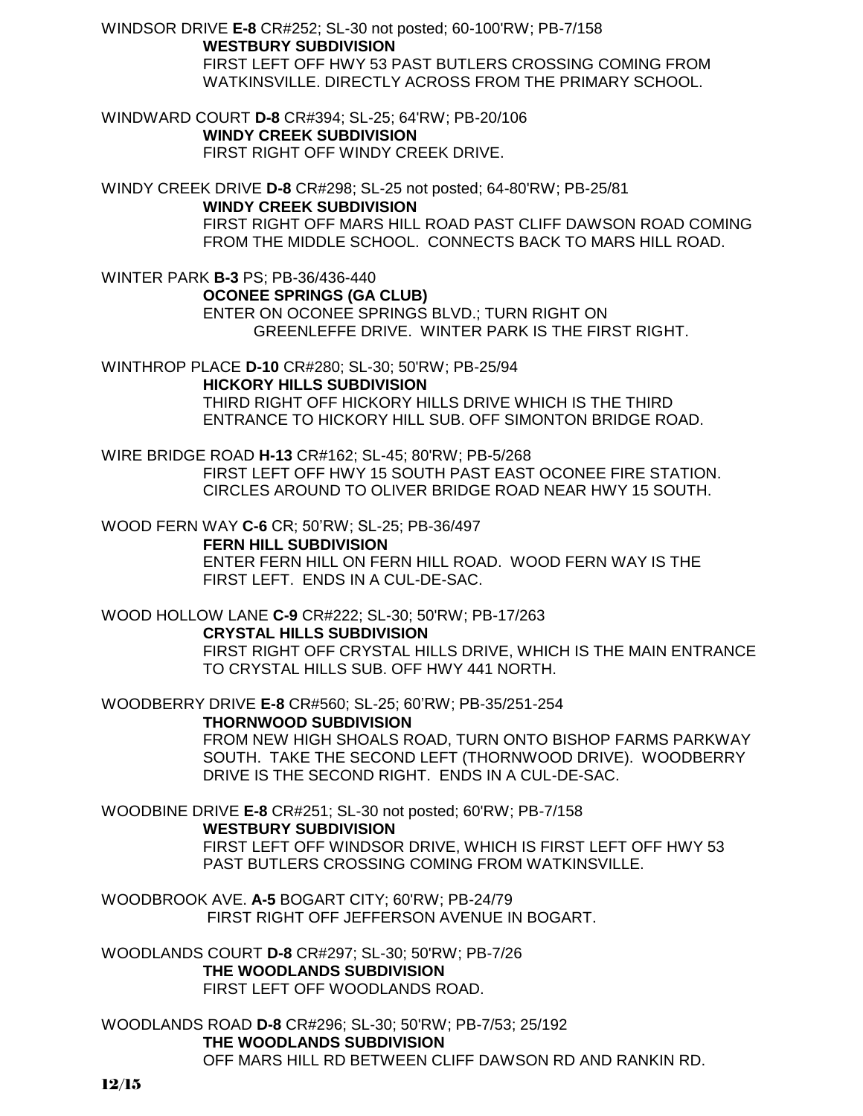WINDSOR DRIVE **E-8** CR#252; SL-30 not posted; 60-100'RW; PB-7/158 **WESTBURY SUBDIVISION** FIRST LEFT OFF HWY 53 PAST BUTLERS CROSSING COMING FROM WATKINSVILLE. DIRECTLY ACROSS FROM THE PRIMARY SCHOOL.

WINDWARD COURT **D-8** CR#394; SL-25; 64'RW; PB-20/106 **WINDY CREEK SUBDIVISION** FIRST RIGHT OFF WINDY CREEK DRIVE.

WINDY CREEK DRIVE **D-8** CR#298; SL-25 not posted; 64-80'RW; PB-25/81 **WINDY CREEK SUBDIVISION**

FIRST RIGHT OFF MARS HILL ROAD PAST CLIFF DAWSON ROAD COMING FROM THE MIDDLE SCHOOL. CONNECTS BACK TO MARS HILL ROAD.

WINTER PARK **B-3** PS; PB-36/436-440

**OCONEE SPRINGS (GA CLUB)**

ENTER ON OCONEE SPRINGS BLVD.; TURN RIGHT ON GREENLEFFE DRIVE. WINTER PARK IS THE FIRST RIGHT.

WINTHROP PLACE **D-10** CR#280; SL-30; 50'RW; PB-25/94

**HICKORY HILLS SUBDIVISION** THIRD RIGHT OFF HICKORY HILLS DRIVE WHICH IS THE THIRD

ENTRANCE TO HICKORY HILL SUB. OFF SIMONTON BRIDGE ROAD.

WIRE BRIDGE ROAD **H-13** CR#162; SL-45; 80'RW; PB-5/268 FIRST LEFT OFF HWY 15 SOUTH PAST EAST OCONEE FIRE STATION. CIRCLES AROUND TO OLIVER BRIDGE ROAD NEAR HWY 15 SOUTH.

WOOD FERN WAY **C-6** CR; 50'RW; SL-25; PB-36/497

**FERN HILL SUBDIVISION**

ENTER FERN HILL ON FERN HILL ROAD. WOOD FERN WAY IS THE FIRST LEFT. ENDS IN A CUL-DE-SAC.

WOOD HOLLOW LANE **C-9** CR#222; SL-30; 50'RW; PB-17/263

**CRYSTAL HILLS SUBDIVISION**

FIRST RIGHT OFF CRYSTAL HILLS DRIVE, WHICH IS THE MAIN ENTRANCE TO CRYSTAL HILLS SUB. OFF HWY 441 NORTH.

WOODBERRY DRIVE **E-8** CR#560; SL-25; 60'RW; PB-35/251-254

**THORNWOOD SUBDIVISION**

FROM NEW HIGH SHOALS ROAD, TURN ONTO BISHOP FARMS PARKWAY SOUTH. TAKE THE SECOND LEFT (THORNWOOD DRIVE). WOODBERRY DRIVE IS THE SECOND RIGHT. ENDS IN A CUL-DE-SAC.

WOODBINE DRIVE **E-8** CR#251; SL-30 not posted; 60'RW; PB-7/158

**WESTBURY SUBDIVISION**

FIRST LEFT OFF WINDSOR DRIVE, WHICH IS FIRST LEFT OFF HWY 53 PAST BUTLERS CROSSING COMING FROM WATKINSVILLE.

WOODBROOK AVE. **A-5** BOGART CITY; 60'RW; PB-24/79 FIRST RIGHT OFF JEFFERSON AVENUE IN BOGART.

WOODLANDS COURT **D-8** CR#297; SL-30; 50'RW; PB-7/26 **THE WOODLANDS SUBDIVISION** FIRST LEFT OFF WOODLANDS ROAD.

WOODLANDS ROAD **D-8** CR#296; SL-30; 50'RW; PB-7/53; 25/192 **THE WOODLANDS SUBDIVISION** OFF MARS HILL RD BETWEEN CLIFF DAWSON RD AND RANKIN RD.